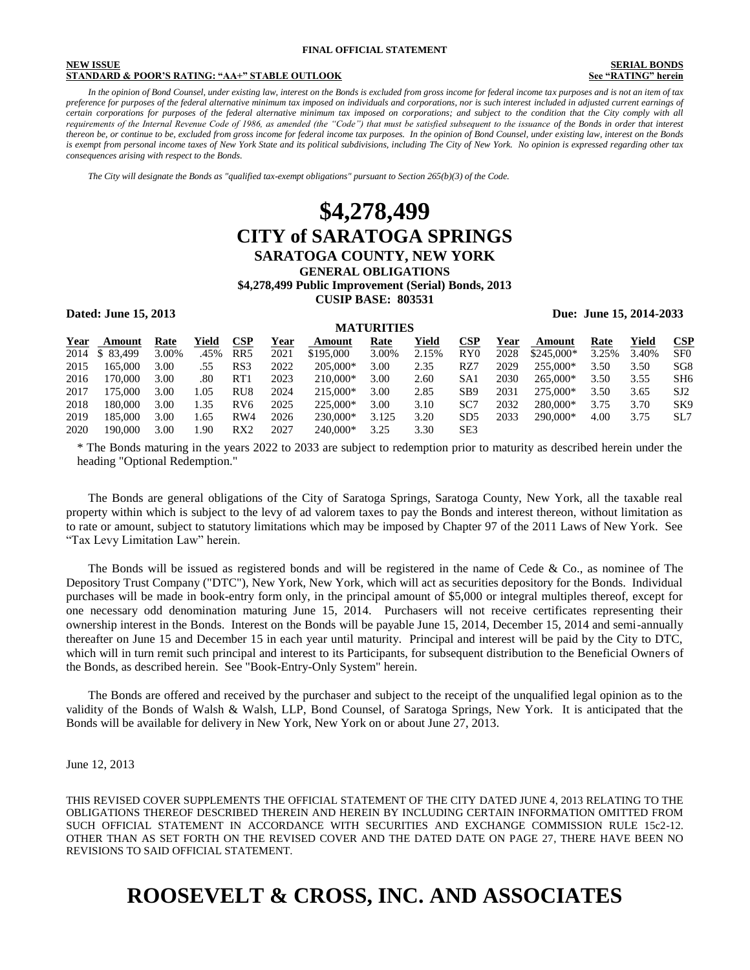#### **NEW ISSUE SERIAL BONDS STANDARD & POOR'S RATING: "AA+" STABLE OUTLOOK See "RATING" herein**

 *In the opinion of Bond Counsel, under existing law, interest on the Bonds is excluded from gross income for federal income tax purposes and is not an item of tax preference for purposes of the federal alternative minimum tax imposed on individuals and corporations, nor is such interest included in adjusted current earnings of certain corporations for purposes of the federal alternative minimum tax imposed on corporations; and subject to the condition that the City comply with all*  requirements of the Internal Revenue Code of 1986, as amended (the "Code") that must be satisfied subsequent to the issuance of the Bonds in order that interest *thereon be, or continue to be, excluded from gross income for federal income tax purposes. In the opinion of Bond Counsel, under existing law, interest on the Bonds is exempt from personal income taxes of New York State and its political subdivisions, including The City of New York. No opinion is expressed regarding other tax consequences arising with respect to the Bonds.* 

 *The City will designate the Bonds as "qualified tax-exempt obligations" pursuant to Section 265(b)(3) of the Code.* 

### **\$4,278,499 CITY of SARATOGA SPRINGS SARATOGA COUNTY, NEW YORK GENERAL OBLIGATIONS \$4,278,499 Public Improvement (Serial) Bonds, 2013 CUSIP BASE: 803531**

**Dated: June 15, 2013 Due: June 15, 2014-2033** 

|      | <b>MATURITIES</b> |       |       |                 |      |           |       |       |                 |      |             |       |       |                 |
|------|-------------------|-------|-------|-----------------|------|-----------|-------|-------|-----------------|------|-------------|-------|-------|-----------------|
| Year | Amount            | Rate  | Yield | <b>CSP</b>      | Year | Amount    | Rate  | Yield | $\bf CSP$       | Year | Amount      | Rate  | Yield | CSP             |
| 2014 | \$ 83,499         | 3.00% | .45%  | RR <sub>5</sub> | 2021 | \$195,000 | 3.00% | 2.15% | RY0             | 2028 | $$245.000*$ | 3.25% | 3.40% | SF <sub>0</sub> |
| 2015 | 165,000           | 3.00  | .55   | RS3             | 2022 | 205,000*  | 3.00  | 2.35  | RZ7             | 2029 | 255,000*    | 3.50  | 3.50  | SG <sub>8</sub> |
| 2016 | 170,000           | 3.00  | .80   | RT1             | 2023 | 210,000*  | 3.00  | 2.60  | SA1             | 2030 | 265,000*    | 3.50  | 3.55  | SH <sub>6</sub> |
| 2017 | 175,000           | 3.00  | .05   | RU <sub>8</sub> | 2024 | 215,000*  | 3.00  | 2.85  | SB <sub>9</sub> | 2031 | 275,000*    | 3.50  | 3.65  | SJ2             |
| 2018 | 180,000           | 3.00  | 1.35  | RV <sub>6</sub> | 2025 | 225,000*  | 3.00  | 3.10  | SC7             | 2032 | 280,000*    | 3.75  | 3.70  | SK <sub>9</sub> |
| 2019 | 185,000           | 3.00  | .65   | RW4             | 2026 | 230,000*  | 3.125 | 3.20  | SD <sub>5</sub> | 2033 | 290,000*    | 4.00  | 3.75  | SL7             |
| 2020 | 190.000           | 3.00  | .90   | RX <sub>2</sub> | 2027 | 240,000*  | 3.25  | 3.30  | SE3             |      |             |       |       |                 |

\* The Bonds maturing in the years 2022 to 2033 are subject to redemption prior to maturity as described herein under the heading "Optional Redemption."

 The Bonds are general obligations of the City of Saratoga Springs, Saratoga County, New York, all the taxable real property within which is subject to the levy of ad valorem taxes to pay the Bonds and interest thereon, without limitation as to rate or amount, subject to statutory limitations which may be imposed by Chapter 97 of the 2011 Laws of New York. See "Tax Levy Limitation Law" herein.

 The Bonds will be issued as registered bonds and will be registered in the name of Cede & Co., as nominee of The Depository Trust Company ("DTC"), New York, New York, which will act as securities depository for the Bonds. Individual purchases will be made in book-entry form only, in the principal amount of \$5,000 or integral multiples thereof, except for one necessary odd denomination maturing June 15, 2014. Purchasers will not receive certificates representing their ownership interest in the Bonds. Interest on the Bonds will be payable June 15, 2014, December 15, 2014 and semi-annually thereafter on June 15 and December 15 in each year until maturity. Principal and interest will be paid by the City to DTC, which will in turn remit such principal and interest to its Participants, for subsequent distribution to the Beneficial Owners of the Bonds, as described herein. See "Book-Entry-Only System" herein.

 The Bonds are offered and received by the purchaser and subject to the receipt of the unqualified legal opinion as to the validity of the Bonds of Walsh & Walsh, LLP, Bond Counsel, of Saratoga Springs, New York. It is anticipated that the Bonds will be available for delivery in New York, New York on or about June 27, 2013.

#### June 12, 2013

THIS REVISED COVER SUPPLEMENTS THE OFFICIAL STATEMENT OF THE CITY DATED JUNE 4, 2013 RELATING TO THE OBLIGATIONS THEREOF DESCRIBED THEREIN AND HEREIN BY INCLUDING CERTAIN INFORMATION OMITTED FROM SUCH OFFICIAL STATEMENT IN ACCORDANCE WITH SECURITIES AND EXCHANGE COMMISSION RULE 15c2-12. OTHER THAN AS SET FORTH ON THE REVISED COVER AND THE DATED DATE ON PAGE 27, THERE HAVE BEEN NO REVISIONS TO SAID OFFICIAL STATEMENT.

## **ROOSEVELT & CROSS, INC. AND ASSOCIATES**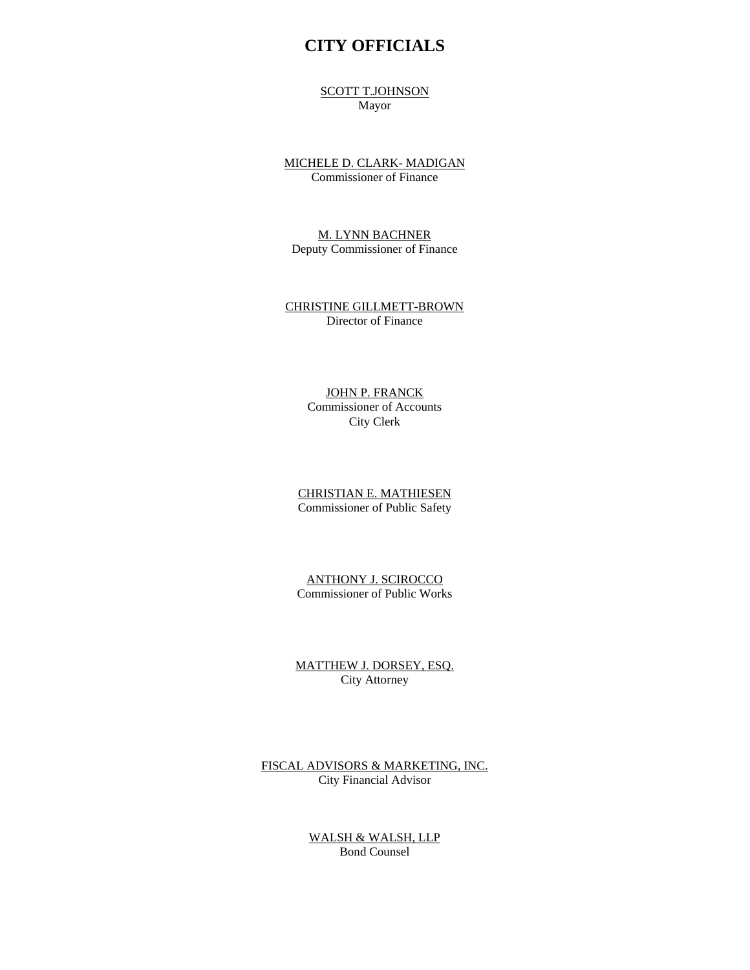### **CITY OFFICIALS**

SCOTT T.JOHNSON Mayor

MICHELE D. CLARK- MADIGAN Commissioner of Finance

M. LYNN BACHNER Deputy Commissioner of Finance

CHRISTINE GILLMETT-BROWN Director of Finance

#### JOHN P. FRANCK Commissioner of Accounts City Clerk

CHRISTIAN E. MATHIESEN Commissioner of Public Safety

ANTHONY J. SCIROCCO Commissioner of Public Works

MATTHEW J. DORSEY, ESQ. City Attorney

FISCAL ADVISORS & MARKETING, INC. City Financial Advisor

> WALSH & WALSH, LLP Bond Counsel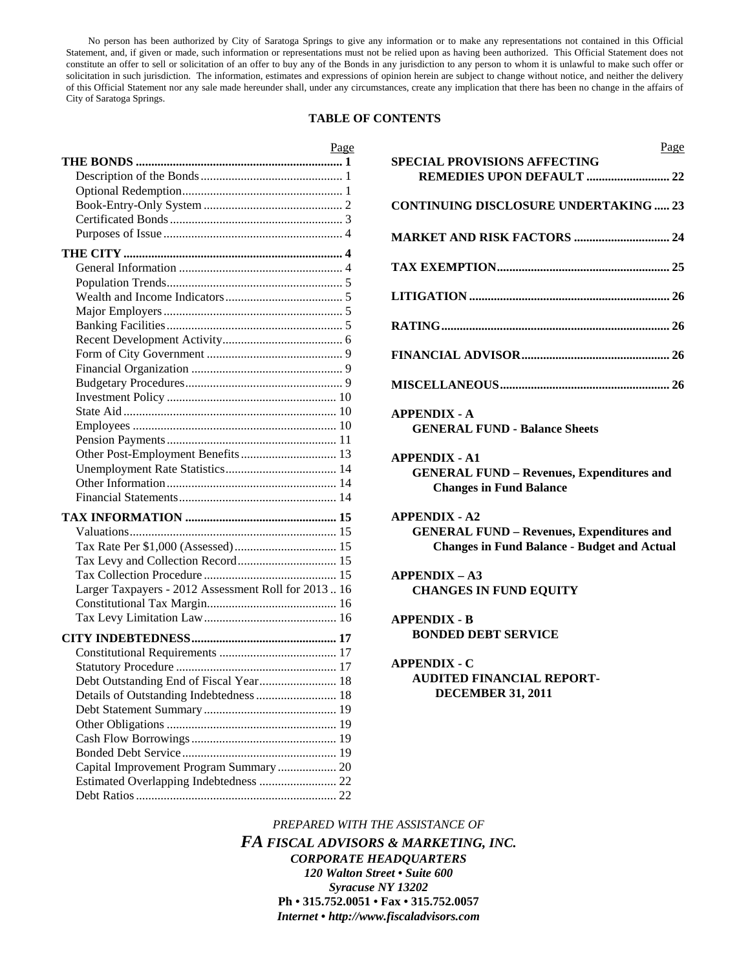No person has been authorized by City of Saratoga Springs to give any information or to make any representations not contained in this Official Statement, and, if given or made, such information or representations must not be relied upon as having been authorized. This Official Statement does not constitute an offer to sell or solicitation of an offer to buy any of the Bonds in any jurisdiction to any person to whom it is unlawful to make such offer or solicitation in such jurisdiction. The information, estimates and expressions of opinion herein are subject to change without notice, and neither the delivery of this Official Statement nor any sale made hereunder shall, under any circumstances, create any implication that there has been no change in the affairs of City of Saratoga Springs.

#### **TABLE OF CONTENTS**

| Page                                                 | Page                                               |
|------------------------------------------------------|----------------------------------------------------|
|                                                      | <b>SPECIAL PROVISIONS AFFECTING</b>                |
|                                                      |                                                    |
|                                                      |                                                    |
|                                                      | <b>CONTINUING DISCLOSURE UNDERTAKING  23</b>       |
|                                                      |                                                    |
|                                                      | <b>MARKET AND RISK FACTORS  24</b>                 |
|                                                      |                                                    |
|                                                      |                                                    |
|                                                      |                                                    |
|                                                      |                                                    |
|                                                      |                                                    |
|                                                      |                                                    |
|                                                      |                                                    |
|                                                      |                                                    |
|                                                      |                                                    |
|                                                      |                                                    |
|                                                      |                                                    |
|                                                      | <b>APPENDIX - A</b>                                |
|                                                      | <b>GENERAL FUND - Balance Sheets</b>               |
|                                                      |                                                    |
|                                                      |                                                    |
|                                                      | <b>APPENDIX - A1</b>                               |
|                                                      | <b>GENERAL FUND - Revenues, Expenditures and</b>   |
|                                                      | <b>Changes in Fund Balance</b>                     |
|                                                      | <b>APPENDIX - A2</b>                               |
|                                                      | <b>GENERAL FUND - Revenues, Expenditures and</b>   |
|                                                      | <b>Changes in Fund Balance - Budget and Actual</b> |
|                                                      |                                                    |
|                                                      | <b>APPENDIX - A3</b>                               |
| Larger Taxpayers - 2012 Assessment Roll for 2013  16 |                                                    |
|                                                      | <b>CHANGES IN FUND EQUITY</b>                      |
|                                                      |                                                    |
|                                                      | <b>APPENDIX - B</b>                                |
|                                                      | <b>BONDED DEBT SERVICE</b>                         |
|                                                      |                                                    |
|                                                      | <b>APPENDIX - C</b>                                |
| Debt Outstanding End of Fiscal Year 18               | <b>AUDITED FINANCIAL REPORT-</b>                   |
|                                                      | <b>DECEMBER 31, 2011</b>                           |
|                                                      |                                                    |
|                                                      |                                                    |
|                                                      |                                                    |
|                                                      |                                                    |
| Capital Improvement Program Summary  20              |                                                    |
|                                                      |                                                    |
|                                                      |                                                    |
|                                                      |                                                    |

*PREPARED WITH THE ASSISTANCE OF FA FISCAL ADVISORS & MARKETING, INC. CORPORATE HEADQUARTERS 120 Walton Street • Suite 600 Syracuse NY 13202*  **Ph • 315.752.0051 • Fax • 315.752.0057**  *Internet • http://www.fiscaladvisors.com*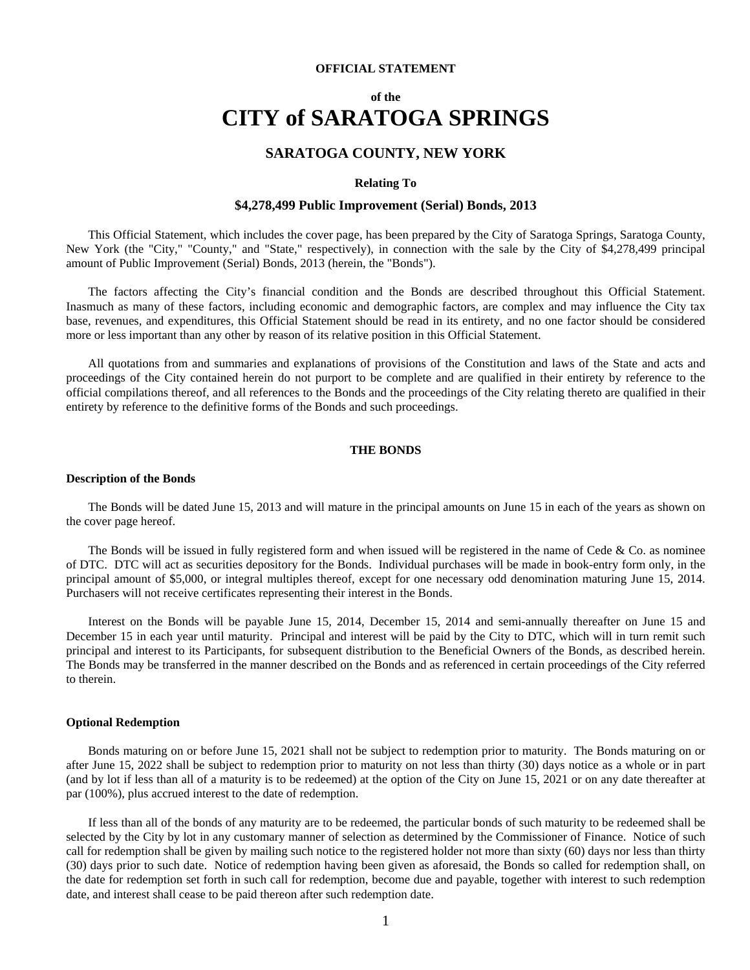#### **OFFICIAL STATEMENT**

### **of the CITY of SARATOGA SPRINGS**

#### **SARATOGA COUNTY, NEW YORK**

#### **Relating To**

#### **\$4,278,499 Public Improvement (Serial) Bonds, 2013**

 This Official Statement, which includes the cover page, has been prepared by the City of Saratoga Springs, Saratoga County, New York (the "City," "County," and "State," respectively), in connection with the sale by the City of \$4,278,499 principal amount of Public Improvement (Serial) Bonds, 2013 (herein, the "Bonds").

 The factors affecting the City's financial condition and the Bonds are described throughout this Official Statement. Inasmuch as many of these factors, including economic and demographic factors, are complex and may influence the City tax base, revenues, and expenditures, this Official Statement should be read in its entirety, and no one factor should be considered more or less important than any other by reason of its relative position in this Official Statement.

 All quotations from and summaries and explanations of provisions of the Constitution and laws of the State and acts and proceedings of the City contained herein do not purport to be complete and are qualified in their entirety by reference to the official compilations thereof, and all references to the Bonds and the proceedings of the City relating thereto are qualified in their entirety by reference to the definitive forms of the Bonds and such proceedings.

#### **THE BONDS**

#### **Description of the Bonds**

 The Bonds will be dated June 15, 2013 and will mature in the principal amounts on June 15 in each of the years as shown on the cover page hereof.

The Bonds will be issued in fully registered form and when issued will be registered in the name of Cede  $&$  Co. as nominee of DTC. DTC will act as securities depository for the Bonds. Individual purchases will be made in book-entry form only, in the principal amount of \$5,000, or integral multiples thereof, except for one necessary odd denomination maturing June 15, 2014. Purchasers will not receive certificates representing their interest in the Bonds.

 Interest on the Bonds will be payable June 15, 2014, December 15, 2014 and semi-annually thereafter on June 15 and December 15 in each year until maturity. Principal and interest will be paid by the City to DTC, which will in turn remit such principal and interest to its Participants, for subsequent distribution to the Beneficial Owners of the Bonds, as described herein. The Bonds may be transferred in the manner described on the Bonds and as referenced in certain proceedings of the City referred to therein.

#### **Optional Redemption**

 Bonds maturing on or before June 15, 2021 shall not be subject to redemption prior to maturity. The Bonds maturing on or after June 15, 2022 shall be subject to redemption prior to maturity on not less than thirty (30) days notice as a whole or in part (and by lot if less than all of a maturity is to be redeemed) at the option of the City on June 15, 2021 or on any date thereafter at par (100%), plus accrued interest to the date of redemption.

 If less than all of the bonds of any maturity are to be redeemed, the particular bonds of such maturity to be redeemed shall be selected by the City by lot in any customary manner of selection as determined by the Commissioner of Finance. Notice of such call for redemption shall be given by mailing such notice to the registered holder not more than sixty (60) days nor less than thirty (30) days prior to such date. Notice of redemption having been given as aforesaid, the Bonds so called for redemption shall, on the date for redemption set forth in such call for redemption, become due and payable, together with interest to such redemption date, and interest shall cease to be paid thereon after such redemption date.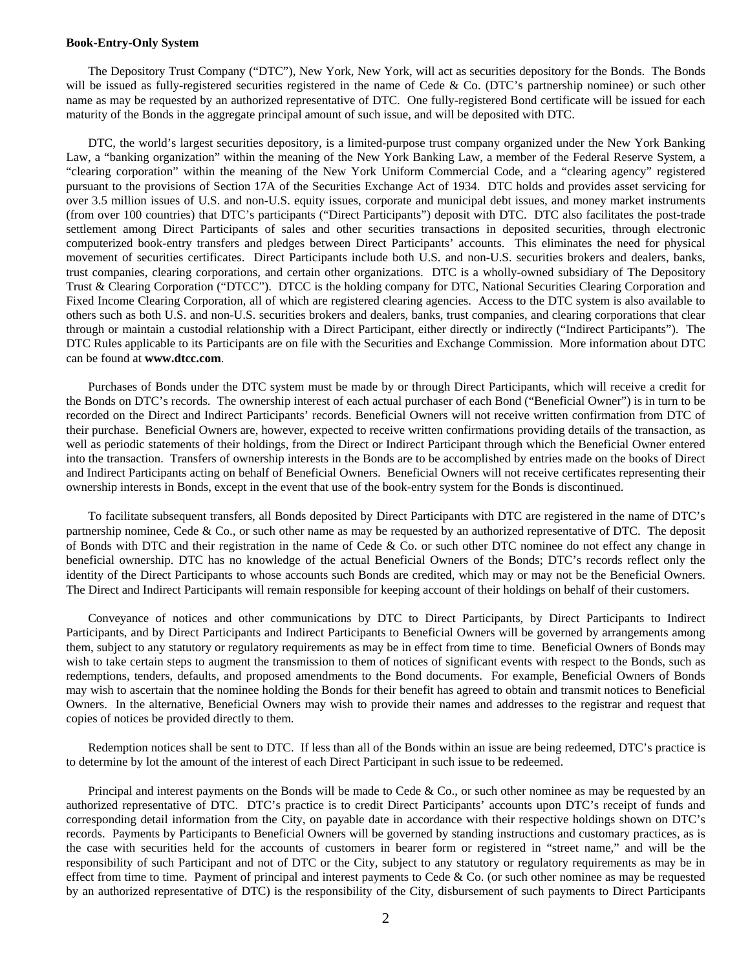#### **Book-Entry-Only System**

The Depository Trust Company ("DTC"), New York, New York, will act as securities depository for the Bonds. The Bonds will be issued as fully-registered securities registered in the name of Cede & Co. (DTC's partnership nominee) or such other name as may be requested by an authorized representative of DTC. One fully-registered Bond certificate will be issued for each maturity of the Bonds in the aggregate principal amount of such issue, and will be deposited with DTC.

DTC, the world's largest securities depository, is a limited-purpose trust company organized under the New York Banking Law, a "banking organization" within the meaning of the New York Banking Law, a member of the Federal Reserve System, a "clearing corporation" within the meaning of the New York Uniform Commercial Code, and a "clearing agency" registered pursuant to the provisions of Section 17A of the Securities Exchange Act of 1934. DTC holds and provides asset servicing for over 3.5 million issues of U.S. and non-U.S. equity issues, corporate and municipal debt issues, and money market instruments (from over 100 countries) that DTC's participants ("Direct Participants") deposit with DTC. DTC also facilitates the post-trade settlement among Direct Participants of sales and other securities transactions in deposited securities, through electronic computerized book-entry transfers and pledges between Direct Participants' accounts. This eliminates the need for physical movement of securities certificates. Direct Participants include both U.S. and non-U.S. securities brokers and dealers, banks, trust companies, clearing corporations, and certain other organizations. DTC is a wholly-owned subsidiary of The Depository Trust & Clearing Corporation ("DTCC"). DTCC is the holding company for DTC, National Securities Clearing Corporation and Fixed Income Clearing Corporation, all of which are registered clearing agencies. Access to the DTC system is also available to others such as both U.S. and non-U.S. securities brokers and dealers, banks, trust companies, and clearing corporations that clear through or maintain a custodial relationship with a Direct Participant, either directly or indirectly ("Indirect Participants"). The DTC Rules applicable to its Participants are on file with the Securities and Exchange Commission. More information about DTC can be found at **www.dtcc.com**.

Purchases of Bonds under the DTC system must be made by or through Direct Participants, which will receive a credit for the Bonds on DTC's records. The ownership interest of each actual purchaser of each Bond ("Beneficial Owner") is in turn to be recorded on the Direct and Indirect Participants' records. Beneficial Owners will not receive written confirmation from DTC of their purchase. Beneficial Owners are, however, expected to receive written confirmations providing details of the transaction, as well as periodic statements of their holdings, from the Direct or Indirect Participant through which the Beneficial Owner entered into the transaction. Transfers of ownership interests in the Bonds are to be accomplished by entries made on the books of Direct and Indirect Participants acting on behalf of Beneficial Owners. Beneficial Owners will not receive certificates representing their ownership interests in Bonds, except in the event that use of the book-entry system for the Bonds is discontinued.

 To facilitate subsequent transfers, all Bonds deposited by Direct Participants with DTC are registered in the name of DTC's partnership nominee, Cede & Co., or such other name as may be requested by an authorized representative of DTC. The deposit of Bonds with DTC and their registration in the name of Cede & Co. or such other DTC nominee do not effect any change in beneficial ownership. DTC has no knowledge of the actual Beneficial Owners of the Bonds; DTC's records reflect only the identity of the Direct Participants to whose accounts such Bonds are credited, which may or may not be the Beneficial Owners. The Direct and Indirect Participants will remain responsible for keeping account of their holdings on behalf of their customers.

Conveyance of notices and other communications by DTC to Direct Participants, by Direct Participants to Indirect Participants, and by Direct Participants and Indirect Participants to Beneficial Owners will be governed by arrangements among them, subject to any statutory or regulatory requirements as may be in effect from time to time. Beneficial Owners of Bonds may wish to take certain steps to augment the transmission to them of notices of significant events with respect to the Bonds, such as redemptions, tenders, defaults, and proposed amendments to the Bond documents. For example, Beneficial Owners of Bonds may wish to ascertain that the nominee holding the Bonds for their benefit has agreed to obtain and transmit notices to Beneficial Owners. In the alternative, Beneficial Owners may wish to provide their names and addresses to the registrar and request that copies of notices be provided directly to them.

 Redemption notices shall be sent to DTC. If less than all of the Bonds within an issue are being redeemed, DTC's practice is to determine by lot the amount of the interest of each Direct Participant in such issue to be redeemed.

Principal and interest payments on the Bonds will be made to Cede & Co., or such other nominee as may be requested by an authorized representative of DTC. DTC's practice is to credit Direct Participants' accounts upon DTC's receipt of funds and corresponding detail information from the City, on payable date in accordance with their respective holdings shown on DTC's records. Payments by Participants to Beneficial Owners will be governed by standing instructions and customary practices, as is the case with securities held for the accounts of customers in bearer form or registered in "street name," and will be the responsibility of such Participant and not of DTC or the City, subject to any statutory or regulatory requirements as may be in effect from time to time. Payment of principal and interest payments to Cede & Co. (or such other nominee as may be requested by an authorized representative of DTC) is the responsibility of the City, disbursement of such payments to Direct Participants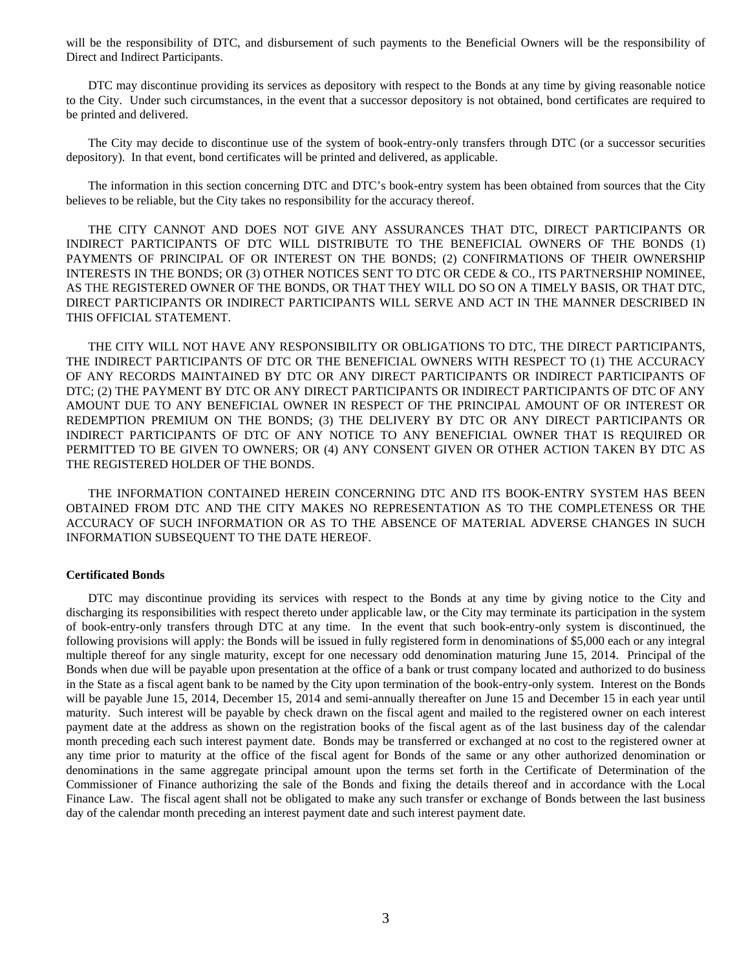will be the responsibility of DTC, and disbursement of such payments to the Beneficial Owners will be the responsibility of Direct and Indirect Participants.

DTC may discontinue providing its services as depository with respect to the Bonds at any time by giving reasonable notice to the City. Under such circumstances, in the event that a successor depository is not obtained, bond certificates are required to be printed and delivered.

The City may decide to discontinue use of the system of book-entry-only transfers through DTC (or a successor securities depository). In that event, bond certificates will be printed and delivered, as applicable.

The information in this section concerning DTC and DTC's book-entry system has been obtained from sources that the City believes to be reliable, but the City takes no responsibility for the accuracy thereof.

THE CITY CANNOT AND DOES NOT GIVE ANY ASSURANCES THAT DTC, DIRECT PARTICIPANTS OR INDIRECT PARTICIPANTS OF DTC WILL DISTRIBUTE TO THE BENEFICIAL OWNERS OF THE BONDS (1) PAYMENTS OF PRINCIPAL OF OR INTEREST ON THE BONDS; (2) CONFIRMATIONS OF THEIR OWNERSHIP INTERESTS IN THE BONDS; OR (3) OTHER NOTICES SENT TO DTC OR CEDE & CO., ITS PARTNERSHIP NOMINEE, AS THE REGISTERED OWNER OF THE BONDS, OR THAT THEY WILL DO SO ON A TIMELY BASIS, OR THAT DTC, DIRECT PARTICIPANTS OR INDIRECT PARTICIPANTS WILL SERVE AND ACT IN THE MANNER DESCRIBED IN THIS OFFICIAL STATEMENT.

THE CITY WILL NOT HAVE ANY RESPONSIBILITY OR OBLIGATIONS TO DTC, THE DIRECT PARTICIPANTS, THE INDIRECT PARTICIPANTS OF DTC OR THE BENEFICIAL OWNERS WITH RESPECT TO (1) THE ACCURACY OF ANY RECORDS MAINTAINED BY DTC OR ANY DIRECT PARTICIPANTS OR INDIRECT PARTICIPANTS OF DTC; (2) THE PAYMENT BY DTC OR ANY DIRECT PARTICIPANTS OR INDIRECT PARTICIPANTS OF DTC OF ANY AMOUNT DUE TO ANY BENEFICIAL OWNER IN RESPECT OF THE PRINCIPAL AMOUNT OF OR INTEREST OR REDEMPTION PREMIUM ON THE BONDS; (3) THE DELIVERY BY DTC OR ANY DIRECT PARTICIPANTS OR INDIRECT PARTICIPANTS OF DTC OF ANY NOTICE TO ANY BENEFICIAL OWNER THAT IS REQUIRED OR PERMITTED TO BE GIVEN TO OWNERS; OR (4) ANY CONSENT GIVEN OR OTHER ACTION TAKEN BY DTC AS THE REGISTERED HOLDER OF THE BONDS.

THE INFORMATION CONTAINED HEREIN CONCERNING DTC AND ITS BOOK-ENTRY SYSTEM HAS BEEN OBTAINED FROM DTC AND THE CITY MAKES NO REPRESENTATION AS TO THE COMPLETENESS OR THE ACCURACY OF SUCH INFORMATION OR AS TO THE ABSENCE OF MATERIAL ADVERSE CHANGES IN SUCH INFORMATION SUBSEQUENT TO THE DATE HEREOF.

#### **Certificated Bonds**

 DTC may discontinue providing its services with respect to the Bonds at any time by giving notice to the City and discharging its responsibilities with respect thereto under applicable law, or the City may terminate its participation in the system of book-entry-only transfers through DTC at any time. In the event that such book-entry-only system is discontinued, the following provisions will apply: the Bonds will be issued in fully registered form in denominations of \$5,000 each or any integral multiple thereof for any single maturity, except for one necessary odd denomination maturing June 15, 2014. Principal of the Bonds when due will be payable upon presentation at the office of a bank or trust company located and authorized to do business in the State as a fiscal agent bank to be named by the City upon termination of the book-entry-only system. Interest on the Bonds will be payable June 15, 2014, December 15, 2014 and semi-annually thereafter on June 15 and December 15 in each year until maturity. Such interest will be payable by check drawn on the fiscal agent and mailed to the registered owner on each interest payment date at the address as shown on the registration books of the fiscal agent as of the last business day of the calendar month preceding each such interest payment date. Bonds may be transferred or exchanged at no cost to the registered owner at any time prior to maturity at the office of the fiscal agent for Bonds of the same or any other authorized denomination or denominations in the same aggregate principal amount upon the terms set forth in the Certificate of Determination of the Commissioner of Finance authorizing the sale of the Bonds and fixing the details thereof and in accordance with the Local Finance Law. The fiscal agent shall not be obligated to make any such transfer or exchange of Bonds between the last business day of the calendar month preceding an interest payment date and such interest payment date.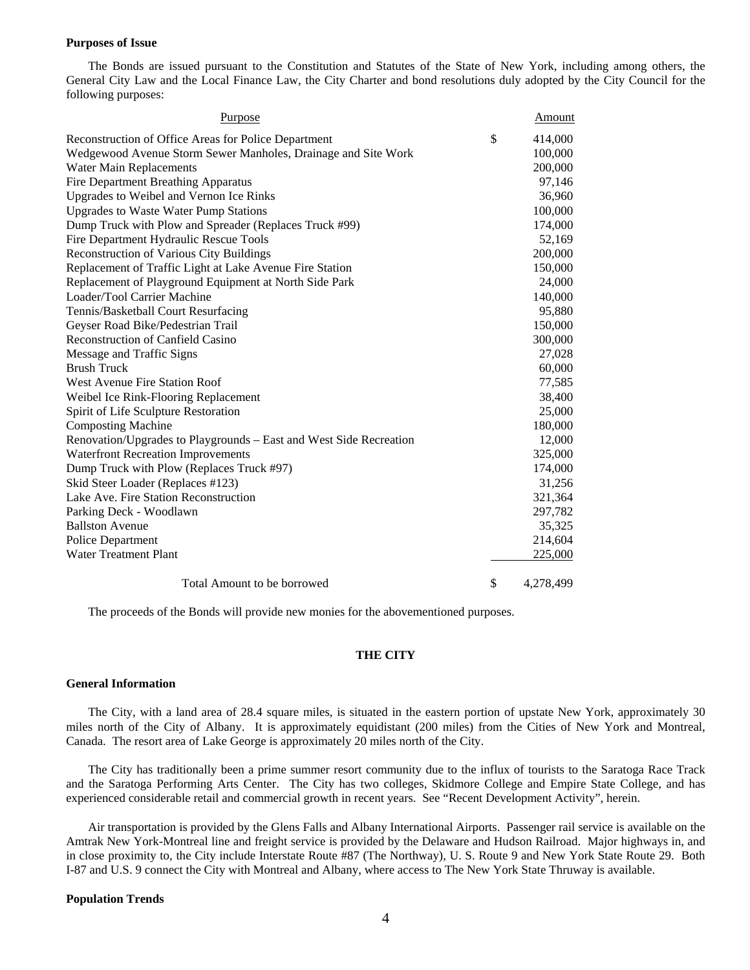#### **Purposes of Issue**

 The Bonds are issued pursuant to the Constitution and Statutes of the State of New York, including among others, the General City Law and the Local Finance Law, the City Charter and bond resolutions duly adopted by the City Council for the following purposes:

| <b>Purpose</b>                                                     | Amount          |
|--------------------------------------------------------------------|-----------------|
| Reconstruction of Office Areas for Police Department               | \$<br>414,000   |
| Wedgewood Avenue Storm Sewer Manholes, Drainage and Site Work      | 100,000         |
| Water Main Replacements                                            | 200,000         |
| <b>Fire Department Breathing Apparatus</b>                         | 97,146          |
| Upgrades to Weibel and Vernon Ice Rinks                            | 36,960          |
| <b>Upgrades to Waste Water Pump Stations</b>                       | 100,000         |
| Dump Truck with Plow and Spreader (Replaces Truck #99)             | 174,000         |
| Fire Department Hydraulic Rescue Tools                             | 52,169          |
| Reconstruction of Various City Buildings                           | 200,000         |
| Replacement of Traffic Light at Lake Avenue Fire Station           | 150,000         |
| Replacement of Playground Equipment at North Side Park             | 24,000          |
| Loader/Tool Carrier Machine                                        | 140,000         |
| Tennis/Basketball Court Resurfacing                                | 95,880          |
| Geyser Road Bike/Pedestrian Trail                                  | 150,000         |
| <b>Reconstruction of Canfield Casino</b>                           | 300,000         |
| Message and Traffic Signs                                          | 27,028          |
| <b>Brush Truck</b>                                                 | 60,000          |
| <b>West Avenue Fire Station Roof</b>                               | 77,585          |
| Weibel Ice Rink-Flooring Replacement                               | 38,400          |
| Spirit of Life Sculpture Restoration                               | 25,000          |
| <b>Composting Machine</b>                                          | 180,000         |
| Renovation/Upgrades to Playgrounds – East and West Side Recreation | 12,000          |
| <b>Waterfront Recreation Improvements</b>                          | 325,000         |
| Dump Truck with Plow (Replaces Truck #97)                          | 174,000         |
| Skid Steer Loader (Replaces #123)                                  | 31,256          |
| Lake Ave. Fire Station Reconstruction                              | 321,364         |
| Parking Deck - Woodlawn                                            | 297,782         |
| <b>Ballston Avenue</b>                                             | 35,325          |
| <b>Police Department</b>                                           | 214,604         |
| <b>Water Treatment Plant</b>                                       | 225,000         |
| Total Amount to be borrowed                                        | \$<br>4,278,499 |

The proceeds of the Bonds will provide new monies for the abovementioned purposes.

#### **THE CITY**

#### **General Information**

 The City, with a land area of 28.4 square miles, is situated in the eastern portion of upstate New York, approximately 30 miles north of the City of Albany. It is approximately equidistant (200 miles) from the Cities of New York and Montreal, Canada. The resort area of Lake George is approximately 20 miles north of the City.

 The City has traditionally been a prime summer resort community due to the influx of tourists to the Saratoga Race Track and the Saratoga Performing Arts Center. The City has two colleges, Skidmore College and Empire State College, and has experienced considerable retail and commercial growth in recent years. See "Recent Development Activity", herein.

 Air transportation is provided by the Glens Falls and Albany International Airports. Passenger rail service is available on the Amtrak New York-Montreal line and freight service is provided by the Delaware and Hudson Railroad. Major highways in, and in close proximity to, the City include Interstate Route #87 (The Northway), U. S. Route 9 and New York State Route 29. Both I-87 and U.S. 9 connect the City with Montreal and Albany, where access to The New York State Thruway is available.

#### **Population Trends**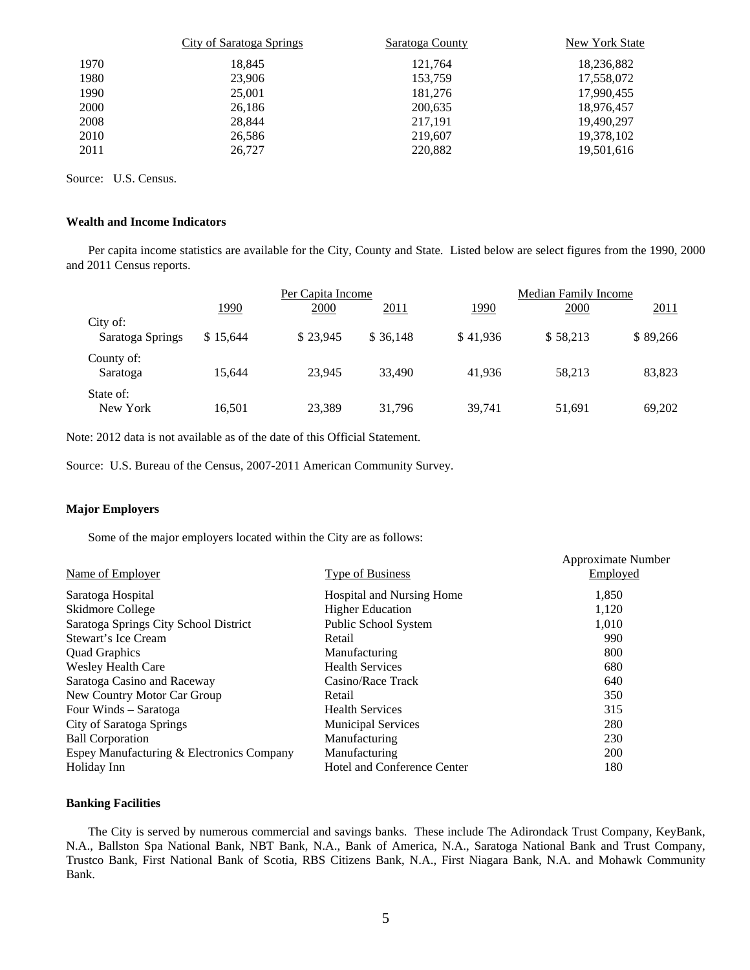|      | City of Saratoga Springs | Saratoga County | New York State |
|------|--------------------------|-----------------|----------------|
| 1970 | 18.845                   | 121.764         | 18,236,882     |
| 1980 | 23,906                   | 153,759         | 17,558,072     |
| 1990 | 25,001                   | 181.276         | 17,990,455     |
| 2000 | 26,186                   | 200,635         | 18,976,457     |
| 2008 | 28.844                   | 217,191         | 19.490.297     |
| 2010 | 26,586                   | 219.607         | 19,378,102     |
| 2011 | 26,727                   | 220,882         | 19,501,616     |

Source: U.S. Census.

#### **Wealth and Income Indicators**

Per capita income statistics are available for the City, County and State. Listed below are select figures from the 1990, 2000 and 2011 Census reports.

|                              |             | Per Capita Income |           |          | Median Family Income |          |  |
|------------------------------|-------------|-------------------|-----------|----------|----------------------|----------|--|
|                              | <u>1990</u> | 2000              | 2011      | 1990     | 2000                 | 2011     |  |
| City of:<br>Saratoga Springs | \$15.644    | \$23.945          | \$ 36,148 | \$41.936 | \$58,213             | \$89,266 |  |
| County of:<br>Saratoga       | 15.644      | 23.945            | 33,490    | 41.936   | 58.213               | 83,823   |  |
| State of:<br>New York        | 16,501      | 23.389            | 31.796    | 39,741   | 51,691               | 69,202   |  |

Note: 2012 data is not available as of the date of this Official Statement.

Source: U.S. Bureau of the Census, 2007-2011 American Community Survey.

#### **Major Employers**

Some of the major employers located within the City are as follows:

| Name of Employer                          | <b>Type of Business</b>          | Approximate Number<br><b>Employed</b> |
|-------------------------------------------|----------------------------------|---------------------------------------|
| Saratoga Hospital                         | <b>Hospital and Nursing Home</b> | 1,850                                 |
| Skidmore College                          | <b>Higher Education</b>          | 1,120                                 |
| Saratoga Springs City School District     | Public School System             | 1,010                                 |
| Stewart's Ice Cream                       | Retail                           | 990                                   |
| <b>Quad Graphics</b>                      | Manufacturing                    | 800                                   |
| Wesley Health Care                        | <b>Health Services</b>           | 680                                   |
| Saratoga Casino and Raceway               | Casino/Race Track                | 640                                   |
| New Country Motor Car Group               | Retail                           | 350                                   |
| Four Winds – Saratoga                     | <b>Health Services</b>           | 315                                   |
| City of Saratoga Springs                  | <b>Municipal Services</b>        | 280                                   |
| <b>Ball Corporation</b>                   | Manufacturing                    | 230                                   |
| Espey Manufacturing & Electronics Company | Manufacturing                    | 200                                   |
| Holiday Inn                               | Hotel and Conference Center      | 180                                   |

#### **Banking Facilities**

The City is served by numerous commercial and savings banks. These include The Adirondack Trust Company, KeyBank, N.A., Ballston Spa National Bank, NBT Bank, N.A., Bank of America, N.A., Saratoga National Bank and Trust Company, Trustco Bank, First National Bank of Scotia, RBS Citizens Bank, N.A., First Niagara Bank, N.A. and Mohawk Community Bank.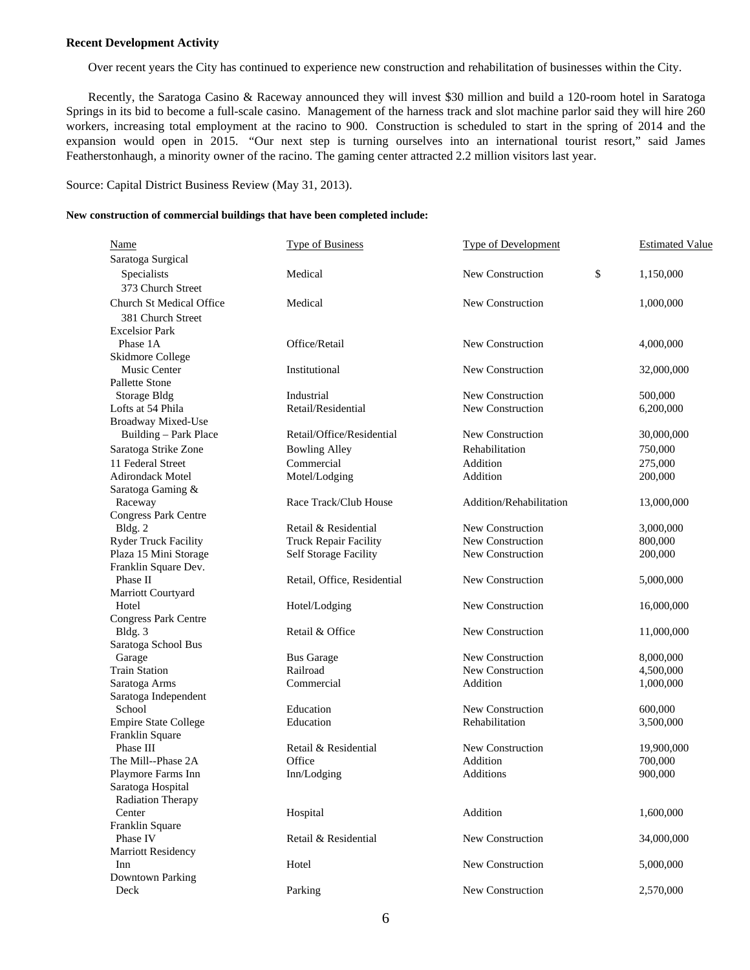#### **Recent Development Activity**

Over recent years the City has continued to experience new construction and rehabilitation of businesses within the City.

 Recently, the Saratoga Casino & Raceway announced they will invest \$30 million and build a 120-room hotel in Saratoga Springs in its bid to become a full-scale casino. Management of the harness track and slot machine parlor said they will hire 260 workers, increasing total employment at the racino to 900. Construction is scheduled to start in the spring of 2014 and the expansion would open in 2015. "Our next step is turning ourselves into an international tourist resort," said James Featherstonhaugh, a minority owner of the racino. The gaming center attracted 2.2 million visitors last year.

Source: Capital District Business Review (May 31, 2013).

#### **New construction of commercial buildings that have been completed include:**

| Name                            | Type of Business            | Type of Development     | <b>Estimated Value</b> |
|---------------------------------|-----------------------------|-------------------------|------------------------|
| Saratoga Surgical               |                             |                         |                        |
| Specialists                     | Medical                     | New Construction        | \$<br>1,150,000        |
| 373 Church Street               |                             |                         |                        |
| <b>Church St Medical Office</b> | Medical                     | New Construction        | 1,000,000              |
| 381 Church Street               |                             |                         |                        |
| <b>Excelsior Park</b>           |                             |                         |                        |
| Phase 1A                        | Office/Retail               | New Construction        | 4,000,000              |
| Skidmore College                |                             |                         |                        |
| Music Center                    | Institutional               | New Construction        | 32,000,000             |
| Pallette Stone                  |                             |                         |                        |
| <b>Storage Bldg</b>             | Industrial                  | New Construction        | 500,000                |
| Lofts at 54 Phila               | Retail/Residential          | New Construction        | 6,200,000              |
| <b>Broadway Mixed-Use</b>       |                             |                         |                        |
| Building - Park Place           | Retail/Office/Residential   | New Construction        | 30,000,000             |
| Saratoga Strike Zone            | <b>Bowling Alley</b>        | Rehabilitation          | 750,000                |
| 11 Federal Street               | Commercial                  | Addition                | 275,000                |
| <b>Adirondack Motel</b>         | Motel/Lodging               | Addition                | 200,000                |
| Saratoga Gaming &               |                             |                         |                        |
| Raceway                         | Race Track/Club House       | Addition/Rehabilitation | 13,000,000             |
| <b>Congress Park Centre</b>     |                             |                         |                        |
| Bldg. 2                         | Retail & Residential        | New Construction        | 3,000,000              |
| <b>Ryder Truck Facility</b>     | Truck Repair Facility       | New Construction        | 800,000                |
| Plaza 15 Mini Storage           | Self Storage Facility       | New Construction        | 200,000                |
| Franklin Square Dev.            |                             |                         |                        |
| Phase II                        | Retail, Office, Residential | New Construction        | 5,000,000              |
| Marriott Courtyard              |                             |                         |                        |
| Hotel                           | Hotel/Lodging               | New Construction        | 16,000,000             |
| <b>Congress Park Centre</b>     |                             |                         |                        |
| Bldg. 3                         | Retail & Office             | New Construction        | 11,000,000             |
| Saratoga School Bus             |                             |                         |                        |
| Garage                          | <b>Bus Garage</b>           | New Construction        | 8,000,000              |
| <b>Train Station</b>            | Railroad                    | New Construction        | 4,500,000              |
| Saratoga Arms                   | Commercial                  | Addition                | 1,000,000              |
| Saratoga Independent            |                             |                         |                        |
| School                          | Education                   | New Construction        | 600,000                |
| <b>Empire State College</b>     | Education                   | Rehabilitation          | 3,500,000              |
| Franklin Square                 |                             |                         |                        |
| Phase III                       | Retail & Residential        | New Construction        | 19,900,000             |
| The Mill--Phase 2A              | Office                      | Addition                | 700,000                |
| Playmore Farms Inn              | Inn/Lodging                 | Additions               | 900,000                |
| Saratoga Hospital               |                             |                         |                        |
| <b>Radiation Therapy</b>        |                             |                         |                        |
| Center                          | Hospital                    | Addition                | 1,600,000              |
| Franklin Square                 |                             |                         |                        |
| Phase IV                        | Retail & Residential        | New Construction        | 34,000,000             |
| <b>Marriott Residency</b>       |                             |                         |                        |
| Inn                             | Hotel                       | New Construction        | 5,000,000              |
| <b>Downtown Parking</b>         |                             |                         |                        |
| Deck                            | Parking                     | New Construction        | 2,570,000              |
|                                 |                             |                         |                        |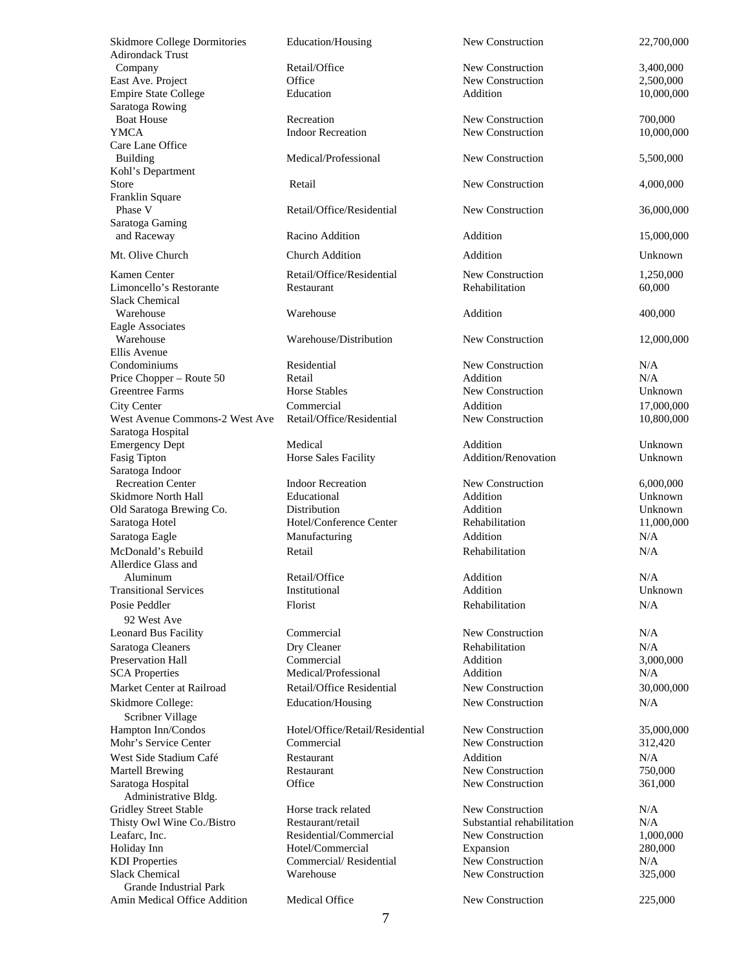Adirondack Trust Saratoga Rowing Care Lane Office Kohl's Department Franklin Square Saratoga Gaming Slack Chemical Eagle Associates Ellis Avenue Saratoga Hospital Fasig Tipton **Horse Sales Facility** Saratoga Indoor Allerdice Glass and 92 West Ave Scribner Village Administrative Bldg. Grande Industrial Park

Skidmore College Dormitories Education/Housing New Construction 22,700,000 Company **Retail/Office New Construction** 3,400,000 East Ave. Project **Construction** Office New Construction 2,500,000 Empire State College **Education** Education Addition 10,000,000 Boat House **Recreation** Recreation **New Construction** 700,000 YMCA Indoor Recreation New Construction 10,000,000 Building 3,500,000 Medical/Professional New Construction 5,500,000 Store **Retail** Retail Retail New Construction 4,000,000 Phase V Retail/Office/Residential New Construction 36,000,000 and Raceway **Racino Addition** Addition Addition 15,000,000 Mt. Olive Church Church Addition Addition Addition Addition Church Addition Unknown Kamen Center **Retail/Office/Residential** New Construction 1,250,000 Limoncello's Restorante Restaurant Rehabilitation 60,000 Warehouse **Warehouse** Addition 400,000 Warehouse Warehouse/Distribution New Construction 12,000,000 Condominiums Residential New Construction N/A Price Chopper – Route 50 Retail Addition N/A Greentree Farms **Horse Stables** Horse Stables New Construction Unknown City Center **Commercial** Commercial Addition 17,000,000 West Avenue Commons-2 West Ave Retail/Office/Residential New Construction 10,800,000 Emergency Dept Medical Addition Unknown Recreation Center **Indoor Recreation** New Construction 6,000,000 Skidmore North Hall Educational Addition Unknown Old Saratoga Brewing Co. **Distribution Brack Addition** Addition **Addition** Unknown Saratoga Hotel **Hotel/Conference Center** Rehabilitation 11,000,000 Saratoga Eagle **Manufacturing Addition** Addition N/A McDonald's Rebuild Retail Rehabilitation N/A Aluminum **Retail/Office** Addition Addition N/A Transitional Services Institutional Addition Unknown Posie Peddler **Florist** Rehabilitation N/A Leonard Bus Facility **Commercial** Commercial New Construction N/A Saratoga Cleaners **Saratoga Cleaner Dry Cleaner Rehabilitation N/A** Preservation Hall **Commercial** Commercial Addition 3,000,000 SCA Properties **Medical/Professional** Addition Addition N/A Market Center at Railroad **Retail/Office Residential** New Construction 30,000,000 Skidmore College: Education/Housing New Construction N/A Hampton Inn/Condos Hotel/Office/Retail/Residential New Construction 35,000,000 Mohr's Service Center Commercial Commercial New Construction 312,420 West Side Stadium Café **Restaurant** Restaurant Addition Addition N/A Martell Brewing **Restaurant** Restaurant New Construction 750,000 Saratoga Hospital **Saratoga Hospital** Office New Construction 361,000 Gridley Street Stable **Horse track related** New Construction N/A Thisty Owl Wine Co./Bistro Restaurant/retail Substantial rehabilitation N/A Leafarc, Inc. **Residential/Commercial** New Construction 1,000,000 Holiday Inn Hotel/Commercial Expansion 280,000 KDI Properties Commercial/ Residential New Construction N/A Slack Chemical **Slack Chemical** Warehouse New Construction 325,000 Amin Medical Office Addition Medical Office New Construction 225,000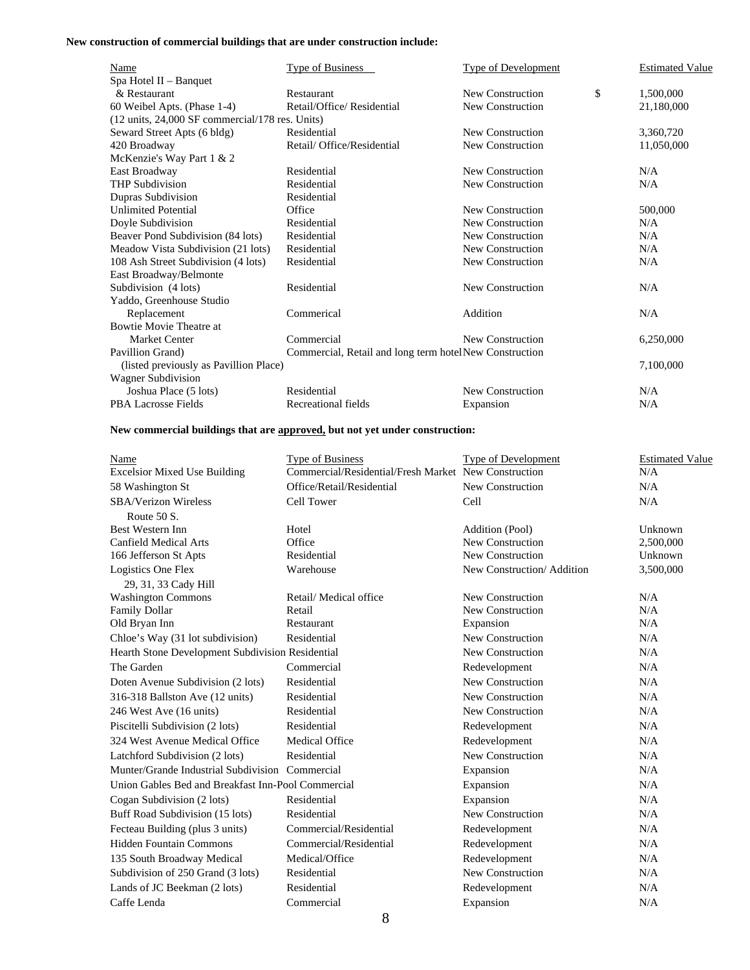#### **New construction of commercial buildings that are under construction include:**

| Name                                                               | Type of Business                                       | <b>Type of Development</b> | <b>Estimated Value</b> |
|--------------------------------------------------------------------|--------------------------------------------------------|----------------------------|------------------------|
| Spa Hotel II - Banquet                                             |                                                        |                            |                        |
| & Restaurant                                                       | Restaurant                                             | New Construction           | \$<br>1,500,000        |
| 60 Weibel Apts. (Phase 1-4)                                        | Retail/Office/Residential                              | New Construction           | 21,180,000             |
| $(12 \text{ units}, 24,000 \text{ SF)}$ commercial/178 res. Units) |                                                        |                            |                        |
| Seward Street Apts (6 bldg)                                        | Residential                                            | New Construction           | 3,360,720              |
| 420 Broadway                                                       | Retail/ Office/Residential                             | New Construction           | 11,050,000             |
| McKenzie's Way Part 1 & 2                                          |                                                        |                            |                        |
| East Broadway                                                      | Residential                                            | New Construction           | N/A                    |
| <b>THP Subdivision</b>                                             | Residential                                            | New Construction           | N/A                    |
| Dupras Subdivision                                                 | Residential                                            |                            |                        |
| <b>Unlimited Potential</b>                                         | Office                                                 | New Construction           | 500,000                |
| Doyle Subdivision                                                  | Residential                                            | New Construction           | N/A                    |
| Beaver Pond Subdivision (84 lots)                                  | Residential                                            | New Construction           | N/A                    |
| Meadow Vista Subdivision (21 lots)                                 | Residential                                            | New Construction           | N/A                    |
| 108 Ash Street Subdivision (4 lots)                                | Residential                                            | New Construction           | N/A                    |
| East Broadway/Belmonte                                             |                                                        |                            |                        |
| Subdivision (4 lots)                                               | Residential                                            | New Construction           | N/A                    |
| Yaddo, Greenhouse Studio                                           |                                                        |                            |                        |
| Replacement                                                        | Commerical                                             | Addition                   | N/A                    |
| Bowtie Movie Theatre at                                            |                                                        |                            |                        |
| <b>Market Center</b>                                               | Commercial                                             | New Construction           | 6,250,000              |
| Pavillion Grand)                                                   | Commercial, Retail and long term hotelNew Construction |                            |                        |
| (listed previously as Pavillion Place)                             |                                                        |                            | 7,100,000              |
| Wagner Subdivision                                                 |                                                        |                            |                        |
| Joshua Place (5 lots)                                              | Residential                                            | New Construction           | N/A                    |
| <b>PBA Lacrosse Fields</b>                                         | Recreational fields                                    | Expansion                  | N/A                    |

### **New commercial buildings that are approved, but not yet under construction:**

| Name                                               | <b>Type of Business</b>                              | <b>Type of Development</b> | <b>Estimated Value</b> |
|----------------------------------------------------|------------------------------------------------------|----------------------------|------------------------|
| <b>Excelsior Mixed Use Building</b>                | Commercial/Residential/Fresh Market New Construction |                            | N/A                    |
| 58 Washington St                                   | Office/Retail/Residential                            | New Construction           | N/A                    |
| SBA/Verizon Wireless                               | Cell Tower                                           | Cell                       | N/A                    |
| Route 50 S.                                        |                                                      |                            |                        |
| Best Western Inn                                   | Hotel                                                | Addition (Pool)            | Unknown                |
| <b>Canfield Medical Arts</b>                       | Office                                               | New Construction           | 2,500,000              |
| 166 Jefferson St Apts                              | Residential                                          | New Construction           | Unknown                |
| Logistics One Flex                                 | Warehouse                                            | New Construction/Addition  | 3,500,000              |
| 29, 31, 33 Cady Hill                               |                                                      |                            |                        |
| <b>Washington Commons</b>                          | Retail/ Medical office                               | New Construction           | N/A                    |
| <b>Family Dollar</b>                               | Retail                                               | New Construction           | N/A                    |
| Old Bryan Inn                                      | Restaurant                                           | Expansion                  | N/A                    |
| Chloe's Way (31 lot subdivision)                   | Residential                                          | New Construction           | N/A                    |
| Hearth Stone Development Subdivision Residential   |                                                      | New Construction           | N/A                    |
| The Garden                                         | Commercial                                           | Redevelopment              | N/A                    |
| Doten Avenue Subdivision (2 lots)                  | Residential                                          | New Construction           | N/A                    |
| 316-318 Ballston Ave (12 units)                    | Residential                                          | New Construction           | N/A                    |
| 246 West Ave (16 units)                            | Residential                                          | New Construction           | N/A                    |
| Piscitelli Subdivision (2 lots)                    | Residential                                          | Redevelopment              | N/A                    |
| 324 West Avenue Medical Office                     | <b>Medical Office</b>                                | Redevelopment              | N/A                    |
| Latchford Subdivision (2 lots)                     | Residential                                          | New Construction           | N/A                    |
| Munter/Grande Industrial Subdivision Commercial    |                                                      | Expansion                  | N/A                    |
| Union Gables Bed and Breakfast Inn-Pool Commercial |                                                      | Expansion                  | N/A                    |
| Cogan Subdivision (2 lots)                         | Residential                                          | Expansion                  | N/A                    |
| Buff Road Subdivision (15 lots)                    | Residential                                          | New Construction           | N/A                    |
| Fecteau Building (plus 3 units)                    | Commercial/Residential                               | Redevelopment              | N/A                    |
| <b>Hidden Fountain Commons</b>                     | Commercial/Residential                               | Redevelopment              | N/A                    |
| 135 South Broadway Medical                         | Medical/Office                                       | Redevelopment              | N/A                    |
| Subdivision of 250 Grand (3 lots)                  | Residential                                          | New Construction           | N/A                    |
| Lands of JC Beekman (2 lots)                       | Residential                                          | Redevelopment              | N/A                    |
| Caffe Lenda                                        | Commercial                                           | Expansion                  | N/A                    |
|                                                    |                                                      |                            |                        |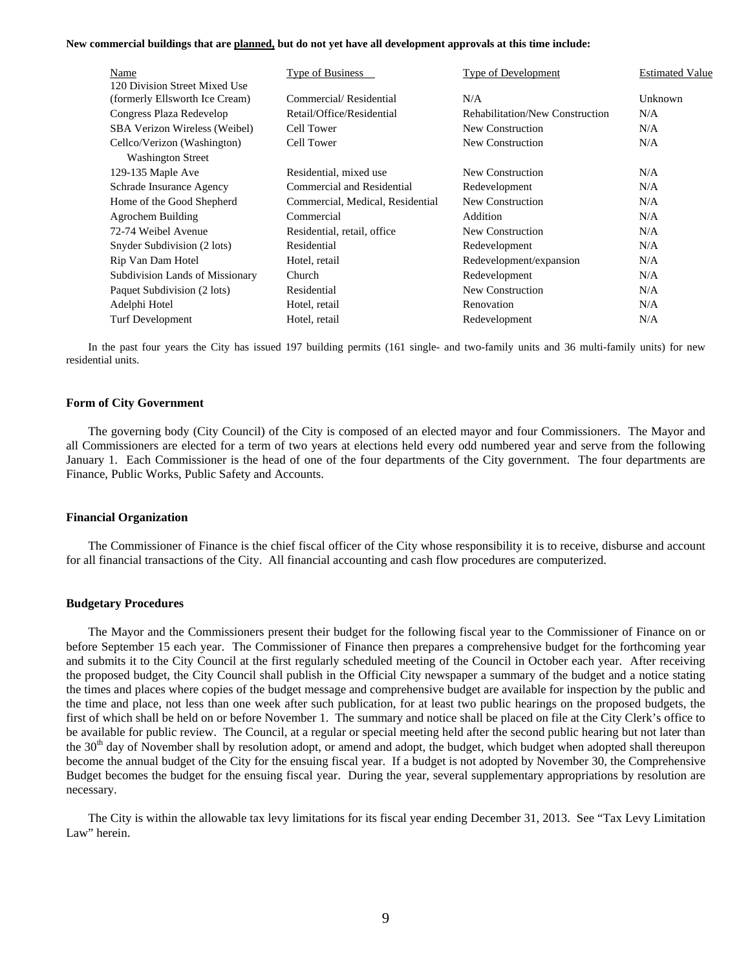**New commercial buildings that are planned, but do not yet have all development approvals at this time include:** 

| Name                                 | <b>Type of Business</b>          | Type of Development             | <b>Estimated Value</b> |
|--------------------------------------|----------------------------------|---------------------------------|------------------------|
| 120 Division Street Mixed Use        |                                  |                                 |                        |
| (formerly Ellsworth Ice Cream)       | Commercial/Residential           | N/A                             | Unknown                |
| Congress Plaza Redevelop             | Retail/Office/Residential        | Rehabilitation/New Construction | N/A                    |
| <b>SBA Verizon Wireless (Weibel)</b> | Cell Tower                       | New Construction                | N/A                    |
| Cellco/Verizon (Washington)          | Cell Tower                       | New Construction                | N/A                    |
| <b>Washington Street</b>             |                                  |                                 |                        |
| 129-135 Maple Ave                    | Residential, mixed use           | New Construction                | N/A                    |
| Schrade Insurance Agency             | Commercial and Residential       | Redevelopment                   | N/A                    |
| Home of the Good Shepherd            | Commercial, Medical, Residential | New Construction                | N/A                    |
| Agrochem Building                    | Commercial                       | Addition                        | N/A                    |
| 72-74 Weibel Avenue                  | Residential, retail, office      | New Construction                | N/A                    |
| Snyder Subdivision (2 lots)          | Residential                      | Redevelopment                   | N/A                    |
| Rip Van Dam Hotel                    | Hotel, retail                    | Redevelopment/expansion         | N/A                    |
| Subdivision Lands of Missionary      | Church                           | Redevelopment                   | N/A                    |
| Paquet Subdivision (2 lots)          | Residential                      | New Construction                | N/A                    |
| Adelphi Hotel                        | Hotel, retail                    | Renovation                      | N/A                    |
| <b>Turf Development</b>              | Hotel, retail                    | Redevelopment                   | N/A                    |

 In the past four years the City has issued 197 building permits (161 single- and two-family units and 36 multi-family units) for new residential units.

#### **Form of City Government**

 The governing body (City Council) of the City is composed of an elected mayor and four Commissioners. The Mayor and all Commissioners are elected for a term of two years at elections held every odd numbered year and serve from the following January 1. Each Commissioner is the head of one of the four departments of the City government. The four departments are Finance, Public Works, Public Safety and Accounts.

#### **Financial Organization**

 The Commissioner of Finance is the chief fiscal officer of the City whose responsibility it is to receive, disburse and account for all financial transactions of the City. All financial accounting and cash flow procedures are computerized.

#### **Budgetary Procedures**

 The Mayor and the Commissioners present their budget for the following fiscal year to the Commissioner of Finance on or before September 15 each year. The Commissioner of Finance then prepares a comprehensive budget for the forthcoming year and submits it to the City Council at the first regularly scheduled meeting of the Council in October each year. After receiving the proposed budget, the City Council shall publish in the Official City newspaper a summary of the budget and a notice stating the times and places where copies of the budget message and comprehensive budget are available for inspection by the public and the time and place, not less than one week after such publication, for at least two public hearings on the proposed budgets, the first of which shall be held on or before November 1. The summary and notice shall be placed on file at the City Clerk's office to be available for public review. The Council, at a regular or special meeting held after the second public hearing but not later than the 30<sup>th</sup> day of November shall by resolution adopt, or amend and adopt, the budget, which budget when adopted shall thereupon become the annual budget of the City for the ensuing fiscal year. If a budget is not adopted by November 30, the Comprehensive Budget becomes the budget for the ensuing fiscal year. During the year, several supplementary appropriations by resolution are necessary.

 The City is within the allowable tax levy limitations for its fiscal year ending December 31, 2013. See "Tax Levy Limitation Law" herein.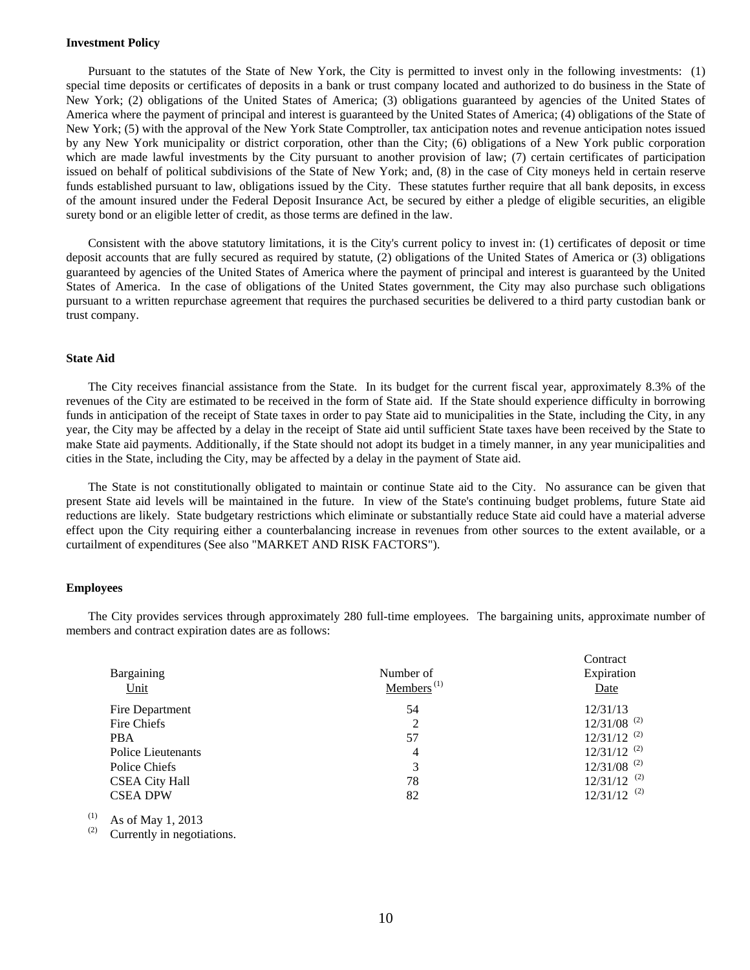#### **Investment Policy**

 Pursuant to the statutes of the State of New York, the City is permitted to invest only in the following investments: (1) special time deposits or certificates of deposits in a bank or trust company located and authorized to do business in the State of New York; (2) obligations of the United States of America; (3) obligations guaranteed by agencies of the United States of America where the payment of principal and interest is guaranteed by the United States of America; (4) obligations of the State of New York; (5) with the approval of the New York State Comptroller, tax anticipation notes and revenue anticipation notes issued by any New York municipality or district corporation, other than the City; (6) obligations of a New York public corporation which are made lawful investments by the City pursuant to another provision of law; (7) certain certificates of participation issued on behalf of political subdivisions of the State of New York; and, (8) in the case of City moneys held in certain reserve funds established pursuant to law, obligations issued by the City. These statutes further require that all bank deposits, in excess of the amount insured under the Federal Deposit Insurance Act, be secured by either a pledge of eligible securities, an eligible surety bond or an eligible letter of credit, as those terms are defined in the law.

 Consistent with the above statutory limitations, it is the City's current policy to invest in: (1) certificates of deposit or time deposit accounts that are fully secured as required by statute, (2) obligations of the United States of America or (3) obligations guaranteed by agencies of the United States of America where the payment of principal and interest is guaranteed by the United States of America. In the case of obligations of the United States government, the City may also purchase such obligations pursuant to a written repurchase agreement that requires the purchased securities be delivered to a third party custodian bank or trust company.

#### **State Aid**

 The City receives financial assistance from the State. In its budget for the current fiscal year, approximately 8.3% of the revenues of the City are estimated to be received in the form of State aid. If the State should experience difficulty in borrowing funds in anticipation of the receipt of State taxes in order to pay State aid to municipalities in the State, including the City, in any year, the City may be affected by a delay in the receipt of State aid until sufficient State taxes have been received by the State to make State aid payments. Additionally, if the State should not adopt its budget in a timely manner, in any year municipalities and cities in the State, including the City, may be affected by a delay in the payment of State aid.

 The State is not constitutionally obligated to maintain or continue State aid to the City. No assurance can be given that present State aid levels will be maintained in the future. In view of the State's continuing budget problems, future State aid reductions are likely. State budgetary restrictions which eliminate or substantially reduce State aid could have a material adverse effect upon the City requiring either a counterbalancing increase in revenues from other sources to the extent available, or a curtailment of expenditures (See also "MARKET AND RISK FACTORS").

#### **Employees**

 The City provides services through approximately 280 full-time employees. The bargaining units, approximate number of members and contract expiration dates are as follows:

| Bargaining<br>Unit    | Number of<br>Members <sup><math>(1)</math></sup> | Contract<br>Expiration<br>Date |
|-----------------------|--------------------------------------------------|--------------------------------|
| Fire Department       | 54                                               | 12/31/13                       |
| Fire Chiefs           | 2                                                | $12/31/08$ <sup>(2)</sup>      |
| <b>PBA</b>            | 57                                               | $12/31/12$ <sup>(2)</sup>      |
| Police Lieutenants    | $\overline{4}$                                   | $12/31/12$ <sup>(2)</sup>      |
| Police Chiefs         | 3                                                | $12/31/08$ <sup>(2)</sup>      |
| <b>CSEA City Hall</b> | 78                                               | $12/31/12$ <sup>(2)</sup>      |
| <b>CSEA DPW</b>       | 82                                               | $12/31/12$ <sup>(2)</sup>      |

 $(1)$  As of May 1, 2013

(2) Currently in negotiations.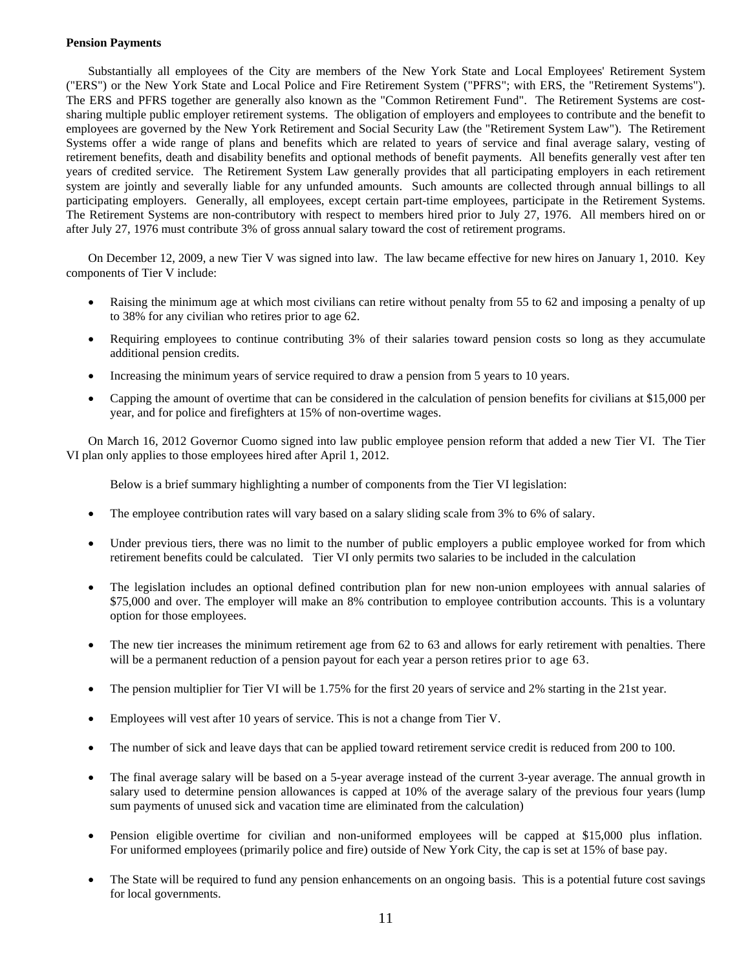#### **Pension Payments**

 Substantially all employees of the City are members of the New York State and Local Employees' Retirement System ("ERS") or the New York State and Local Police and Fire Retirement System ("PFRS"; with ERS, the "Retirement Systems"). The ERS and PFRS together are generally also known as the "Common Retirement Fund". The Retirement Systems are costsharing multiple public employer retirement systems. The obligation of employers and employees to contribute and the benefit to employees are governed by the New York Retirement and Social Security Law (the "Retirement System Law"). The Retirement Systems offer a wide range of plans and benefits which are related to years of service and final average salary, vesting of retirement benefits, death and disability benefits and optional methods of benefit payments. All benefits generally vest after ten years of credited service. The Retirement System Law generally provides that all participating employers in each retirement system are jointly and severally liable for any unfunded amounts. Such amounts are collected through annual billings to all participating employers. Generally, all employees, except certain part-time employees, participate in the Retirement Systems. The Retirement Systems are non-contributory with respect to members hired prior to July 27, 1976. All members hired on or after July 27, 1976 must contribute 3% of gross annual salary toward the cost of retirement programs.

On December 12, 2009, a new Tier V was signed into law. The law became effective for new hires on January 1, 2010. Key components of Tier V include:

- Raising the minimum age at which most civilians can retire without penalty from 55 to 62 and imposing a penalty of up to 38% for any civilian who retires prior to age 62.
- Requiring employees to continue contributing 3% of their salaries toward pension costs so long as they accumulate additional pension credits.
- Increasing the minimum years of service required to draw a pension from 5 years to 10 years.
- Capping the amount of overtime that can be considered in the calculation of pension benefits for civilians at \$15,000 per year, and for police and firefighters at 15% of non-overtime wages.

 On March 16, 2012 Governor Cuomo signed into law public employee pension reform that added a new Tier VI. The Tier VI plan only applies to those employees hired after April 1, 2012.

Below is a brief summary highlighting a number of components from the Tier VI legislation:

- The employee contribution rates will vary based on a salary sliding scale from 3% to 6% of salary.
- Under previous tiers, there was no limit to the number of public employers a public employee worked for from which retirement benefits could be calculated. Tier VI only permits two salaries to be included in the calculation
- The legislation includes an optional defined contribution plan for new non-union employees with annual salaries of \$75,000 and over. The employer will make an 8% contribution to employee contribution accounts. This is a voluntary option for those employees.
- The new tier increases the minimum retirement age from 62 to 63 and allows for early retirement with penalties. There will be a permanent reduction of a pension payout for each year a person retires prior to age 63.
- The pension multiplier for Tier VI will be 1.75% for the first 20 years of service and 2% starting in the 21st year.
- Employees will vest after 10 years of service. This is not a change from Tier V.
- The number of sick and leave days that can be applied toward retirement service credit is reduced from 200 to 100.
- The final average salary will be based on a 5-year average instead of the current 3-year average. The annual growth in salary used to determine pension allowances is capped at 10% of the average salary of the previous four years (lump sum payments of unused sick and vacation time are eliminated from the calculation)
- Pension eligible overtime for civilian and non-uniformed employees will be capped at \$15,000 plus inflation. For uniformed employees (primarily police and fire) outside of New York City, the cap is set at 15% of base pay.
- The State will be required to fund any pension enhancements on an ongoing basis. This is a potential future cost savings for local governments.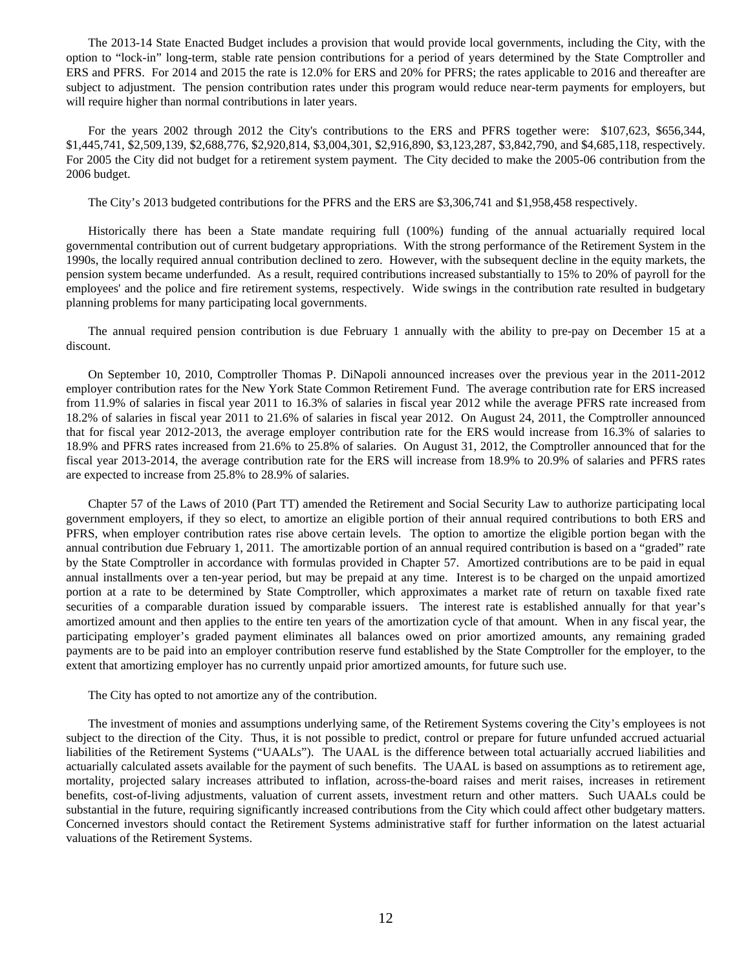The 2013-14 State Enacted Budget includes a provision that would provide local governments, including the City, with the option to "lock-in" long-term, stable rate pension contributions for a period of years determined by the State Comptroller and ERS and PFRS. For 2014 and 2015 the rate is 12.0% for ERS and 20% for PFRS; the rates applicable to 2016 and thereafter are subject to adjustment. The pension contribution rates under this program would reduce near-term payments for employers, but will require higher than normal contributions in later years.

 For the years 2002 through 2012 the City's contributions to the ERS and PFRS together were: \$107,623, \$656,344, \$1,445,741, \$2,509,139, \$2,688,776, \$2,920,814, \$3,004,301, \$2,916,890, \$3,123,287, \$3,842,790, and \$4,685,118, respectively. For 2005 the City did not budget for a retirement system payment. The City decided to make the 2005-06 contribution from the 2006 budget.

The City's 2013 budgeted contributions for the PFRS and the ERS are \$3,306,741 and \$1,958,458 respectively.

 Historically there has been a State mandate requiring full (100%) funding of the annual actuarially required local governmental contribution out of current budgetary appropriations. With the strong performance of the Retirement System in the 1990s, the locally required annual contribution declined to zero. However, with the subsequent decline in the equity markets, the pension system became underfunded. As a result, required contributions increased substantially to 15% to 20% of payroll for the employees' and the police and fire retirement systems, respectively. Wide swings in the contribution rate resulted in budgetary planning problems for many participating local governments.

The annual required pension contribution is due February 1 annually with the ability to pre-pay on December 15 at a discount.

 On September 10, 2010, Comptroller Thomas P. DiNapoli announced increases over the previous year in the 2011-2012 employer contribution rates for the New York State Common Retirement Fund. The average contribution rate for ERS increased from 11.9% of salaries in fiscal year 2011 to 16.3% of salaries in fiscal year 2012 while the average PFRS rate increased from 18.2% of salaries in fiscal year 2011 to 21.6% of salaries in fiscal year 2012. On August 24, 2011, the Comptroller announced that for fiscal year 2012-2013, the average employer contribution rate for the ERS would increase from 16.3% of salaries to 18.9% and PFRS rates increased from 21.6% to 25.8% of salaries. On August 31, 2012, the Comptroller announced that for the fiscal year 2013-2014, the average contribution rate for the ERS will increase from 18.9% to 20.9% of salaries and PFRS rates are expected to increase from 25.8% to 28.9% of salaries.

 Chapter 57 of the Laws of 2010 (Part TT) amended the Retirement and Social Security Law to authorize participating local government employers, if they so elect, to amortize an eligible portion of their annual required contributions to both ERS and PFRS, when employer contribution rates rise above certain levels. The option to amortize the eligible portion began with the annual contribution due February 1, 2011. The amortizable portion of an annual required contribution is based on a "graded" rate by the State Comptroller in accordance with formulas provided in Chapter 57. Amortized contributions are to be paid in equal annual installments over a ten-year period, but may be prepaid at any time. Interest is to be charged on the unpaid amortized portion at a rate to be determined by State Comptroller, which approximates a market rate of return on taxable fixed rate securities of a comparable duration issued by comparable issuers. The interest rate is established annually for that year's amortized amount and then applies to the entire ten years of the amortization cycle of that amount. When in any fiscal year, the participating employer's graded payment eliminates all balances owed on prior amortized amounts, any remaining graded payments are to be paid into an employer contribution reserve fund established by the State Comptroller for the employer, to the extent that amortizing employer has no currently unpaid prior amortized amounts, for future such use.

The City has opted to not amortize any of the contribution.

 The investment of monies and assumptions underlying same, of the Retirement Systems covering the City's employees is not subject to the direction of the City. Thus, it is not possible to predict, control or prepare for future unfunded accrued actuarial liabilities of the Retirement Systems ("UAALs"). The UAAL is the difference between total actuarially accrued liabilities and actuarially calculated assets available for the payment of such benefits. The UAAL is based on assumptions as to retirement age, mortality, projected salary increases attributed to inflation, across-the-board raises and merit raises, increases in retirement benefits, cost-of-living adjustments, valuation of current assets, investment return and other matters. Such UAALs could be substantial in the future, requiring significantly increased contributions from the City which could affect other budgetary matters. Concerned investors should contact the Retirement Systems administrative staff for further information on the latest actuarial valuations of the Retirement Systems.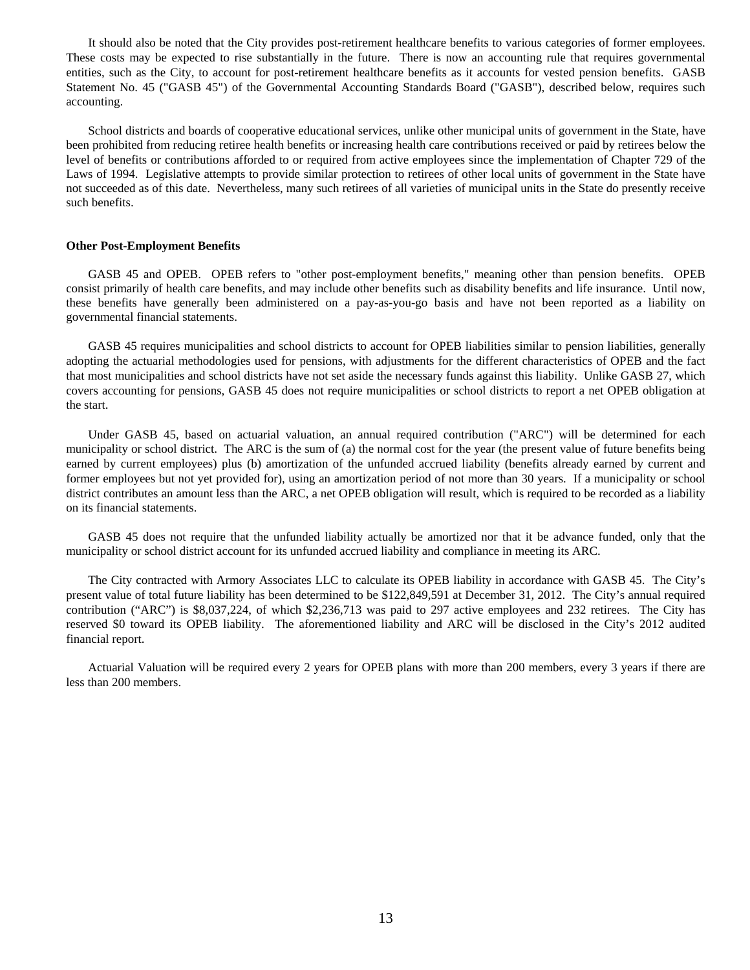It should also be noted that the City provides post-retirement healthcare benefits to various categories of former employees. These costs may be expected to rise substantially in the future. There is now an accounting rule that requires governmental entities, such as the City, to account for post-retirement healthcare benefits as it accounts for vested pension benefits. GASB Statement No. 45 ("GASB 45") of the Governmental Accounting Standards Board ("GASB"), described below, requires such accounting.

 School districts and boards of cooperative educational services, unlike other municipal units of government in the State, have been prohibited from reducing retiree health benefits or increasing health care contributions received or paid by retirees below the level of benefits or contributions afforded to or required from active employees since the implementation of Chapter 729 of the Laws of 1994. Legislative attempts to provide similar protection to retirees of other local units of government in the State have not succeeded as of this date. Nevertheless, many such retirees of all varieties of municipal units in the State do presently receive such benefits.

#### **Other Post-Employment Benefits**

 GASB 45 and OPEB. OPEB refers to "other post-employment benefits," meaning other than pension benefits. OPEB consist primarily of health care benefits, and may include other benefits such as disability benefits and life insurance. Until now, these benefits have generally been administered on a pay-as-you-go basis and have not been reported as a liability on governmental financial statements.

 GASB 45 requires municipalities and school districts to account for OPEB liabilities similar to pension liabilities, generally adopting the actuarial methodologies used for pensions, with adjustments for the different characteristics of OPEB and the fact that most municipalities and school districts have not set aside the necessary funds against this liability. Unlike GASB 27, which covers accounting for pensions, GASB 45 does not require municipalities or school districts to report a net OPEB obligation at the start.

 Under GASB 45, based on actuarial valuation, an annual required contribution ("ARC") will be determined for each municipality or school district. The ARC is the sum of (a) the normal cost for the year (the present value of future benefits being earned by current employees) plus (b) amortization of the unfunded accrued liability (benefits already earned by current and former employees but not yet provided for), using an amortization period of not more than 30 years. If a municipality or school district contributes an amount less than the ARC, a net OPEB obligation will result, which is required to be recorded as a liability on its financial statements.

 GASB 45 does not require that the unfunded liability actually be amortized nor that it be advance funded, only that the municipality or school district account for its unfunded accrued liability and compliance in meeting its ARC.

The City contracted with Armory Associates LLC to calculate its OPEB liability in accordance with GASB 45. The City's present value of total future liability has been determined to be \$122,849,591 at December 31, 2012. The City's annual required contribution ("ARC") is \$8,037,224, of which \$2,236,713 was paid to 297 active employees and 232 retirees. The City has reserved \$0 toward its OPEB liability. The aforementioned liability and ARC will be disclosed in the City's 2012 audited financial report.

 Actuarial Valuation will be required every 2 years for OPEB plans with more than 200 members, every 3 years if there are less than 200 members.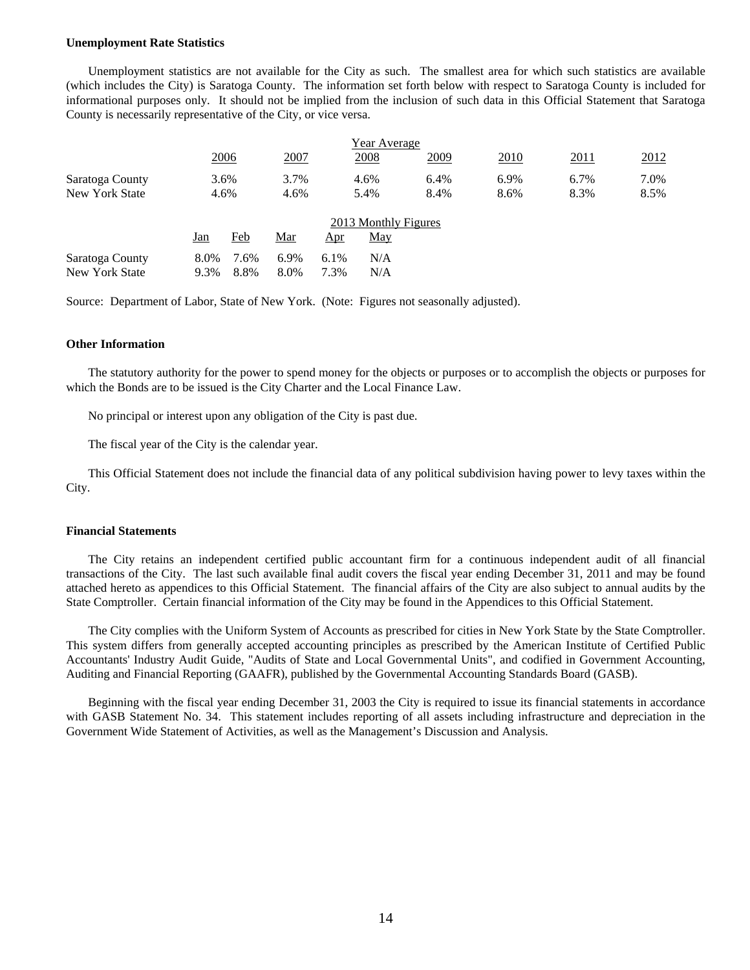#### **Unemployment Rate Statistics**

 Unemployment statistics are not available for the City as such. The smallest area for which such statistics are available (which includes the City) is Saratoga County. The information set forth below with respect to Saratoga County is included for informational purposes only. It should not be implied from the inclusion of such data in this Official Statement that Saratoga County is necessarily representative of the City, or vice versa.

|                      | Year Average |      |      |            |      |      |      |             |      |
|----------------------|--------------|------|------|------------|------|------|------|-------------|------|
|                      |              | 2006 | 2007 |            | 2008 | 2009 | 2010 | <u>2011</u> | 2012 |
| Saratoga County      |              | 3.6% | 3.7% |            | 4.6% | 6.4% | 6.9% | 6.7%        | 7.0% |
| New York State       | 4.6%         |      | 4.6% |            | 5.4% | 8.4% | 8.6% | 8.3%        | 8.5% |
| 2013 Monthly Figures |              |      |      |            |      |      |      |             |      |
|                      | Jan          | Feb  | Mar  | <u>Apr</u> | May  |      |      |             |      |
| Saratoga County      | 8.0%         | 7.6% | 6.9% | 6.1%       | N/A  |      |      |             |      |
| New York State       | 9.3%         | 8.8% | 8.0% | 7.3%       | N/A  |      |      |             |      |

Source: Department of Labor, State of New York. (Note: Figures not seasonally adjusted).

#### **Other Information**

 The statutory authority for the power to spend money for the objects or purposes or to accomplish the objects or purposes for which the Bonds are to be issued is the City Charter and the Local Finance Law.

No principal or interest upon any obligation of the City is past due.

The fiscal year of the City is the calendar year.

 This Official Statement does not include the financial data of any political subdivision having power to levy taxes within the City.

#### **Financial Statements**

 The City retains an independent certified public accountant firm for a continuous independent audit of all financial transactions of the City. The last such available final audit covers the fiscal year ending December 31, 2011 and may be found attached hereto as appendices to this Official Statement. The financial affairs of the City are also subject to annual audits by the State Comptroller. Certain financial information of the City may be found in the Appendices to this Official Statement.

 The City complies with the Uniform System of Accounts as prescribed for cities in New York State by the State Comptroller. This system differs from generally accepted accounting principles as prescribed by the American Institute of Certified Public Accountants' Industry Audit Guide, "Audits of State and Local Governmental Units", and codified in Government Accounting, Auditing and Financial Reporting (GAAFR), published by the Governmental Accounting Standards Board (GASB).

 Beginning with the fiscal year ending December 31, 2003 the City is required to issue its financial statements in accordance with GASB Statement No. 34. This statement includes reporting of all assets including infrastructure and depreciation in the Government Wide Statement of Activities, as well as the Management's Discussion and Analysis.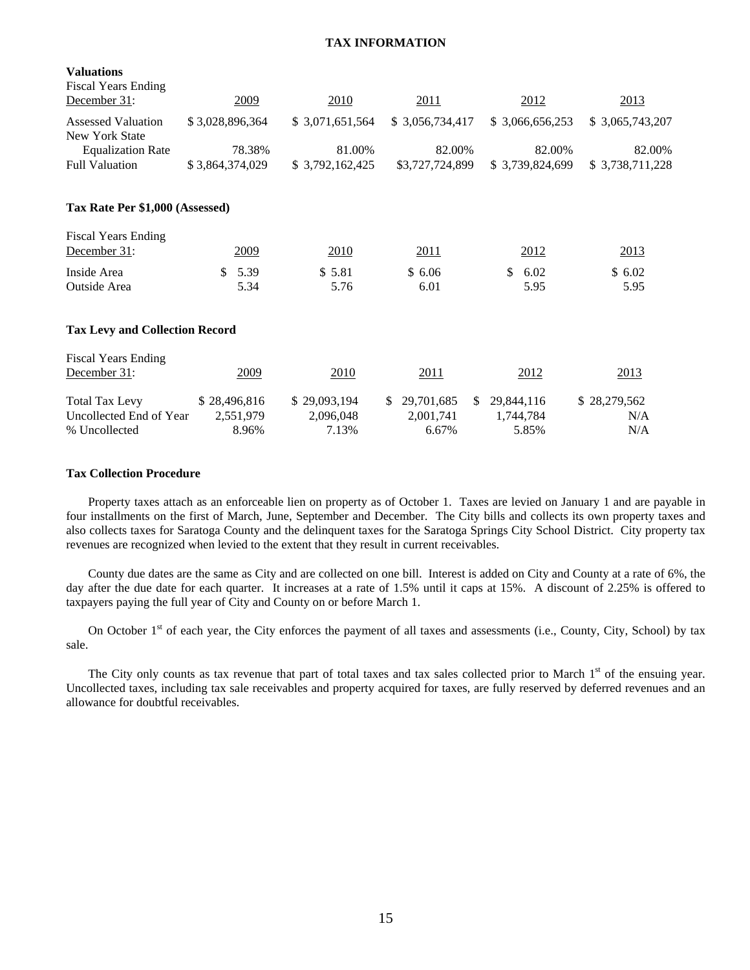#### **TAX INFORMATION**

| <b>Valuations</b><br><b>Fiscal Years Ending</b> |                 |                  |                         |                  |                 |
|-------------------------------------------------|-----------------|------------------|-------------------------|------------------|-----------------|
| December 31:                                    | 2009            | 2010             | 2011                    | 2012             | 2013            |
| <b>Assessed Valuation</b>                       | \$3,028,896,364 | \$ 3,071,651,564 | \$3,056,734,417         | \$ 3,066,656,253 | \$3,065,743,207 |
| <b>New York State</b>                           |                 |                  |                         |                  |                 |
| <b>Equalization Rate</b>                        | 78.38%          | 81.00%           | 82.00%                  | 82.00%           | 82.00%          |
| <b>Full Valuation</b>                           | \$3,864,374,029 | \$3,792,162,425  | \$3,727,724,899         | \$3,739,824,699  | \$3,738,711,228 |
| Tax Rate Per \$1,000 (Assessed)                 |                 |                  |                         |                  |                 |
| <b>Fiscal Years Ending</b>                      |                 |                  |                         |                  |                 |
| December 31:                                    | 2009            | 2010             | 2011                    | 2012             | 2013            |
| Inside Area                                     | 5.39<br>\$      | \$5.81           | \$6.06                  | \$<br>6.02       | \$6.02          |
| Outside Area                                    | 5.34            | 5.76             | 6.01                    | 5.95             | 5.95            |
| <b>Tax Levy and Collection Record</b>           |                 |                  |                         |                  |                 |
| <b>Fiscal Years Ending</b>                      |                 |                  |                         |                  |                 |
| December 31:                                    | 2009            | 2010             | 2011                    | 2012             | 2013            |
| <b>Total Tax Levy</b>                           | \$28,496,816    | \$29,093,194     | 29,701,685<br>\$.<br>-S | 29,844,116       | \$28,279,562    |
| Uncollected End of Year                         | 2,551,979       | 2,096,048        | 2,001,741               | 1,744,784        | N/A             |
| % Uncollected                                   | 8.96%           | 7.13%            | 6.67%                   | 5.85%            | N/A             |

#### **Tax Collection Procedure**

 Property taxes attach as an enforceable lien on property as of October 1. Taxes are levied on January 1 and are payable in four installments on the first of March, June, September and December. The City bills and collects its own property taxes and also collects taxes for Saratoga County and the delinquent taxes for the Saratoga Springs City School District. City property tax revenues are recognized when levied to the extent that they result in current receivables.

 County due dates are the same as City and are collected on one bill. Interest is added on City and County at a rate of 6%, the day after the due date for each quarter. It increases at a rate of 1.5% until it caps at 15%. A discount of 2.25% is offered to taxpayers paying the full year of City and County on or before March 1.

On October 1<sup>st</sup> of each year, the City enforces the payment of all taxes and assessments (i.e., County, City, School) by tax sale.

The City only counts as tax revenue that part of total taxes and tax sales collected prior to March 1<sup>st</sup> of the ensuing year. Uncollected taxes, including tax sale receivables and property acquired for taxes, are fully reserved by deferred revenues and an allowance for doubtful receivables.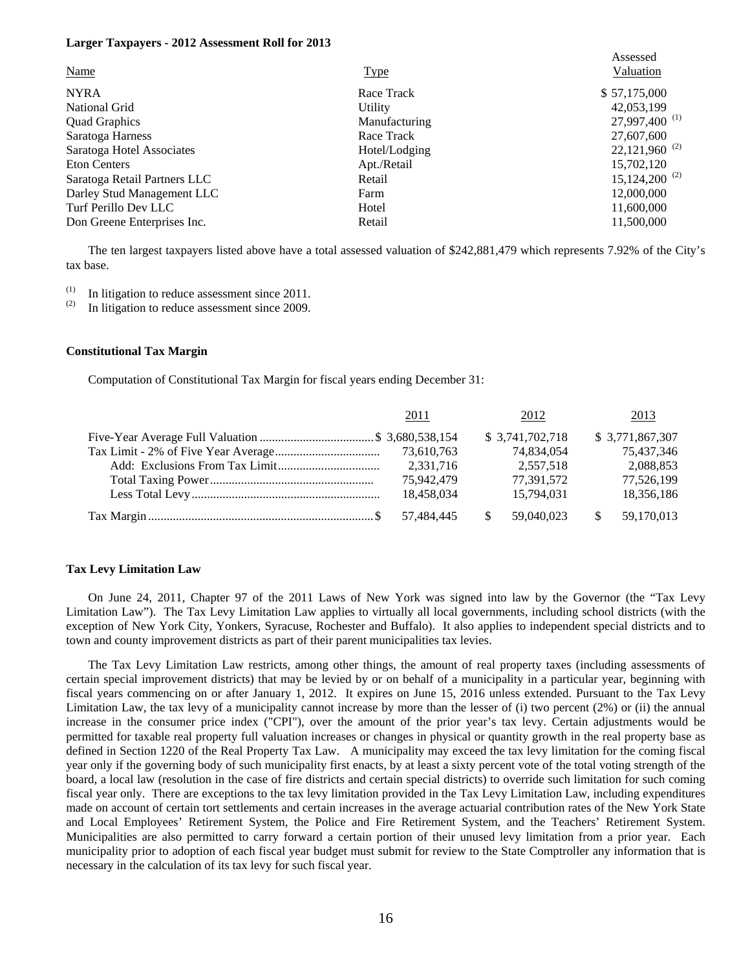#### **Larger Taxpayers - 2012 Assessment Roll for 2013**

|                              |               | Assessed                    |
|------------------------------|---------------|-----------------------------|
| <b>Name</b>                  | <b>Type</b>   | Valuation                   |
| <b>NYRA</b>                  | Race Track    | \$57,175,000                |
| National Grid                | Utility       | 42,053,199                  |
| <b>Quad Graphics</b>         | Manufacturing | 27,997,400 <sup>(1)</sup>   |
| Saratoga Harness             | Race Track    | 27,607,600                  |
| Saratoga Hotel Associates    | Hotel/Lodging | $22,121,960$ <sup>(2)</sup> |
| <b>Eton Centers</b>          | Apt./Retail   | 15,702,120                  |
| Saratoga Retail Partners LLC | Retail        | $15,124,200^{(2)}$          |
| Darley Stud Management LLC   | Farm          | 12,000,000                  |
| Turf Perillo Dev LLC         | Hotel         | 11,600,000                  |
| Don Greene Enterprises Inc.  | Retail        | 11,500,000                  |

 The ten largest taxpayers listed above have a total assessed valuation of \$242,881,479 which represents 7.92% of the City's tax base.

(1) In litigation to reduce assessment since 2011.<br>(2) In litigation to reduce assessment since 2000.

In litigation to reduce assessment since 2009.

#### **Constitutional Tax Margin**

Computation of Constitutional Tax Margin for fiscal years ending December 31:

|  | 2011       |     | 2012            | 2013            |
|--|------------|-----|-----------------|-----------------|
|  |            |     | \$3,741,702,718 | \$3,771,867,307 |
|  | 73,610,763 |     | 74,834,054      | 75,437,346      |
|  | 2,331,716  |     | 2,557,518       | 2,088,853       |
|  | 75,942,479 |     | 77,391,572      | 77,526,199      |
|  | 18,458,034 |     | 15,794,031      | 18,356,186      |
|  | 57.484.445 | \$. | 59,040,023      | 59,170,013      |

#### **Tax Levy Limitation Law**

On June 24, 2011, Chapter 97 of the 2011 Laws of New York was signed into law by the Governor (the "Tax Levy Limitation Law"). The Tax Levy Limitation Law applies to virtually all local governments, including school districts (with the exception of New York City, Yonkers, Syracuse, Rochester and Buffalo). It also applies to independent special districts and to town and county improvement districts as part of their parent municipalities tax levies.

The Tax Levy Limitation Law restricts, among other things, the amount of real property taxes (including assessments of certain special improvement districts) that may be levied by or on behalf of a municipality in a particular year, beginning with fiscal years commencing on or after January 1, 2012. It expires on June 15, 2016 unless extended. Pursuant to the Tax Levy Limitation Law, the tax levy of a municipality cannot increase by more than the lesser of (i) two percent (2%) or (ii) the annual increase in the consumer price index ("CPI"), over the amount of the prior year's tax levy. Certain adjustments would be permitted for taxable real property full valuation increases or changes in physical or quantity growth in the real property base as defined in Section 1220 of the Real Property Tax Law. A municipality may exceed the tax levy limitation for the coming fiscal year only if the governing body of such municipality first enacts, by at least a sixty percent vote of the total voting strength of the board, a local law (resolution in the case of fire districts and certain special districts) to override such limitation for such coming fiscal year only. There are exceptions to the tax levy limitation provided in the Tax Levy Limitation Law, including expenditures made on account of certain tort settlements and certain increases in the average actuarial contribution rates of the New York State and Local Employees' Retirement System, the Police and Fire Retirement System, and the Teachers' Retirement System. Municipalities are also permitted to carry forward a certain portion of their unused levy limitation from a prior year. Each municipality prior to adoption of each fiscal year budget must submit for review to the State Comptroller any information that is necessary in the calculation of its tax levy for such fiscal year.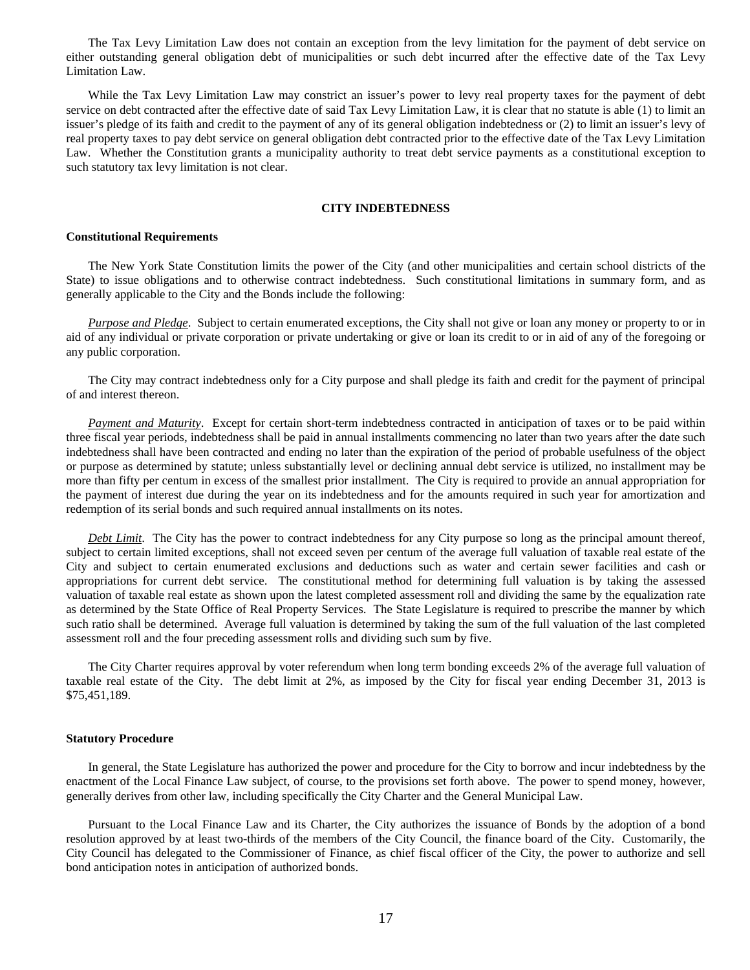The Tax Levy Limitation Law does not contain an exception from the levy limitation for the payment of debt service on either outstanding general obligation debt of municipalities or such debt incurred after the effective date of the Tax Levy Limitation Law.

While the Tax Levy Limitation Law may constrict an issuer's power to levy real property taxes for the payment of debt service on debt contracted after the effective date of said Tax Levy Limitation Law, it is clear that no statute is able (1) to limit an issuer's pledge of its faith and credit to the payment of any of its general obligation indebtedness or (2) to limit an issuer's levy of real property taxes to pay debt service on general obligation debt contracted prior to the effective date of the Tax Levy Limitation Law. Whether the Constitution grants a municipality authority to treat debt service payments as a constitutional exception to such statutory tax levy limitation is not clear.

#### **CITY INDEBTEDNESS**

#### **Constitutional Requirements**

 The New York State Constitution limits the power of the City (and other municipalities and certain school districts of the State) to issue obligations and to otherwise contract indebtedness. Such constitutional limitations in summary form, and as generally applicable to the City and the Bonds include the following:

*Purpose and Pledge*. Subject to certain enumerated exceptions, the City shall not give or loan any money or property to or in aid of any individual or private corporation or private undertaking or give or loan its credit to or in aid of any of the foregoing or any public corporation.

 The City may contract indebtedness only for a City purpose and shall pledge its faith and credit for the payment of principal of and interest thereon.

*Payment and Maturity*. Except for certain short-term indebtedness contracted in anticipation of taxes or to be paid within three fiscal year periods, indebtedness shall be paid in annual installments commencing no later than two years after the date such indebtedness shall have been contracted and ending no later than the expiration of the period of probable usefulness of the object or purpose as determined by statute; unless substantially level or declining annual debt service is utilized, no installment may be more than fifty per centum in excess of the smallest prior installment. The City is required to provide an annual appropriation for the payment of interest due during the year on its indebtedness and for the amounts required in such year for amortization and redemption of its serial bonds and such required annual installments on its notes.

*Debt Limit*. The City has the power to contract indebtedness for any City purpose so long as the principal amount thereof, subject to certain limited exceptions, shall not exceed seven per centum of the average full valuation of taxable real estate of the City and subject to certain enumerated exclusions and deductions such as water and certain sewer facilities and cash or appropriations for current debt service. The constitutional method for determining full valuation is by taking the assessed valuation of taxable real estate as shown upon the latest completed assessment roll and dividing the same by the equalization rate as determined by the State Office of Real Property Services. The State Legislature is required to prescribe the manner by which such ratio shall be determined. Average full valuation is determined by taking the sum of the full valuation of the last completed assessment roll and the four preceding assessment rolls and dividing such sum by five.

 The City Charter requires approval by voter referendum when long term bonding exceeds 2% of the average full valuation of taxable real estate of the City. The debt limit at 2%, as imposed by the City for fiscal year ending December 31, 2013 is \$75,451,189.

#### **Statutory Procedure**

 In general, the State Legislature has authorized the power and procedure for the City to borrow and incur indebtedness by the enactment of the Local Finance Law subject, of course, to the provisions set forth above. The power to spend money, however, generally derives from other law, including specifically the City Charter and the General Municipal Law.

 Pursuant to the Local Finance Law and its Charter, the City authorizes the issuance of Bonds by the adoption of a bond resolution approved by at least two-thirds of the members of the City Council, the finance board of the City. Customarily, the City Council has delegated to the Commissioner of Finance, as chief fiscal officer of the City, the power to authorize and sell bond anticipation notes in anticipation of authorized bonds.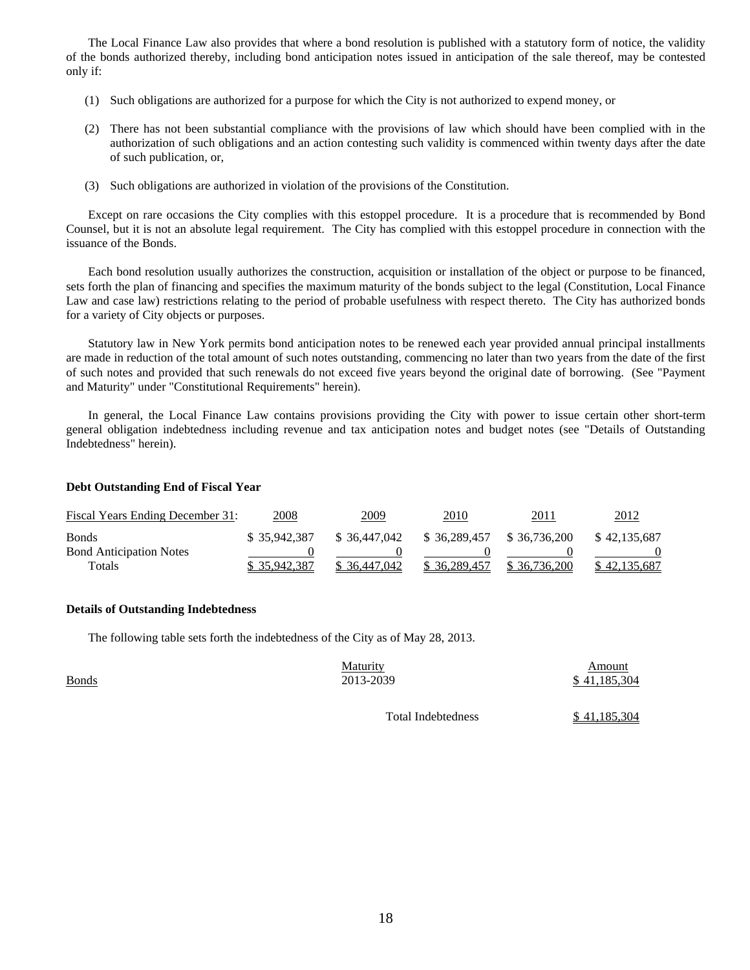The Local Finance Law also provides that where a bond resolution is published with a statutory form of notice, the validity of the bonds authorized thereby, including bond anticipation notes issued in anticipation of the sale thereof, may be contested only if:

- (1) Such obligations are authorized for a purpose for which the City is not authorized to expend money, or
- (2) There has not been substantial compliance with the provisions of law which should have been complied with in the authorization of such obligations and an action contesting such validity is commenced within twenty days after the date of such publication, or,
- (3) Such obligations are authorized in violation of the provisions of the Constitution.

 Except on rare occasions the City complies with this estoppel procedure. It is a procedure that is recommended by Bond Counsel, but it is not an absolute legal requirement. The City has complied with this estoppel procedure in connection with the issuance of the Bonds.

 Each bond resolution usually authorizes the construction, acquisition or installation of the object or purpose to be financed, sets forth the plan of financing and specifies the maximum maturity of the bonds subject to the legal (Constitution, Local Finance Law and case law) restrictions relating to the period of probable usefulness with respect thereto. The City has authorized bonds for a variety of City objects or purposes.

 Statutory law in New York permits bond anticipation notes to be renewed each year provided annual principal installments are made in reduction of the total amount of such notes outstanding, commencing no later than two years from the date of the first of such notes and provided that such renewals do not exceed five years beyond the original date of borrowing. (See "Payment and Maturity" under "Constitutional Requirements" herein).

 In general, the Local Finance Law contains provisions providing the City with power to issue certain other short-term general obligation indebtedness including revenue and tax anticipation notes and budget notes (see "Details of Outstanding Indebtedness" herein).

#### **Debt Outstanding End of Fiscal Year**

| Fiscal Years Ending December 31: | 2008          | 2009          | 2010         | 2011         | <u> 2012</u> |
|----------------------------------|---------------|---------------|--------------|--------------|--------------|
| <b>Bonds</b>                     | \$ 35,942,387 | \$ 36,447,042 | \$36,289,457 | \$36,736,200 | \$42,135,687 |
| <b>Bond Anticipation Notes</b>   |               |               |              |              |              |
| Totals                           | \$35,942,387  | \$ 36,447,042 | \$36,289,457 | \$36,736,200 | \$42,135,687 |

#### **Details of Outstanding Indebtedness**

The following table sets forth the indebtedness of the City as of May 28, 2013.

|              | <b>Maturity</b> | Amount       |
|--------------|-----------------|--------------|
| <b>Bonds</b> | 2013-2039       | \$41,185,304 |

Total Indebtedness \$ 41,185,304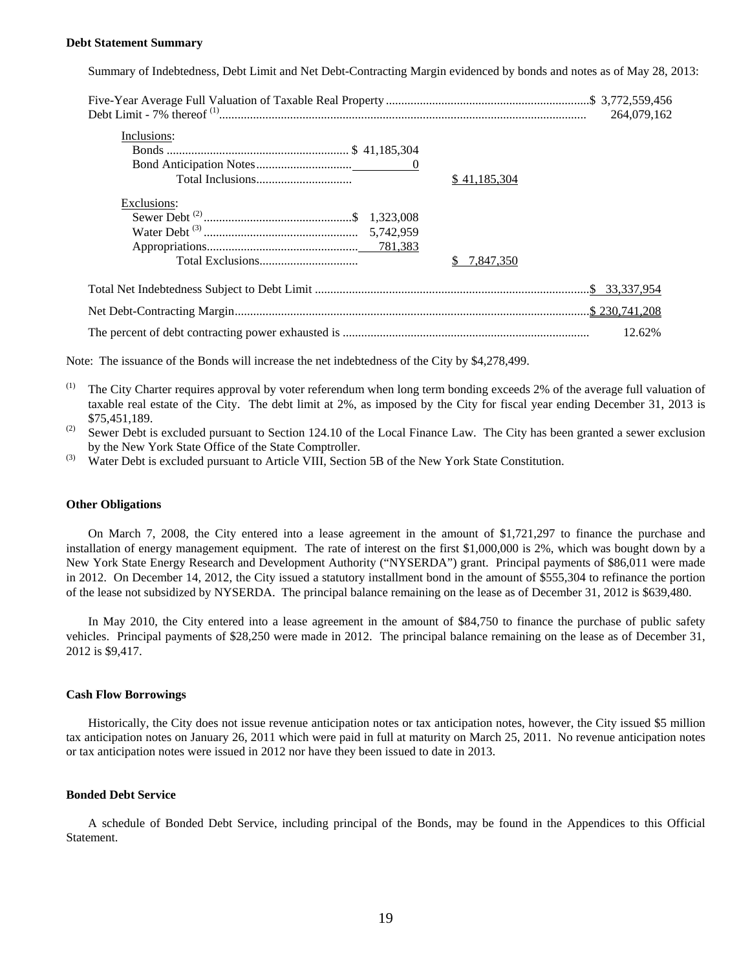#### **Debt Statement Summary**

Summary of Indebtedness, Debt Limit and Net Debt-Contracting Margin evidenced by bonds and notes as of May 28, 2013:

| Inclusions: |              |
|-------------|--------------|
|             |              |
|             |              |
|             | \$41,185,304 |
| Exclusions: |              |
|             |              |
|             |              |
|             |              |
|             | 7,847,350    |
|             |              |
|             |              |
|             | 12.62%       |

Note: The issuance of the Bonds will increase the net indebtedness of the City by \$4,278,499.

- <sup>(1)</sup> The City Charter requires approval by voter referendum when long term bonding exceeds 2% of the average full valuation of taxable real estate of the City. The debt limit at 2%, as imposed by the City for fiscal year ending December 31, 2013 is \$75,451,189.
- (2) Sewer Debt is excluded pursuant to Section 124.10 of the Local Finance Law. The City has been granted a sewer exclusion by the New York State Office of the State Comptroller.
- <sup>(3)</sup> Water Debt is excluded pursuant to Article VIII, Section 5B of the New York State Constitution.

#### **Other Obligations**

On March 7, 2008, the City entered into a lease agreement in the amount of \$1,721,297 to finance the purchase and installation of energy management equipment. The rate of interest on the first \$1,000,000 is 2%, which was bought down by a New York State Energy Research and Development Authority ("NYSERDA") grant. Principal payments of \$86,011 were made in 2012. On December 14, 2012, the City issued a statutory installment bond in the amount of \$555,304 to refinance the portion of the lease not subsidized by NYSERDA. The principal balance remaining on the lease as of December 31, 2012 is \$639,480.

In May 2010, the City entered into a lease agreement in the amount of \$84,750 to finance the purchase of public safety vehicles. Principal payments of \$28,250 were made in 2012. The principal balance remaining on the lease as of December 31, 2012 is \$9,417.

#### **Cash Flow Borrowings**

 Historically, the City does not issue revenue anticipation notes or tax anticipation notes, however, the City issued \$5 million tax anticipation notes on January 26, 2011 which were paid in full at maturity on March 25, 2011. No revenue anticipation notes or tax anticipation notes were issued in 2012 nor have they been issued to date in 2013.

#### **Bonded Debt Service**

 A schedule of Bonded Debt Service, including principal of the Bonds, may be found in the Appendices to this Official Statement.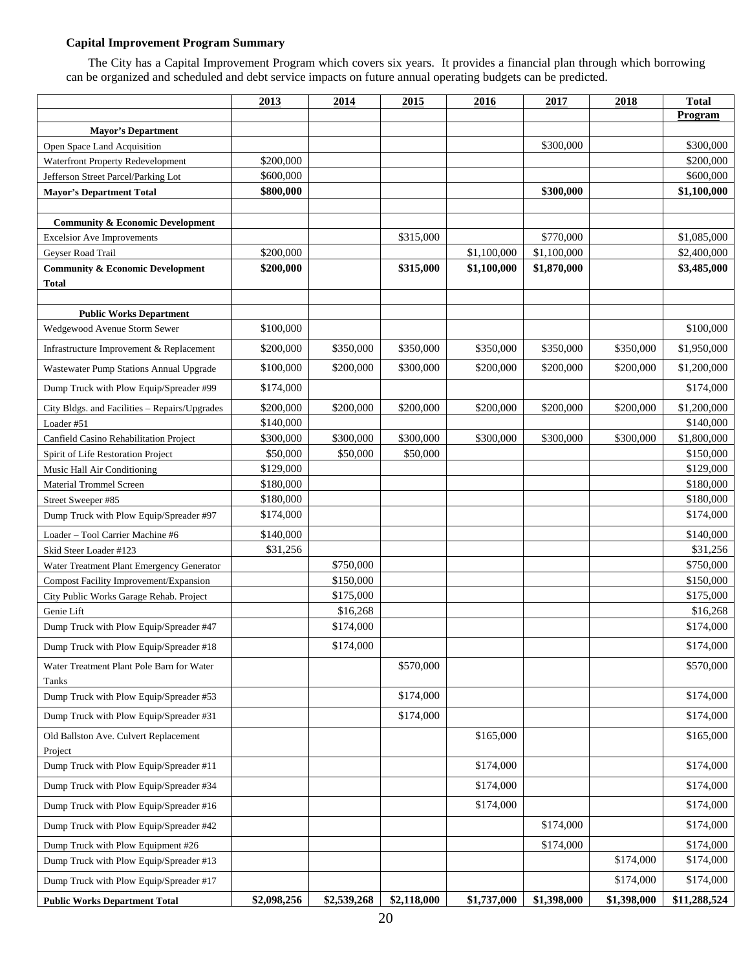#### **Capital Improvement Program Summary**

 The City has a Capital Improvement Program which covers six years. It provides a financial plan through which borrowing can be organized and scheduled and debt service impacts on future annual operating budgets can be predicted.

|                                                    | 2013        | 2014        | 2015        | 2016        | 2017        | 2018        | <b>Total</b> |
|----------------------------------------------------|-------------|-------------|-------------|-------------|-------------|-------------|--------------|
|                                                    |             |             |             |             |             |             | Program      |
| <b>Mayor's Department</b>                          |             |             |             |             |             |             |              |
| Open Space Land Acquisition                        |             |             |             |             | \$300,000   |             | \$300,000    |
| Waterfront Property Redevelopment                  | \$200,000   |             |             |             |             |             | \$200,000    |
| Jefferson Street Parcel/Parking Lot                | \$600,000   |             |             |             |             |             | \$600,000    |
| <b>Mayor's Department Total</b>                    | \$800,000   |             |             |             | \$300,000   |             | \$1,100,000  |
| <b>Community &amp; Economic Development</b>        |             |             |             |             |             |             |              |
| <b>Excelsior Ave Improvements</b>                  |             |             | \$315,000   |             | \$770,000   |             | \$1,085,000  |
| Geyser Road Trail                                  | \$200,000   |             |             | \$1,100,000 | \$1,100,000 |             | \$2,400,000  |
| <b>Community &amp; Economic Development</b>        | \$200,000   |             | \$315,000   | \$1,100,000 | \$1,870,000 |             | \$3,485,000  |
| Total                                              |             |             |             |             |             |             |              |
|                                                    |             |             |             |             |             |             |              |
| <b>Public Works Department</b>                     |             |             |             |             |             |             |              |
| Wedgewood Avenue Storm Sewer                       | \$100,000   |             |             |             |             |             | \$100,000    |
| Infrastructure Improvement & Replacement           | \$200,000   | \$350,000   | \$350,000   | \$350,000   | \$350,000   | \$350,000   | \$1,950,000  |
| Wastewater Pump Stations Annual Upgrade            | \$100,000   | \$200,000   | \$300,000   | \$200,000   | \$200,000   | \$200,000   | \$1,200,000  |
| Dump Truck with Plow Equip/Spreader #99            | \$174,000   |             |             |             |             |             | \$174,000    |
| City Bldgs. and Facilities - Repairs/Upgrades      | \$200,000   | \$200,000   | \$200,000   | \$200,000   | \$200,000   | \$200,000   | \$1,200,000  |
| Loader #51                                         | \$140,000   |             |             |             |             |             | \$140,000    |
| Canfield Casino Rehabilitation Project             | \$300,000   | \$300,000   | \$300,000   | \$300,000   | \$300,000   | \$300,000   | \$1,800,000  |
| Spirit of Life Restoration Project                 | \$50,000    | \$50,000    | \$50,000    |             |             |             | \$150,000    |
| Music Hall Air Conditioning                        | \$129,000   |             |             |             |             |             | \$129,000    |
| Material Trommel Screen                            | \$180,000   |             |             |             |             |             | \$180,000    |
| Street Sweeper #85                                 | \$180,000   |             |             |             |             |             | \$180,000    |
| Dump Truck with Plow Equip/Spreader #97            | \$174,000   |             |             |             |             |             | \$174,000    |
| Loader - Tool Carrier Machine #6                   | \$140,000   |             |             |             |             |             | \$140,000    |
| Skid Steer Loader #123                             | \$31,256    |             |             |             |             |             | \$31,256     |
| Water Treatment Plant Emergency Generator          |             | \$750,000   |             |             |             |             | \$750,000    |
| Compost Facility Improvement/Expansion             |             | \$150,000   |             |             |             |             | \$150,000    |
| City Public Works Garage Rehab. Project            |             | \$175,000   |             |             |             |             | \$175,000    |
| Genie Lift                                         |             | \$16,268    |             |             |             |             | \$16,268     |
| Dump Truck with Plow Equip/Spreader #47            |             | \$174,000   |             |             |             |             | \$174,000    |
| Dump Truck with Plow Equip/Spreader #18            |             | \$174,000   |             |             |             |             | \$174,000    |
| Water Treatment Plant Pole Barn for Water<br>Tanks |             |             | \$570,000   |             |             |             | \$570,000    |
| Dump Truck with Plow Equip/Spreader #53            |             |             | \$174,000   |             |             |             | \$174,000    |
| Dump Truck with Plow Equip/Spreader #31            |             |             | \$174,000   |             |             |             | \$174,000    |
| Old Ballston Ave. Culvert Replacement<br>Project   |             |             |             | \$165,000   |             |             | \$165,000    |
| Dump Truck with Plow Equip/Spreader #11            |             |             |             | \$174,000   |             |             | \$174,000    |
| Dump Truck with Plow Equip/Spreader #34            |             |             |             | \$174,000   |             |             | \$174,000    |
| Dump Truck with Plow Equip/Spreader #16            |             |             |             | \$174,000   |             |             | \$174,000    |
| Dump Truck with Plow Equip/Spreader #42            |             |             |             |             | \$174,000   |             | \$174,000    |
| Dump Truck with Plow Equipment #26                 |             |             |             |             | \$174,000   |             | \$174,000    |
| Dump Truck with Plow Equip/Spreader #13            |             |             |             |             |             | \$174,000   | \$174,000    |
| Dump Truck with Plow Equip/Spreader #17            |             |             |             |             |             | \$174,000   | \$174,000    |
| <b>Public Works Department Total</b>               | \$2,098,256 | \$2,539,268 | \$2,118,000 | \$1,737,000 | \$1,398,000 | \$1,398,000 | \$11,288,524 |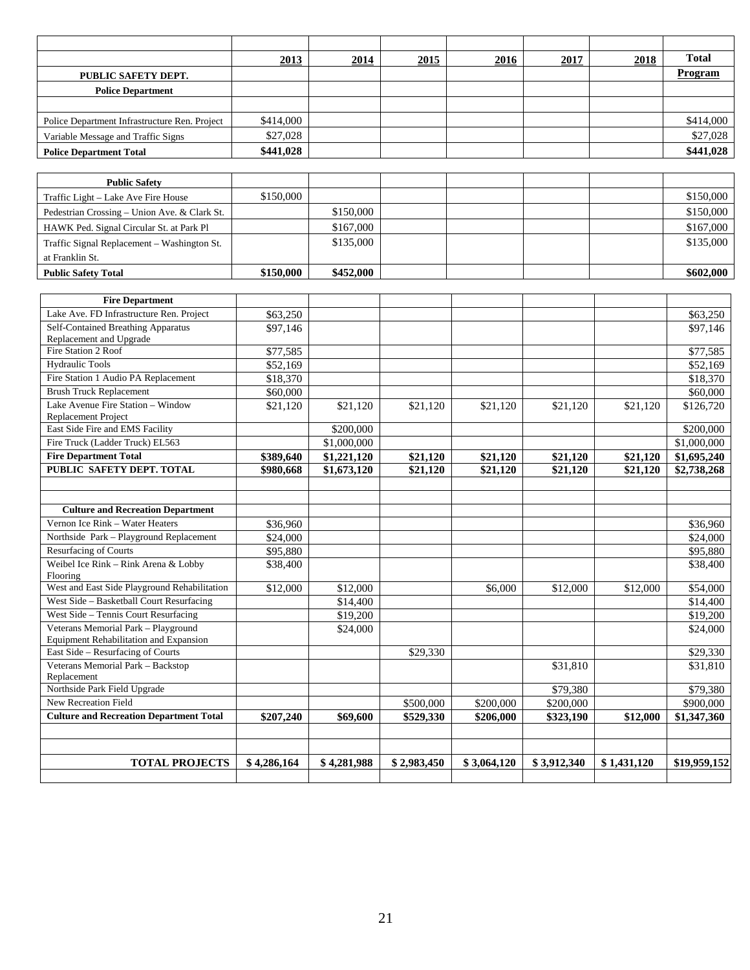|                                               | 2013      | 2014 | 2015 | 2016 | 2017 | 2018 | <b>Total</b>   |
|-----------------------------------------------|-----------|------|------|------|------|------|----------------|
| PUBLIC SAFETY DEPT.                           |           |      |      |      |      |      | <b>Program</b> |
| <b>Police Department</b>                      |           |      |      |      |      |      |                |
|                                               |           |      |      |      |      |      |                |
| Police Department Infrastructure Ren. Project | \$414,000 |      |      |      |      |      | \$414,000      |
| Variable Message and Traffic Signs            | \$27,028  |      |      |      |      |      | \$27,028       |
| <b>Police Department Total</b>                | \$441,028 |      |      |      |      |      | \$441,028      |

| <b>Public Safety</b>                         |           |           |  |  |           |
|----------------------------------------------|-----------|-----------|--|--|-----------|
| Traffic Light – Lake Ave Fire House          | \$150,000 |           |  |  | \$150,000 |
| Pedestrian Crossing – Union Ave. & Clark St. |           | \$150,000 |  |  | \$150,000 |
| HAWK Ped. Signal Circular St. at Park Pl     |           | \$167,000 |  |  | \$167,000 |
| Traffic Signal Replacement – Washington St.  |           | \$135,000 |  |  | \$135,000 |
| at Franklin St.                              |           |           |  |  |           |
| <b>Public Safety Total</b>                   | \$150,000 | \$452,000 |  |  | \$602,000 |

| <b>Fire Department</b>                                          |             |             |             |             |             |             |              |
|-----------------------------------------------------------------|-------------|-------------|-------------|-------------|-------------|-------------|--------------|
| Lake Ave. FD Infrastructure Ren. Project                        | \$63,250    |             |             |             |             |             | \$63,250     |
| Self-Contained Breathing Apparatus                              | \$97,146    |             |             |             |             |             | \$97,146     |
| Replacement and Upgrade                                         |             |             |             |             |             |             |              |
| Fire Station 2 Roof                                             | \$77,585    |             |             |             |             |             | \$77,585     |
| <b>Hydraulic Tools</b>                                          | \$52,169    |             |             |             |             |             | \$52,169     |
| Fire Station 1 Audio PA Replacement                             | \$18,370    |             |             |             |             |             | \$18,370     |
| <b>Brush Truck Replacement</b>                                  | \$60,000    |             |             |             |             |             | \$60,000     |
| Lake Avenue Fire Station - Window<br><b>Replacement Project</b> | \$21,120    | \$21,120    | \$21,120    | \$21,120    | \$21,120    | \$21,120    | \$126,720    |
| East Side Fire and EMS Facility                                 |             | \$200,000   |             |             |             |             | \$200,000    |
| Fire Truck (Ladder Truck) EL563                                 |             | \$1,000,000 |             |             |             |             | \$1,000,000  |
| <b>Fire Department Total</b>                                    | \$389,640   | \$1,221,120 | \$21,120    | \$21,120    | \$21,120    | \$21,120    | \$1,695,240  |
| PUBLIC SAFETY DEPT. TOTAL                                       | \$980,668   | \$1,673,120 | \$21,120    | \$21.120    | \$21,120    | \$21.120    | \$2,738,268  |
|                                                                 |             |             |             |             |             |             |              |
|                                                                 |             |             |             |             |             |             |              |
| <b>Culture and Recreation Department</b>                        |             |             |             |             |             |             |              |
| Vernon Ice Rink - Water Heaters                                 | \$36,960    |             |             |             |             |             | \$36,960     |
| Northside Park - Playground Replacement                         | \$24,000    |             |             |             |             |             | \$24,000     |
| Resurfacing of Courts                                           | \$95,880    |             |             |             |             |             | \$95,880     |
| Weibel Ice Rink - Rink Arena & Lobby<br>Flooring                | \$38,400    |             |             |             |             |             | \$38,400     |
| West and East Side Playground Rehabilitation                    | \$12,000    | \$12,000    |             | \$6,000     | \$12,000    | \$12,000    | \$54,000     |
| West Side - Basketball Court Resurfacing                        |             | \$14,400    |             |             |             |             | \$14,400     |
| West Side - Tennis Court Resurfacing                            |             | \$19,200    |             |             |             |             | \$19,200     |
| Veterans Memorial Park - Playground                             |             | \$24,000    |             |             |             |             | \$24,000     |
| Equipment Rehabilitation and Expansion                          |             |             |             |             |             |             |              |
| East Side - Resurfacing of Courts                               |             |             | \$29,330    |             |             |             | \$29,330     |
| Veterans Memorial Park - Backstop                               |             |             |             |             | \$31,810    |             | \$31,810     |
| Replacement                                                     |             |             |             |             |             |             |              |
| Northside Park Field Upgrade                                    |             |             |             |             | \$79,380    |             | \$79,380     |
| New Recreation Field                                            |             |             | \$500,000   | \$200,000   | \$200,000   |             | \$900,000    |
| <b>Culture and Recreation Department Total</b>                  | \$207,240   | \$69,600    | \$529,330   | \$206,000   | \$323,190   | \$12,000    | \$1,347,360  |
|                                                                 |             |             |             |             |             |             |              |
|                                                                 |             |             |             |             |             |             |              |
| <b>TOTAL PROJECTS</b>                                           | \$4,286,164 | \$4,281,988 | \$2,983,450 | \$3,064,120 | \$3,912,340 | \$1,431,120 | \$19,959,152 |
|                                                                 |             |             |             |             |             |             |              |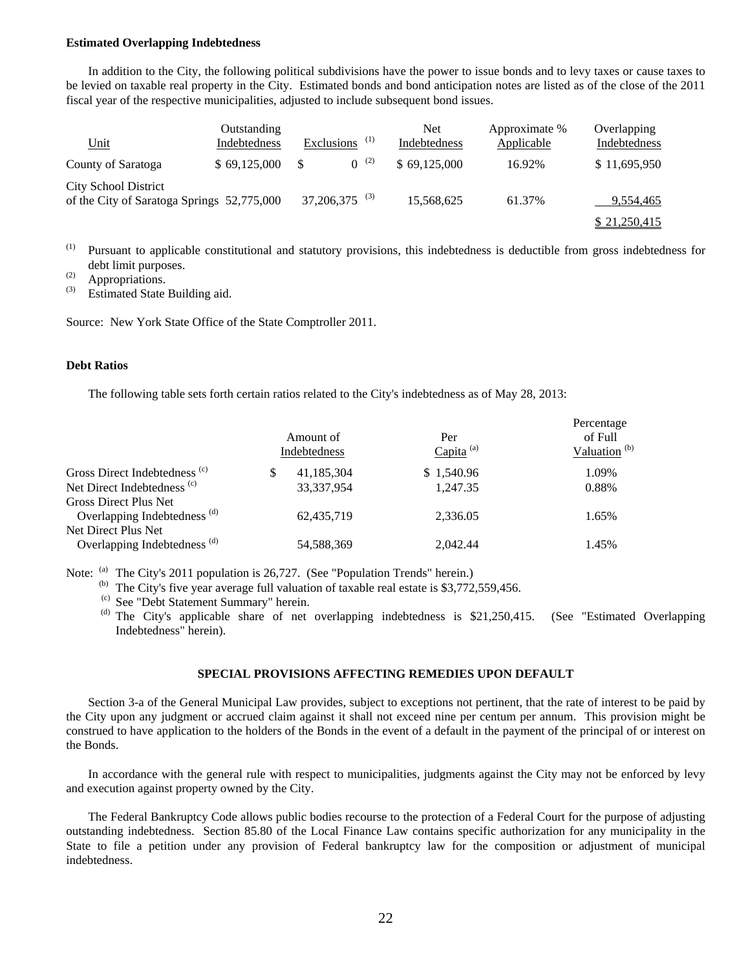#### **Estimated Overlapping Indebtedness**

 In addition to the City, the following political subdivisions have the power to issue bonds and to levy taxes or cause taxes to be levied on taxable real property in the City. Estimated bonds and bond anticipation notes are listed as of the close of the 2011 fiscal year of the respective municipalities, adjusted to include subsequent bond issues.

| <u>Unit</u>                                                               | Outstanding<br>Indebtedness | Exclusions $(1)$            |           | Net<br>Indebtedness | Approximate %<br>Applicable | Overlapping<br>Indebtedness |
|---------------------------------------------------------------------------|-----------------------------|-----------------------------|-----------|---------------------|-----------------------------|-----------------------------|
| County of Saratoga                                                        | \$69,125,000                |                             | $0^{(2)}$ | \$69,125,000        | 16.92%                      | \$11,695,950                |
| <b>City School District</b><br>of the City of Saratoga Springs 52,775,000 |                             | $37,206,375$ <sup>(3)</sup> |           | 15,568,625          | 61.37%                      | 9,554,465                   |
|                                                                           |                             |                             |           |                     |                             | \$21,250,415                |

(1) Pursuant to applicable constitutional and statutory provisions, this indebtedness is deductible from gross indebtedness for debt limit purposes.

 $\overset{(2)}{\text{3}}$  Appropriations.

Estimated State Building aid.

Source: New York State Office of the State Comptroller 2011.

#### **Debt Ratios**

The following table sets forth certain ratios related to the City's indebtedness as of May 28, 2013:

|                                                                  | Amount of<br>Indebtedness | Per<br>Capita <sup>(a)</sup> | Percentage<br>of Full<br>Valuation <sup>(b)</sup> |
|------------------------------------------------------------------|---------------------------|------------------------------|---------------------------------------------------|
| Gross Direct Indebtedness <sup>(c)</sup>                         | 41,185,304                | \$1,540.96                   | 1.09%                                             |
| Net Direct Indebtedness <sup>(c)</sup>                           | 33, 337, 954              | 1.247.35                     | 0.88%                                             |
| Gross Direct Plus Net<br>Overlapping Indebtedness <sup>(d)</sup> | 62,435,719                | 2.336.05                     | 1.65%                                             |
| Net Direct Plus Net<br>Overlapping Indebtedness <sup>(d)</sup>   | 54,588,369                | 2.042.44                     | 1.45%                                             |

Note: <sup>(a)</sup> The City's 2011 population is 26,727. (See "Population Trends" herein.)

<sup>(b)</sup> The City's five year average full valuation of taxable real estate is \$3,772,559,456.

(c) See "Debt Statement Summary" herein.

(d) The City's applicable share of net overlapping indebtedness is \$21,250,415. (See "Estimated Overlapping Indebtedness" herein).

#### **SPECIAL PROVISIONS AFFECTING REMEDIES UPON DEFAULT**

 Section 3-a of the General Municipal Law provides, subject to exceptions not pertinent, that the rate of interest to be paid by the City upon any judgment or accrued claim against it shall not exceed nine per centum per annum. This provision might be construed to have application to the holders of the Bonds in the event of a default in the payment of the principal of or interest on the Bonds.

 In accordance with the general rule with respect to municipalities, judgments against the City may not be enforced by levy and execution against property owned by the City.

 The Federal Bankruptcy Code allows public bodies recourse to the protection of a Federal Court for the purpose of adjusting outstanding indebtedness. Section 85.80 of the Local Finance Law contains specific authorization for any municipality in the State to file a petition under any provision of Federal bankruptcy law for the composition or adjustment of municipal indebtedness.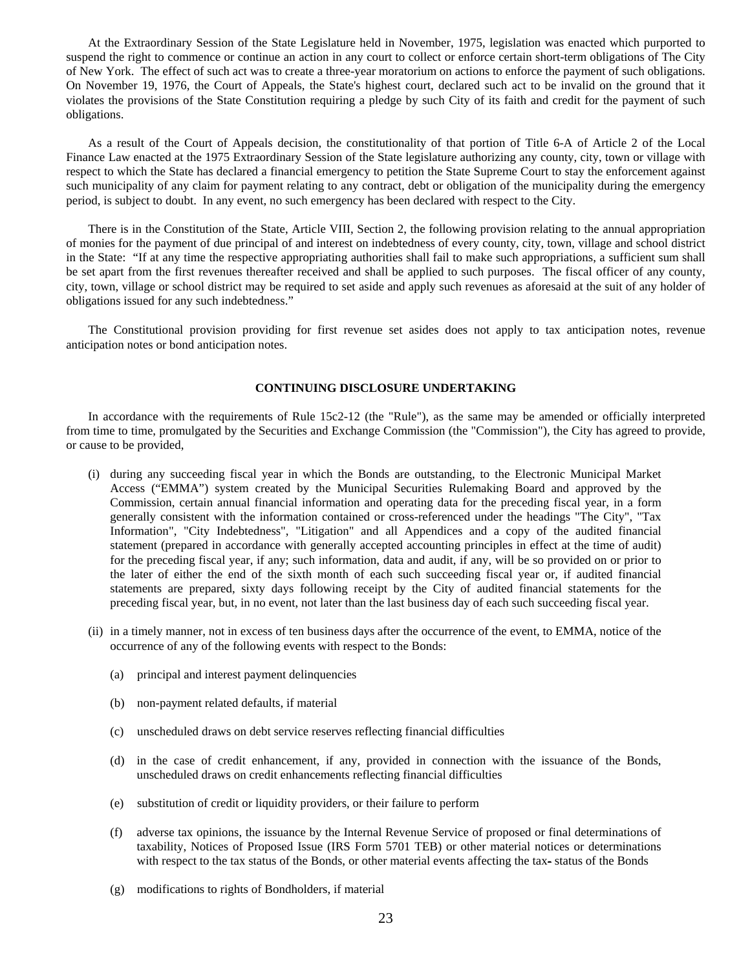At the Extraordinary Session of the State Legislature held in November, 1975, legislation was enacted which purported to suspend the right to commence or continue an action in any court to collect or enforce certain short-term obligations of The City of New York. The effect of such act was to create a three-year moratorium on actions to enforce the payment of such obligations. On November 19, 1976, the Court of Appeals, the State's highest court, declared such act to be invalid on the ground that it violates the provisions of the State Constitution requiring a pledge by such City of its faith and credit for the payment of such obligations.

 As a result of the Court of Appeals decision, the constitutionality of that portion of Title 6-A of Article 2 of the Local Finance Law enacted at the 1975 Extraordinary Session of the State legislature authorizing any county, city, town or village with respect to which the State has declared a financial emergency to petition the State Supreme Court to stay the enforcement against such municipality of any claim for payment relating to any contract, debt or obligation of the municipality during the emergency period, is subject to doubt. In any event, no such emergency has been declared with respect to the City.

 There is in the Constitution of the State, Article VIII, Section 2, the following provision relating to the annual appropriation of monies for the payment of due principal of and interest on indebtedness of every county, city, town, village and school district in the State: "If at any time the respective appropriating authorities shall fail to make such appropriations, a sufficient sum shall be set apart from the first revenues thereafter received and shall be applied to such purposes. The fiscal officer of any county, city, town, village or school district may be required to set aside and apply such revenues as aforesaid at the suit of any holder of obligations issued for any such indebtedness."

 The Constitutional provision providing for first revenue set asides does not apply to tax anticipation notes, revenue anticipation notes or bond anticipation notes.

#### **CONTINUING DISCLOSURE UNDERTAKING**

 In accordance with the requirements of Rule 15c2-12 (the "Rule"), as the same may be amended or officially interpreted from time to time, promulgated by the Securities and Exchange Commission (the "Commission"), the City has agreed to provide, or cause to be provided,

- (i) during any succeeding fiscal year in which the Bonds are outstanding, to the Electronic Municipal Market Access ("EMMA") system created by the Municipal Securities Rulemaking Board and approved by the Commission, certain annual financial information and operating data for the preceding fiscal year, in a form generally consistent with the information contained or cross-referenced under the headings "The City", "Tax Information", "City Indebtedness", "Litigation" and all Appendices and a copy of the audited financial statement (prepared in accordance with generally accepted accounting principles in effect at the time of audit) for the preceding fiscal year, if any; such information, data and audit, if any, will be so provided on or prior to the later of either the end of the sixth month of each such succeeding fiscal year or, if audited financial statements are prepared, sixty days following receipt by the City of audited financial statements for the preceding fiscal year, but, in no event, not later than the last business day of each such succeeding fiscal year.
- (ii) in a timely manner, not in excess of ten business days after the occurrence of the event, to EMMA, notice of the occurrence of any of the following events with respect to the Bonds:
	- (a) principal and interest payment delinquencies
	- (b) non-payment related defaults, if material
	- (c) unscheduled draws on debt service reserves reflecting financial difficulties
	- (d) in the case of credit enhancement, if any, provided in connection with the issuance of the Bonds, unscheduled draws on credit enhancements reflecting financial difficulties
	- (e) substitution of credit or liquidity providers, or their failure to perform
	- (f) adverse tax opinions, the issuance by the Internal Revenue Service of proposed or final determinations of taxability, Notices of Proposed Issue (IRS Form 5701 TEB) or other material notices or determinations with respect to the tax status of the Bonds, or other material events affecting the tax- status of the Bonds
	- (g) modifications to rights of Bondholders, if material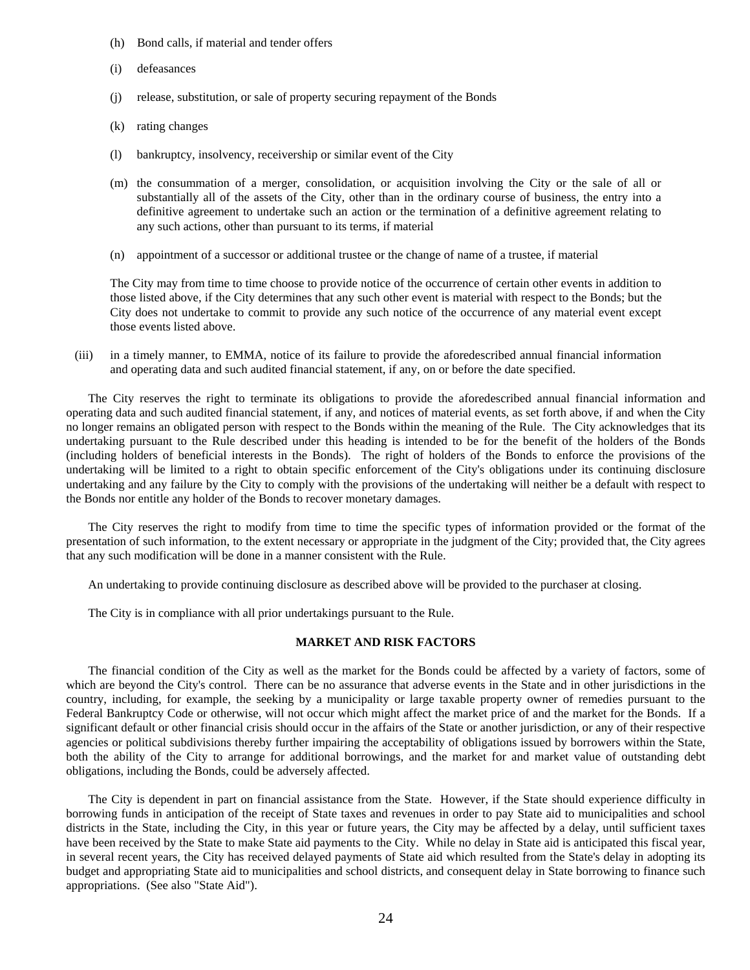- (h) Bond calls, if material and tender offers
- (i) defeasances
- (j) release, substitution, or sale of property securing repayment of the Bonds
- (k) rating changes
- (l) bankruptcy, insolvency, receivership or similar event of the City
- (m) the consummation of a merger, consolidation, or acquisition involving the City or the sale of all or substantially all of the assets of the City, other than in the ordinary course of business, the entry into a definitive agreement to undertake such an action or the termination of a definitive agreement relating to any such actions, other than pursuant to its terms, if material
- (n) appointment of a successor or additional trustee or the change of name of a trustee, if material

The City may from time to time choose to provide notice of the occurrence of certain other events in addition to those listed above, if the City determines that any such other event is material with respect to the Bonds; but the City does not undertake to commit to provide any such notice of the occurrence of any material event except those events listed above.

 (iii) in a timely manner, to EMMA, notice of its failure to provide the aforedescribed annual financial information and operating data and such audited financial statement, if any, on or before the date specified.

 The City reserves the right to terminate its obligations to provide the aforedescribed annual financial information and operating data and such audited financial statement, if any, and notices of material events, as set forth above, if and when the City no longer remains an obligated person with respect to the Bonds within the meaning of the Rule. The City acknowledges that its undertaking pursuant to the Rule described under this heading is intended to be for the benefit of the holders of the Bonds (including holders of beneficial interests in the Bonds). The right of holders of the Bonds to enforce the provisions of the undertaking will be limited to a right to obtain specific enforcement of the City's obligations under its continuing disclosure undertaking and any failure by the City to comply with the provisions of the undertaking will neither be a default with respect to the Bonds nor entitle any holder of the Bonds to recover monetary damages.

 The City reserves the right to modify from time to time the specific types of information provided or the format of the presentation of such information, to the extent necessary or appropriate in the judgment of the City; provided that, the City agrees that any such modification will be done in a manner consistent with the Rule.

An undertaking to provide continuing disclosure as described above will be provided to the purchaser at closing.

The City is in compliance with all prior undertakings pursuant to the Rule.

#### **MARKET AND RISK FACTORS**

 The financial condition of the City as well as the market for the Bonds could be affected by a variety of factors, some of which are beyond the City's control. There can be no assurance that adverse events in the State and in other jurisdictions in the country, including, for example, the seeking by a municipality or large taxable property owner of remedies pursuant to the Federal Bankruptcy Code or otherwise, will not occur which might affect the market price of and the market for the Bonds. If a significant default or other financial crisis should occur in the affairs of the State or another jurisdiction, or any of their respective agencies or political subdivisions thereby further impairing the acceptability of obligations issued by borrowers within the State, both the ability of the City to arrange for additional borrowings, and the market for and market value of outstanding debt obligations, including the Bonds, could be adversely affected.

 The City is dependent in part on financial assistance from the State. However, if the State should experience difficulty in borrowing funds in anticipation of the receipt of State taxes and revenues in order to pay State aid to municipalities and school districts in the State, including the City, in this year or future years, the City may be affected by a delay, until sufficient taxes have been received by the State to make State aid payments to the City. While no delay in State aid is anticipated this fiscal year, in several recent years, the City has received delayed payments of State aid which resulted from the State's delay in adopting its budget and appropriating State aid to municipalities and school districts, and consequent delay in State borrowing to finance such appropriations. (See also "State Aid").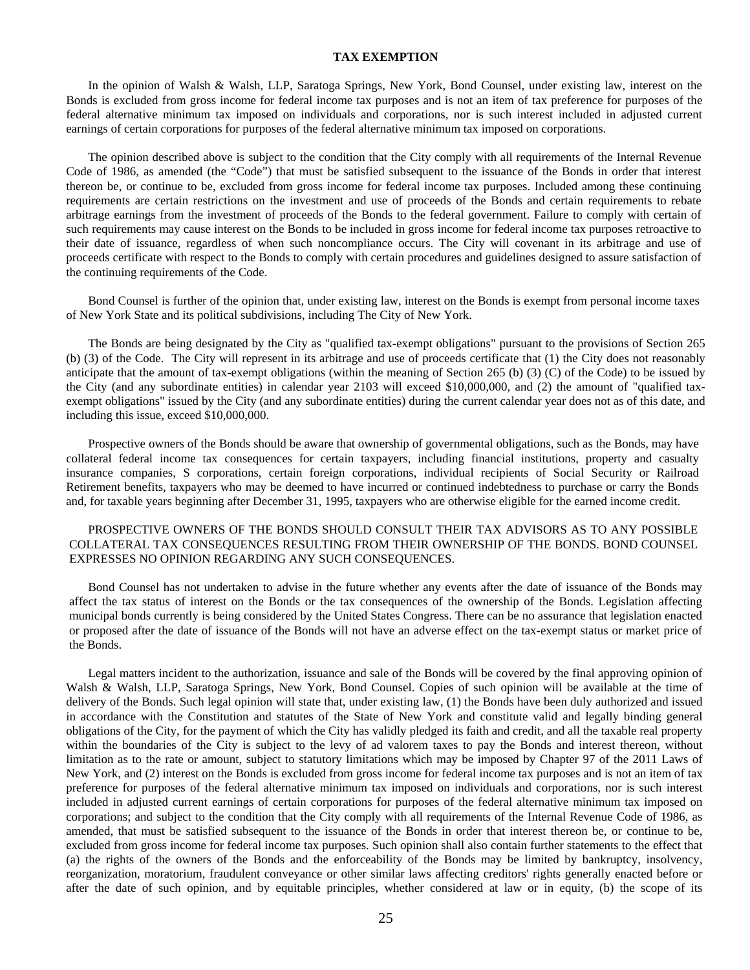#### **TAX EXEMPTION**

In the opinion of Walsh & Walsh, LLP, Saratoga Springs, New York, Bond Counsel, under existing law, interest on the Bonds is excluded from gross income for federal income tax purposes and is not an item of tax preference for purposes of the federal alternative minimum tax imposed on individuals and corporations, nor is such interest included in adjusted current earnings of certain corporations for purposes of the federal alternative minimum tax imposed on corporations.

The opinion described above is subject to the condition that the City comply with all requirements of the Internal Revenue Code of 1986, as amended (the "Code") that must be satisfied subsequent to the issuance of the Bonds in order that interest thereon be, or continue to be, excluded from gross income for federal income tax purposes. Included among these continuing requirements are certain restrictions on the investment and use of proceeds of the Bonds and certain requirements to rebate arbitrage earnings from the investment of proceeds of the Bonds to the federal government. Failure to comply with certain of such requirements may cause interest on the Bonds to be included in gross income for federal income tax purposes retroactive to their date of issuance, regardless of when such noncompliance occurs. The City will covenant in its arbitrage and use of proceeds certificate with respect to the Bonds to comply with certain procedures and guidelines designed to assure satisfaction of the continuing requirements of the Code.

Bond Counsel is further of the opinion that, under existing law, interest on the Bonds is exempt from personal income taxes of New York State and its political subdivisions, including The City of New York.

The Bonds are being designated by the City as "qualified tax-exempt obligations" pursuant to the provisions of Section 265 (b) (3) of the Code. The City will represent in its arbitrage and use of proceeds certificate that (1) the City does not reasonably anticipate that the amount of tax-exempt obligations (within the meaning of Section 265 (b) (3) (C) of the Code) to be issued by the City (and any subordinate entities) in calendar year 2103 will exceed \$10,000,000, and (2) the amount of "qualified taxexempt obligations" issued by the City (and any subordinate entities) during the current calendar year does not as of this date, and including this issue, exceed \$10,000,000.

Prospective owners of the Bonds should be aware that ownership of governmental obligations, such as the Bonds, may have collateral federal income tax consequences for certain taxpayers, including financial institutions, property and casualty insurance companies, S corporations, certain foreign corporations, individual recipients of Social Security or Railroad Retirement benefits, taxpayers who may be deemed to have incurred or continued indebtedness to purchase or carry the Bonds and, for taxable years beginning after December 31, 1995, taxpayers who are otherwise eligible for the earned income credit.

#### PROSPECTIVE OWNERS OF THE BONDS SHOULD CONSULT THEIR TAX ADVISORS AS TO ANY POSSIBLE COLLATERAL TAX CONSEQUENCES RESULTING FROM THEIR OWNERSHIP OF THE BONDS. BOND COUNSEL EXPRESSES NO OPINION REGARDING ANY SUCH CONSEQUENCES.

Bond Counsel has not undertaken to advise in the future whether any events after the date of issuance of the Bonds may affect the tax status of interest on the Bonds or the tax consequences of the ownership of the Bonds. Legislation affecting municipal bonds currently is being considered by the United States Congress. There can be no assurance that legislation enacted or proposed after the date of issuance of the Bonds will not have an adverse effect on the tax-exempt status or market price of the Bonds.

Legal matters incident to the authorization, issuance and sale of the Bonds will be covered by the final approving opinion of Walsh & Walsh, LLP, Saratoga Springs, New York, Bond Counsel. Copies of such opinion will be available at the time of delivery of the Bonds. Such legal opinion will state that, under existing law, (1) the Bonds have been duly authorized and issued in accordance with the Constitution and statutes of the State of New York and constitute valid and legally binding general obligations of the City, for the payment of which the City has validly pledged its faith and credit, and all the taxable real property within the boundaries of the City is subject to the levy of ad valorem taxes to pay the Bonds and interest thereon, without limitation as to the rate or amount, subject to statutory limitations which may be imposed by Chapter 97 of the 2011 Laws of New York, and (2) interest on the Bonds is excluded from gross income for federal income tax purposes and is not an item of tax preference for purposes of the federal alternative minimum tax imposed on individuals and corporations, nor is such interest included in adjusted current earnings of certain corporations for purposes of the federal alternative minimum tax imposed on corporations; and subject to the condition that the City comply with all requirements of the Internal Revenue Code of 1986, as amended, that must be satisfied subsequent to the issuance of the Bonds in order that interest thereon be, or continue to be, excluded from gross income for federal income tax purposes. Such opinion shall also contain further statements to the effect that (a) the rights of the owners of the Bonds and the enforceability of the Bonds may be limited by bankruptcy, insolvency, reorganization, moratorium, fraudulent conveyance or other similar laws affecting creditors' rights generally enacted before or after the date of such opinion, and by equitable principles, whether considered at law or in equity, (b) the scope of its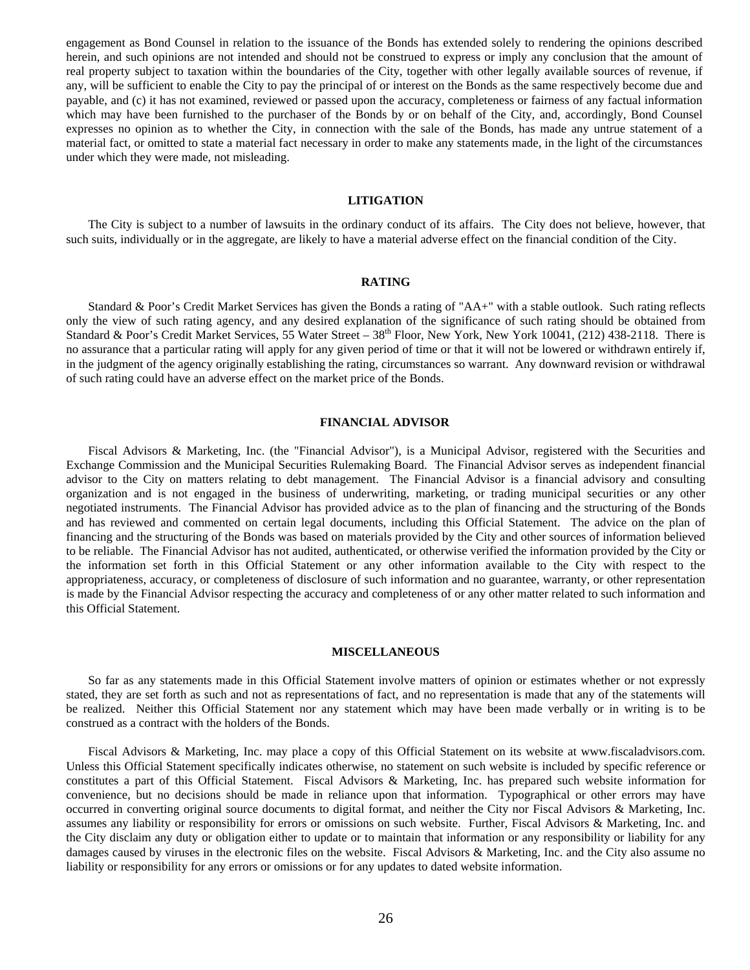engagement as Bond Counsel in relation to the issuance of the Bonds has extended solely to rendering the opinions described herein, and such opinions are not intended and should not be construed to express or imply any conclusion that the amount of real property subject to taxation within the boundaries of the City, together with other legally available sources of revenue, if any, will be sufficient to enable the City to pay the principal of or interest on the Bonds as the same respectively become due and payable, and (c) it has not examined, reviewed or passed upon the accuracy, completeness or fairness of any factual information which may have been furnished to the purchaser of the Bonds by or on behalf of the City, and, accordingly, Bond Counsel expresses no opinion as to whether the City, in connection with the sale of the Bonds, has made any untrue statement of a material fact, or omitted to state a material fact necessary in order to make any statements made, in the light of the circumstances under which they were made, not misleading.

#### **LITIGATION**

 The City is subject to a number of lawsuits in the ordinary conduct of its affairs. The City does not believe, however, that such suits, individually or in the aggregate, are likely to have a material adverse effect on the financial condition of the City.

#### **RATING**

 Standard & Poor's Credit Market Services has given the Bonds a rating of "AA+" with a stable outlook. Such rating reflects only the view of such rating agency, and any desired explanation of the significance of such rating should be obtained from Standard & Poor's Credit Market Services, 55 Water Street –  $38<sup>th</sup>$  Floor, New York, New York 10041, (212) 438-2118. There is no assurance that a particular rating will apply for any given period of time or that it will not be lowered or withdrawn entirely if, in the judgment of the agency originally establishing the rating, circumstances so warrant. Any downward revision or withdrawal of such rating could have an adverse effect on the market price of the Bonds.

#### **FINANCIAL ADVISOR**

 Fiscal Advisors & Marketing, Inc. (the "Financial Advisor"), is a Municipal Advisor, registered with the Securities and Exchange Commission and the Municipal Securities Rulemaking Board. The Financial Advisor serves as independent financial advisor to the City on matters relating to debt management. The Financial Advisor is a financial advisory and consulting organization and is not engaged in the business of underwriting, marketing, or trading municipal securities or any other negotiated instruments. The Financial Advisor has provided advice as to the plan of financing and the structuring of the Bonds and has reviewed and commented on certain legal documents, including this Official Statement. The advice on the plan of financing and the structuring of the Bonds was based on materials provided by the City and other sources of information believed to be reliable. The Financial Advisor has not audited, authenticated, or otherwise verified the information provided by the City or the information set forth in this Official Statement or any other information available to the City with respect to the appropriateness, accuracy, or completeness of disclosure of such information and no guarantee, warranty, or other representation is made by the Financial Advisor respecting the accuracy and completeness of or any other matter related to such information and this Official Statement.

#### **MISCELLANEOUS**

 So far as any statements made in this Official Statement involve matters of opinion or estimates whether or not expressly stated, they are set forth as such and not as representations of fact, and no representation is made that any of the statements will be realized. Neither this Official Statement nor any statement which may have been made verbally or in writing is to be construed as a contract with the holders of the Bonds.

 Fiscal Advisors & Marketing, Inc. may place a copy of this Official Statement on its website at www.fiscaladvisors.com. Unless this Official Statement specifically indicates otherwise, no statement on such website is included by specific reference or constitutes a part of this Official Statement. Fiscal Advisors & Marketing, Inc. has prepared such website information for convenience, but no decisions should be made in reliance upon that information. Typographical or other errors may have occurred in converting original source documents to digital format, and neither the City nor Fiscal Advisors & Marketing, Inc. assumes any liability or responsibility for errors or omissions on such website. Further, Fiscal Advisors & Marketing, Inc. and the City disclaim any duty or obligation either to update or to maintain that information or any responsibility or liability for any damages caused by viruses in the electronic files on the website. Fiscal Advisors & Marketing, Inc. and the City also assume no liability or responsibility for any errors or omissions or for any updates to dated website information.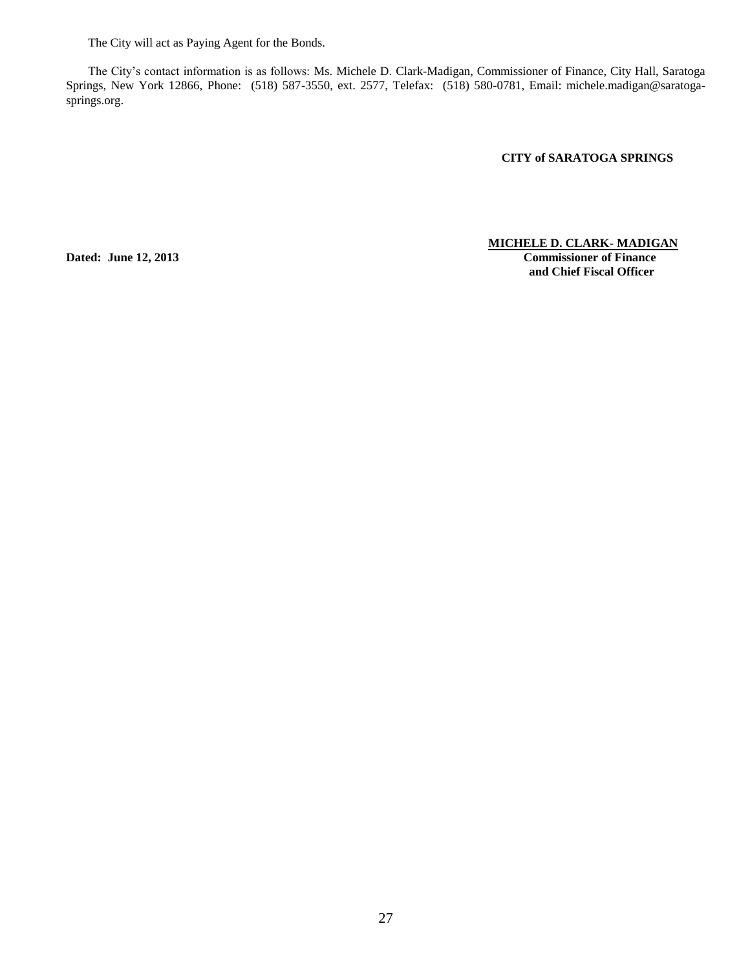The City will act as Paying Agent for the Bonds.

The City's contact information is as follows: Ms. Michele D. Clark-Madigan, Commissioner of Finance, City Hall, Saratoga Springs, New York 12866, Phone: (518) 587-3550, ext. 2577, Telefax: (518) 580-0781, Email: michele.madigan@saratogasprings.org.

**CITY of SARATOGA SPRINGS** 

#### **MICHELE D. CLARK- MADIGAN**

**Dated: June 12, 2013 Commissioner of Finance and Chief Fiscal Officer**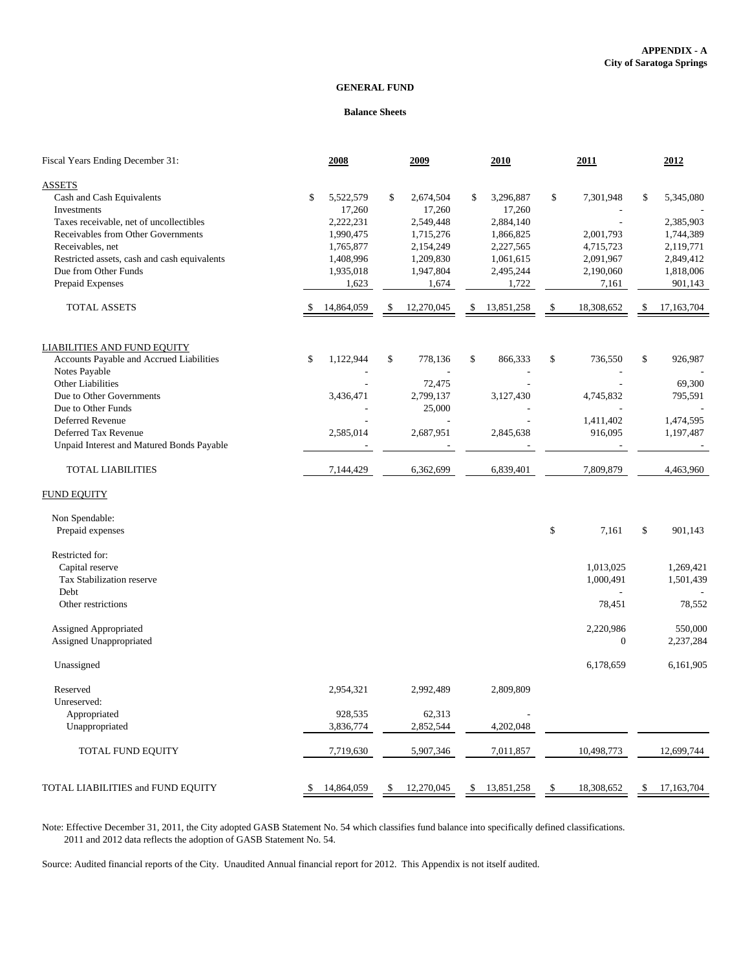#### **GENERAL FUND**

#### **Balance Sheets**

| Fiscal Years Ending December 31:             | 2008             |     | 2009       | 2010             | 2011             | 2012               |
|----------------------------------------------|------------------|-----|------------|------------------|------------------|--------------------|
| <b>ASSETS</b>                                |                  |     |            |                  |                  |                    |
| Cash and Cash Equivalents                    | \$<br>5,522,579  | \$  | 2,674,504  | \$<br>3,296,887  | \$<br>7,301,948  | \$<br>5,345,080    |
| Investments                                  | 17,260           |     | 17,260     | 17,260           |                  |                    |
| Taxes receivable, net of uncollectibles      | 2,222,231        |     | 2,549,448  | 2,884,140        |                  | 2,385,903          |
| Receivables from Other Governments           | 1,990,475        |     | 1,715,276  | 1,866,825        | 2,001,793        | 1,744,389          |
| Receivables, net                             | 1,765,877        |     | 2,154,249  | 2,227,565        | 4,715,723        | 2,119,771          |
| Restricted assets, cash and cash equivalents | 1,408,996        |     | 1,209,830  | 1,061,615        | 2,091,967        | 2,849,412          |
| Due from Other Funds                         | 1,935,018        |     | 1,947,804  | 2,495,244        | 2,190,060        | 1,818,006          |
| Prepaid Expenses                             | 1,623            |     | 1,674      | 1,722            | 7,161            | 901,143            |
| <b>TOTAL ASSETS</b>                          | 14,864,059       | \$  | 12,270,045 | \$<br>13,851,258 | \$<br>18,308,652 | \$<br>17, 163, 704 |
| <b>LIABILITIES AND FUND EQUITY</b>           |                  |     |            |                  |                  |                    |
| Accounts Payable and Accrued Liabilities     | \$<br>1,122,944  | \$  | 778,136    | \$<br>866,333    | \$<br>736,550    | \$<br>926,987      |
| Notes Payable                                |                  |     |            |                  |                  |                    |
| <b>Other Liabilities</b>                     |                  |     | 72,475     |                  |                  | 69,300             |
| Due to Other Governments                     | 3,436,471        |     | 2,799,137  | 3,127,430        | 4,745,832        | 795,591            |
| Due to Other Funds                           |                  |     | 25,000     |                  |                  |                    |
| <b>Deferred Revenue</b>                      |                  |     |            |                  | 1,411,402        | 1,474,595          |
| Deferred Tax Revenue                         | 2,585,014        |     | 2,687,951  | 2,845,638        | 916,095          | 1,197,487          |
| Unpaid Interest and Matured Bonds Payable    |                  |     |            |                  |                  |                    |
| <b>TOTAL LIABILITIES</b>                     | 7,144,429        |     | 6,362,699  | 6,839,401        | 7,809,879        | 4,463,960          |
| <b>FUND EQUITY</b>                           |                  |     |            |                  |                  |                    |
| Non Spendable:                               |                  |     |            |                  |                  |                    |
| Prepaid expenses                             |                  |     |            |                  | \$<br>7,161      | \$<br>901,143      |
| Restricted for:                              |                  |     |            |                  |                  |                    |
| Capital reserve                              |                  |     |            |                  | 1,013,025        | 1,269,421          |
| Tax Stabilization reserve                    |                  |     |            |                  | 1,000,491        | 1,501,439          |
| Debt                                         |                  |     |            |                  |                  |                    |
| Other restrictions                           |                  |     |            |                  | 78,451           | 78,552             |
| Assigned Appropriated                        |                  |     |            |                  | 2,220,986        | 550,000            |
| Assigned Unappropriated                      |                  |     |            |                  | $\boldsymbol{0}$ | 2,237,284          |
| Unassigned                                   |                  |     |            |                  | 6,178,659        | 6,161,905          |
| Reserved                                     | 2,954,321        |     | 2,992,489  | 2,809,809        |                  |                    |
| Unreserved:                                  |                  |     |            |                  |                  |                    |
| Appropriated                                 | 928,535          |     | 62,313     |                  |                  |                    |
| Unappropriated                               | 3,836,774        |     | 2,852,544  | 4,202,048        |                  |                    |
| TOTAL FUND EQUITY                            | 7,719,630        |     | 5,907,346  | 7,011,857        | 10,498,773       | 12,699,744         |
|                                              |                  |     |            |                  |                  |                    |
| TOTAL LIABILITIES and FUND EQUITY            | 14,864,059<br>\$ | \$. | 12,270,045 | \$<br>13,851,258 | \$<br>18,308,652 | \$<br>17, 163, 704 |

Note: Effective December 31, 2011, the City adopted GASB Statement No. 54 which classifies fund balance into specifically defined classifications. 2011 and 2012 data reflects the adoption of GASB Statement No. 54.

Source: Audited financial reports of the City. Unaudited Annual financial report for 2012. This Appendix is not itself audited.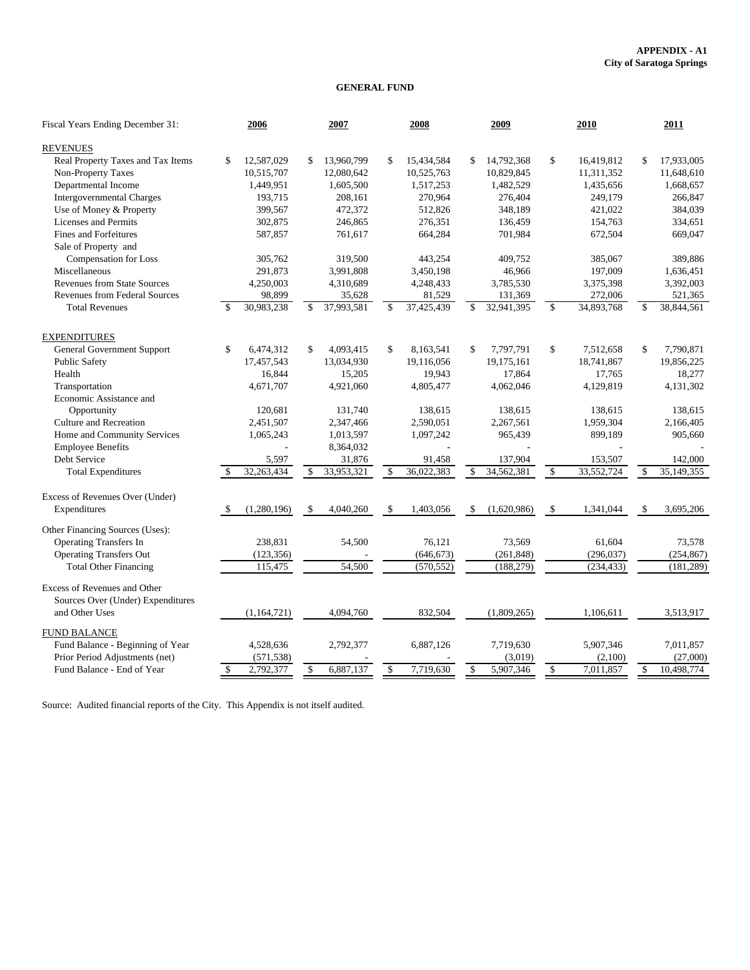#### **APPENDIX - A1 City of Saratoga Springs**

#### **GENERAL FUND**

| Fiscal Years Ending December 31:                    |     | 2006        |                    | 2007       | 2008             |               | 2009        |                    | 2010       | 2011                          |
|-----------------------------------------------------|-----|-------------|--------------------|------------|------------------|---------------|-------------|--------------------|------------|-------------------------------|
| <b>REVENUES</b>                                     |     |             |                    |            |                  |               |             |                    |            |                               |
| Real Property Taxes and Tax Items                   | \$  | 12,587,029  | \$                 | 13,960,799 | \$<br>15,434,584 | \$            | 14,792,368  | \$                 | 16,419,812 | \$<br>17,933,005              |
| Non-Property Taxes                                  |     | 10,515,707  |                    | 12,080,642 | 10,525,763       |               | 10,829,845  |                    | 11,311,352 | 11,648,610                    |
| Departmental Income                                 |     | 1,449,951   |                    | 1,605,500  | 1,517,253        |               | 1,482,529   |                    | 1,435,656  | 1,668,657                     |
| <b>Intergovernmental Charges</b>                    |     | 193,715     |                    | 208,161    | 270,964          |               | 276,404     |                    | 249,179    | 266,847                       |
| Use of Money & Property                             |     | 399,567     |                    | 472,372    | 512,826          |               | 348,189     |                    | 421,022    | 384,039                       |
| Licenses and Permits                                |     | 302,875     |                    | 246,865    | 276,351          |               | 136,459     |                    | 154,763    | 334,651                       |
| <b>Fines and Forfeitures</b>                        |     | 587,857     |                    | 761,617    | 664,284          |               | 701,984     |                    | 672,504    | 669,047                       |
| Sale of Property and                                |     |             |                    |            |                  |               |             |                    |            |                               |
| Compensation for Loss                               |     | 305,762     |                    | 319,500    | 443.254          |               | 409,752     |                    | 385,067    | 389,886                       |
| Miscellaneous                                       |     | 291,873     |                    | 3,991,808  | 3,450,198        |               | 46,966      |                    | 197,009    | 1,636,451                     |
| <b>Revenues from State Sources</b>                  |     | 4,250,003   |                    | 4,310,689  | 4,248,433        |               | 3,785,530   |                    | 3,375,398  | 3,392,003                     |
| <b>Revenues from Federal Sources</b>                |     | 98,899      |                    | 35,628     | 81,529           |               | 131,369     |                    | 272,006    | 521,365                       |
| <b>Total Revenues</b>                               | -\$ | 30,983,238  | \$                 | 37,993,581 | \$<br>37,425,439 | \$.           | 32,941,395  | $\mathbf{\hat{S}}$ | 34,893,768 | \$<br>38,844,561              |
| <b>EXPENDITURES</b>                                 |     |             |                    |            |                  |               |             |                    |            |                               |
| <b>General Government Support</b>                   | \$  | 6,474,312   | \$                 | 4,093,415  | \$<br>8,163,541  | \$            | 7,797,791   | \$                 | 7,512,658  | \$<br>7,790,871               |
| <b>Public Safety</b>                                |     | 17,457,543  |                    | 13,034,930 | 19.116.056       |               | 19,175,161  |                    | 18,741,867 | 19,856,225                    |
| Health                                              |     | 16,844      |                    | 15,205     | 19,943           |               | 17,864      |                    | 17,765     | 18,277                        |
| Transportation                                      |     | 4,671,707   |                    | 4,921,060  | 4,805,477        |               | 4,062,046   |                    | 4,129,819  | 4,131,302                     |
| Economic Assistance and                             |     |             |                    |            |                  |               |             |                    |            |                               |
| Opportunity                                         |     | 120,681     |                    | 131,740    | 138,615          |               | 138,615     |                    | 138,615    | 138,615                       |
| Culture and Recreation                              |     | 2,451,507   |                    | 2,347,466  | 2,590,051        |               | 2,267,561   |                    | 1,959,304  | 2,166,405                     |
| Home and Community Services                         |     | 1,065,243   |                    | 1,013,597  | 1,097,242        |               | 965,439     |                    | 899,189    | 905,660                       |
| <b>Employee Benefits</b>                            |     |             |                    | 8,364,032  |                  |               |             |                    |            |                               |
| Debt Service                                        |     | 5,597       |                    | 31,876     | 91,458           |               | 137,904     |                    | 153,507    | 142,000                       |
| <b>Total Expenditures</b>                           | \$  | 32,263,434  | $\mathbb{S}$       | 33,953,321 | \$<br>36,022,383 | \$            | 34,562,381  | $\mathcal{S}$      | 33,552,724 | \$<br>$\overline{35,}149,355$ |
| Excess of Revenues Over (Under)                     |     |             |                    |            |                  |               |             |                    |            |                               |
| Expenditures                                        | -\$ | (1,280,196) | $\mathbf{\hat{S}}$ | 4,040,260  | \$<br>1,403,056  | $\mathbf{\$}$ | (1,620,986) | $\mathbf{\hat{S}}$ | 1,341,044  | \$<br>3,695,206               |
| Other Financing Sources (Uses):                     |     |             |                    |            |                  |               |             |                    |            |                               |
| <b>Operating Transfers In</b>                       |     | 238,831     |                    | 54,500     | 76,121           |               | 73,569      |                    | 61,604     | 73,578                        |
| <b>Operating Transfers Out</b>                      |     | (123, 356)  |                    |            | (646, 673)       |               | (261, 848)  |                    | (296, 037) | (254, 867)                    |
| <b>Total Other Financing</b>                        |     | 115,475     |                    | 54,500     | (570, 552)       |               | (188, 279)  |                    | (234, 433) | (181, 289)                    |
| Excess of Revenues and Other                        |     |             |                    |            |                  |               |             |                    |            |                               |
| Sources Over (Under) Expenditures<br>and Other Uses |     | (1,164,721) |                    | 4,094,760  | 832,504          |               | (1,809,265) |                    | 1.106.611  | 3,513,917                     |
|                                                     |     |             |                    |            |                  |               |             |                    |            |                               |
| <b>FUND BALANCE</b>                                 |     |             |                    |            |                  |               |             |                    |            |                               |
| Fund Balance - Beginning of Year                    |     | 4,528,636   |                    | 2,792,377  | 6,887,126        |               | 7,719,630   |                    | 5,907,346  | 7,011,857                     |
| Prior Period Adjustments (net)                      |     | (571, 538)  |                    |            |                  |               | (3,019)     |                    | (2,100)    | (27,000)                      |
| Fund Balance - End of Year                          | \$  | 2,792,377   | \$                 | 6,887,137  | \$<br>7,719,630  | \$            | 5,907,346   | \$                 | 7,011,857  | \$<br>10,498,774              |

Source: Audited financial reports of the City. This Appendix is not itself audited.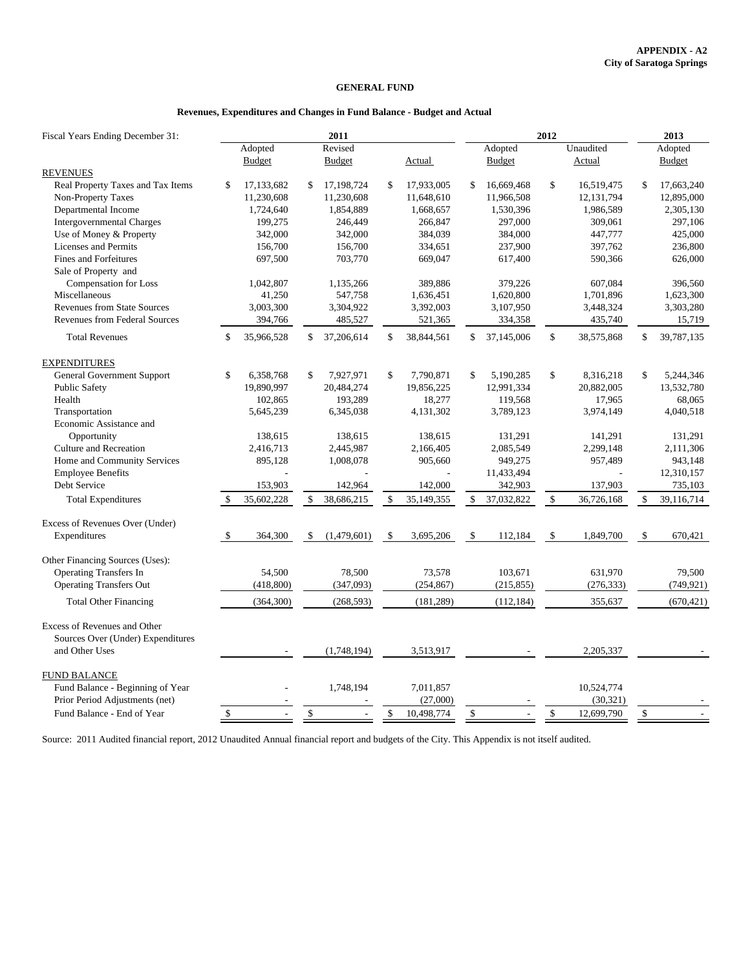#### **GENERAL FUND**

#### **Revenues, Expenditures and Changes in Fund Balance - Budget and Actual**

| Fiscal Years Ending December 31:     | 2011 |                          |              |               |               |            | 2012         |               |                    |            |              | 2013          |  |
|--------------------------------------|------|--------------------------|--------------|---------------|---------------|------------|--------------|---------------|--------------------|------------|--------------|---------------|--|
|                                      |      | Adopted                  |              | Revised       |               |            |              | Adopted       |                    | Unaudited  |              | Adopted       |  |
| <b>REVENUES</b>                      |      | <b>Budget</b>            |              | <b>Budget</b> |               | Actual     |              | <b>Budget</b> |                    | Actual     |              | <b>Budget</b> |  |
| Real Property Taxes and Tax Items    | \$   | 17,133,682               | \$           | 17,198,724    | \$            | 17.933.005 | \$           | 16,669,468    | \$                 | 16,519,475 | \$           | 17,663,240    |  |
| Non-Property Taxes                   |      | 11,230,608               |              | 11,230,608    |               | 11,648,610 |              | 11,966,508    |                    | 12,131,794 |              | 12,895,000    |  |
| Departmental Income                  |      | 1,724,640                |              | 1,854,889     |               | 1,668,657  |              | 1,530,396     |                    | 1,986,589  |              | 2,305,130     |  |
| <b>Intergovernmental Charges</b>     |      | 199,275                  |              | 246,449       |               | 266,847    |              | 297,000       |                    | 309,061    |              | 297,106       |  |
| Use of Money & Property              |      | 342,000                  |              | 342,000       |               | 384,039    |              | 384,000       |                    | 447,777    |              | 425,000       |  |
| <b>Licenses and Permits</b>          |      | 156,700                  |              | 156,700       |               | 334,651    |              | 237,900       |                    | 397,762    |              | 236,800       |  |
| <b>Fines and Forfeitures</b>         |      | 697,500                  |              | 703,770       |               | 669,047    |              | 617,400       |                    | 590,366    |              | 626,000       |  |
| Sale of Property and                 |      |                          |              |               |               |            |              |               |                    |            |              |               |  |
| Compensation for Loss                |      | 1,042,807                |              | 1,135,266     |               | 389,886    |              | 379,226       |                    | 607,084    |              | 396,560       |  |
| Miscellaneous                        |      | 41,250                   |              | 547,758       |               | 1,636,451  |              | 1,620,800     |                    | 1,701,896  |              | 1,623,300     |  |
| <b>Revenues from State Sources</b>   |      | 3,003,300                |              | 3,304,922     |               | 3,392,003  |              | 3,107,950     |                    | 3,448,324  |              | 3,303,280     |  |
| <b>Revenues from Federal Sources</b> |      | 394,766                  |              | 485,527       |               | 521,365    |              | 334,358       |                    | 435,740    |              | 15,719        |  |
| <b>Total Revenues</b>                | \$   | 35,966,528               | \$           | 37,206,614    | \$            | 38,844,561 | \$           | 37,145,006    | $\mathbf{\hat{S}}$ | 38,575,868 | \$           | 39,787,135    |  |
| <b>EXPENDITURES</b>                  |      |                          |              |               |               |            |              |               |                    |            |              |               |  |
| <b>General Government Support</b>    | \$   | 6,358,768                | \$           | 7,927,971     | \$            | 7,790,871  | \$           | 5,190,285     | \$                 | 8,316,218  | \$           | 5,244,346     |  |
| <b>Public Safety</b>                 |      | 19,890,997               |              | 20,484,274    |               | 19,856,225 |              | 12,991,334    |                    | 20,882,005 |              | 13,532,780    |  |
| Health                               |      | 102,865                  |              | 193,289       |               | 18,277     |              | 119,568       |                    | 17,965     |              | 68,065        |  |
| Transportation                       |      | 5,645,239                |              | 6,345,038     |               | 4,131,302  |              | 3,789,123     |                    | 3,974,149  |              | 4,040,518     |  |
| Economic Assistance and              |      |                          |              |               |               |            |              |               |                    |            |              |               |  |
| Opportunity                          |      | 138,615                  |              | 138,615       |               | 138,615    |              | 131,291       |                    | 141,291    |              | 131,291       |  |
| <b>Culture and Recreation</b>        |      | 2,416,713                |              | 2,445,987     |               | 2,166,405  |              | 2,085,549     |                    | 2,299,148  |              | 2,111,306     |  |
| Home and Community Services          |      | 895,128                  |              | 1,008,078     |               | 905,660    |              | 949,275       |                    | 957,489    |              | 943,148       |  |
| <b>Employee Benefits</b>             |      |                          |              |               |               |            |              | 11,433,494    |                    |            |              | 12,310,157    |  |
| Debt Service                         |      | 153,903                  |              | 142,964       |               | 142,000    |              | 342,903       |                    | 137,903    |              | 735,103       |  |
| <b>Total Expenditures</b>            | -\$  | 35,602,228               | \$           | 38,686,215    | $\mathbf{s}$  | 35,149,355 |              | 37,032,822    | \$                 | 36,726,168 | \$           | 39,116,714    |  |
| Excess of Revenues Over (Under)      |      |                          |              |               |               |            |              |               |                    |            |              |               |  |
| Expenditures                         | -S   | 364,300                  | \$           | (1,479,601)   | <sup>\$</sup> | 3,695,206  | \$           | 112,184       | \$                 | 1,849,700  | $\mathbb{S}$ | 670,421       |  |
| Other Financing Sources (Uses):      |      |                          |              |               |               |            |              |               |                    |            |              |               |  |
| <b>Operating Transfers In</b>        |      | 54.500                   |              | 78,500        |               | 73,578     |              | 103,671       |                    | 631,970    |              | 79,500        |  |
| <b>Operating Transfers Out</b>       |      | (418,800)                |              | (347,093)     |               | (254, 867) |              | (215, 855)    |                    | (276, 333) |              | (749, 921)    |  |
| <b>Total Other Financing</b>         |      | (364,300)                |              | (268, 593)    |               | (181, 289) |              | (112, 184)    |                    | 355,637    |              | (670, 421)    |  |
| Excess of Revenues and Other         |      |                          |              |               |               |            |              |               |                    |            |              |               |  |
| Sources Over (Under) Expenditures    |      |                          |              |               |               |            |              |               |                    |            |              |               |  |
| and Other Uses                       |      |                          |              | (1,748,194)   |               | 3,513,917  |              |               |                    | 2,205,337  |              |               |  |
| <b>FUND BALANCE</b>                  |      |                          |              |               |               |            |              |               |                    |            |              |               |  |
| Fund Balance - Beginning of Year     |      |                          |              | 1,748,194     |               | 7,011,857  |              |               |                    | 10,524,774 |              |               |  |
| Prior Period Adjustments (net)       |      |                          |              |               |               | (27,000)   |              |               |                    | (30, 321)  |              |               |  |
| Fund Balance - End of Year           | $\$$ | $\overline{\phantom{a}}$ | $\mathbb{S}$ |               | $\mathbb{S}$  | 10,498,774 | $\mathbb{S}$ |               | $\mathbb{S}$       | 12,699,790 | $\mathbb{S}$ |               |  |

Source: 2011 Audited financial report, 2012 Unaudited Annual financial report and budgets of the City. This Appendix is not itself audited.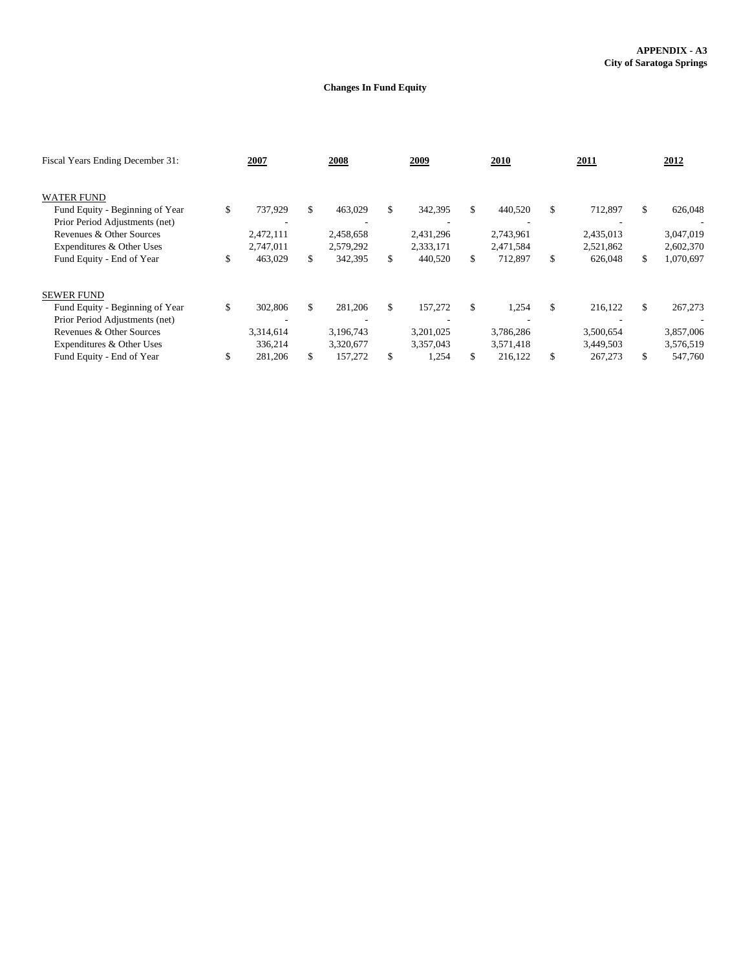#### **Changes In Fund Equity**

| Fiscal Years Ending December 31: | 2007          | 2008          |     | 2009      |     | 2010      | 2011          | 2012            |
|----------------------------------|---------------|---------------|-----|-----------|-----|-----------|---------------|-----------------|
| <b>WATER FUND</b>                |               |               |     |           |     |           |               |                 |
| Fund Equity - Beginning of Year  | \$<br>737,929 | \$<br>463,029 | \$. | 342,395   | \$  | 440,520   | \$<br>712,897 | \$<br>626,048   |
| Prior Period Adjustments (net)   |               |               |     |           |     |           |               |                 |
| Revenues & Other Sources         | 2,472,111     | 2,458,658     |     | 2,431,296 |     | 2,743,961 | 2,435,013     | 3,047,019       |
| Expenditures & Other Uses        | 2,747,011     | 2,579,292     |     | 2,333,171 |     | 2,471,584 | 2,521,862     | 2,602,370       |
| Fund Equity - End of Year        | \$<br>463,029 | \$<br>342,395 | \$  | 440,520   | S.  | 712,897   | \$<br>626,048 | \$<br>1,070,697 |
| <b>SEWER FUND</b>                |               |               |     |           |     |           |               |                 |
| Fund Equity - Beginning of Year  | \$<br>302,806 | \$<br>281,206 | \$  | 157,272   | \$  | 1,254     | \$<br>216,122 | \$<br>267,273   |
| Prior Period Adjustments (net)   |               |               |     |           |     |           |               |                 |
| Revenues & Other Sources         | 3,314,614     | 3,196,743     |     | 3,201,025 |     | 3,786,286 | 3,500,654     | 3,857,006       |
| Expenditures & Other Uses        | 336,214       | 3,320,677     |     | 3,357,043 |     | 3,571,418 | 3,449,503     | 3,576,519       |
| Fund Equity - End of Year        | 281,206       | \$<br>157.272 | \$. | 1,254     | \$. | 216.122   | \$<br>267,273 | \$<br>547.760   |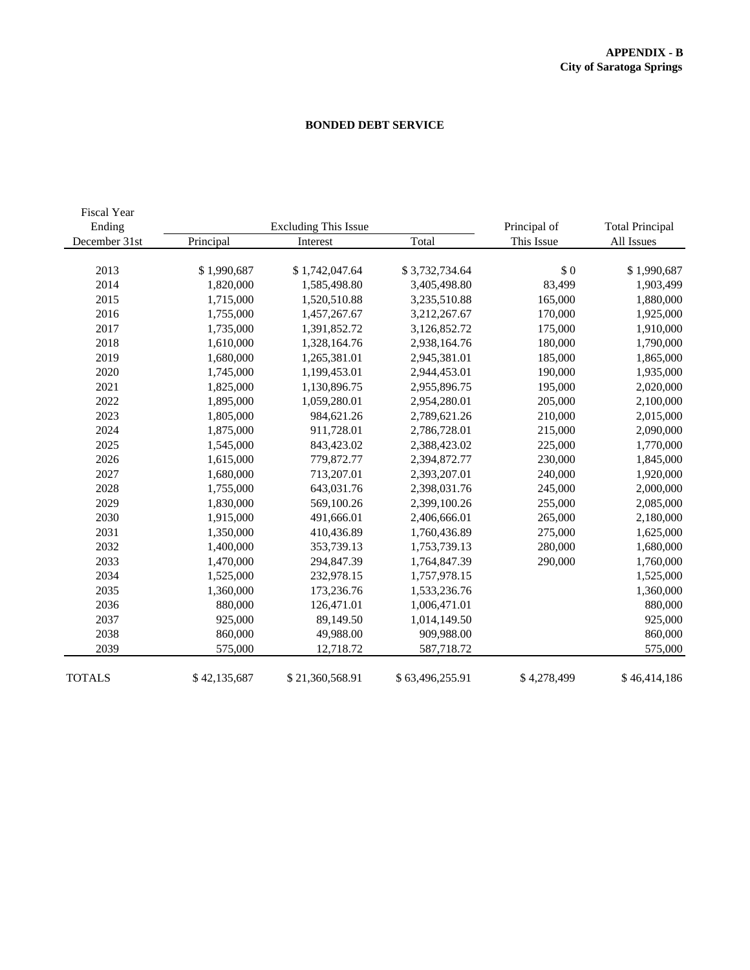### **BONDED DEBT SERVICE**

| Fiscal Year<br>Ending |              | <b>Excluding This Issue</b> |                 | Principal of | <b>Total Principal</b> |
|-----------------------|--------------|-----------------------------|-----------------|--------------|------------------------|
| December 31st         | Principal    | Interest                    | Total           | This Issue   | All Issues             |
|                       |              |                             |                 |              |                        |
| 2013                  | \$1,990,687  | \$1,742,047.64              | \$3,732,734.64  | \$0          | \$1,990,687            |
| 2014                  | 1,820,000    | 1,585,498.80                | 3,405,498.80    | 83,499       | 1,903,499              |
| 2015                  | 1,715,000    | 1,520,510.88                | 3,235,510.88    | 165,000      | 1,880,000              |
| 2016                  | 1,755,000    | 1,457,267.67                | 3,212,267.67    | 170,000      | 1,925,000              |
| 2017                  | 1,735,000    | 1,391,852.72                | 3,126,852.72    | 175,000      | 1,910,000              |
| 2018                  | 1,610,000    | 1,328,164.76                | 2,938,164.76    | 180,000      | 1,790,000              |
| 2019                  | 1,680,000    | 1,265,381.01                | 2,945,381.01    | 185,000      | 1,865,000              |
| 2020                  | 1,745,000    | 1,199,453.01                | 2,944,453.01    | 190,000      | 1,935,000              |
| 2021                  | 1,825,000    | 1,130,896.75                | 2,955,896.75    | 195,000      | 2,020,000              |
| 2022                  | 1,895,000    | 1,059,280.01                | 2,954,280.01    | 205,000      | 2,100,000              |
| 2023                  | 1,805,000    | 984,621.26                  | 2,789,621.26    | 210,000      | 2,015,000              |
| 2024                  | 1,875,000    | 911,728.01                  | 2,786,728.01    | 215,000      | 2,090,000              |
| 2025                  | 1,545,000    | 843,423.02                  | 2,388,423.02    | 225,000      | 1,770,000              |
| 2026                  | 1,615,000    | 779,872.77                  | 2,394,872.77    | 230,000      | 1,845,000              |
| 2027                  | 1,680,000    | 713,207.01                  | 2,393,207.01    | 240,000      | 1,920,000              |
| 2028                  | 1,755,000    | 643,031.76                  | 2,398,031.76    | 245,000      | 2,000,000              |
| 2029                  | 1,830,000    | 569,100.26                  | 2,399,100.26    | 255,000      | 2,085,000              |
| 2030                  | 1,915,000    | 491,666.01                  | 2,406,666.01    | 265,000      | 2,180,000              |
| 2031                  | 1,350,000    | 410,436.89                  | 1,760,436.89    | 275,000      | 1,625,000              |
| 2032                  | 1,400,000    | 353,739.13                  | 1,753,739.13    | 280,000      | 1,680,000              |
| 2033                  | 1,470,000    | 294,847.39                  | 1,764,847.39    | 290,000      | 1,760,000              |
| 2034                  | 1,525,000    | 232,978.15                  | 1,757,978.15    |              | 1,525,000              |
| 2035                  | 1,360,000    | 173,236.76                  | 1,533,236.76    |              | 1,360,000              |
| 2036                  | 880,000      | 126,471.01                  | 1,006,471.01    |              | 880,000                |
| 2037                  | 925,000      | 89,149.50                   | 1,014,149.50    |              | 925,000                |
| 2038                  | 860,000      | 49,988.00                   | 909,988.00      |              | 860,000                |
| 2039                  | 575,000      | 12,718.72                   | 587,718.72      |              | 575,000                |
| <b>TOTALS</b>         | \$42,135,687 | \$21,360,568.91             | \$63,496,255.91 | \$4,278,499  | \$46,414,186           |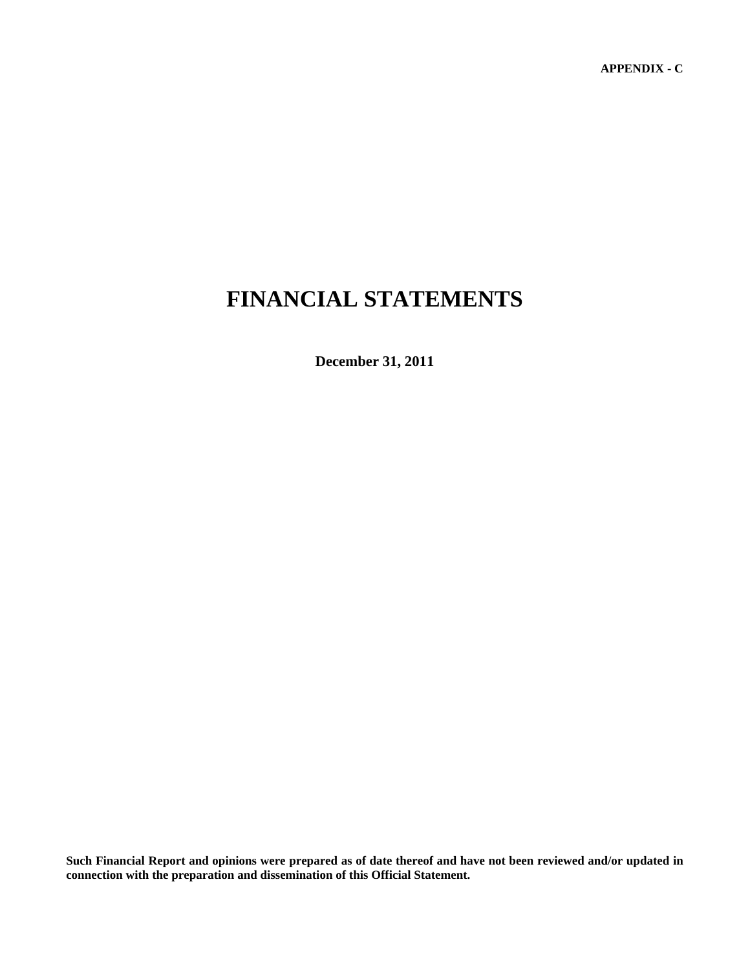**APPENDIX - C** 

# **FINANCIAL STATEMENTS**

**December 31, 2011** 

**Such Financial Report and opinions were prepared as of date thereof and have not been reviewed and/or updated in connection with the preparation and dissemination of this Official Statement.**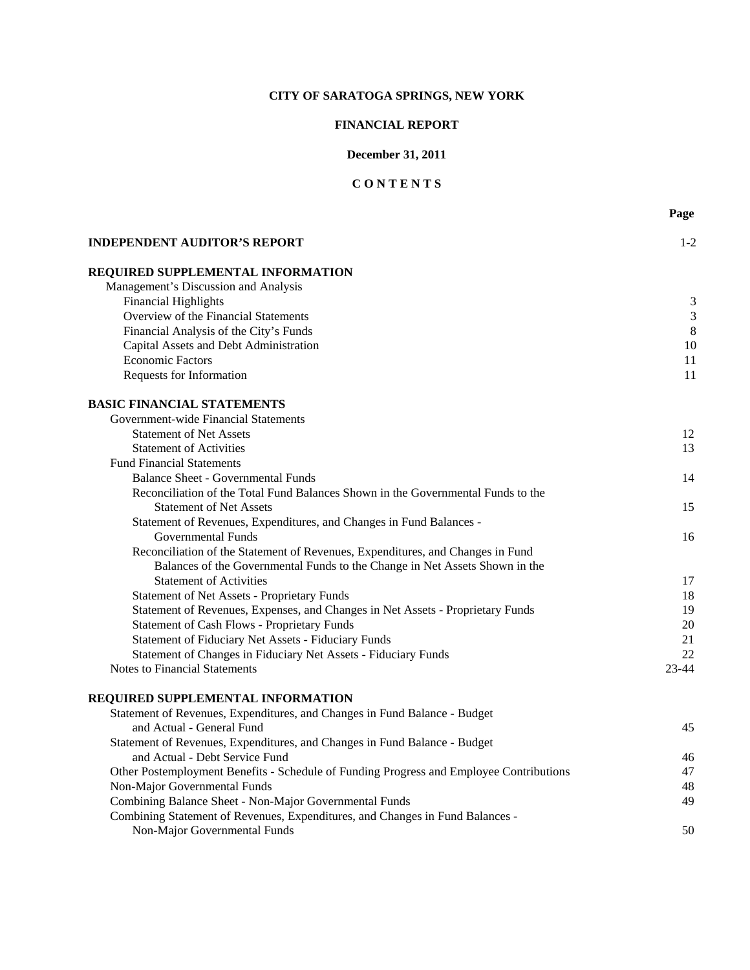## **FINANCIAL REPORT**

## **December 31, 2011**

# **C O N T E N T S**

|                                                                                         | Page           |
|-----------------------------------------------------------------------------------------|----------------|
| <b>INDEPENDENT AUDITOR'S REPORT</b>                                                     | $1 - 2$        |
| REQUIRED SUPPLEMENTAL INFORMATION                                                       |                |
| Management's Discussion and Analysis                                                    |                |
| <b>Financial Highlights</b>                                                             | 3              |
| Overview of the Financial Statements                                                    | $\mathfrak{Z}$ |
| Financial Analysis of the City's Funds                                                  | $\,8\,$        |
| Capital Assets and Debt Administration                                                  | 10             |
| <b>Economic Factors</b>                                                                 | 11             |
| Requests for Information                                                                | 11             |
| <b>BASIC FINANCIAL STATEMENTS</b>                                                       |                |
| Government-wide Financial Statements                                                    |                |
| <b>Statement of Net Assets</b>                                                          | 12             |
| <b>Statement of Activities</b>                                                          | 13             |
| <b>Fund Financial Statements</b>                                                        |                |
| <b>Balance Sheet - Governmental Funds</b>                                               | 14             |
| Reconciliation of the Total Fund Balances Shown in the Governmental Funds to the        |                |
| <b>Statement of Net Assets</b>                                                          | 15             |
| Statement of Revenues, Expenditures, and Changes in Fund Balances -                     |                |
| <b>Governmental Funds</b>                                                               | 16             |
| Reconciliation of the Statement of Revenues, Expenditures, and Changes in Fund          |                |
| Balances of the Governmental Funds to the Change in Net Assets Shown in the             |                |
| <b>Statement of Activities</b>                                                          | 17             |
| <b>Statement of Net Assets - Proprietary Funds</b>                                      | 18             |
| Statement of Revenues, Expenses, and Changes in Net Assets - Proprietary Funds          | 19             |
| <b>Statement of Cash Flows - Proprietary Funds</b>                                      | 20             |
| Statement of Fiduciary Net Assets - Fiduciary Funds                                     | 21             |
| Statement of Changes in Fiduciary Net Assets - Fiduciary Funds                          | 22             |
| <b>Notes to Financial Statements</b>                                                    | $23 - 44$      |
| REQUIRED SUPPLEMENTAL INFORMATION                                                       |                |
| Statement of Revenues, Expenditures, and Changes in Fund Balance - Budget               |                |
| and Actual - General Fund                                                               | 45             |
| Statement of Revenues, Expenditures, and Changes in Fund Balance - Budget               |                |
| and Actual - Debt Service Fund                                                          | 46             |
| Other Postemployment Benefits - Schedule of Funding Progress and Employee Contributions | 47             |
| Non-Major Governmental Funds                                                            | 48             |
| Combining Balance Sheet - Non-Major Governmental Funds                                  | 49             |

Non-Major Governmental Funds 50

Combining Statement of Revenues, Expenditures, and Changes in Fund Balances -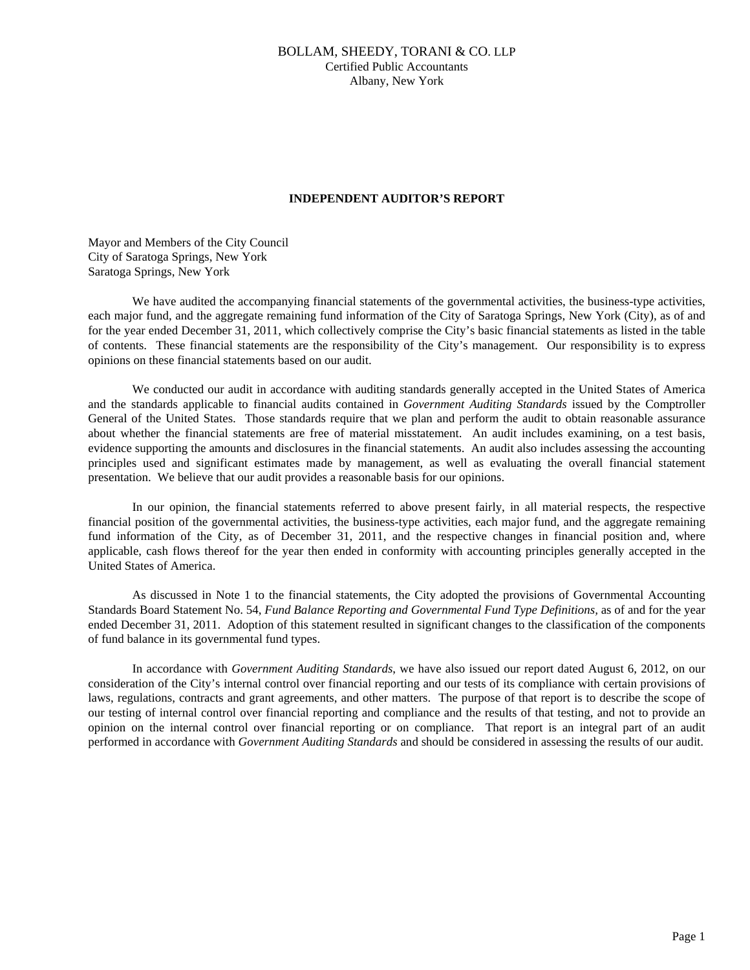## BOLLAM, SHEEDY, TORANI & CO. LLP Certified Public Accountants Albany, New York

## **INDEPENDENT AUDITOR'S REPORT**

Mayor and Members of the City Council City of Saratoga Springs, New York Saratoga Springs, New York

We have audited the accompanying financial statements of the governmental activities, the business-type activities, each major fund, and the aggregate remaining fund information of the City of Saratoga Springs, New York (City), as of and for the year ended December 31, 2011, which collectively comprise the City's basic financial statements as listed in the table of contents. These financial statements are the responsibility of the City's management. Our responsibility is to express opinions on these financial statements based on our audit.

 We conducted our audit in accordance with auditing standards generally accepted in the United States of America and the standards applicable to financial audits contained in *Government Auditing Standards* issued by the Comptroller General of the United States. Those standards require that we plan and perform the audit to obtain reasonable assurance about whether the financial statements are free of material misstatement. An audit includes examining, on a test basis, evidence supporting the amounts and disclosures in the financial statements. An audit also includes assessing the accounting principles used and significant estimates made by management, as well as evaluating the overall financial statement presentation. We believe that our audit provides a reasonable basis for our opinions.

 In our opinion, the financial statements referred to above present fairly, in all material respects, the respective financial position of the governmental activities, the business-type activities, each major fund, and the aggregate remaining fund information of the City, as of December 31, 2011, and the respective changes in financial position and, where applicable, cash flows thereof for the year then ended in conformity with accounting principles generally accepted in the United States of America.

 As discussed in Note 1 to the financial statements, the City adopted the provisions of Governmental Accounting Standards Board Statement No. 54, *Fund Balance Reporting and Governmental Fund Type Definitions*, as of and for the year ended December 31, 2011. Adoption of this statement resulted in significant changes to the classification of the components of fund balance in its governmental fund types.

 In accordance with *Government Auditing Standards*, we have also issued our report dated August 6, 2012, on our consideration of the City's internal control over financial reporting and our tests of its compliance with certain provisions of laws, regulations, contracts and grant agreements, and other matters. The purpose of that report is to describe the scope of our testing of internal control over financial reporting and compliance and the results of that testing, and not to provide an opinion on the internal control over financial reporting or on compliance. That report is an integral part of an audit performed in accordance with *Government Auditing Standards* and should be considered in assessing the results of our audit.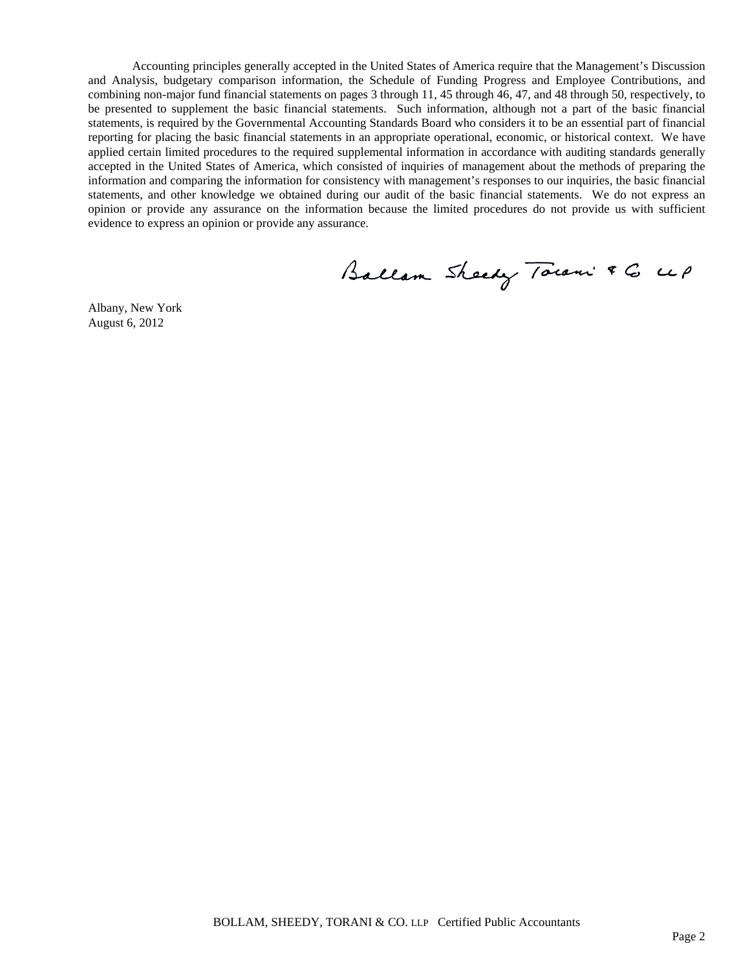Accounting principles generally accepted in the United States of America require that the Management's Discussion and Analysis, budgetary comparison information, the Schedule of Funding Progress and Employee Contributions, and combining non-major fund financial statements on pages 3 through 11, 45 through 46, 47, and 48 through 50, respectively, to be presented to supplement the basic financial statements. Such information, although not a part of the basic financial statements, is required by the Governmental Accounting Standards Board who considers it to be an essential part of financial reporting for placing the basic financial statements in an appropriate operational, economic, or historical context. We have applied certain limited procedures to the required supplemental information in accordance with auditing standards generally accepted in the United States of America, which consisted of inquiries of management about the methods of preparing the information and comparing the information for consistency with management's responses to our inquiries, the basic financial statements, and other knowledge we obtained during our audit of the basic financial statements. We do not express an opinion or provide any assurance on the information because the limited procedures do not provide us with sufficient evidence to express an opinion or provide any assurance.

Ballam Sheedy Town & G up

Albany, New York August 6, 2012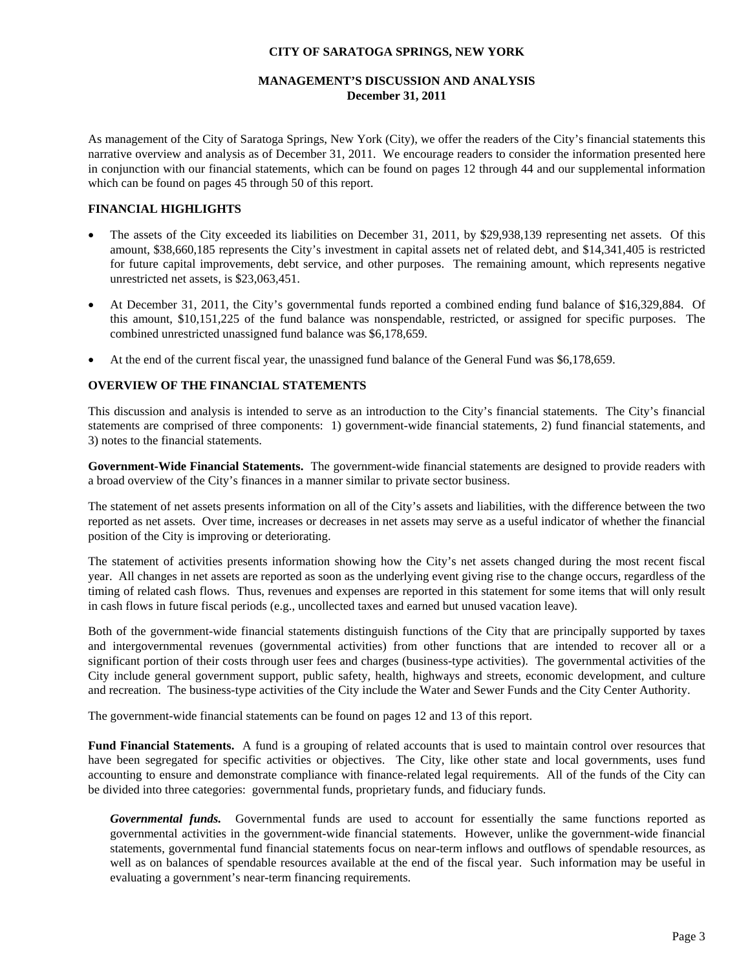## **MANAGEMENT'S DISCUSSION AND ANALYSIS December 31, 2011**

As management of the City of Saratoga Springs, New York (City), we offer the readers of the City's financial statements this narrative overview and analysis as of December 31, 2011. We encourage readers to consider the information presented here in conjunction with our financial statements, which can be found on pages 12 through 44 and our supplemental information which can be found on pages 45 through 50 of this report.

## **FINANCIAL HIGHLIGHTS**

- The assets of the City exceeded its liabilities on December 31, 2011, by \$29,938,139 representing net assets. Of this amount, \$38,660,185 represents the City's investment in capital assets net of related debt, and \$14,341,405 is restricted for future capital improvements, debt service, and other purposes. The remaining amount, which represents negative unrestricted net assets, is \$23,063,451.
- At December 31, 2011, the City's governmental funds reported a combined ending fund balance of \$16,329,884. Of this amount, \$10,151,225 of the fund balance was nonspendable, restricted, or assigned for specific purposes. The combined unrestricted unassigned fund balance was \$6,178,659.
- At the end of the current fiscal year, the unassigned fund balance of the General Fund was \$6,178,659.

## **OVERVIEW OF THE FINANCIAL STATEMENTS**

This discussion and analysis is intended to serve as an introduction to the City's financial statements. The City's financial statements are comprised of three components: 1) government-wide financial statements, 2) fund financial statements, and 3) notes to the financial statements.

**Government-Wide Financial Statements.** The government-wide financial statements are designed to provide readers with a broad overview of the City's finances in a manner similar to private sector business.

The statement of net assets presents information on all of the City's assets and liabilities, with the difference between the two reported as net assets. Over time, increases or decreases in net assets may serve as a useful indicator of whether the financial position of the City is improving or deteriorating.

The statement of activities presents information showing how the City's net assets changed during the most recent fiscal year. All changes in net assets are reported as soon as the underlying event giving rise to the change occurs, regardless of the timing of related cash flows. Thus, revenues and expenses are reported in this statement for some items that will only result in cash flows in future fiscal periods (e.g., uncollected taxes and earned but unused vacation leave).

Both of the government-wide financial statements distinguish functions of the City that are principally supported by taxes and intergovernmental revenues (governmental activities) from other functions that are intended to recover all or a significant portion of their costs through user fees and charges (business-type activities). The governmental activities of the City include general government support, public safety, health, highways and streets, economic development, and culture and recreation. The business-type activities of the City include the Water and Sewer Funds and the City Center Authority.

The government-wide financial statements can be found on pages 12 and 13 of this report.

**Fund Financial Statements.** A fund is a grouping of related accounts that is used to maintain control over resources that have been segregated for specific activities or objectives. The City, like other state and local governments, uses fund accounting to ensure and demonstrate compliance with finance-related legal requirements. All of the funds of the City can be divided into three categories: governmental funds, proprietary funds, and fiduciary funds.

*Governmental funds.* Governmental funds are used to account for essentially the same functions reported as governmental activities in the government-wide financial statements. However, unlike the government-wide financial statements, governmental fund financial statements focus on near-term inflows and outflows of spendable resources, as well as on balances of spendable resources available at the end of the fiscal year. Such information may be useful in evaluating a government's near-term financing requirements.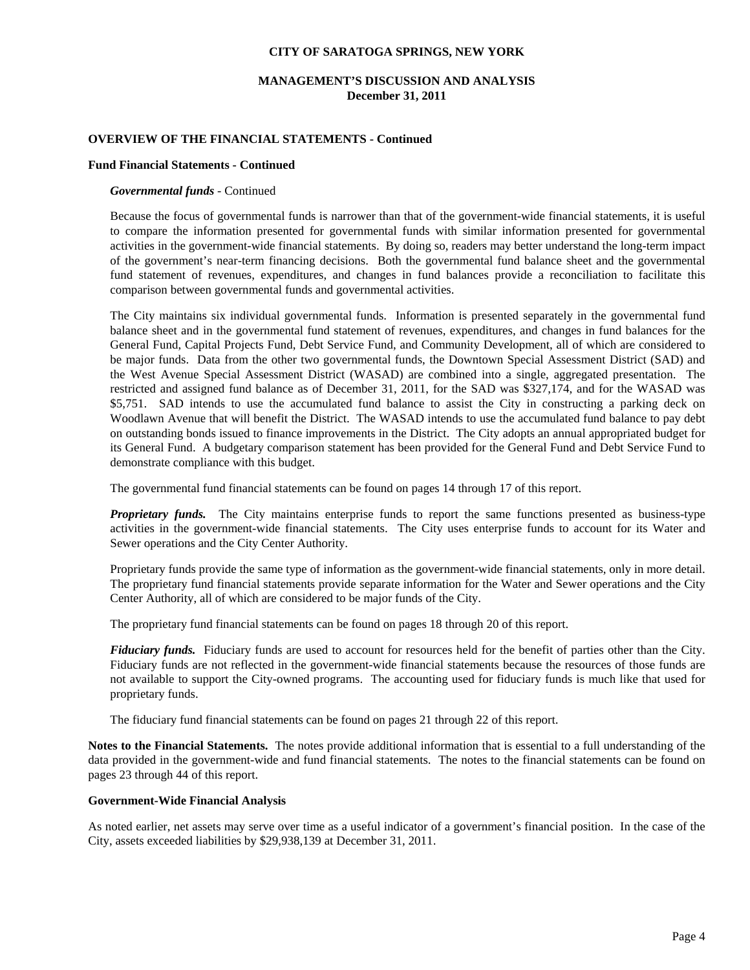## **MANAGEMENT'S DISCUSSION AND ANALYSIS December 31, 2011**

#### **OVERVIEW OF THE FINANCIAL STATEMENTS - Continued**

#### **Fund Financial Statements - Continued**

#### *Governmental funds -* Continued

Because the focus of governmental funds is narrower than that of the government-wide financial statements, it is useful to compare the information presented for governmental funds with similar information presented for governmental activities in the government-wide financial statements. By doing so, readers may better understand the long-term impact of the government's near-term financing decisions. Both the governmental fund balance sheet and the governmental fund statement of revenues, expenditures, and changes in fund balances provide a reconciliation to facilitate this comparison between governmental funds and governmental activities.

The City maintains six individual governmental funds. Information is presented separately in the governmental fund balance sheet and in the governmental fund statement of revenues, expenditures, and changes in fund balances for the General Fund, Capital Projects Fund, Debt Service Fund, and Community Development, all of which are considered to be major funds. Data from the other two governmental funds, the Downtown Special Assessment District (SAD) and the West Avenue Special Assessment District (WASAD) are combined into a single, aggregated presentation. The restricted and assigned fund balance as of December 31, 2011, for the SAD was \$327,174, and for the WASAD was \$5,751. SAD intends to use the accumulated fund balance to assist the City in constructing a parking deck on Woodlawn Avenue that will benefit the District. The WASAD intends to use the accumulated fund balance to pay debt on outstanding bonds issued to finance improvements in the District. The City adopts an annual appropriated budget for its General Fund. A budgetary comparison statement has been provided for the General Fund and Debt Service Fund to demonstrate compliance with this budget.

The governmental fund financial statements can be found on pages 14 through 17 of this report.

*Proprietary funds.* The City maintains enterprise funds to report the same functions presented as business-type activities in the government-wide financial statements. The City uses enterprise funds to account for its Water and Sewer operations and the City Center Authority.

Proprietary funds provide the same type of information as the government-wide financial statements, only in more detail. The proprietary fund financial statements provide separate information for the Water and Sewer operations and the City Center Authority, all of which are considered to be major funds of the City.

The proprietary fund financial statements can be found on pages 18 through 20 of this report.

*Fiduciary funds.* Fiduciary funds are used to account for resources held for the benefit of parties other than the City. Fiduciary funds are not reflected in the government-wide financial statements because the resources of those funds are not available to support the City-owned programs. The accounting used for fiduciary funds is much like that used for proprietary funds.

The fiduciary fund financial statements can be found on pages 21 through 22 of this report.

**Notes to the Financial Statements.** The notes provide additional information that is essential to a full understanding of the data provided in the government-wide and fund financial statements. The notes to the financial statements can be found on pages 23 through 44 of this report.

#### **Government-Wide Financial Analysis**

As noted earlier, net assets may serve over time as a useful indicator of a government's financial position. In the case of the City, assets exceeded liabilities by \$29,938,139 at December 31, 2011.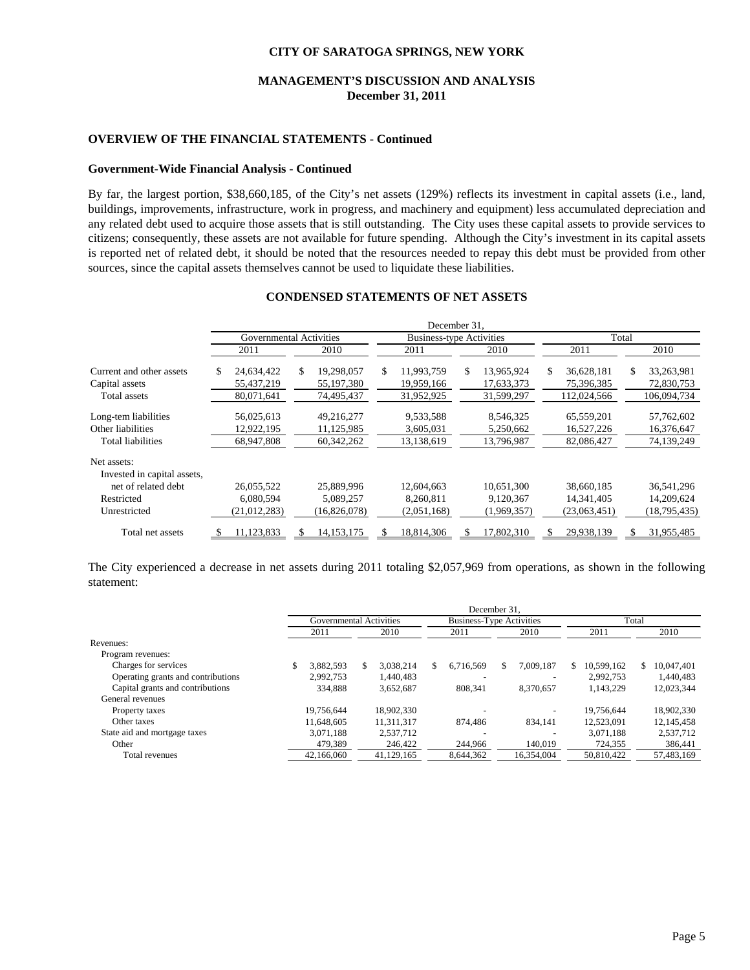## **MANAGEMENT'S DISCUSSION AND ANALYSIS December 31, 2011**

#### **OVERVIEW OF THE FINANCIAL STATEMENTS - Continued**

#### **Government-Wide Financial Analysis - Continued**

By far, the largest portion, \$38,660,185, of the City's net assets (129%) reflects its investment in capital assets (i.e., land, buildings, improvements, infrastructure, work in progress, and machinery and equipment) less accumulated depreciation and any related debt used to acquire those assets that is still outstanding. The City uses these capital assets to provide services to citizens; consequently, these assets are not available for future spending. Although the City's investment in its capital assets is reported net of related debt, it should be noted that the resources needed to repay this debt must be provided from other sources, since the capital assets themselves cannot be used to liquidate these liabilities.

|                                            | December 31,                   |                                |                                |                                 |                                 |                                |  |      |  |  |
|--------------------------------------------|--------------------------------|--------------------------------|--------------------------------|---------------------------------|---------------------------------|--------------------------------|--|------|--|--|
|                                            |                                | Governmental Activities        |                                | <b>Business-type Activities</b> | Total                           |                                |  |      |  |  |
|                                            | 2011                           | 2010                           | 2011                           | 2010                            |                                 | 2011                           |  | 2010 |  |  |
| Current and other assets<br>Capital assets | 24,634,422<br>S.<br>55,437,219 | 19,298,057<br>S.<br>55,197,380 | 11.993.759<br>S.<br>19,959,166 | \$.<br>13,965,924<br>17,633,373 | \$.<br>36,628,181<br>75,396,385 | \$<br>33,263,981<br>72,830,753 |  |      |  |  |
| Total assets                               | 80,071,641                     | 74,495,437                     | 31,952,925                     | 31,599,297                      | 112,024,566                     | 106,094,734                    |  |      |  |  |
| Long-tem liabilities                       | 56,025,613                     | 49,216,277                     | 9,533,588                      | 8,546,325                       | 65,559,201                      | 57,762,602                     |  |      |  |  |
| Other liabilities<br>Total liabilities     | 12,922,195<br>68,947,808       | 11,125,985<br>60,342,262       | 3,605,031<br>13,138,619        | 5,250,662<br>13,796,987         | 16,527,226<br>82,086,427        | 16,376,647<br>74,139,249       |  |      |  |  |
| Net assets:<br>Invested in capital assets, |                                |                                |                                |                                 |                                 |                                |  |      |  |  |
| net of related debt                        | 26,055,522                     | 25,889,996                     | 12,604,663                     | 10,651,300                      | 38,660,185                      | 36,541,296                     |  |      |  |  |
| Restricted<br>Unrestricted                 | 6.080.594<br>(21, 012, 283)    | 5,089,257<br>(16,826,078)      | 8,260,811<br>(2,051,168)       | 9,120,367<br>(1,969,357)        | 14,341,405<br>(23,063,451)      | 14,209,624<br>(18,795,435)     |  |      |  |  |
| Total net assets                           | 11,123,833                     | 14, 153, 175                   | 18,814,306                     | 17,802,310                      | 29,938,139<br>S                 | 31,955,485<br>\$               |  |      |  |  |

# **CONDENSED STATEMENTS OF NET ASSETS**

The City experienced a decrease in net assets during 2011 totaling \$2,057,969 from operations, as shown in the following statement:

|                                    | December 31.            |      |            |      |                                 |      |            |    |            |   |            |
|------------------------------------|-------------------------|------|------------|------|---------------------------------|------|------------|----|------------|---|------------|
|                                    | Governmental Activities |      |            |      | <b>Business-Type Activities</b> |      |            |    | Total      |   |            |
|                                    | 2011                    | 2010 |            | 2011 |                                 | 2010 |            |    | 2011       |   | 2010       |
| Revenues:                          |                         |      |            |      |                                 |      |            |    |            |   |            |
| Program revenues:                  |                         |      |            |      |                                 |      |            |    |            |   |            |
| Charges for services               | 3.882.593               |      | 3.038.214  | \$   | 6.716.569                       | S.   | 7.009.187  | S. | 10.599.162 | S | 10,047,401 |
| Operating grants and contributions | 2.992.753               |      | 1.440.483  |      |                                 |      |            |    | 2.992.753  |   | 1,440,483  |
| Capital grants and contributions   | 334.888                 |      | 3,652,687  |      | 808.341                         |      | 8.370.657  |    | 1.143.229  |   | 12,023,344 |
| General revenues                   |                         |      |            |      |                                 |      |            |    |            |   |            |
| Property taxes                     | 19.756.644              |      | 18,902,330 |      |                                 |      |            |    | 19.756.644 |   | 18,902,330 |
| Other taxes                        | 11.648.605              |      | 11.311.317 |      | 874,486                         |      | 834.141    |    | 12.523.091 |   | 12,145,458 |
| State aid and mortgage taxes       | 3.071.188               |      | 2,537,712  |      |                                 |      |            |    | 3.071.188  |   | 2,537,712  |
| Other                              | 479,389                 |      | 246,422    |      | 244,966                         |      | 140,019    |    | 724,355    |   | 386,441    |
| Total revenues                     | 42.166.060              |      | 41.129.165 |      | 8.644.362                       |      | 16.354.004 |    | 50.810.422 |   | 57.483.169 |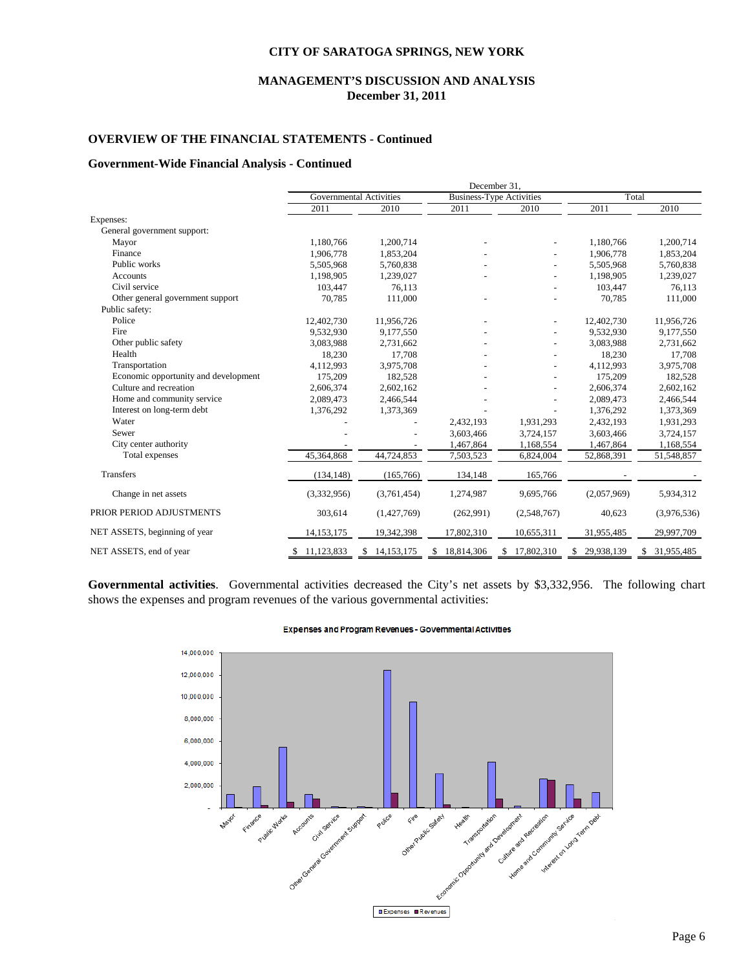## **MANAGEMENT'S DISCUSSION AND ANALYSIS December 31, 2011**

## **OVERVIEW OF THE FINANCIAL STATEMENTS - Continued**

#### **Government-Wide Financial Analysis - Continued**

|                                      |              | Governmental Activities |                  | <b>Business-Type Activities</b> |             | Total       |
|--------------------------------------|--------------|-------------------------|------------------|---------------------------------|-------------|-------------|
|                                      | 2011         | 2010                    | 2011             | 2010                            | 2011        | 2010        |
| Expenses:                            |              |                         |                  |                                 |             |             |
| General government support:          |              |                         |                  |                                 |             |             |
| Mayor                                | 1,180,766    | 1,200,714               |                  |                                 | 1,180,766   | 1,200,714   |
| Finance                              | 1,906,778    | 1,853,204               |                  |                                 | 1,906,778   | 1,853,204   |
| Public works                         | 5,505,968    | 5,760,838               |                  |                                 | 5,505,968   | 5,760,838   |
| <b>Accounts</b>                      | 1,198,905    | 1,239,027               |                  |                                 | 1,198,905   | 1,239,027   |
| Civil service                        | 103,447      | 76,113                  |                  |                                 | 103,447     | 76,113      |
| Other general government support     | 70,785       | 111,000                 |                  |                                 | 70,785      | 111,000     |
| Public safety:                       |              |                         |                  |                                 |             |             |
| Police                               | 12,402,730   | 11,956,726              |                  |                                 | 12,402,730  | 11,956,726  |
| Fire                                 | 9,532,930    | 9,177,550               |                  |                                 | 9,532,930   | 9,177,550   |
| Other public safety                  | 3,083,988    | 2,731,662               |                  |                                 | 3,083,988   | 2,731,662   |
| Health                               | 18,230       | 17,708                  |                  |                                 | 18,230      | 17,708      |
| Transportation                       | 4,112,993    | 3,975,708               |                  |                                 | 4,112,993   | 3,975,708   |
| Economic opportunity and development | 175,209      | 182,528                 |                  |                                 | 175,209     | 182,528     |
| Culture and recreation               | 2,606,374    | 2,602,162               |                  |                                 | 2,606,374   | 2,602,162   |
| Home and community service           | 2,089,473    | 2,466,544               |                  |                                 | 2,089,473   | 2,466,544   |
| Interest on long-term debt           | 1,376,292    | 1,373,369               |                  |                                 | 1,376,292   | 1,373,369   |
| Water                                |              |                         | 2,432,193        | 1,931,293                       | 2,432,193   | 1,931,293   |
| Sewer                                |              |                         | 3,603,466        | 3,724,157                       | 3,603,466   | 3,724,157   |
| City center authority                |              |                         | 1,467,864        | 1,168,554                       | 1,467,864   | 1,168,554   |
| Total expenses                       | 45,364,868   | 44,724,853              | 7,503,523        | 6,824,004                       | 52,868,391  | 51,548,857  |
| Transfers                            | (134, 148)   | (165, 766)              | 134,148          | 165,766                         |             |             |
| Change in net assets                 | (3,332,956)  | (3,761,454)             | 1,274,987        | 9,695,766                       | (2,057,969) | 5,934,312   |
| PRIOR PERIOD ADJUSTMENTS             | 303,614      | (1,427,769)             | (262,991)        | (2,548,767)                     | 40,623      | (3,976,536) |
| NET ASSETS, beginning of year        | 14, 153, 175 | 19,342,398              | 17,802,310       | 10,655,311                      | 31,955,485  | 29,997,709  |
| NET ASSETS, end of year              | 11,123,833   | 14, 153, 175            | 18,814,306<br>\$ | 17,802,310                      | 29,938,139  | 31,955,485  |
|                                      |              |                         |                  |                                 |             |             |

**Governmental activities**. Governmental activities decreased the City's net assets by \$3,332,956. The following chart shows the expenses and program revenues of the various governmental activities:



#### Expenses and Program Revenues - Governmental Activities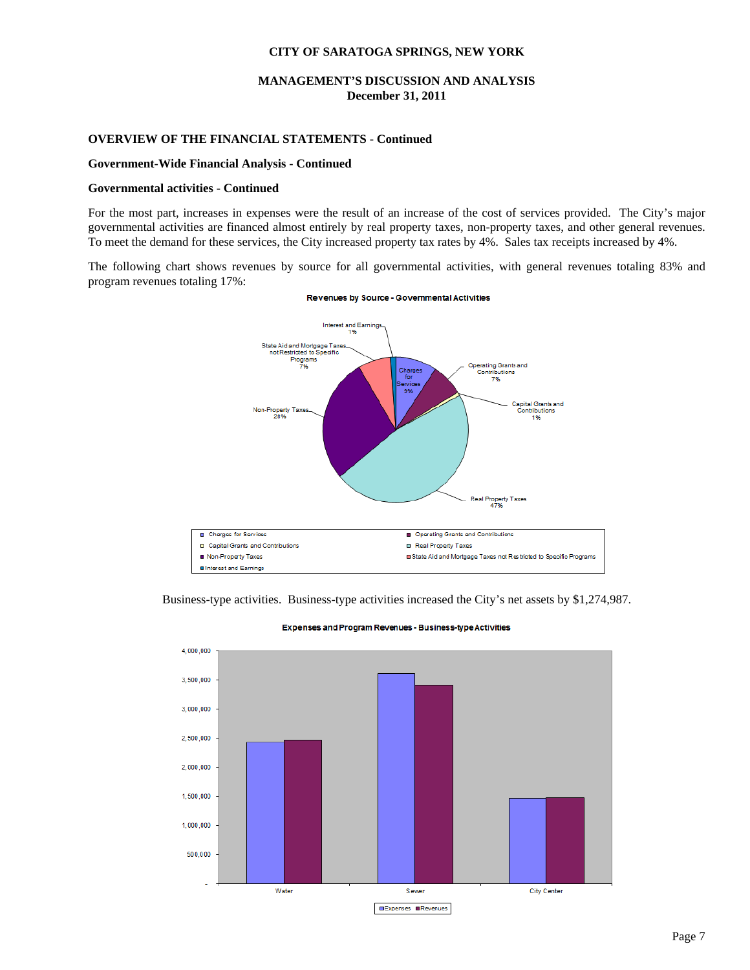## **MANAGEMENT'S DISCUSSION AND ANALYSIS December 31, 2011**

## **OVERVIEW OF THE FINANCIAL STATEMENTS - Continued**

#### **Government-Wide Financial Analysis - Continued**

#### **Governmental activities - Continued**

For the most part, increases in expenses were the result of an increase of the cost of services provided. The City's major governmental activities are financed almost entirely by real property taxes, non-property taxes, and other general revenues. To meet the demand for these services, the City increased property tax rates by 4%. Sales tax receipts increased by 4%.

The following chart shows revenues by source for all governmental activities, with general revenues totaling 83% and program revenues totaling 17%:



#### Revenues by Source - Governmental Activities

Business-type activities. Business-type activities increased the City's net assets by \$1,274,987.



Expenses and Program Revenues - Business-type Activities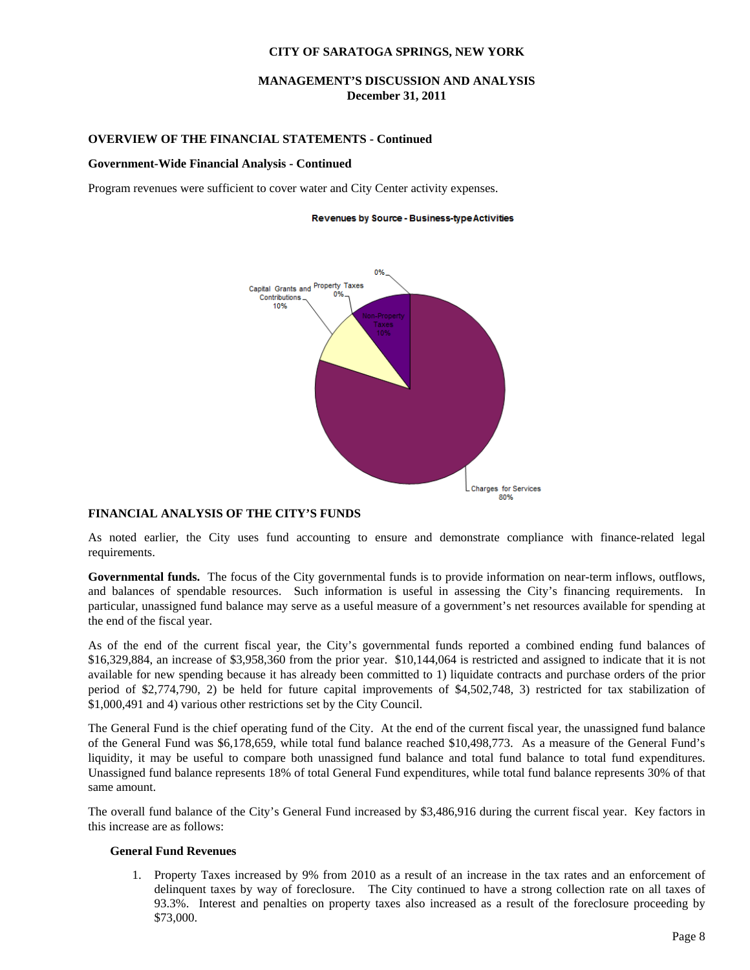**MANAGEMENT'S DISCUSSION AND ANALYSIS December 31, 2011** 

#### **OVERVIEW OF THE FINANCIAL STATEMENTS - Continued**

#### **Government-Wide Financial Analysis - Continued**

Program revenues were sufficient to cover water and City Center activity expenses.

#### Revenues by Source - Business-type Activities



#### **FINANCIAL ANALYSIS OF THE CITY'S FUNDS**

As noted earlier, the City uses fund accounting to ensure and demonstrate compliance with finance-related legal requirements.

**Governmental funds.** The focus of the City governmental funds is to provide information on near-term inflows, outflows, and balances of spendable resources. Such information is useful in assessing the City's financing requirements. In particular, unassigned fund balance may serve as a useful measure of a government's net resources available for spending at the end of the fiscal year.

As of the end of the current fiscal year, the City's governmental funds reported a combined ending fund balances of \$16,329,884, an increase of \$3,958,360 from the prior year. \$10,144,064 is restricted and assigned to indicate that it is not available for new spending because it has already been committed to 1) liquidate contracts and purchase orders of the prior period of \$2,774,790, 2) be held for future capital improvements of \$4,502,748, 3) restricted for tax stabilization of \$1,000,491 and 4) various other restrictions set by the City Council.

The General Fund is the chief operating fund of the City. At the end of the current fiscal year, the unassigned fund balance of the General Fund was \$6,178,659, while total fund balance reached \$10,498,773. As a measure of the General Fund's liquidity, it may be useful to compare both unassigned fund balance and total fund balance to total fund expenditures. Unassigned fund balance represents 18% of total General Fund expenditures, while total fund balance represents 30% of that same amount.

The overall fund balance of the City's General Fund increased by \$3,486,916 during the current fiscal year. Key factors in this increase are as follows:

#### **General Fund Revenues**

1. Property Taxes increased by 9% from 2010 as a result of an increase in the tax rates and an enforcement of delinquent taxes by way of foreclosure. The City continued to have a strong collection rate on all taxes of 93.3%. Interest and penalties on property taxes also increased as a result of the foreclosure proceeding by \$73,000.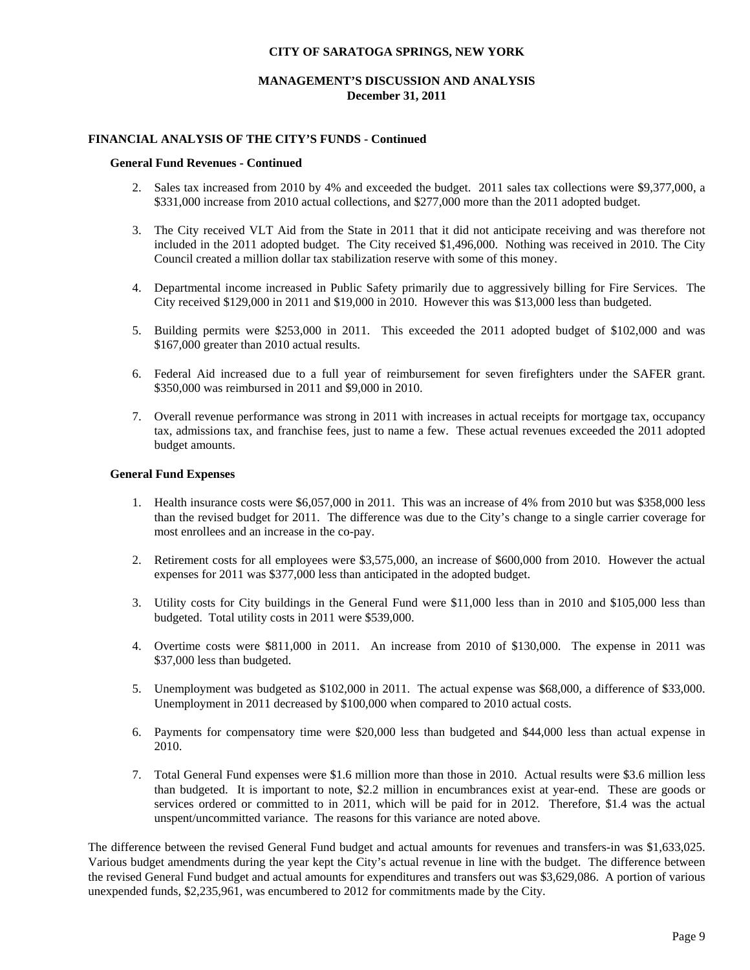## **MANAGEMENT'S DISCUSSION AND ANALYSIS December 31, 2011**

## **FINANCIAL ANALYSIS OF THE CITY'S FUNDS - Continued**

#### **General Fund Revenues - Continued**

- 2. Sales tax increased from 2010 by 4% and exceeded the budget. 2011 sales tax collections were \$9,377,000, a \$331,000 increase from 2010 actual collections, and \$277,000 more than the 2011 adopted budget.
- 3. The City received VLT Aid from the State in 2011 that it did not anticipate receiving and was therefore not included in the 2011 adopted budget. The City received \$1,496,000. Nothing was received in 2010. The City Council created a million dollar tax stabilization reserve with some of this money.
- 4. Departmental income increased in Public Safety primarily due to aggressively billing for Fire Services. The City received \$129,000 in 2011 and \$19,000 in 2010. However this was \$13,000 less than budgeted.
- 5. Building permits were \$253,000 in 2011. This exceeded the 2011 adopted budget of \$102,000 and was \$167,000 greater than 2010 actual results.
- 6. Federal Aid increased due to a full year of reimbursement for seven firefighters under the SAFER grant. \$350,000 was reimbursed in 2011 and \$9,000 in 2010.
- 7. Overall revenue performance was strong in 2011 with increases in actual receipts for mortgage tax, occupancy tax, admissions tax, and franchise fees, just to name a few. These actual revenues exceeded the 2011 adopted budget amounts.

#### **General Fund Expenses**

- 1. Health insurance costs were \$6,057,000 in 2011. This was an increase of 4% from 2010 but was \$358,000 less than the revised budget for 2011. The difference was due to the City's change to a single carrier coverage for most enrollees and an increase in the co-pay.
- 2. Retirement costs for all employees were \$3,575,000, an increase of \$600,000 from 2010. However the actual expenses for 2011 was \$377,000 less than anticipated in the adopted budget.
- 3. Utility costs for City buildings in the General Fund were \$11,000 less than in 2010 and \$105,000 less than budgeted. Total utility costs in 2011 were \$539,000.
- 4. Overtime costs were \$811,000 in 2011. An increase from 2010 of \$130,000. The expense in 2011 was \$37,000 less than budgeted.
- 5. Unemployment was budgeted as \$102,000 in 2011. The actual expense was \$68,000, a difference of \$33,000. Unemployment in 2011 decreased by \$100,000 when compared to 2010 actual costs.
- 6. Payments for compensatory time were \$20,000 less than budgeted and \$44,000 less than actual expense in 2010.
- 7. Total General Fund expenses were \$1.6 million more than those in 2010. Actual results were \$3.6 million less than budgeted. It is important to note, \$2.2 million in encumbrances exist at year-end. These are goods or services ordered or committed to in 2011, which will be paid for in 2012. Therefore, \$1.4 was the actual unspent/uncommitted variance. The reasons for this variance are noted above.

The difference between the revised General Fund budget and actual amounts for revenues and transfers-in was \$1,633,025. Various budget amendments during the year kept the City's actual revenue in line with the budget. The difference between the revised General Fund budget and actual amounts for expenditures and transfers out was \$3,629,086. A portion of various unexpended funds, \$2,235,961, was encumbered to 2012 for commitments made by the City.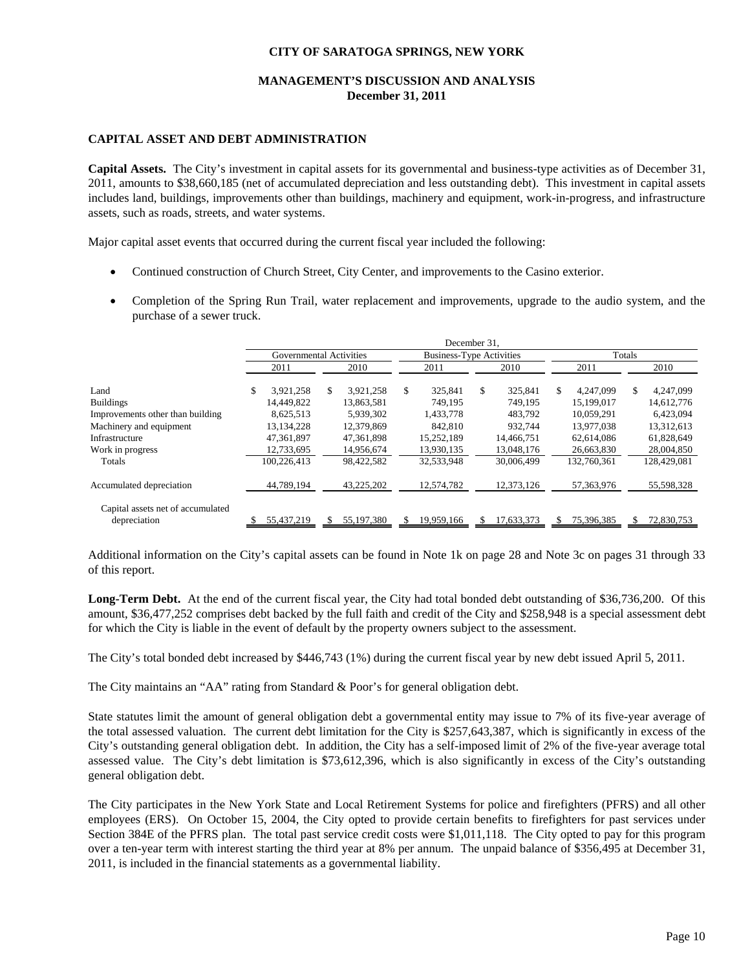## **MANAGEMENT'S DISCUSSION AND ANALYSIS December 31, 2011**

#### **CAPITAL ASSET AND DEBT ADMINISTRATION**

**Capital Assets.** The City's investment in capital assets for its governmental and business-type activities as of December 31, 2011, amounts to \$38,660,185 (net of accumulated depreciation and less outstanding debt). This investment in capital assets includes land, buildings, improvements other than buildings, machinery and equipment, work-in-progress, and infrastructure assets, such as roads, streets, and water systems.

Major capital asset events that occurred during the current fiscal year included the following:

- Continued construction of Church Street, City Center, and improvements to the Casino exterior.
- Completion of the Spring Run Trail, water replacement and improvements, upgrade to the audio system, and the purchase of a sewer truck.

|                                                   | December 31.    |                         |                  |                                 |                |             |  |  |  |  |
|---------------------------------------------------|-----------------|-------------------------|------------------|---------------------------------|----------------|-------------|--|--|--|--|
|                                                   |                 | Governmental Activities |                  | <b>Business-Type Activities</b> | Totals         |             |  |  |  |  |
|                                                   | 2011            | 2010                    | 2011             | 2010                            | 2011           | 2010        |  |  |  |  |
| Land                                              | 3,921,258<br>\$ | \$.<br>3,921,258        | 325.841<br>S.    | \$<br>325,841                   | S<br>4,247,099 | 4,247,099   |  |  |  |  |
| <b>Buildings</b>                                  | 14,449,822      | 13.863.581              | 749.195          | 749.195                         | 15.199.017     | 14,612,776  |  |  |  |  |
| Improvements other than building                  | 8,625,513       | 5,939,302               | 1,433,778        | 483,792                         | 10,059,291     | 6,423,094   |  |  |  |  |
| Machinery and equipment                           | 13, 134, 228    | 12,379,869              | 842,810          | 932.744                         | 13.977.038     | 13,312,613  |  |  |  |  |
| Infrastructure                                    | 47,361,897      | 47,361,898              | 15.252.189       | 14,466,751                      | 62.614.086     | 61,828,649  |  |  |  |  |
| Work in progress                                  | 12,733,695      | 14,956,674              | 13,930,135       | 13,048,176                      | 26,663,830     | 28,004,850  |  |  |  |  |
| Totals                                            | 100,226,413     | 98,422,582              | 32,533,948       | 30,006,499                      | 132,760,361    | 128,429,081 |  |  |  |  |
| Accumulated depreciation                          | 44,789,194      | 43,225,202              | 12,574,782       | 12,373,126                      | 57,363,976     | 55,598,328  |  |  |  |  |
| Capital assets net of accumulated<br>depreciation | 55,437,219      | 55,197,380              | 19,959,166<br>\$ | 17,633,373<br>\$.               | 75,396,385     | 72,830,753  |  |  |  |  |

Additional information on the City's capital assets can be found in Note 1k on page 28 and Note 3c on pages 31 through 33 of this report.

**Long-Term Debt.** At the end of the current fiscal year, the City had total bonded debt outstanding of \$36,736,200. Of this amount, \$36,477,252 comprises debt backed by the full faith and credit of the City and \$258,948 is a special assessment debt for which the City is liable in the event of default by the property owners subject to the assessment.

The City's total bonded debt increased by \$446,743 (1%) during the current fiscal year by new debt issued April 5, 2011.

The City maintains an "AA" rating from Standard & Poor's for general obligation debt.

State statutes limit the amount of general obligation debt a governmental entity may issue to 7% of its five-year average of the total assessed valuation. The current debt limitation for the City is \$257,643,387, which is significantly in excess of the City's outstanding general obligation debt. In addition, the City has a self-imposed limit of 2% of the five-year average total assessed value. The City's debt limitation is \$73,612,396, which is also significantly in excess of the City's outstanding general obligation debt.

The City participates in the New York State and Local Retirement Systems for police and firefighters (PFRS) and all other employees (ERS). On October 15, 2004, the City opted to provide certain benefits to firefighters for past services under Section 384E of the PFRS plan. The total past service credit costs were \$1,011,118. The City opted to pay for this program over a ten-year term with interest starting the third year at 8% per annum. The unpaid balance of \$356,495 at December 31, 2011, is included in the financial statements as a governmental liability.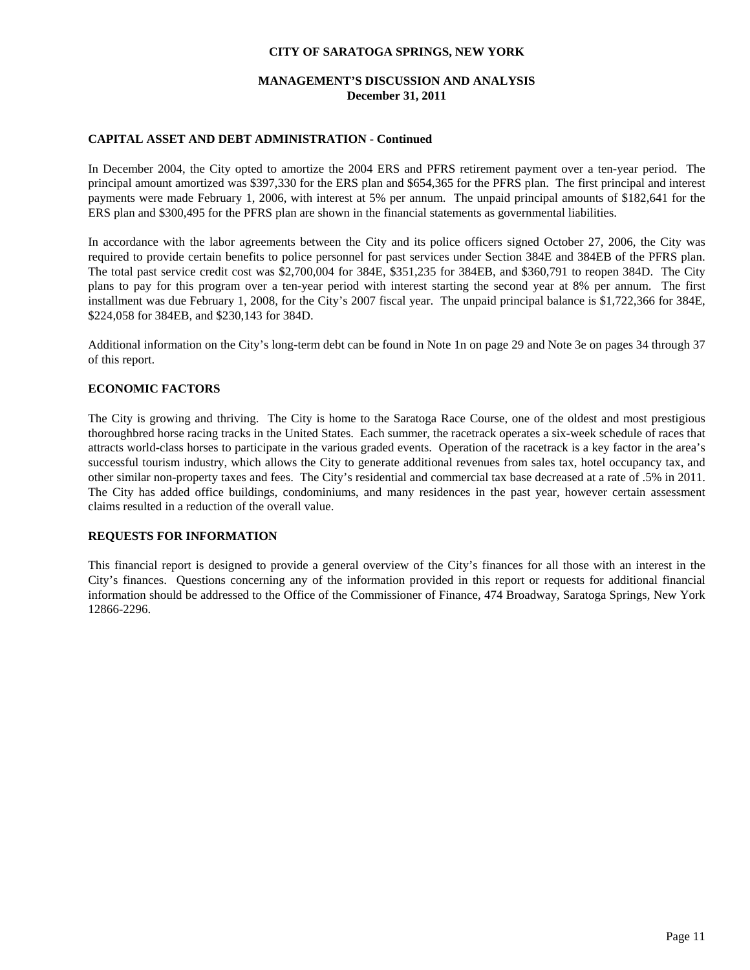## **MANAGEMENT'S DISCUSSION AND ANALYSIS December 31, 2011**

## **CAPITAL ASSET AND DEBT ADMINISTRATION - Continued**

In December 2004, the City opted to amortize the 2004 ERS and PFRS retirement payment over a ten-year period. The principal amount amortized was \$397,330 for the ERS plan and \$654,365 for the PFRS plan. The first principal and interest payments were made February 1, 2006, with interest at 5% per annum. The unpaid principal amounts of \$182,641 for the ERS plan and \$300,495 for the PFRS plan are shown in the financial statements as governmental liabilities.

In accordance with the labor agreements between the City and its police officers signed October 27, 2006, the City was required to provide certain benefits to police personnel for past services under Section 384E and 384EB of the PFRS plan. The total past service credit cost was \$2,700,004 for 384E, \$351,235 for 384EB, and \$360,791 to reopen 384D. The City plans to pay for this program over a ten-year period with interest starting the second year at 8% per annum. The first installment was due February 1, 2008, for the City's 2007 fiscal year. The unpaid principal balance is \$1,722,366 for 384E, \$224,058 for 384EB, and \$230,143 for 384D.

Additional information on the City's long-term debt can be found in Note 1n on page 29 and Note 3e on pages 34 through 37 of this report.

#### **ECONOMIC FACTORS**

The City is growing and thriving. The City is home to the Saratoga Race Course, one of the oldest and most prestigious thoroughbred horse racing tracks in the United States. Each summer, the racetrack operates a six-week schedule of races that attracts world-class horses to participate in the various graded events. Operation of the racetrack is a key factor in the area's successful tourism industry, which allows the City to generate additional revenues from sales tax, hotel occupancy tax, and other similar non-property taxes and fees. The City's residential and commercial tax base decreased at a rate of .5% in 2011. The City has added office buildings, condominiums, and many residences in the past year, however certain assessment claims resulted in a reduction of the overall value.

## **REQUESTS FOR INFORMATION**

This financial report is designed to provide a general overview of the City's finances for all those with an interest in the City's finances. Questions concerning any of the information provided in this report or requests for additional financial information should be addressed to the Office of the Commissioner of Finance, 474 Broadway, Saratoga Springs, New York 12866-2296.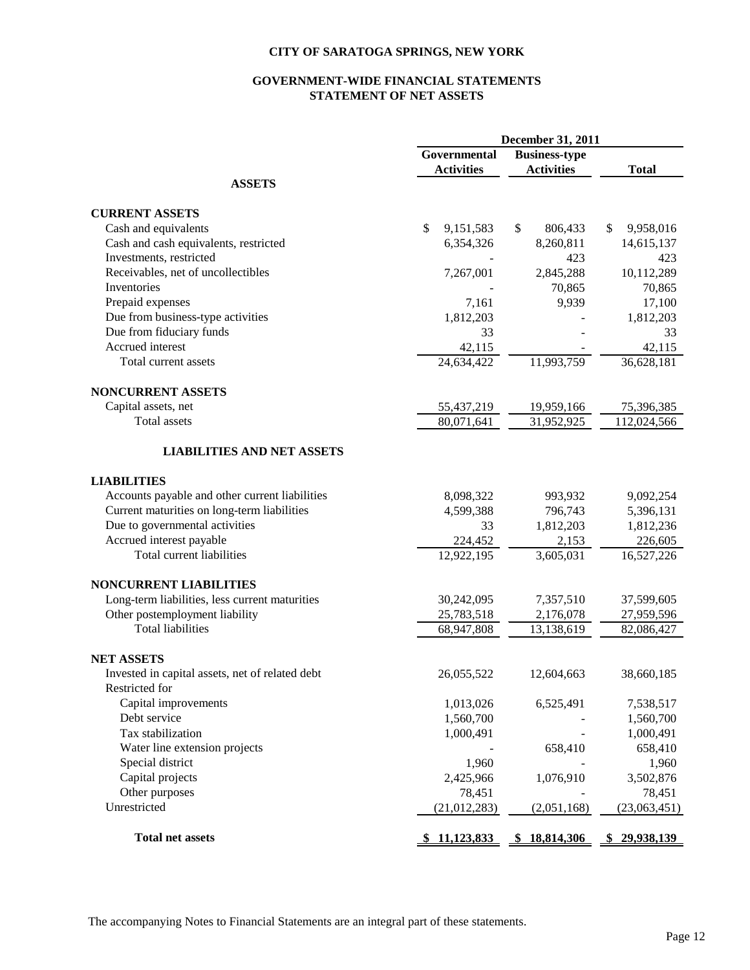# **GOVERNMENT-WIDE FINANCIAL STATEMENTS STATEMENT OF NET ASSETS**

|                                                 | December 31, 2011 |                      |                  |  |  |  |
|-------------------------------------------------|-------------------|----------------------|------------------|--|--|--|
|                                                 | Governmental      | <b>Business-type</b> |                  |  |  |  |
|                                                 | <b>Activities</b> | <b>Activities</b>    | <b>Total</b>     |  |  |  |
| <b>ASSETS</b>                                   |                   |                      |                  |  |  |  |
| <b>CURRENT ASSETS</b>                           |                   |                      |                  |  |  |  |
| Cash and equivalents                            | \$<br>9,151,583   | \$<br>806,433        | \$<br>9,958,016  |  |  |  |
| Cash and cash equivalents, restricted           | 6,354,326         | 8,260,811            | 14,615,137       |  |  |  |
| Investments, restricted                         |                   | 423                  | 423              |  |  |  |
| Receivables, net of uncollectibles              | 7,267,001         | 2,845,288            | 10,112,289       |  |  |  |
| Inventories                                     |                   | 70,865               | 70,865           |  |  |  |
| Prepaid expenses                                | 7,161             | 9,939                | 17,100           |  |  |  |
| Due from business-type activities               | 1,812,203         |                      | 1,812,203        |  |  |  |
| Due from fiduciary funds                        | 33                |                      | 33               |  |  |  |
| Accrued interest                                | 42,115            |                      | 42,115           |  |  |  |
| Total current assets                            | 24,634,422        | 11,993,759           | 36,628,181       |  |  |  |
| NONCURRENT ASSETS                               |                   |                      |                  |  |  |  |
| Capital assets, net                             | 55,437,219        | 19,959,166           | 75,396,385       |  |  |  |
| <b>Total</b> assets                             | 80,071,641        | 31,952,925           | 112,024,566      |  |  |  |
| <b>LIABILITIES AND NET ASSETS</b>               |                   |                      |                  |  |  |  |
| <b>LIABILITIES</b>                              |                   |                      |                  |  |  |  |
| Accounts payable and other current liabilities  | 8,098,322         | 993,932              | 9,092,254        |  |  |  |
| Current maturities on long-term liabilities     | 4,599,388         | 796,743              | 5,396,131        |  |  |  |
| Due to governmental activities                  | 33                | 1,812,203            | 1,812,236        |  |  |  |
| Accrued interest payable                        | 224,452           | 2,153                | 226,605          |  |  |  |
| Total current liabilities                       | 12,922,195        | 3,605,031            | 16,527,226       |  |  |  |
| <b>NONCURRENT LIABILITIES</b>                   |                   |                      |                  |  |  |  |
| Long-term liabilities, less current maturities  | 30,242,095        | 7,357,510            | 37,599,605       |  |  |  |
| Other postemployment liability                  | 25,783,518        | 2,176,078            | 27,959,596       |  |  |  |
| <b>Total liabilities</b>                        | 68,947,808        | 13,138,619           | 82,086,427       |  |  |  |
| <b>NET ASSETS</b>                               |                   |                      |                  |  |  |  |
| Invested in capital assets, net of related debt | 26,055,522        | 12,604,663           | 38,660,185       |  |  |  |
| Restricted for                                  |                   |                      |                  |  |  |  |
| Capital improvements                            | 1,013,026         | 6,525,491            | 7,538,517        |  |  |  |
| Debt service                                    | 1,560,700         |                      | 1,560,700        |  |  |  |
| Tax stabilization                               | 1,000,491         |                      | 1,000,491        |  |  |  |
| Water line extension projects                   |                   | 658,410              | 658,410          |  |  |  |
| Special district                                | 1,960             |                      | 1,960            |  |  |  |
| Capital projects                                | 2,425,966         | 1,076,910            | 3,502,876        |  |  |  |
| Other purposes                                  | 78,451            |                      | 78,451           |  |  |  |
| Unrestricted                                    | (21, 012, 283)    | (2,051,168)          | (23,063,451)     |  |  |  |
| <b>Total net assets</b>                         | \$11,123,833      | 18,814,306<br>SS.    | 29,938,139<br>S. |  |  |  |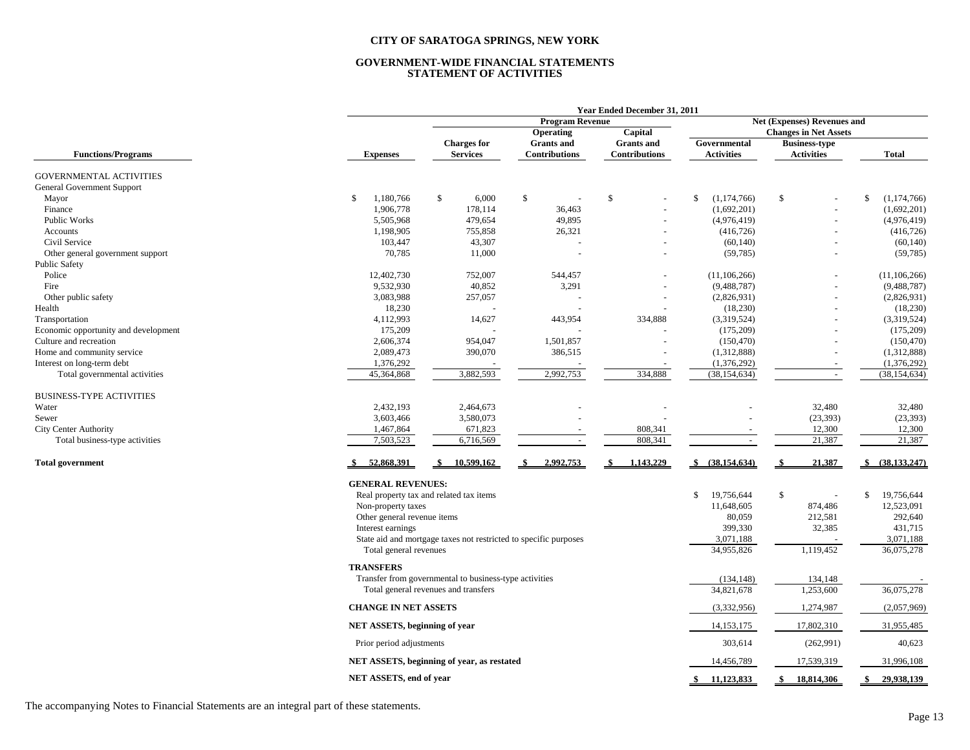#### **GOVERNMENT-WIDE FINANCIAL STATEMENTS STATEMENT OF ACTIVITIES**

|                                      |                               | Year Ended December 31, 2011                                     |                        |                      |                          |                              |                   |  |  |  |  |  |  |
|--------------------------------------|-------------------------------|------------------------------------------------------------------|------------------------|----------------------|--------------------------|------------------------------|-------------------|--|--|--|--|--|--|
|                                      |                               |                                                                  | <b>Program Revenue</b> |                      |                          | Net (Expenses) Revenues and  |                   |  |  |  |  |  |  |
|                                      |                               |                                                                  | Operating              | Capital              |                          | <b>Changes in Net Assets</b> |                   |  |  |  |  |  |  |
|                                      |                               | <b>Charges for</b>                                               | <b>Grants</b> and      | <b>Grants</b> and    | Governmental             | <b>Business-type</b>         |                   |  |  |  |  |  |  |
| <b>Functions/Programs</b>            | <b>Expenses</b>               | <b>Services</b>                                                  | <b>Contributions</b>   | <b>Contributions</b> | <b>Activities</b>        | <b>Activities</b>            | <b>Total</b>      |  |  |  |  |  |  |
| <b>GOVERNMENTAL ACTIVITIES</b>       |                               |                                                                  |                        |                      |                          |                              |                   |  |  |  |  |  |  |
| General Government Support           |                               |                                                                  |                        |                      |                          |                              |                   |  |  |  |  |  |  |
| Mayor                                | 1,180,766<br><sup>\$</sup>    | \$<br>6,000                                                      | \$                     | $\mathbb{S}$         | (1,174,766)<br>\$        | \$                           | \$<br>(1,174,766) |  |  |  |  |  |  |
| Finance                              | 1,906,778                     | 178,114                                                          | 36,463                 |                      | (1,692,201)              |                              | (1,692,201)       |  |  |  |  |  |  |
| <b>Public Works</b>                  | 5,505,968                     | 479,654                                                          | 49,895                 |                      | (4,976,419)              |                              | (4,976,419)       |  |  |  |  |  |  |
| Accounts                             | 1,198,905                     | 755,858                                                          | 26,321                 |                      | (416, 726)               |                              | (416, 726)        |  |  |  |  |  |  |
| Civil Service                        | 103,447                       | 43,307                                                           |                        |                      | (60, 140)                |                              | (60, 140)         |  |  |  |  |  |  |
| Other general government support     | 70,785                        | 11,000                                                           |                        |                      | (59, 785)                |                              | (59, 785)         |  |  |  |  |  |  |
| <b>Public Safety</b>                 |                               |                                                                  |                        |                      |                          |                              |                   |  |  |  |  |  |  |
| Police                               | 12,402,730                    | 752,007                                                          | 544,457                |                      | (11, 106, 266)           |                              | (11, 106, 266)    |  |  |  |  |  |  |
| Fire                                 | 9,532,930                     | 40,852                                                           | 3,291                  |                      | (9,488,787)              |                              | (9,488,787)       |  |  |  |  |  |  |
| Other public safety                  | 3,083,988                     | 257,057                                                          |                        |                      | (2,826,931)              |                              | (2,826,931)       |  |  |  |  |  |  |
| Health                               | 18,230                        |                                                                  |                        |                      | (18,230)                 |                              | (18,230)          |  |  |  |  |  |  |
| Transportation                       | 4,112,993                     | 14,627                                                           | 443,954                | 334,888              | (3,319,524)              |                              | (3,319,524)       |  |  |  |  |  |  |
| Economic opportunity and development | 175,209                       |                                                                  |                        |                      | (175,209)                |                              | (175, 209)        |  |  |  |  |  |  |
| Culture and recreation               | 2,606,374                     | 954,047                                                          | 1,501,857              |                      | (150, 470)               |                              | (150, 470)        |  |  |  |  |  |  |
| Home and community service           | 2,089,473                     | 390,070                                                          | 386,515                |                      | (1,312,888)              |                              | (1,312,888)       |  |  |  |  |  |  |
| Interest on long-term debt           | 1,376,292                     |                                                                  |                        |                      | (1,376,292)              |                              | (1,376,292)       |  |  |  |  |  |  |
| Total governmental activities        | 45,364,868                    | 3,882,593                                                        | 2,992,753              | 334,888              | (38, 154, 634)           | $\sim$                       | (38, 154, 634)    |  |  |  |  |  |  |
|                                      |                               |                                                                  |                        |                      |                          |                              |                   |  |  |  |  |  |  |
| <b>BUSINESS-TYPE ACTIVITIES</b>      |                               |                                                                  |                        |                      |                          |                              |                   |  |  |  |  |  |  |
| Water                                | 2,432,193                     | 2,464,673                                                        |                        |                      |                          | 32,480                       | 32,480            |  |  |  |  |  |  |
| Sewer                                | 3,603,466                     | 3,580,073                                                        |                        |                      |                          | (23, 393)                    | (23, 393)         |  |  |  |  |  |  |
| <b>City Center Authority</b>         | 1,467,864                     | 671,823                                                          |                        | 808,341              |                          | 12,300                       | 12,300            |  |  |  |  |  |  |
| Total business-type activities       | 7,503,523                     | 6,716,569                                                        | $\sim$                 | 808,341              | $\sim$                   | 21,387                       | 21,387            |  |  |  |  |  |  |
| <b>Total government</b>              | 52,868,391                    | 10,599,162                                                       | 2,992,753              | 1,143,229            | \$ (38,154,634)          | 21,387                       | (38, 133, 247)    |  |  |  |  |  |  |
|                                      |                               |                                                                  |                        |                      |                          |                              |                   |  |  |  |  |  |  |
|                                      | <b>GENERAL REVENUES:</b>      | Real property tax and related tax items                          |                        |                      | 19,756,644<br>\$         | \$<br>$\sim$                 | \$<br>19,756,644  |  |  |  |  |  |  |
|                                      | Non-property taxes            |                                                                  |                        |                      | 11,648,605               | 874,486                      | 12,523,091        |  |  |  |  |  |  |
|                                      | Other general revenue items   |                                                                  |                        |                      | 80,059                   | 212,581                      | 292,640           |  |  |  |  |  |  |
|                                      | Interest earnings             |                                                                  |                        |                      | 399,330                  | 32,385                       | 431,715           |  |  |  |  |  |  |
|                                      |                               | State aid and mortgage taxes not restricted to specific purposes |                        |                      | 3,071,188                |                              | 3,071,188         |  |  |  |  |  |  |
|                                      | Total general revenues        |                                                                  |                        |                      | 34,955,826               | 1,119,452                    | 36,075,278        |  |  |  |  |  |  |
|                                      |                               |                                                                  |                        |                      |                          |                              |                   |  |  |  |  |  |  |
|                                      | <b>TRANSFERS</b>              |                                                                  |                        |                      |                          |                              |                   |  |  |  |  |  |  |
|                                      |                               | Transfer from governmental to business-type activities           |                        |                      | (134, 148)<br>34,821,678 | 134,148<br>1,253,600         | 36,075,278        |  |  |  |  |  |  |
|                                      |                               | Total general revenues and transfers                             |                        |                      |                          |                              |                   |  |  |  |  |  |  |
|                                      | <b>CHANGE IN NET ASSETS</b>   |                                                                  |                        |                      | (3,332,956)              | 1,274,987                    | (2,057,969)       |  |  |  |  |  |  |
|                                      | NET ASSETS, beginning of year |                                                                  |                        |                      | 14, 153, 175             | 17,802,310                   | 31,955,485        |  |  |  |  |  |  |
|                                      | Prior period adjustments      |                                                                  |                        |                      | 303,614                  | (262,991)                    | 40,623            |  |  |  |  |  |  |
|                                      |                               | NET ASSETS, beginning of year, as restated                       |                        |                      | 14,456,789               | 17,539,319                   | 31,996,108        |  |  |  |  |  |  |
|                                      | NET ASSETS, end of year       |                                                                  |                        |                      | \$11,123,833             | 18,814,306<br>\$             | \$<br>29.938.139  |  |  |  |  |  |  |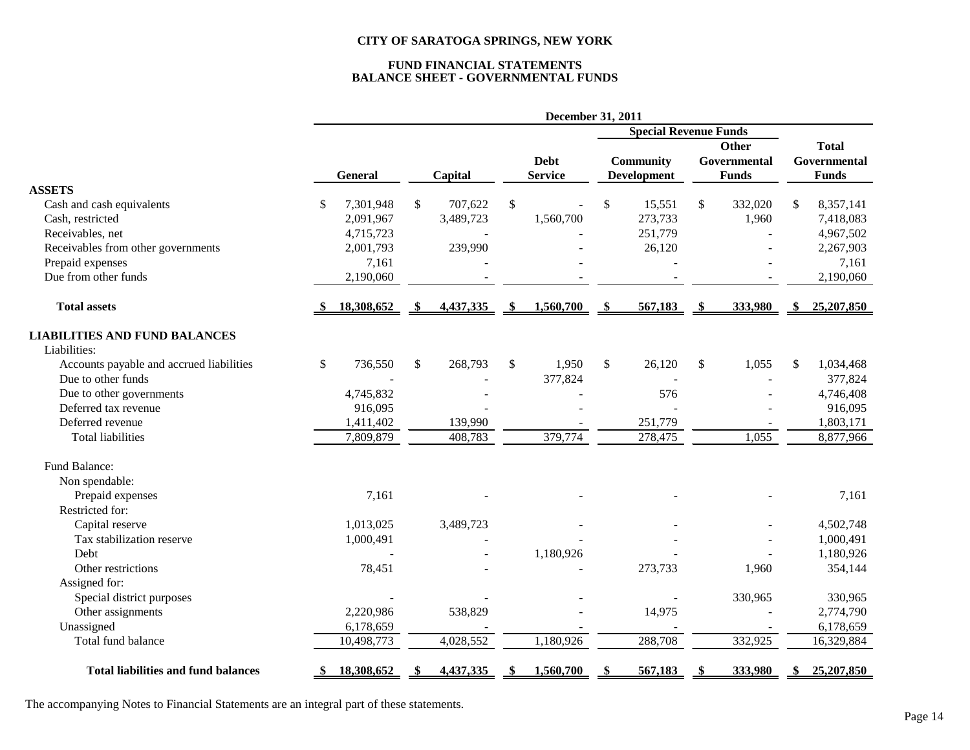# **FUND FINANCIAL STATEMENTS BALANCE SHEET - GOVERNMENTAL FUNDS**

|                                            | December 31, 2011 |    |           |     |                              |     |                    |              |              |              |              |
|--------------------------------------------|-------------------|----|-----------|-----|------------------------------|-----|--------------------|--------------|--------------|--------------|--------------|
|                                            |                   |    |           |     | <b>Special Revenue Funds</b> |     |                    |              |              |              |              |
|                                            |                   |    |           |     |                              |     |                    | <b>Other</b> |              | <b>Total</b> |              |
|                                            |                   |    |           |     | <b>Debt</b>                  |     | Community          |              | Governmental |              | Governmental |
|                                            | <b>General</b>    |    | Capital   |     | <b>Service</b>               |     | <b>Development</b> |              | <b>Funds</b> |              | <b>Funds</b> |
| <b>ASSETS</b>                              |                   |    |           |     |                              |     |                    |              |              |              |              |
| Cash and cash equivalents                  | 7,301,948<br>\$   | \$ | 707,622   | \$  |                              | \$  | 15,551             | \$           | 332,020      | \$           | 8,357,141    |
| Cash, restricted                           | 2,091,967         |    | 3,489,723 |     | 1,560,700                    |     | 273,733            |              | 1,960        |              | 7,418,083    |
| Receivables, net                           | 4,715,723         |    |           |     |                              |     | 251,779            |              |              |              | 4,967,502    |
| Receivables from other governments         | 2,001,793         |    | 239,990   |     |                              |     | 26,120             |              |              |              | 2,267,903    |
| Prepaid expenses                           | 7,161             |    |           |     |                              |     |                    |              |              |              | 7,161        |
| Due from other funds                       | 2,190,060         |    |           |     |                              |     |                    |              |              |              | 2,190,060    |
| <b>Total assets</b>                        | 18,308,652        |    | 4,437,335 | -SS | 1,560,700                    | -SS | 567,183            | -\$          | 333,980      |              | 25,207,850   |
| <b>LIABILITIES AND FUND BALANCES</b>       |                   |    |           |     |                              |     |                    |              |              |              |              |
| Liabilities:                               |                   |    |           |     |                              |     |                    |              |              |              |              |
| Accounts payable and accrued liabilities   | \$<br>736,550     | \$ | 268,793   | \$  | 1,950                        | \$  | 26,120             | \$           | 1,055        | \$           | 1,034,468    |
| Due to other funds                         |                   |    |           |     | 377,824                      |     |                    |              |              |              | 377,824      |
| Due to other governments                   | 4,745,832         |    |           |     |                              |     | 576                |              |              |              | 4,746,408    |
| Deferred tax revenue                       | 916,095           |    |           |     |                              |     |                    |              |              |              | 916,095      |
| Deferred revenue                           | 1,411,402         |    | 139,990   |     |                              |     | 251,779            |              |              |              | 1,803,171    |
| <b>Total liabilities</b>                   | 7,809,879         |    | 408,783   |     | 379,774                      |     | 278,475            |              | 1,055        |              | 8,877,966    |
| Fund Balance:                              |                   |    |           |     |                              |     |                    |              |              |              |              |
| Non spendable:                             |                   |    |           |     |                              |     |                    |              |              |              |              |
| Prepaid expenses                           | 7,161             |    |           |     |                              |     |                    |              |              |              | 7,161        |
| Restricted for:                            |                   |    |           |     |                              |     |                    |              |              |              |              |
| Capital reserve                            | 1,013,025         |    | 3,489,723 |     |                              |     |                    |              |              |              | 4,502,748    |
| Tax stabilization reserve                  | 1,000,491         |    |           |     |                              |     |                    |              |              |              | 1,000,491    |
| Debt                                       |                   |    | $\sim$    |     | 1,180,926                    |     |                    |              |              |              | 1,180,926    |
| Other restrictions                         | 78,451            |    |           |     |                              |     | 273,733            |              | 1,960        |              | 354,144      |
| Assigned for:                              |                   |    |           |     |                              |     |                    |              |              |              |              |
| Special district purposes                  |                   |    |           |     |                              |     |                    |              | 330,965      |              | 330,965      |
| Other assignments                          | 2,220,986         |    | 538,829   |     |                              |     | 14,975             |              |              |              | 2,774,790    |
| Unassigned                                 | 6,178,659         |    |           |     |                              |     |                    |              |              |              | 6,178,659    |
| Total fund balance                         | 10,498,773        |    | 4,028,552 |     | 1,180,926                    |     | 288,708            |              | 332,925      |              | 16,329,884   |
| <b>Total liabilities and fund balances</b> | 18,308,652        |    | 4,437,335 |     | 1,560,700                    |     | 567,183            |              | 333,980      |              | 25,207,850   |

The accompanying Notes to Financial Statements are an integral part of these statements.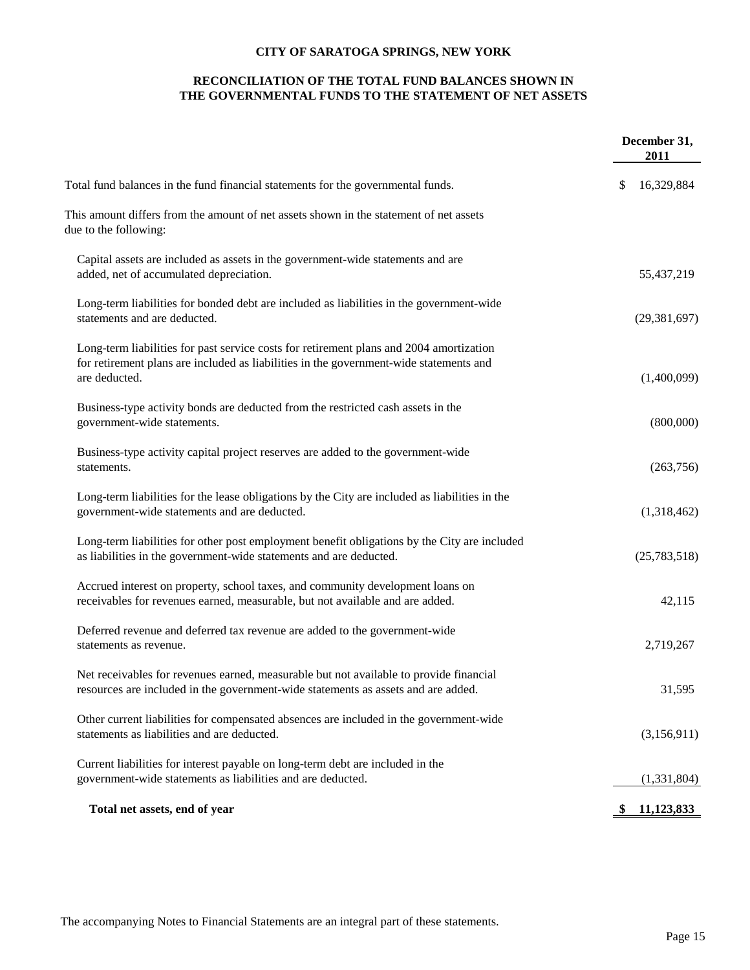## **RECONCILIATION OF THE TOTAL FUND BALANCES SHOWN IN THE GOVERNMENTAL FUNDS TO THE STATEMENT OF NET ASSETS**

|                                                                                                                                                                                                    | December 31,<br>2011 |
|----------------------------------------------------------------------------------------------------------------------------------------------------------------------------------------------------|----------------------|
| Total fund balances in the fund financial statements for the governmental funds.                                                                                                                   | 16,329,884<br>\$     |
| This amount differs from the amount of net assets shown in the statement of net assets<br>due to the following:                                                                                    |                      |
| Capital assets are included as assets in the government-wide statements and are<br>added, net of accumulated depreciation.                                                                         | 55,437,219           |
| Long-term liabilities for bonded debt are included as liabilities in the government-wide<br>statements and are deducted.                                                                           | (29, 381, 697)       |
| Long-term liabilities for past service costs for retirement plans and 2004 amortization<br>for retirement plans are included as liabilities in the government-wide statements and<br>are deducted. | (1,400,099)          |
| Business-type activity bonds are deducted from the restricted cash assets in the<br>government-wide statements.                                                                                    | (800,000)            |
| Business-type activity capital project reserves are added to the government-wide<br>statements.                                                                                                    | (263,756)            |
| Long-term liabilities for the lease obligations by the City are included as liabilities in the<br>government-wide statements and are deducted.                                                     | (1,318,462)          |
| Long-term liabilities for other post employment benefit obligations by the City are included<br>as liabilities in the government-wide statements and are deducted.                                 | (25,783,518)         |
| Accrued interest on property, school taxes, and community development loans on<br>receivables for revenues earned, measurable, but not available and are added.                                    | 42,115               |
| Deferred revenue and deferred tax revenue are added to the government-wide<br>statements as revenue.                                                                                               | 2,719,267            |
| Net receivables for revenues earned, measurable but not available to provide financial<br>resources are included in the government-wide statements as assets and are added.                        | 31,595               |
| Other current liabilities for compensated absences are included in the government-wide<br>statements as liabilities and are deducted.                                                              | (3,156,911)          |
| Current liabilities for interest payable on long-term debt are included in the<br>government-wide statements as liabilities and are deducted.                                                      | (1,331,804)          |
| Total net assets, end of year                                                                                                                                                                      | <u>11,123,833</u>    |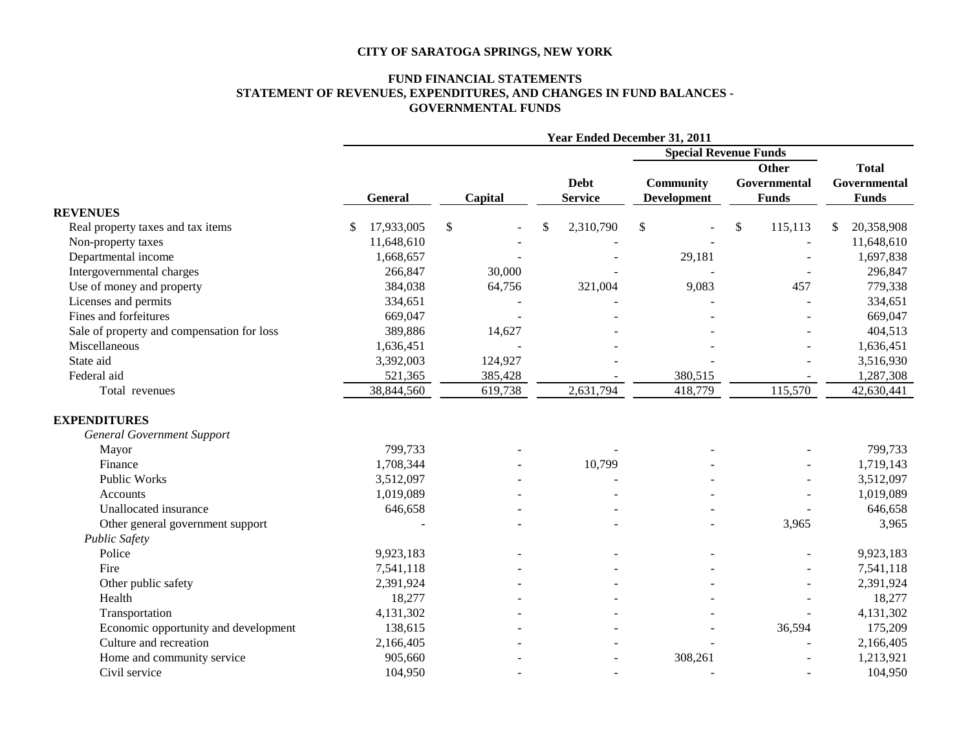#### **FUND FINANCIAL STATEMENTS STATEMENT OF REVENUES, EXPENDITURES, AND CHANGES IN FUND BALANCES - GOVERNMENTAL FUNDS**

|                                            | <b>Year Ended December 31, 2011</b> |         |                 |                    |                              |                  |  |  |
|--------------------------------------------|-------------------------------------|---------|-----------------|--------------------|------------------------------|------------------|--|--|
|                                            |                                     |         |                 |                    | <b>Special Revenue Funds</b> |                  |  |  |
|                                            |                                     |         |                 |                    | Other                        | <b>Total</b>     |  |  |
|                                            |                                     |         |                 | <b>Community</b>   | Governmental                 | Governmental     |  |  |
|                                            | <b>General</b>                      | Capital | <b>Service</b>  | <b>Development</b> | <b>Funds</b>                 | <b>Funds</b>     |  |  |
| <b>REVENUES</b>                            |                                     |         |                 |                    |                              |                  |  |  |
| Real property taxes and tax items          | 17,933,005                          | \$      | 2,310,790<br>\$ | $\mathcal{S}$      | \$<br>115,113                | 20,358,908<br>\$ |  |  |
| Non-property taxes                         | 11,648,610                          |         |                 |                    |                              | 11,648,610       |  |  |
| Departmental income                        | 1,668,657                           |         |                 | 29,181             |                              | 1,697,838        |  |  |
| Intergovernmental charges                  | 266,847                             | 30,000  |                 |                    |                              | 296,847          |  |  |
| Use of money and property                  | 384,038                             | 64,756  | 321,004         | 9,083              | 457                          | 779,338          |  |  |
| Licenses and permits                       | 334,651                             |         |                 |                    |                              | 334,651          |  |  |
| Fines and forfeitures                      | 669,047                             |         |                 |                    |                              | 669,047          |  |  |
| Sale of property and compensation for loss | 389,886                             | 14,627  |                 |                    |                              | 404,513          |  |  |
| Miscellaneous                              | 1,636,451                           |         |                 |                    |                              | 1,636,451        |  |  |
| State aid                                  | 3,392,003                           | 124,927 |                 |                    |                              | 3,516,930        |  |  |
| Federal aid                                | 521,365                             | 385,428 |                 | 380,515            |                              | 1,287,308        |  |  |
| Total revenues                             | 38,844,560                          | 619,738 | 2,631,794       | 418,779            | 115,570                      | 42,630,441       |  |  |
| <b>EXPENDITURES</b>                        |                                     |         |                 |                    |                              |                  |  |  |
| <b>General Government Support</b>          |                                     |         |                 |                    |                              |                  |  |  |
| Mayor                                      | 799,733                             |         |                 |                    |                              | 799,733          |  |  |
| Finance                                    | 1,708,344                           |         | 10,799          |                    |                              | 1,719,143        |  |  |
| <b>Public Works</b>                        | 3,512,097                           |         |                 |                    |                              | 3,512,097        |  |  |
| <b>Accounts</b>                            | 1,019,089                           |         |                 |                    |                              | 1,019,089        |  |  |
| Unallocated insurance                      | 646,658                             |         |                 |                    |                              | 646,658          |  |  |
| Other general government support           |                                     |         |                 |                    | 3,965                        | 3,965            |  |  |
| <b>Public Safety</b>                       |                                     |         |                 |                    |                              |                  |  |  |
| Police                                     | 9,923,183                           |         |                 |                    |                              | 9,923,183        |  |  |
| Fire                                       | 7,541,118                           |         |                 |                    |                              | 7,541,118        |  |  |
| Other public safety                        | 2,391,924                           |         |                 |                    |                              | 2,391,924        |  |  |
| Health                                     | 18,277                              |         |                 |                    |                              | 18,277           |  |  |
| Transportation                             | 4,131,302                           |         |                 |                    |                              | 4,131,302        |  |  |
| Economic opportunity and development       | 138,615                             |         |                 |                    | 36,594                       | 175,209          |  |  |
| Culture and recreation                     | 2,166,405                           |         |                 |                    |                              | 2,166,405        |  |  |
| Home and community service                 | 905,660                             |         |                 | 308,261            |                              | 1,213,921        |  |  |
| Civil service                              | 104,950                             |         |                 |                    |                              | 104,950          |  |  |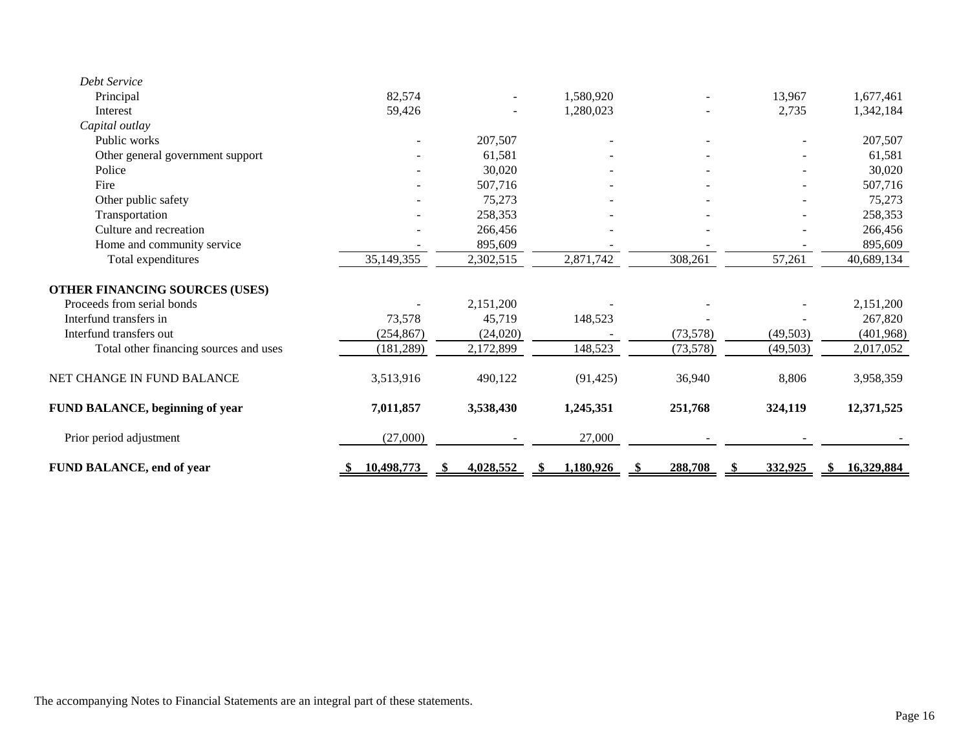| Debt Service                           |              |           |           |           |           |            |
|----------------------------------------|--------------|-----------|-----------|-----------|-----------|------------|
| Principal                              | 82,574       |           | 1,580,920 |           | 13,967    | 1,677,461  |
| Interest                               | 59,426       |           | 1,280,023 |           | 2,735     | 1,342,184  |
| Capital outlay                         |              |           |           |           |           |            |
| Public works                           |              | 207,507   |           |           |           | 207,507    |
| Other general government support       |              | 61,581    |           |           |           | 61,581     |
| Police                                 |              | 30,020    |           |           |           | 30,020     |
| Fire                                   |              | 507,716   |           |           |           | 507,716    |
| Other public safety                    |              | 75,273    |           |           |           | 75,273     |
| Transportation                         |              | 258,353   |           |           |           | 258,353    |
| Culture and recreation                 |              | 266,456   |           |           |           | 266,456    |
| Home and community service             |              | 895,609   |           |           |           | 895,609    |
| Total expenditures                     | 35, 149, 355 | 2,302,515 | 2,871,742 | 308,261   | 57,261    | 40,689,134 |
| <b>OTHER FINANCING SOURCES (USES)</b>  |              |           |           |           |           |            |
| Proceeds from serial bonds             |              | 2,151,200 |           |           |           | 2,151,200  |
| Interfund transfers in                 | 73,578       | 45,719    | 148,523   |           |           | 267,820    |
| Interfund transfers out                | (254, 867)   | (24, 020) |           | (73, 578) | (49, 503) | (401, 968) |
| Total other financing sources and uses | (181, 289)   | 2,172,899 | 148,523   | (73, 578) | (49, 503) | 2,017,052  |
| NET CHANGE IN FUND BALANCE             | 3,513,916    | 490,122   | (91, 425) | 36,940    | 8,806     | 3,958,359  |
| <b>FUND BALANCE, beginning of year</b> | 7,011,857    | 3,538,430 | 1,245,351 | 251,768   | 324,119   | 12,371,525 |
| Prior period adjustment                | (27,000)     |           | 27,000    |           |           |            |
| <b>FUND BALANCE, end of year</b>       | 10,498,773   | 4,028,552 | 1,180,926 | 288,708   | 332,925   | 16,329,884 |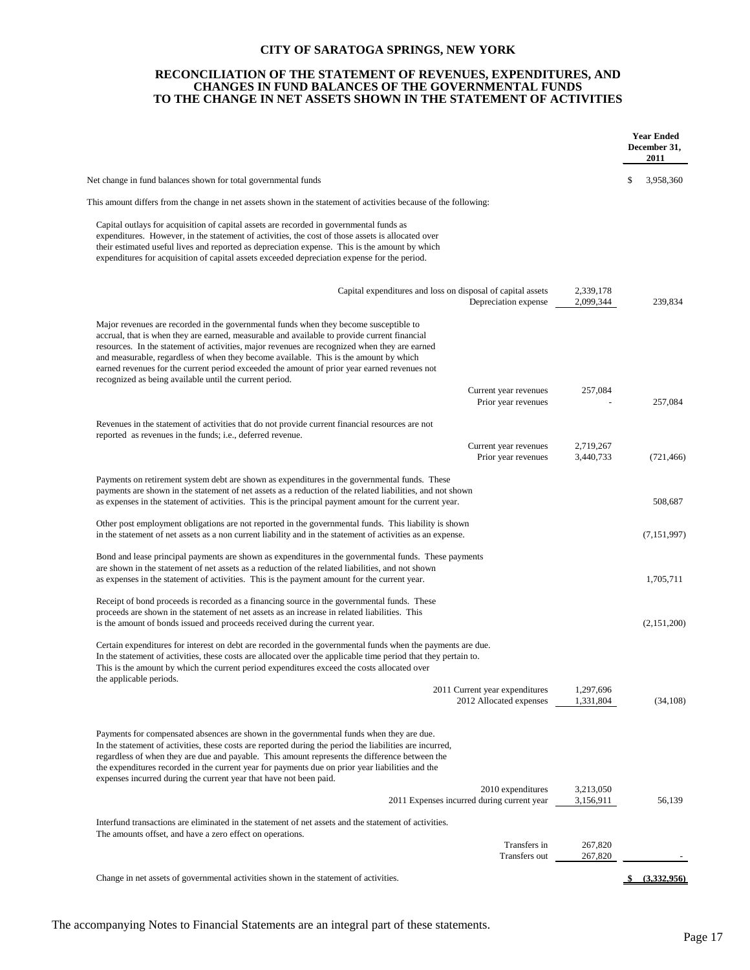#### **RECONCILIATION OF THE STATEMENT OF REVENUES, EXPENDITURES, AND CHANGES IN FUND BALANCES OF THE GOVERNMENTAL FUNDS TO THE CHANGE IN NET ASSETS SHOWN IN THE STATEMENT OF ACTIVITIES**

|                                                                                                                                                                                                                                                                                                                                                                                                                                                                                                                                            |                                                                 |                        | <b>Year Ended</b><br>December 31,<br>2011 |
|--------------------------------------------------------------------------------------------------------------------------------------------------------------------------------------------------------------------------------------------------------------------------------------------------------------------------------------------------------------------------------------------------------------------------------------------------------------------------------------------------------------------------------------------|-----------------------------------------------------------------|------------------------|-------------------------------------------|
| Net change in fund balances shown for total governmental funds                                                                                                                                                                                                                                                                                                                                                                                                                                                                             |                                                                 |                        | \$<br>3,958,360                           |
| This amount differs from the change in net assets shown in the statement of activities because of the following:                                                                                                                                                                                                                                                                                                                                                                                                                           |                                                                 |                        |                                           |
| Capital outlays for acquisition of capital assets are recorded in governmental funds as<br>expenditures. However, in the statement of activities, the cost of those assets is allocated over<br>their estimated useful lives and reported as depreciation expense. This is the amount by which<br>expenditures for acquisition of capital assets exceeded depreciation expense for the period.                                                                                                                                             |                                                                 |                        |                                           |
| Capital expenditures and loss on disposal of capital assets                                                                                                                                                                                                                                                                                                                                                                                                                                                                                | Depreciation expense                                            | 2,339,178<br>2,099,344 | 239,834                                   |
| Major revenues are recorded in the governmental funds when they become susceptible to<br>accrual, that is when they are earned, measurable and available to provide current financial<br>resources. In the statement of activities, major revenues are recognized when they are earned<br>and measurable, regardless of when they become available. This is the amount by which<br>earned revenues for the current period exceeded the amount of prior year earned revenues not<br>recognized as being available until the current period. |                                                                 |                        |                                           |
|                                                                                                                                                                                                                                                                                                                                                                                                                                                                                                                                            | Current year revenues<br>Prior year revenues                    | 257,084                | 257,084                                   |
| Revenues in the statement of activities that do not provide current financial resources are not                                                                                                                                                                                                                                                                                                                                                                                                                                            |                                                                 |                        |                                           |
| reported as revenues in the funds; i.e., deferred revenue.                                                                                                                                                                                                                                                                                                                                                                                                                                                                                 | Current year revenues<br>Prior year revenues                    | 2,719,267<br>3,440,733 | (721, 466)                                |
| Payments on retirement system debt are shown as expenditures in the governmental funds. These<br>payments are shown in the statement of net assets as a reduction of the related liabilities, and not shown<br>as expenses in the statement of activities. This is the principal payment amount for the current year.                                                                                                                                                                                                                      |                                                                 |                        | 508,687                                   |
| Other post employment obligations are not reported in the governmental funds. This liability is shown<br>in the statement of net assets as a non current liability and in the statement of activities as an expense.                                                                                                                                                                                                                                                                                                                       |                                                                 |                        | (7,151,997)                               |
| Bond and lease principal payments are shown as expenditures in the governmental funds. These payments<br>are shown in the statement of net assets as a reduction of the related liabilities, and not shown<br>as expenses in the statement of activities. This is the payment amount for the current year.                                                                                                                                                                                                                                 |                                                                 |                        | 1,705,711                                 |
| Receipt of bond proceeds is recorded as a financing source in the governmental funds. These<br>proceeds are shown in the statement of net assets as an increase in related liabilities. This<br>is the amount of bonds issued and proceeds received during the current year.                                                                                                                                                                                                                                                               |                                                                 |                        | (2,151,200)                               |
| Certain expenditures for interest on debt are recorded in the governmental funds when the payments are due.<br>In the statement of activities, these costs are allocated over the applicable time period that they pertain to.<br>This is the amount by which the current period expenditures exceed the costs allocated over                                                                                                                                                                                                              |                                                                 |                        |                                           |
| the applicable periods.                                                                                                                                                                                                                                                                                                                                                                                                                                                                                                                    | 2011 Current year expenditures<br>2012 Allocated expenses       | 1,297,696<br>1,331,804 | (34, 108)                                 |
| Payments for compensated absences are shown in the governmental funds when they are due.<br>In the statement of activities, these costs are reported during the period the liabilities are incurred,<br>regardless of when they are due and payable. This amount represents the difference between the<br>the expenditures recorded in the current year for payments due on prior year liabilities and the<br>expenses incurred during the current year that have not been paid.                                                           |                                                                 |                        |                                           |
|                                                                                                                                                                                                                                                                                                                                                                                                                                                                                                                                            | 2010 expenditures<br>2011 Expenses incurred during current year | 3,213,050<br>3,156,911 | 56,139                                    |
| Interfund transactions are eliminated in the statement of net assets and the statement of activities.                                                                                                                                                                                                                                                                                                                                                                                                                                      |                                                                 |                        |                                           |
| The amounts offset, and have a zero effect on operations.                                                                                                                                                                                                                                                                                                                                                                                                                                                                                  | Transfers in<br>Transfers out                                   | 267,820<br>267,820     |                                           |
| Change in net assets of governmental activities shown in the statement of activities.                                                                                                                                                                                                                                                                                                                                                                                                                                                      |                                                                 |                        | (3,332,956)                               |
|                                                                                                                                                                                                                                                                                                                                                                                                                                                                                                                                            |                                                                 |                        |                                           |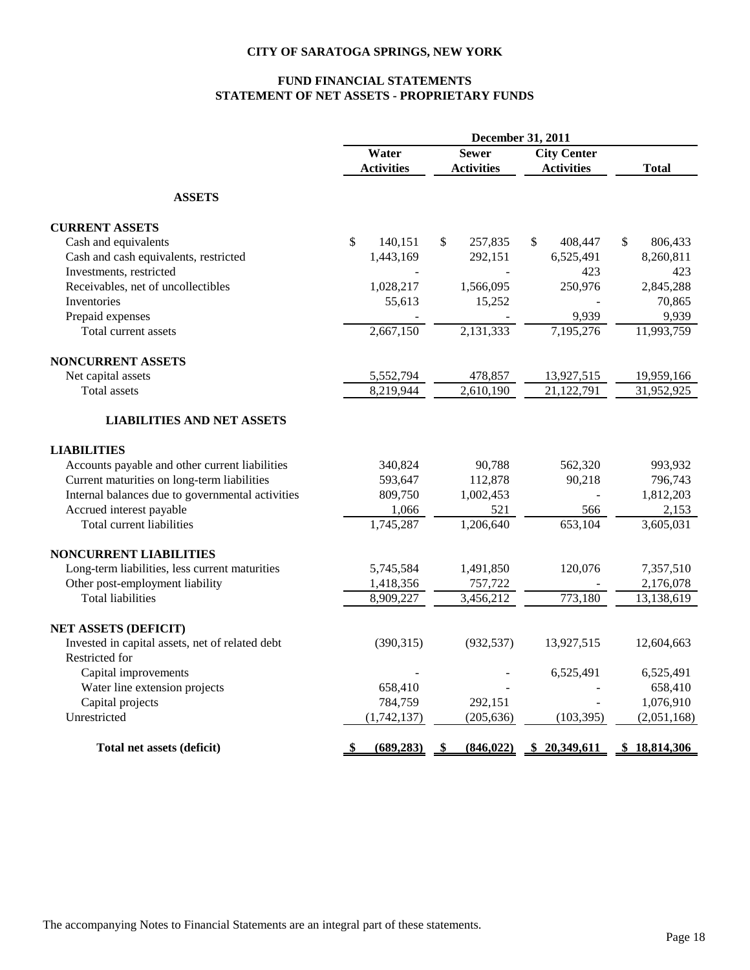## **FUND FINANCIAL STATEMENTS STATEMENT OF NET ASSETS - PROPRIETARY FUNDS**

|                                                       | December 31, 2011       |                   |                    |                      |  |  |  |  |
|-------------------------------------------------------|-------------------------|-------------------|--------------------|----------------------|--|--|--|--|
|                                                       | Water                   | <b>Sewer</b>      | <b>City Center</b> |                      |  |  |  |  |
|                                                       | <b>Activities</b>       | <b>Activities</b> | <b>Activities</b>  | <b>Total</b>         |  |  |  |  |
| <b>ASSETS</b>                                         |                         |                   |                    |                      |  |  |  |  |
| <b>CURRENT ASSETS</b>                                 |                         |                   |                    |                      |  |  |  |  |
| Cash and equivalents                                  | $\mathbb{S}$<br>140,151 | \$<br>257,835     | \$<br>408,447      | \$<br>806,433        |  |  |  |  |
| Cash and cash equivalents, restricted                 | 1,443,169               | 292,151           | 6,525,491          | 8,260,811            |  |  |  |  |
| Investments, restricted                               |                         |                   | 423                | 423                  |  |  |  |  |
| Receivables, net of uncollectibles                    | 1,028,217               | 1,566,095         | 250,976            | 2,845,288            |  |  |  |  |
| <b>Inventories</b>                                    | 55,613                  | 15,252            |                    | 70,865               |  |  |  |  |
| Prepaid expenses                                      |                         |                   | 9,939              | 9,939                |  |  |  |  |
| Total current assets                                  | 2,667,150               | 2,131,333         | 7,195,276          | 11,993,759           |  |  |  |  |
| <b>NONCURRENT ASSETS</b>                              |                         |                   |                    |                      |  |  |  |  |
| Net capital assets                                    | 5,552,794               | 478,857           | 13,927,515         | 19,959,166           |  |  |  |  |
| <b>Total</b> assets                                   | 8,219,944               | 2,610,190         | 21,122,791         | 31,952,925           |  |  |  |  |
| <b>LIABILITIES AND NET ASSETS</b>                     |                         |                   |                    |                      |  |  |  |  |
| <b>LIABILITIES</b>                                    |                         |                   |                    |                      |  |  |  |  |
| Accounts payable and other current liabilities        | 340,824                 | 90,788            | 562,320            | 993,932              |  |  |  |  |
| Current maturities on long-term liabilities           | 593,647                 | 112,878           | 90,218             | 796,743              |  |  |  |  |
| Internal balances due to governmental activities      | 809,750                 | 1,002,453         |                    | 1,812,203            |  |  |  |  |
| Accrued interest payable                              | 1,066                   | 521               | 566                | 2,153                |  |  |  |  |
| Total current liabilities                             | 1,745,287               | 1,206,640         | 653,104            | 3,605,031            |  |  |  |  |
| <b>NONCURRENT LIABILITIES</b>                         |                         |                   |                    |                      |  |  |  |  |
| Long-term liabilities, less current maturities        | 5,745,584               | 1,491,850         | 120,076            | 7,357,510            |  |  |  |  |
| Other post-employment liability                       | 1,418,356               | 757,722           |                    | 2,176,078            |  |  |  |  |
| <b>Total liabilities</b>                              | 8,909,227               | 3,456,212         | 773,180            | 13,138,619           |  |  |  |  |
| NET ASSETS (DEFICIT)                                  |                         |                   |                    |                      |  |  |  |  |
| Invested in capital assets, net of related debt       | (390, 315)              | (932, 537)        | 13,927,515         | 12,604,663           |  |  |  |  |
| Restricted for                                        |                         |                   |                    |                      |  |  |  |  |
| Capital improvements<br>Water line extension projects | 658,410                 |                   | 6,525,491          | 6,525,491<br>658,410 |  |  |  |  |
| Capital projects                                      | 784,759                 | 292,151           |                    | 1,076,910            |  |  |  |  |
| Unrestricted                                          | (1,742,137)             | (205, 636)        | (103, 395)         | (2,051,168)          |  |  |  |  |
|                                                       |                         |                   |                    |                      |  |  |  |  |
| Total net assets (deficit)                            | (689, 283)              | (846, 022)        | 20,349,611         | 18,814,306           |  |  |  |  |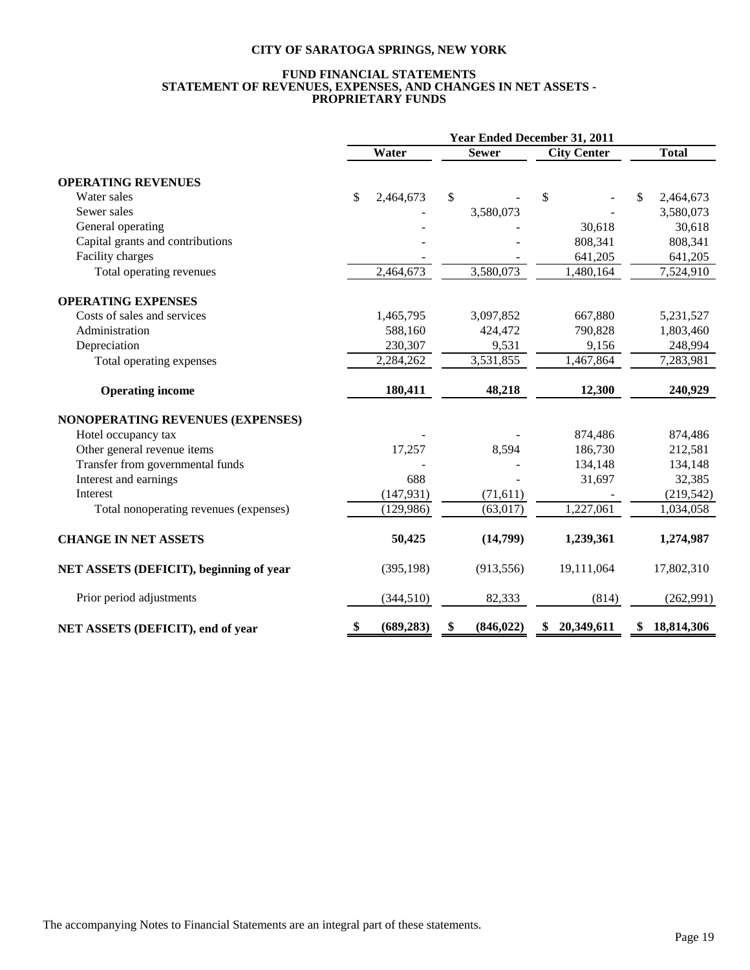#### **FUND FINANCIAL STATEMENTS STATEMENT OF REVENUES, EXPENSES, AND CHANGES IN NET ASSETS - PROPRIETARY FUNDS**

|                                         | Year Ended December 31, 2011 |            |    |              |                    |    |              |  |  |
|-----------------------------------------|------------------------------|------------|----|--------------|--------------------|----|--------------|--|--|
|                                         |                              | Water      |    | <b>Sewer</b> | <b>City Center</b> |    | <b>Total</b> |  |  |
| <b>OPERATING REVENUES</b>               |                              |            |    |              |                    |    |              |  |  |
| Water sales                             | \$                           | 2,464,673  | \$ |              | \$                 | \$ | 2,464,673    |  |  |
| Sewer sales                             |                              |            |    | 3,580,073    |                    |    | 3,580,073    |  |  |
| General operating                       |                              |            |    |              | 30,618             |    | 30,618       |  |  |
| Capital grants and contributions        |                              |            |    |              | 808,341            |    | 808,341      |  |  |
| Facility charges                        |                              |            |    |              | 641,205            |    | 641,205      |  |  |
| Total operating revenues                |                              | 2,464,673  |    | 3,580,073    | 1,480,164          |    | 7,524,910    |  |  |
| <b>OPERATING EXPENSES</b>               |                              |            |    |              |                    |    |              |  |  |
| Costs of sales and services             |                              | 1,465,795  |    | 3,097,852    | 667,880            |    | 5,231,527    |  |  |
| Administration                          |                              | 588,160    |    | 424,472      | 790,828            |    | 1,803,460    |  |  |
| Depreciation                            |                              | 230,307    |    | 9,531        | 9,156              |    | 248,994      |  |  |
| Total operating expenses                |                              | 2,284,262  |    | 3,531,855    | 1,467,864          |    | 7,283,981    |  |  |
| <b>Operating income</b>                 |                              | 180,411    |    | 48,218       | 12,300             |    | 240,929      |  |  |
| <b>NONOPERATING REVENUES (EXPENSES)</b> |                              |            |    |              |                    |    |              |  |  |
| Hotel occupancy tax                     |                              |            |    |              | 874,486            |    | 874,486      |  |  |
| Other general revenue items             |                              | 17,257     |    | 8,594        | 186,730            |    | 212,581      |  |  |
| Transfer from governmental funds        |                              |            |    |              | 134,148            |    | 134,148      |  |  |
| Interest and earnings                   |                              | 688        |    |              | 31,697             |    | 32,385       |  |  |
| Interest                                |                              | (147, 931) |    | (71, 611)    |                    |    | (219, 542)   |  |  |
| Total nonoperating revenues (expenses)  |                              | (129,986)  |    | (63, 017)    | 1,227,061          |    | 1,034,058    |  |  |
| <b>CHANGE IN NET ASSETS</b>             |                              | 50,425     |    | (14,799)     | 1,239,361          |    | 1,274,987    |  |  |
| NET ASSETS (DEFICIT), beginning of year |                              | (395, 198) |    | (913, 556)   | 19,111,064         |    | 17,802,310   |  |  |
| Prior period adjustments                |                              | (344, 510) |    | 82,333       | (814)              |    | (262,991)    |  |  |
| NET ASSETS (DEFICIT), end of year       | \$                           | (689, 283) | \$ | (846, 022)   | 20,349,611<br>\$   | \$ | 18,814,306   |  |  |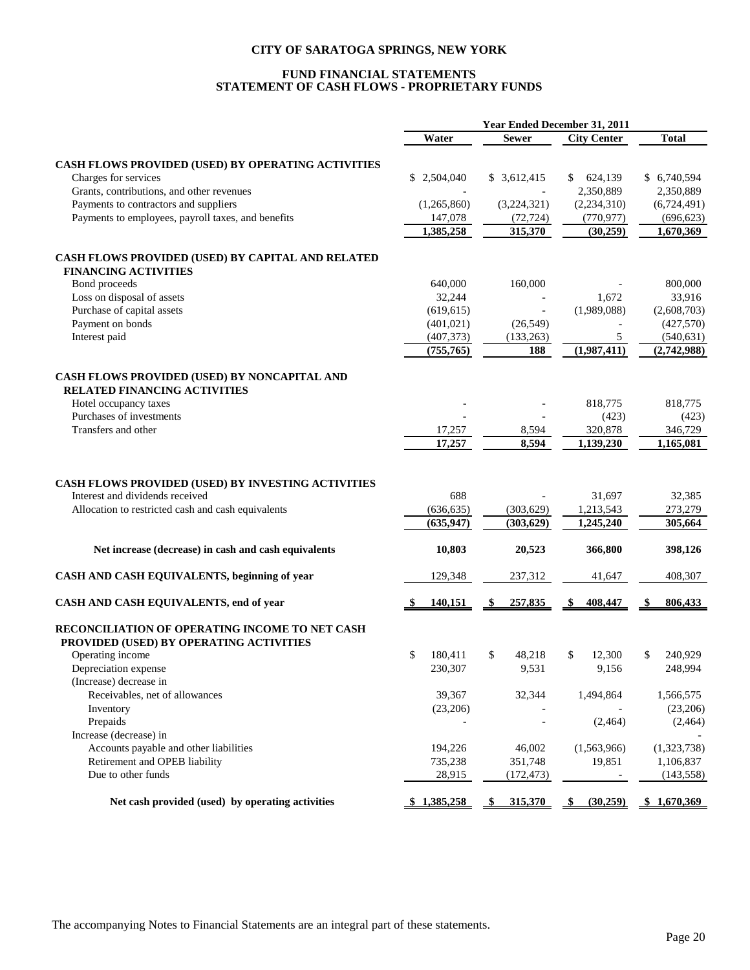## **FUND FINANCIAL STATEMENTS STATEMENT OF CASH FLOWS - PROPRIETARY FUNDS**

|                                                                                                                                             | Water                           | <b>Sewer</b>            | <b>City Center</b>               | <b>Total</b>                 |
|---------------------------------------------------------------------------------------------------------------------------------------------|---------------------------------|-------------------------|----------------------------------|------------------------------|
|                                                                                                                                             |                                 |                         |                                  |                              |
| CASH FLOWS PROVIDED (USED) BY OPERATING ACTIVITIES<br>Charges for services                                                                  | \$2,504,040                     | \$3,612,415             | 624,139<br>\$                    | \$ 6,740,594                 |
| Grants, contributions, and other revenues                                                                                                   |                                 | $\overline{a}$          | 2,350,889                        | 2,350,889                    |
| Payments to contractors and suppliers                                                                                                       | (1,265,860)                     | (3,224,321)             | (2,234,310)                      | (6,724,491)                  |
| Payments to employees, payroll taxes, and benefits                                                                                          | 147,078                         | (72, 724)               | (770, 977)                       | (696, 623)                   |
|                                                                                                                                             | 1,385,258                       | 315,370                 | (30, 259)                        | 1,670,369                    |
|                                                                                                                                             |                                 |                         |                                  |                              |
| CASH FLOWS PROVIDED (USED) BY CAPITAL AND RELATED                                                                                           |                                 |                         |                                  |                              |
| <b>FINANCING ACTIVITIES</b>                                                                                                                 |                                 |                         |                                  |                              |
| Bond proceeds                                                                                                                               | 640,000                         | 160,000                 |                                  | 800,000                      |
| Loss on disposal of assets                                                                                                                  | 32,244                          |                         | 1,672                            | 33,916                       |
| Purchase of capital assets                                                                                                                  | (619, 615)                      |                         | (1,989,088)                      | (2,608,703)                  |
| Payment on bonds                                                                                                                            | (401, 021)                      | (26, 549)               | $\overline{a}$                   | (427,570)                    |
| Interest paid                                                                                                                               | (407, 373)                      | (133, 263)              | 5                                | (540, 631)                   |
|                                                                                                                                             | (755, 765)                      | 188                     | (1,987,411)                      | (2,742,988)                  |
| CASH FLOWS PROVIDED (USED) BY NONCAPITAL AND                                                                                                |                                 |                         |                                  |                              |
| <b>RELATED FINANCING ACTIVITIES</b>                                                                                                         |                                 |                         |                                  |                              |
| Hotel occupancy taxes                                                                                                                       |                                 |                         | 818,775                          | 818,775                      |
| Purchases of investments                                                                                                                    |                                 |                         | (423)                            | (423)                        |
| Transfers and other                                                                                                                         | 17,257                          | 8,594                   | 320,878                          | 346,729                      |
|                                                                                                                                             | 17,257                          | 8.594                   | 1,139,230                        | 1,165,081                    |
| CASH FLOWS PROVIDED (USED) BY INVESTING ACTIVITIES<br>Interest and dividends received<br>Allocation to restricted cash and cash equivalents | 688<br>(636, 635)<br>(635, 947) | (303, 629)<br>(303,629) | 31,697<br>1,213,543<br>1,245,240 | 32,385<br>273,279<br>305,664 |
| Net increase (decrease) in cash and cash equivalents                                                                                        | 10,803                          | 20,523                  | 366,800                          | 398,126                      |
| CASH AND CASH EQUIVALENTS, beginning of year                                                                                                | 129,348                         | 237,312                 | 41,647                           | 408,307                      |
|                                                                                                                                             |                                 |                         |                                  |                              |
| CASH AND CASH EQUIVALENTS, end of year                                                                                                      | <u>140,151</u>                  | 257,835<br>S            | S.<br>408,447                    | 806,433                      |
| RECONCILIATION OF OPERATING INCOME TO NET CASH                                                                                              |                                 |                         |                                  |                              |
| PROVIDED (USED) BY OPERATING ACTIVITIES                                                                                                     |                                 |                         |                                  |                              |
| Operating income                                                                                                                            | \$<br>180.411                   | \$<br>48,218            | 12,300<br>\$                     | \$<br>240,929                |
| Depreciation expense                                                                                                                        | 230,307                         | 9,531                   | 9,156                            | 248,994                      |
| (Increase) decrease in                                                                                                                      |                                 |                         |                                  |                              |
| Receivables, net of allowances                                                                                                              | 39,367                          | 32,344                  | 1,494,864                        | 1,566,575                    |
| Inventory                                                                                                                                   | (23,206)                        |                         |                                  | (23,206)                     |
| Prepaids                                                                                                                                    |                                 |                         | (2,464)                          | (2, 464)                     |
| Increase (decrease) in                                                                                                                      |                                 |                         |                                  |                              |
| Accounts payable and other liabilities                                                                                                      | 194,226                         | 46,002                  | (1,563,966)                      | (1,323,738)                  |
| Retirement and OPEB liability                                                                                                               | 735,238                         | 351,748                 | 19,851                           | 1,106,837                    |
| Due to other funds                                                                                                                          | 28,915                          | (172, 473)              |                                  | (143, 558)                   |
| Net cash provided (used) by operating activities                                                                                            | \$1,385,258                     | 315,370<br>\$           | (30, 259)<br>\$                  | \$1,670,369                  |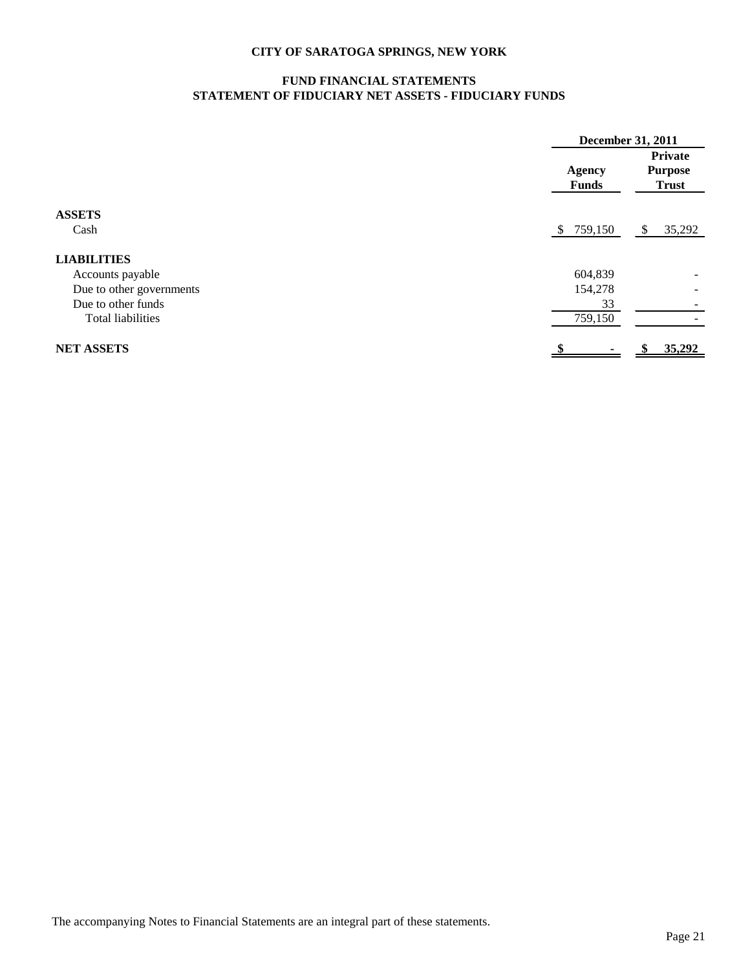## **FUND FINANCIAL STATEMENTS STATEMENT OF FIDUCIARY NET ASSETS - FIDUCIARY FUNDS**

|                          | December 31, 2011             |                                           |
|--------------------------|-------------------------------|-------------------------------------------|
|                          | <b>Agency</b><br><b>Funds</b> | Private<br><b>Purpose</b><br><b>Trust</b> |
| <b>ASSETS</b>            |                               |                                           |
| Cash                     | 759,150<br>\$.                | 35,292<br>S                               |
| <b>LIABILITIES</b>       |                               |                                           |
| Accounts payable         | 604,839                       |                                           |
| Due to other governments | 154,278                       | $\qquad \qquad$                           |
| Due to other funds       | 33                            |                                           |
| <b>Total liabilities</b> | 759,150                       |                                           |
| <b>NET ASSETS</b>        |                               | 35,292                                    |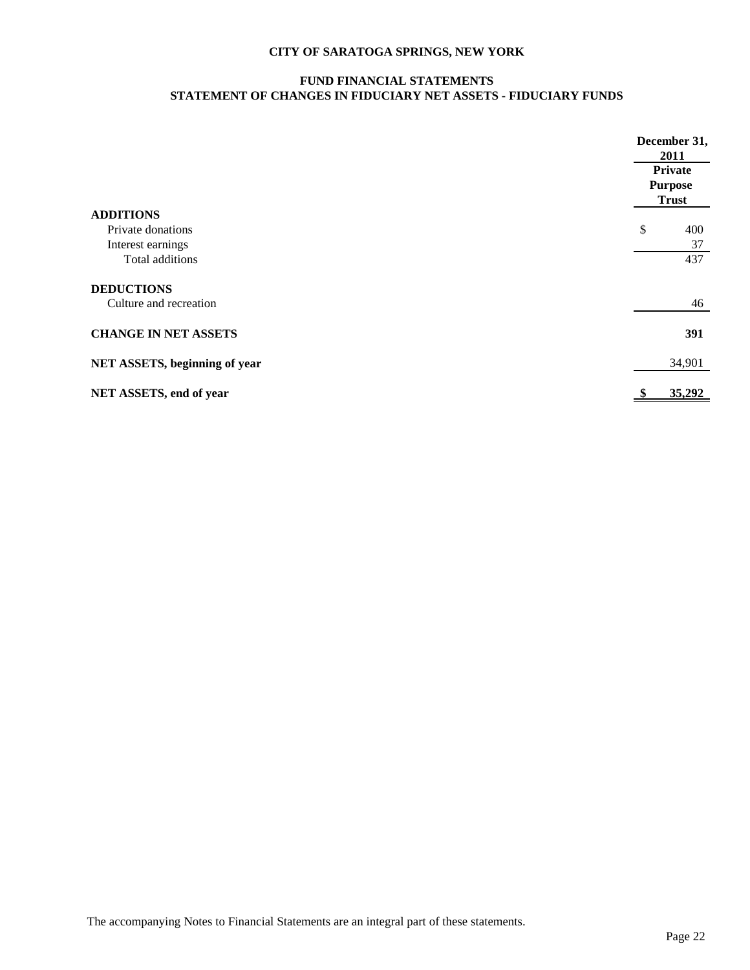## **FUND FINANCIAL STATEMENTS STATEMENT OF CHANGES IN FIDUCIARY NET ASSETS - FIDUCIARY FUNDS**

|                               | December 31,<br>2011 |
|-------------------------------|----------------------|
|                               | Private              |
|                               | <b>Purpose</b>       |
|                               | <b>Trust</b>         |
| <b>ADDITIONS</b>              |                      |
| Private donations             | \$<br>400            |
| Interest earnings             | 37                   |
| Total additions               | 437                  |
| <b>DEDUCTIONS</b>             |                      |
| Culture and recreation        | 46                   |
| <b>CHANGE IN NET ASSETS</b>   | 391                  |
| NET ASSETS, beginning of year | 34,901               |
| NET ASSETS, end of year       | 35,292<br>S          |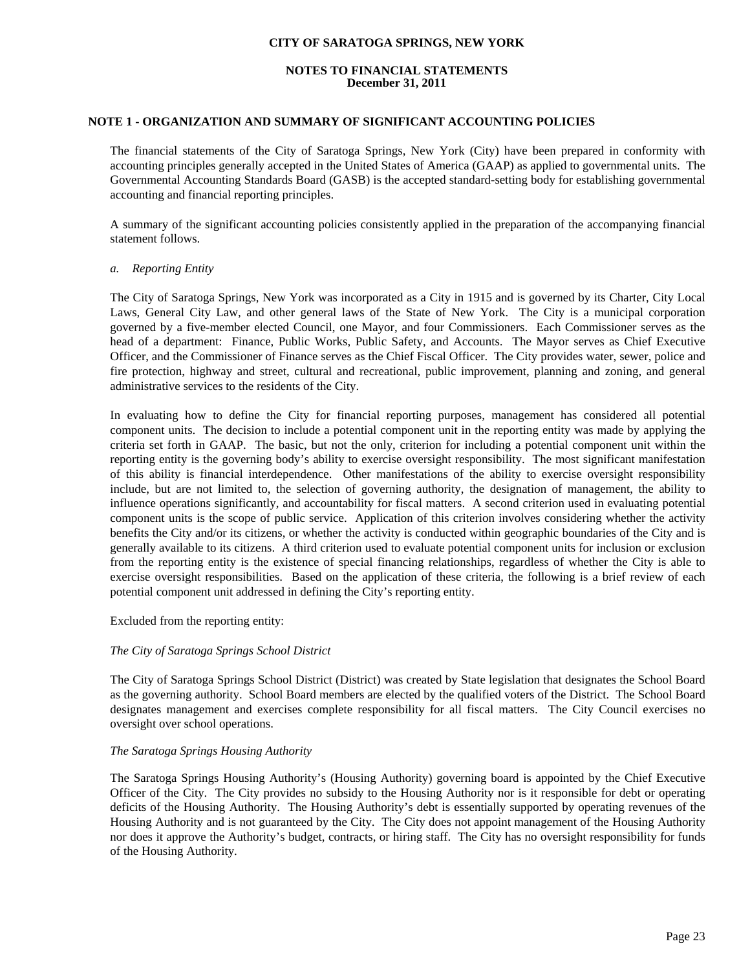#### **NOTES TO FINANCIAL STATEMENTS December 31, 2011**

## **NOTE 1 - ORGANIZATION AND SUMMARY OF SIGNIFICANT ACCOUNTING POLICIES**

The financial statements of the City of Saratoga Springs, New York (City) have been prepared in conformity with accounting principles generally accepted in the United States of America (GAAP) as applied to governmental units. The Governmental Accounting Standards Board (GASB) is the accepted standard-setting body for establishing governmental accounting and financial reporting principles.

A summary of the significant accounting policies consistently applied in the preparation of the accompanying financial statement follows.

#### *a. Reporting Entity*

 The City of Saratoga Springs, New York was incorporated as a City in 1915 and is governed by its Charter, City Local Laws, General City Law, and other general laws of the State of New York. The City is a municipal corporation governed by a five-member elected Council, one Mayor, and four Commissioners. Each Commissioner serves as the head of a department: Finance, Public Works, Public Safety, and Accounts. The Mayor serves as Chief Executive Officer, and the Commissioner of Finance serves as the Chief Fiscal Officer. The City provides water, sewer, police and fire protection, highway and street, cultural and recreational, public improvement, planning and zoning, and general administrative services to the residents of the City.

 In evaluating how to define the City for financial reporting purposes, management has considered all potential component units. The decision to include a potential component unit in the reporting entity was made by applying the criteria set forth in GAAP. The basic, but not the only, criterion for including a potential component unit within the reporting entity is the governing body's ability to exercise oversight responsibility. The most significant manifestation of this ability is financial interdependence. Other manifestations of the ability to exercise oversight responsibility include, but are not limited to, the selection of governing authority, the designation of management, the ability to influence operations significantly, and accountability for fiscal matters. A second criterion used in evaluating potential component units is the scope of public service. Application of this criterion involves considering whether the activity benefits the City and/or its citizens, or whether the activity is conducted within geographic boundaries of the City and is generally available to its citizens. A third criterion used to evaluate potential component units for inclusion or exclusion from the reporting entity is the existence of special financing relationships, regardless of whether the City is able to exercise oversight responsibilities. Based on the application of these criteria, the following is a brief review of each potential component unit addressed in defining the City's reporting entity.

Excluded from the reporting entity:

## *The City of Saratoga Springs School District*

 The City of Saratoga Springs School District (District) was created by State legislation that designates the School Board as the governing authority. School Board members are elected by the qualified voters of the District. The School Board designates management and exercises complete responsibility for all fiscal matters. The City Council exercises no oversight over school operations.

## *The Saratoga Springs Housing Authority*

The Saratoga Springs Housing Authority's (Housing Authority) governing board is appointed by the Chief Executive Officer of the City. The City provides no subsidy to the Housing Authority nor is it responsible for debt or operating deficits of the Housing Authority. The Housing Authority's debt is essentially supported by operating revenues of the Housing Authority and is not guaranteed by the City. The City does not appoint management of the Housing Authority nor does it approve the Authority's budget, contracts, or hiring staff. The City has no oversight responsibility for funds of the Housing Authority.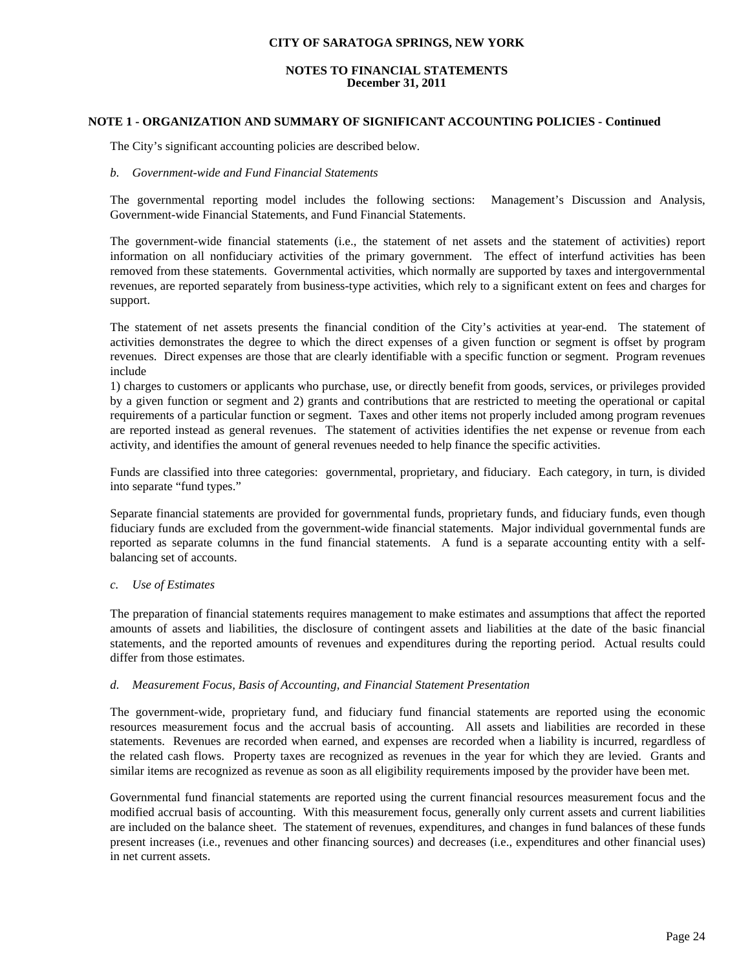#### **NOTES TO FINANCIAL STATEMENTS December 31, 2011**

## **NOTE 1 - ORGANIZATION AND SUMMARY OF SIGNIFICANT ACCOUNTING POLICIES - Continued**

The City's significant accounting policies are described below.

#### *b. Government-wide and Fund Financial Statements*

The governmental reporting model includes the following sections: Management's Discussion and Analysis, Government-wide Financial Statements, and Fund Financial Statements.

The government-wide financial statements (i.e., the statement of net assets and the statement of activities) report information on all nonfiduciary activities of the primary government. The effect of interfund activities has been removed from these statements. Governmental activities, which normally are supported by taxes and intergovernmental revenues, are reported separately from business-type activities, which rely to a significant extent on fees and charges for support.

The statement of net assets presents the financial condition of the City's activities at year-end. The statement of activities demonstrates the degree to which the direct expenses of a given function or segment is offset by program revenues. Direct expenses are those that are clearly identifiable with a specific function or segment. Program revenues include

1) charges to customers or applicants who purchase, use, or directly benefit from goods, services, or privileges provided by a given function or segment and 2) grants and contributions that are restricted to meeting the operational or capital requirements of a particular function or segment. Taxes and other items not properly included among program revenues are reported instead as general revenues. The statement of activities identifies the net expense or revenue from each activity, and identifies the amount of general revenues needed to help finance the specific activities.

Funds are classified into three categories: governmental, proprietary, and fiduciary. Each category, in turn, is divided into separate "fund types."

 Separate financial statements are provided for governmental funds, proprietary funds, and fiduciary funds, even though fiduciary funds are excluded from the government-wide financial statements. Major individual governmental funds are reported as separate columns in the fund financial statements. A fund is a separate accounting entity with a selfbalancing set of accounts.

#### *c. Use of Estimates*

The preparation of financial statements requires management to make estimates and assumptions that affect the reported amounts of assets and liabilities, the disclosure of contingent assets and liabilities at the date of the basic financial statements, and the reported amounts of revenues and expenditures during the reporting period. Actual results could differ from those estimates.

#### *d. Measurement Focus, Basis of Accounting, and Financial Statement Presentation*

 The government-wide, proprietary fund, and fiduciary fund financial statements are reported using the economic resources measurement focus and the accrual basis of accounting. All assets and liabilities are recorded in these statements. Revenues are recorded when earned, and expenses are recorded when a liability is incurred, regardless of the related cash flows. Property taxes are recognized as revenues in the year for which they are levied. Grants and similar items are recognized as revenue as soon as all eligibility requirements imposed by the provider have been met.

Governmental fund financial statements are reported using the current financial resources measurement focus and the modified accrual basis of accounting. With this measurement focus, generally only current assets and current liabilities are included on the balance sheet. The statement of revenues, expenditures, and changes in fund balances of these funds present increases (i.e., revenues and other financing sources) and decreases (i.e., expenditures and other financial uses) in net current assets.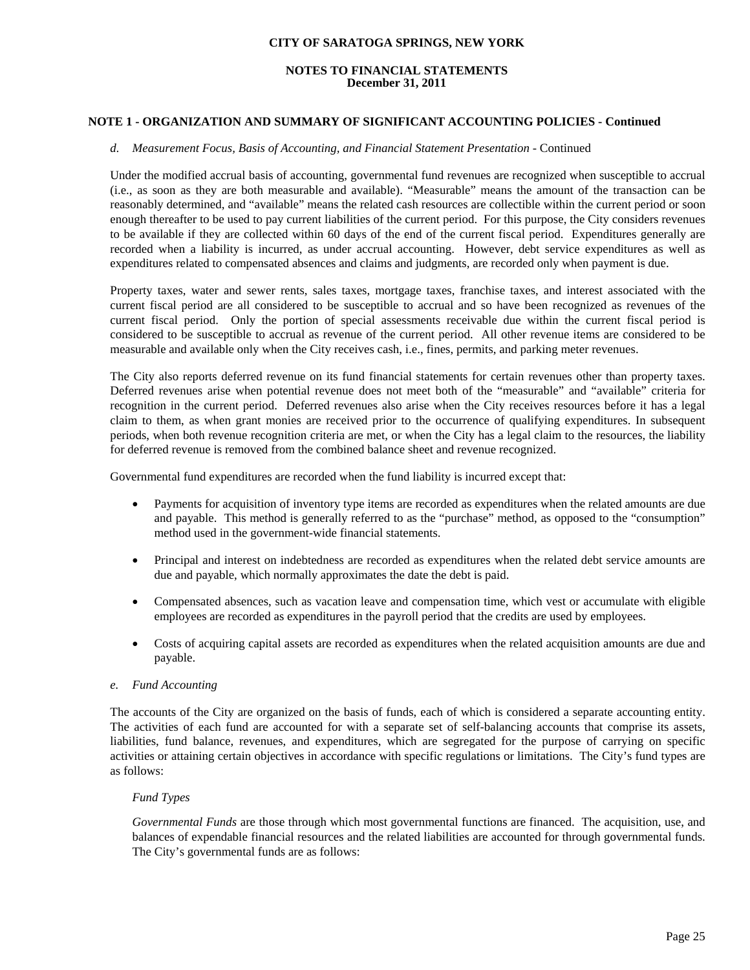#### **NOTES TO FINANCIAL STATEMENTS December 31, 2011**

## **NOTE 1 - ORGANIZATION AND SUMMARY OF SIGNIFICANT ACCOUNTING POLICIES - Continued**

#### *d. Measurement Focus, Basis of Accounting, and Financial Statement Presentation* - Continued

Under the modified accrual basis of accounting, governmental fund revenues are recognized when susceptible to accrual (i.e., as soon as they are both measurable and available). "Measurable" means the amount of the transaction can be reasonably determined, and "available" means the related cash resources are collectible within the current period or soon enough thereafter to be used to pay current liabilities of the current period. For this purpose, the City considers revenues to be available if they are collected within 60 days of the end of the current fiscal period. Expenditures generally are recorded when a liability is incurred, as under accrual accounting. However, debt service expenditures as well as expenditures related to compensated absences and claims and judgments, are recorded only when payment is due.

Property taxes, water and sewer rents, sales taxes, mortgage taxes, franchise taxes, and interest associated with the current fiscal period are all considered to be susceptible to accrual and so have been recognized as revenues of the current fiscal period. Only the portion of special assessments receivable due within the current fiscal period is considered to be susceptible to accrual as revenue of the current period. All other revenue items are considered to be measurable and available only when the City receives cash, i.e., fines, permits, and parking meter revenues.

The City also reports deferred revenue on its fund financial statements for certain revenues other than property taxes. Deferred revenues arise when potential revenue does not meet both of the "measurable" and "available" criteria for recognition in the current period. Deferred revenues also arise when the City receives resources before it has a legal claim to them, as when grant monies are received prior to the occurrence of qualifying expenditures. In subsequent periods, when both revenue recognition criteria are met, or when the City has a legal claim to the resources, the liability for deferred revenue is removed from the combined balance sheet and revenue recognized.

Governmental fund expenditures are recorded when the fund liability is incurred except that:

- Payments for acquisition of inventory type items are recorded as expenditures when the related amounts are due and payable. This method is generally referred to as the "purchase" method, as opposed to the "consumption" method used in the government-wide financial statements.
- Principal and interest on indebtedness are recorded as expenditures when the related debt service amounts are due and payable, which normally approximates the date the debt is paid.
- Compensated absences, such as vacation leave and compensation time, which vest or accumulate with eligible employees are recorded as expenditures in the payroll period that the credits are used by employees.
- Costs of acquiring capital assets are recorded as expenditures when the related acquisition amounts are due and payable.

#### *e. Fund Accounting*

The accounts of the City are organized on the basis of funds, each of which is considered a separate accounting entity. The activities of each fund are accounted for with a separate set of self-balancing accounts that comprise its assets, liabilities, fund balance, revenues, and expenditures, which are segregated for the purpose of carrying on specific activities or attaining certain objectives in accordance with specific regulations or limitations. The City's fund types are as follows:

#### *Fund Types*

*Governmental Funds* are those through which most governmental functions are financed. The acquisition, use, and balances of expendable financial resources and the related liabilities are accounted for through governmental funds. The City's governmental funds are as follows: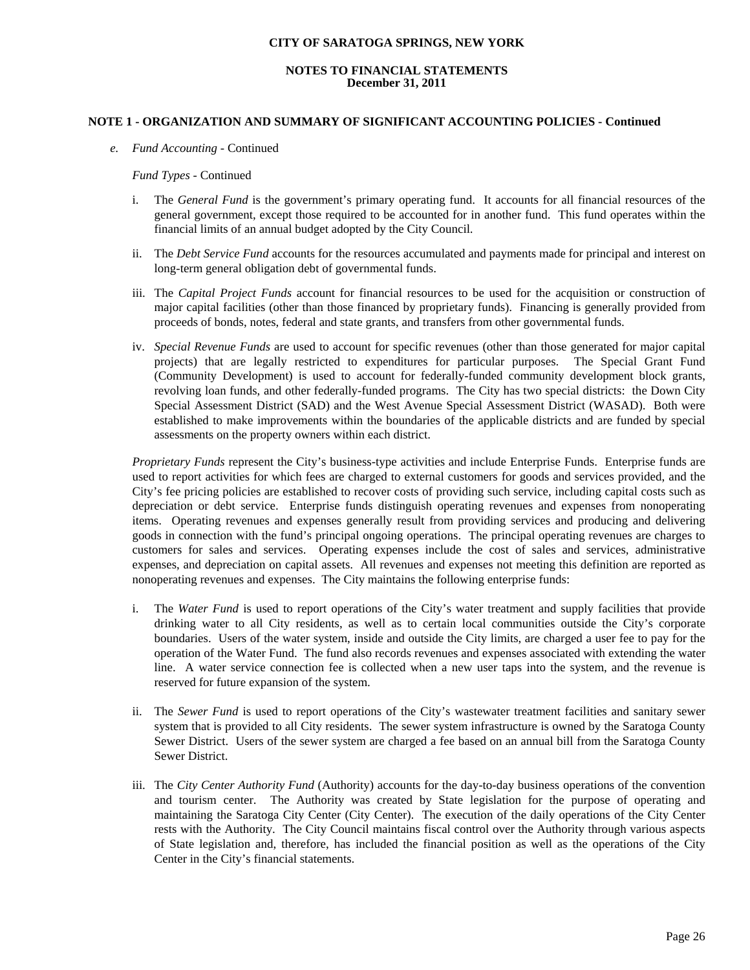#### **NOTES TO FINANCIAL STATEMENTS December 31, 2011**

#### **NOTE 1 - ORGANIZATION AND SUMMARY OF SIGNIFICANT ACCOUNTING POLICIES - Continued**

*e. Fund Accounting* - Continued

#### *Fund Types* - Continued

- i. The *General Fund* is the government's primary operating fund. It accounts for all financial resources of the general government, except those required to be accounted for in another fund. This fund operates within the financial limits of an annual budget adopted by the City Council.
- ii. The *Debt Service Fund* accounts for the resources accumulated and payments made for principal and interest on long-term general obligation debt of governmental funds.
- iii. The *Capital Project Funds* account for financial resources to be used for the acquisition or construction of major capital facilities (other than those financed by proprietary funds). Financing is generally provided from proceeds of bonds, notes, federal and state grants, and transfers from other governmental funds.
- iv. *Special Revenue Funds* are used to account for specific revenues (other than those generated for major capital projects) that are legally restricted to expenditures for particular purposes. The Special Grant Fund (Community Development) is used to account for federally-funded community development block grants, revolving loan funds, and other federally-funded programs. The City has two special districts: the Down City Special Assessment District (SAD) and the West Avenue Special Assessment District (WASAD). Both were established to make improvements within the boundaries of the applicable districts and are funded by special assessments on the property owners within each district.

*Proprietary Funds* represent the City's business-type activities and include Enterprise Funds. Enterprise funds are used to report activities for which fees are charged to external customers for goods and services provided, and the City's fee pricing policies are established to recover costs of providing such service, including capital costs such as depreciation or debt service. Enterprise funds distinguish operating revenues and expenses from nonoperating items. Operating revenues and expenses generally result from providing services and producing and delivering goods in connection with the fund's principal ongoing operations. The principal operating revenues are charges to customers for sales and services. Operating expenses include the cost of sales and services, administrative expenses, and depreciation on capital assets. All revenues and expenses not meeting this definition are reported as nonoperating revenues and expenses. The City maintains the following enterprise funds:

- i. The *Water Fund* is used to report operations of the City's water treatment and supply facilities that provide drinking water to all City residents, as well as to certain local communities outside the City's corporate boundaries. Users of the water system, inside and outside the City limits, are charged a user fee to pay for the operation of the Water Fund. The fund also records revenues and expenses associated with extending the water line. A water service connection fee is collected when a new user taps into the system, and the revenue is reserved for future expansion of the system.
- ii. The *Sewer Fund* is used to report operations of the City's wastewater treatment facilities and sanitary sewer system that is provided to all City residents. The sewer system infrastructure is owned by the Saratoga County Sewer District. Users of the sewer system are charged a fee based on an annual bill from the Saratoga County Sewer District.
- iii. The *City Center Authority Fund* (Authority) accounts for the day-to-day business operations of the convention and tourism center. The Authority was created by State legislation for the purpose of operating and maintaining the Saratoga City Center (City Center). The execution of the daily operations of the City Center rests with the Authority. The City Council maintains fiscal control over the Authority through various aspects of State legislation and, therefore, has included the financial position as well as the operations of the City Center in the City's financial statements.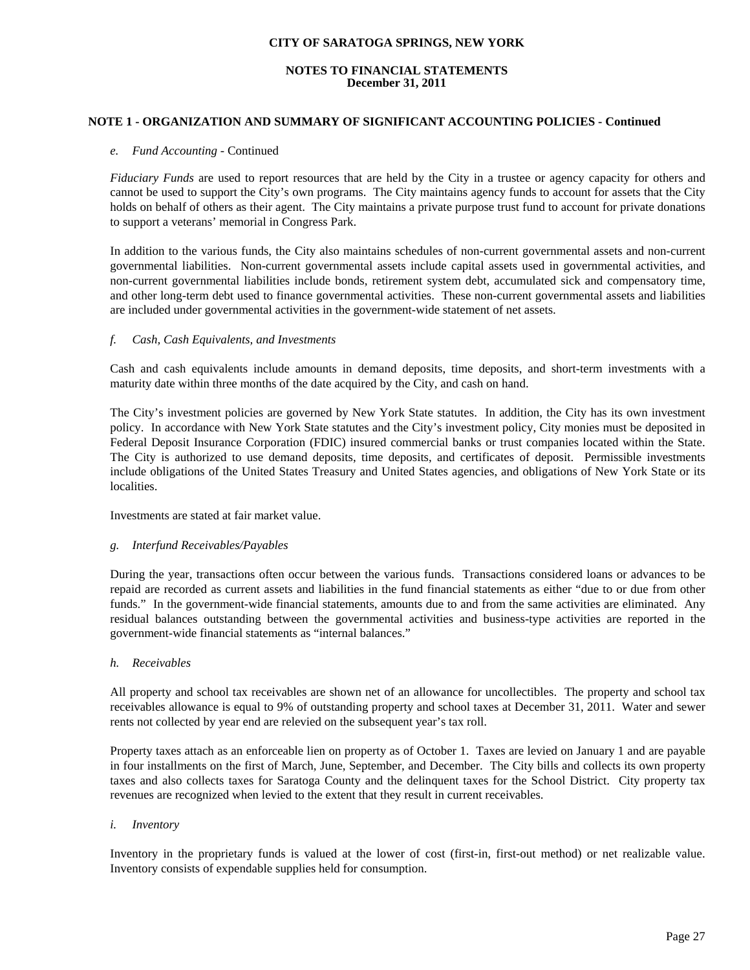#### **NOTES TO FINANCIAL STATEMENTS December 31, 2011**

#### **NOTE 1 - ORGANIZATION AND SUMMARY OF SIGNIFICANT ACCOUNTING POLICIES - Continued**

#### *e. Fund Accounting* - Continued

*Fiduciary Funds* are used to report resources that are held by the City in a trustee or agency capacity for others and cannot be used to support the City's own programs. The City maintains agency funds to account for assets that the City holds on behalf of others as their agent. The City maintains a private purpose trust fund to account for private donations to support a veterans' memorial in Congress Park.

In addition to the various funds, the City also maintains schedules of non-current governmental assets and non-current governmental liabilities. Non-current governmental assets include capital assets used in governmental activities, and non-current governmental liabilities include bonds, retirement system debt, accumulated sick and compensatory time, and other long-term debt used to finance governmental activities. These non-current governmental assets and liabilities are included under governmental activities in the government-wide statement of net assets.

#### *f. Cash, Cash Equivalents, and Investments*

 Cash and cash equivalents include amounts in demand deposits, time deposits, and short-term investments with a maturity date within three months of the date acquired by the City, and cash on hand.

 The City's investment policies are governed by New York State statutes. In addition, the City has its own investment policy. In accordance with New York State statutes and the City's investment policy, City monies must be deposited in Federal Deposit Insurance Corporation (FDIC) insured commercial banks or trust companies located within the State. The City is authorized to use demand deposits, time deposits, and certificates of deposit. Permissible investments include obligations of the United States Treasury and United States agencies, and obligations of New York State or its localities.

Investments are stated at fair market value.

#### *g. Interfund Receivables/Payables*

During the year, transactions often occur between the various funds. Transactions considered loans or advances to be repaid are recorded as current assets and liabilities in the fund financial statements as either "due to or due from other funds." In the government-wide financial statements, amounts due to and from the same activities are eliminated. Any residual balances outstanding between the governmental activities and business-type activities are reported in the government-wide financial statements as "internal balances."

#### *h. Receivables*

All property and school tax receivables are shown net of an allowance for uncollectibles. The property and school tax receivables allowance is equal to 9% of outstanding property and school taxes at December 31, 2011. Water and sewer rents not collected by year end are relevied on the subsequent year's tax roll.

 Property taxes attach as an enforceable lien on property as of October 1. Taxes are levied on January 1 and are payable in four installments on the first of March, June, September, and December. The City bills and collects its own property taxes and also collects taxes for Saratoga County and the delinquent taxes for the School District. City property tax revenues are recognized when levied to the extent that they result in current receivables.

#### *i. Inventory*

 Inventory in the proprietary funds is valued at the lower of cost (first-in, first-out method) or net realizable value. Inventory consists of expendable supplies held for consumption.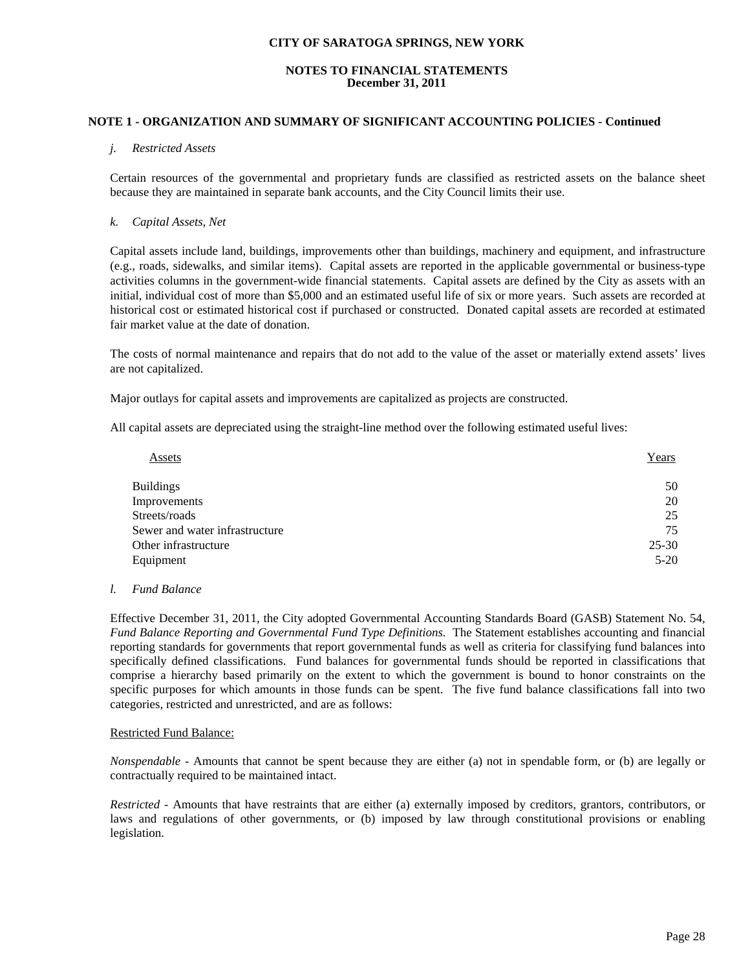## **NOTES TO FINANCIAL STATEMENTS December 31, 2011**

#### **NOTE 1 - ORGANIZATION AND SUMMARY OF SIGNIFICANT ACCOUNTING POLICIES - Continued**

#### *j. Restricted Assets*

Certain resources of the governmental and proprietary funds are classified as restricted assets on the balance sheet because they are maintained in separate bank accounts, and the City Council limits their use.

#### *k. Capital Assets, Net*

Capital assets include land, buildings, improvements other than buildings, machinery and equipment, and infrastructure (e.g., roads, sidewalks, and similar items). Capital assets are reported in the applicable governmental or business-type activities columns in the government-wide financial statements. Capital assets are defined by the City as assets with an initial, individual cost of more than \$5,000 and an estimated useful life of six or more years. Such assets are recorded at historical cost or estimated historical cost if purchased or constructed. Donated capital assets are recorded at estimated fair market value at the date of donation.

The costs of normal maintenance and repairs that do not add to the value of the asset or materially extend assets' lives are not capitalized.

Major outlays for capital assets and improvements are capitalized as projects are constructed.

All capital assets are depreciated using the straight-line method over the following estimated useful lives:

| Assets                         | Years     |
|--------------------------------|-----------|
| <b>Buildings</b>               | 50        |
| Improvements                   | 20        |
| Streets/roads                  | 25        |
| Sewer and water infrastructure | 75        |
| Other infrastructure           | $25 - 30$ |
| Equipment                      | $5 - 20$  |

#### *l. Fund Balance*

Effective December 31, 2011, the City adopted Governmental Accounting Standards Board (GASB) Statement No. 54, *Fund Balance Reporting and Governmental Fund Type Definitions.* The Statement establishes accounting and financial reporting standards for governments that report governmental funds as well as criteria for classifying fund balances into specifically defined classifications. Fund balances for governmental funds should be reported in classifications that comprise a hierarchy based primarily on the extent to which the government is bound to honor constraints on the specific purposes for which amounts in those funds can be spent. The five fund balance classifications fall into two categories, restricted and unrestricted, and are as follows:

#### Restricted Fund Balance:

*Nonspendable -* Amounts that cannot be spent because they are either (a) not in spendable form, or (b) are legally or contractually required to be maintained intact.

*Restricted -* Amounts that have restraints that are either (a) externally imposed by creditors, grantors, contributors, or laws and regulations of other governments, or (b) imposed by law through constitutional provisions or enabling legislation.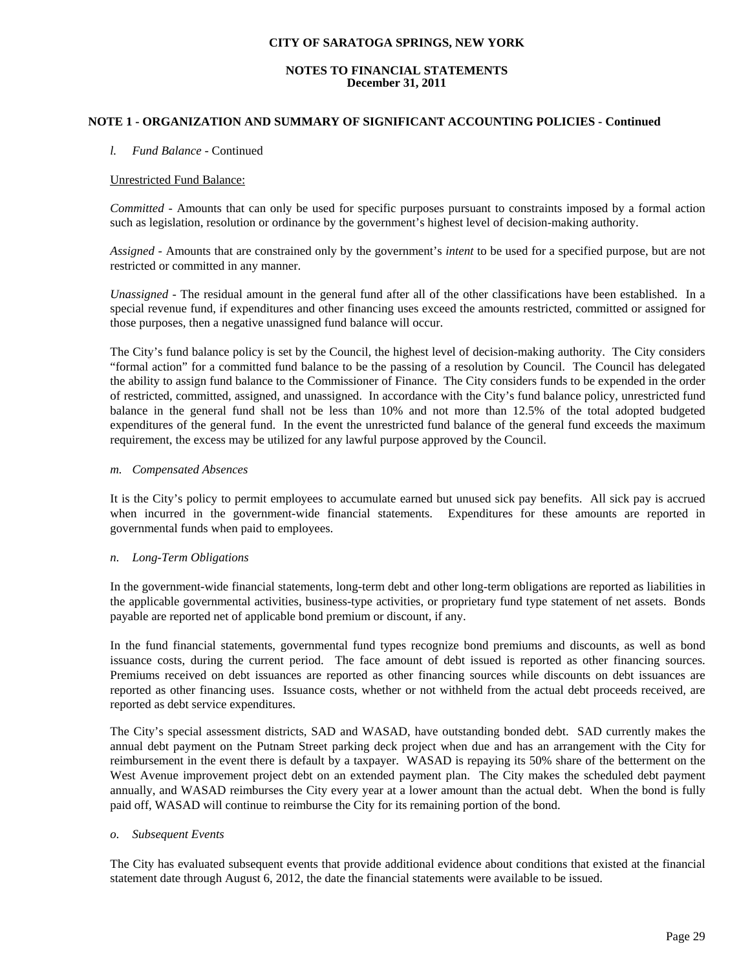## **NOTES TO FINANCIAL STATEMENTS December 31, 2011**

## **NOTE 1 - ORGANIZATION AND SUMMARY OF SIGNIFICANT ACCOUNTING POLICIES - Continued**

#### *l. Fund Balance* - Continued

#### Unrestricted Fund Balance:

*Committed -* Amounts that can only be used for specific purposes pursuant to constraints imposed by a formal action such as legislation, resolution or ordinance by the government's highest level of decision-making authority.

*Assigned -* Amounts that are constrained only by the government's *intent* to be used for a specified purpose, but are not restricted or committed in any manner.

*Unassigned -* The residual amount in the general fund after all of the other classifications have been established. In a special revenue fund, if expenditures and other financing uses exceed the amounts restricted, committed or assigned for those purposes, then a negative unassigned fund balance will occur.

The City's fund balance policy is set by the Council, the highest level of decision-making authority. The City considers "formal action" for a committed fund balance to be the passing of a resolution by Council. The Council has delegated the ability to assign fund balance to the Commissioner of Finance. The City considers funds to be expended in the order of restricted, committed, assigned, and unassigned. In accordance with the City's fund balance policy, unrestricted fund balance in the general fund shall not be less than 10% and not more than 12.5% of the total adopted budgeted expenditures of the general fund. In the event the unrestricted fund balance of the general fund exceeds the maximum requirement, the excess may be utilized for any lawful purpose approved by the Council.

#### *m. Compensated Absences*

It is the City's policy to permit employees to accumulate earned but unused sick pay benefits. All sick pay is accrued when incurred in the government-wide financial statements. Expenditures for these amounts are reported in governmental funds when paid to employees.

#### *n. Long-Term Obligations*

In the government-wide financial statements, long-term debt and other long-term obligations are reported as liabilities in the applicable governmental activities, business-type activities, or proprietary fund type statement of net assets. Bonds payable are reported net of applicable bond premium or discount, if any.

In the fund financial statements, governmental fund types recognize bond premiums and discounts, as well as bond issuance costs, during the current period. The face amount of debt issued is reported as other financing sources. Premiums received on debt issuances are reported as other financing sources while discounts on debt issuances are reported as other financing uses. Issuance costs, whether or not withheld from the actual debt proceeds received, are reported as debt service expenditures.

 The City's special assessment districts, SAD and WASAD, have outstanding bonded debt. SAD currently makes the annual debt payment on the Putnam Street parking deck project when due and has an arrangement with the City for reimbursement in the event there is default by a taxpayer. WASAD is repaying its 50% share of the betterment on the West Avenue improvement project debt on an extended payment plan. The City makes the scheduled debt payment annually, and WASAD reimburses the City every year at a lower amount than the actual debt. When the bond is fully paid off, WASAD will continue to reimburse the City for its remaining portion of the bond.

#### *o. Subsequent Events*

The City has evaluated subsequent events that provide additional evidence about conditions that existed at the financial statement date through August 6, 2012, the date the financial statements were available to be issued.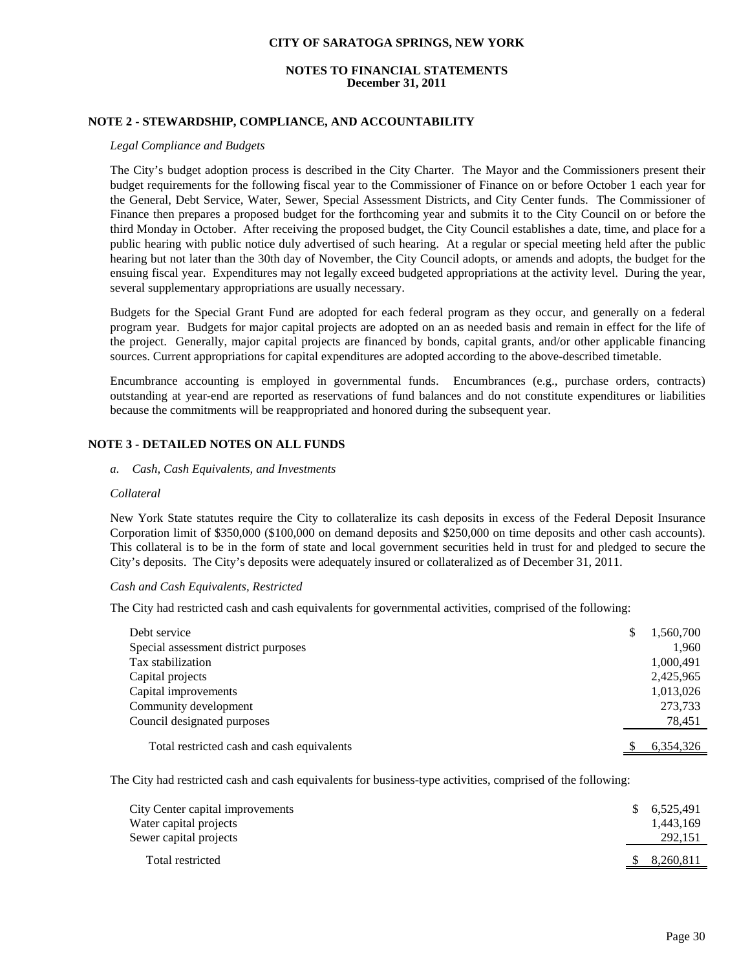#### **NOTES TO FINANCIAL STATEMENTS December 31, 2011**

## **NOTE 2 - STEWARDSHIP, COMPLIANCE, AND ACCOUNTABILITY**

#### *Legal Compliance and Budgets*

 The City's budget adoption process is described in the City Charter. The Mayor and the Commissioners present their budget requirements for the following fiscal year to the Commissioner of Finance on or before October 1 each year for the General, Debt Service, Water, Sewer, Special Assessment Districts, and City Center funds. The Commissioner of Finance then prepares a proposed budget for the forthcoming year and submits it to the City Council on or before the third Monday in October. After receiving the proposed budget, the City Council establishes a date, time, and place for a public hearing with public notice duly advertised of such hearing. At a regular or special meeting held after the public hearing but not later than the 30th day of November, the City Council adopts, or amends and adopts, the budget for the ensuing fiscal year. Expenditures may not legally exceed budgeted appropriations at the activity level. During the year, several supplementary appropriations are usually necessary.

 Budgets for the Special Grant Fund are adopted for each federal program as they occur, and generally on a federal program year. Budgets for major capital projects are adopted on an as needed basis and remain in effect for the life of the project. Generally, major capital projects are financed by bonds, capital grants, and/or other applicable financing sources. Current appropriations for capital expenditures are adopted according to the above-described timetable.

Encumbrance accounting is employed in governmental funds. Encumbrances (e.g., purchase orders, contracts) outstanding at year-end are reported as reservations of fund balances and do not constitute expenditures or liabilities because the commitments will be reappropriated and honored during the subsequent year.

#### **NOTE 3 - DETAILED NOTES ON ALL FUNDS**

*a. Cash, Cash Equivalents, and Investments* 

#### *Collateral*

 New York State statutes require the City to collateralize its cash deposits in excess of the Federal Deposit Insurance Corporation limit of \$350,000 (\$100,000 on demand deposits and \$250,000 on time deposits and other cash accounts). This collateral is to be in the form of state and local government securities held in trust for and pledged to secure the City's deposits. The City's deposits were adequately insured or collateralized as of December 31, 2011.

#### *Cash and Cash Equivalents, Restricted*

The City had restricted cash and cash equivalents for governmental activities, comprised of the following:

| Debt service                               | 1,560,700 |
|--------------------------------------------|-----------|
| Special assessment district purposes       | 1,960     |
| Tax stabilization                          | 1,000,491 |
| Capital projects                           | 2,425,965 |
| Capital improvements                       | 1,013,026 |
| Community development                      | 273,733   |
| Council designated purposes                | 78,451    |
| Total restricted cash and cash equivalents | 6,354,326 |

The City had restricted cash and cash equivalents for business-type activities, comprised of the following:

| City Center capital improvements<br>Water capital projects<br>Sewer capital projects | S. | 6,525,491<br>1,443,169<br>292,151 |
|--------------------------------------------------------------------------------------|----|-----------------------------------|
| Total restricted                                                                     |    | 8,260,811                         |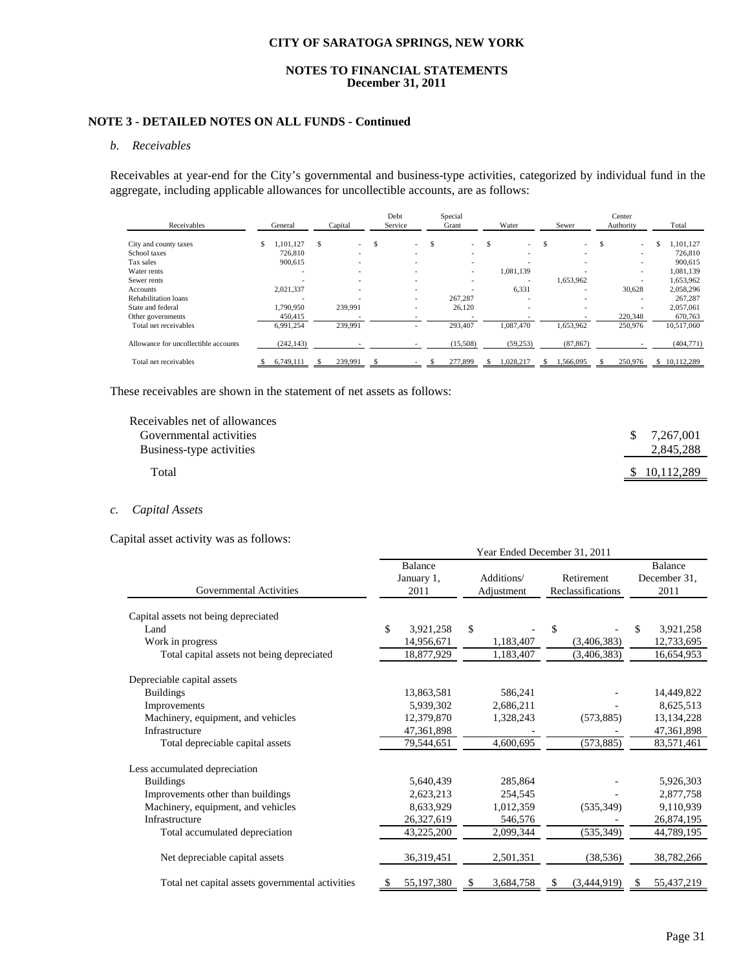#### **NOTES TO FINANCIAL STATEMENTS December 31, 2011**

# **NOTE 3 - DETAILED NOTES ON ALL FUNDS - Continued**

#### *b. Receivables*

Receivables at year-end for the City's governmental and business-type activities, categorized by individual fund in the aggregate, including applicable allowances for uncollectible accounts, are as follows:

|                                      |         |                          |         |                          | Debt                     |       | Special                  |       |                          |       |                          |           | Center                   |       |            |
|--------------------------------------|---------|--------------------------|---------|--------------------------|--------------------------|-------|--------------------------|-------|--------------------------|-------|--------------------------|-----------|--------------------------|-------|------------|
| Receivables                          | General |                          | Capital |                          | Service                  | Grant |                          | Water |                          | Sewer |                          | Authority |                          | Total |            |
| City and county taxes                | S       | .101.127                 | S       | $\sim$                   | \$<br>$\sim$             | \$.   | $\sim$                   | \$.   | $\sim$                   | \$    | $\overline{\phantom{a}}$ | \$.       | $\sim$                   | S     | .101.127   |
| School taxes                         |         | 726,810                  |         | $\overline{\phantom{a}}$ | $\overline{\phantom{a}}$ |       |                          |       | $\overline{\phantom{a}}$ |       | $\overline{\phantom{0}}$ |           | $\overline{\phantom{0}}$ |       | 726,810    |
| Tax sales                            |         | 900,615                  |         |                          | -                        |       |                          |       |                          |       | $\overline{\phantom{0}}$ |           |                          |       | 900.615    |
| Water rents                          |         | ۰                        |         | ٠                        | $\overline{\phantom{a}}$ |       | $\overline{\phantom{a}}$ |       | 1,081,139                |       | $\overline{\phantom{0}}$ |           | $\overline{\phantom{0}}$ |       | 1,081,139  |
| Sewer rents                          |         |                          |         | -                        | -                        |       | -                        |       |                          |       | 1,653,962                |           |                          |       | 1,653,962  |
| Accounts                             |         | 2,021,337                |         | ۰                        | $\overline{\phantom{a}}$ |       |                          |       | 6,331                    |       | $\overline{\phantom{a}}$ |           | 30,628                   |       | 2,058,296  |
| Rehabilitation loans                 |         | $\overline{\phantom{0}}$ |         |                          | $\overline{\phantom{a}}$ |       | 267,287                  |       |                          |       | $\overline{\phantom{0}}$ |           |                          |       | 267,287    |
| State and federal                    |         | 1,790,950                |         | 239.991                  | $\overline{\phantom{a}}$ |       | 26.120                   |       | -                        |       | $\overline{\phantom{0}}$ |           | $\overline{\phantom{0}}$ |       | 2,057,061  |
| Other governments                    |         | 450,415                  |         |                          |                          |       |                          |       |                          |       |                          |           | 220,348                  |       | 670.763    |
| Total net receivables                |         | 6.991.254                |         | 239,991                  | -                        |       | 293.407                  |       | 1.087.470                |       | 1,653,962                |           | 250,976                  |       | 10.517.060 |
| Allowance for uncollectible accounts |         | (242, 143)               |         |                          |                          |       | (15,508)                 |       | (59, 253)                |       | (87, 867)                |           |                          |       | (404,771)  |
| Total net receivables                |         | 6.749.111                |         | 239.991                  |                          |       | 277,899                  |       | 1.028.217                |       | 1.566.095                |           | 250,976                  |       | 10.112.289 |

These receivables are shown in the statement of net assets as follows:

| Receivables net of allowances |     |              |
|-------------------------------|-----|--------------|
| Governmental activities       | \$. | 7,267,001    |
| Business-type activities      |     | 2,845,288    |
| Total                         |     | \$10,112,289 |
|                               |     |              |

#### *c. Capital Assets*

Capital asset activity was as follows:

|                                                  | Year Ended December 31, 2011 |                               |                          |           |                                 |             |    |                                 |  |  |  |  |  |
|--------------------------------------------------|------------------------------|-------------------------------|--------------------------|-----------|---------------------------------|-------------|----|---------------------------------|--|--|--|--|--|
| Governmental Activities                          |                              | Balance<br>January 1,<br>2011 | Additions/<br>Adjustment |           | Retirement<br>Reclassifications |             |    | Balance<br>December 31,<br>2011 |  |  |  |  |  |
| Capital assets not being depreciated             |                              |                               |                          |           |                                 |             |    |                                 |  |  |  |  |  |
| Land                                             | \$                           | 3,921,258                     | $\mathbb{S}$             |           | \$                              |             | \$ | 3,921,258                       |  |  |  |  |  |
| Work in progress                                 |                              | 14,956,671                    |                          | 1,183,407 |                                 | (3,406,383) |    | 12,733,695                      |  |  |  |  |  |
| Total capital assets not being depreciated       |                              | 18,877,929                    |                          | 1,183,407 |                                 | (3,406,383) |    | 16,654,953                      |  |  |  |  |  |
| Depreciable capital assets                       |                              |                               |                          |           |                                 |             |    |                                 |  |  |  |  |  |
| <b>Buildings</b>                                 |                              | 13,863,581                    |                          | 586,241   |                                 |             |    | 14,449,822                      |  |  |  |  |  |
| Improvements                                     |                              | 5,939,302                     |                          | 2,686,211 |                                 |             |    | 8,625,513                       |  |  |  |  |  |
| Machinery, equipment, and vehicles               |                              | 12,379,870                    |                          | 1,328,243 |                                 | (573, 885)  |    | 13,134,228                      |  |  |  |  |  |
| Infrastructure                                   |                              | 47,361,898                    |                          |           |                                 |             |    | 47,361,898                      |  |  |  |  |  |
| Total depreciable capital assets                 |                              | 79,544,651                    |                          | 4,600,695 |                                 | (573, 885)  |    | 83,571,461                      |  |  |  |  |  |
| Less accumulated depreciation                    |                              |                               |                          |           |                                 |             |    |                                 |  |  |  |  |  |
| <b>Buildings</b>                                 |                              | 5,640,439                     |                          | 285,864   |                                 |             |    | 5,926,303                       |  |  |  |  |  |
| Improvements other than buildings                |                              | 2,623,213                     |                          | 254,545   |                                 |             |    | 2,877,758                       |  |  |  |  |  |
| Machinery, equipment, and vehicles               |                              | 8,633,929                     |                          | 1,012,359 |                                 | (535, 349)  |    | 9,110,939                       |  |  |  |  |  |
| Infrastructure                                   |                              | 26,327,619                    |                          | 546,576   |                                 |             |    | 26,874,195                      |  |  |  |  |  |
| Total accumulated depreciation                   |                              | 43,225,200                    |                          | 2,099,344 |                                 | (535, 349)  |    | 44,789,195                      |  |  |  |  |  |
| Net depreciable capital assets                   |                              | 36,319,451                    |                          | 2,501,351 |                                 | (38, 536)   |    | 38,782,266                      |  |  |  |  |  |
| Total net capital assets governmental activities |                              | 55,197,380                    |                          | 3,684,758 |                                 | (3,444,919) |    | 55,437,219                      |  |  |  |  |  |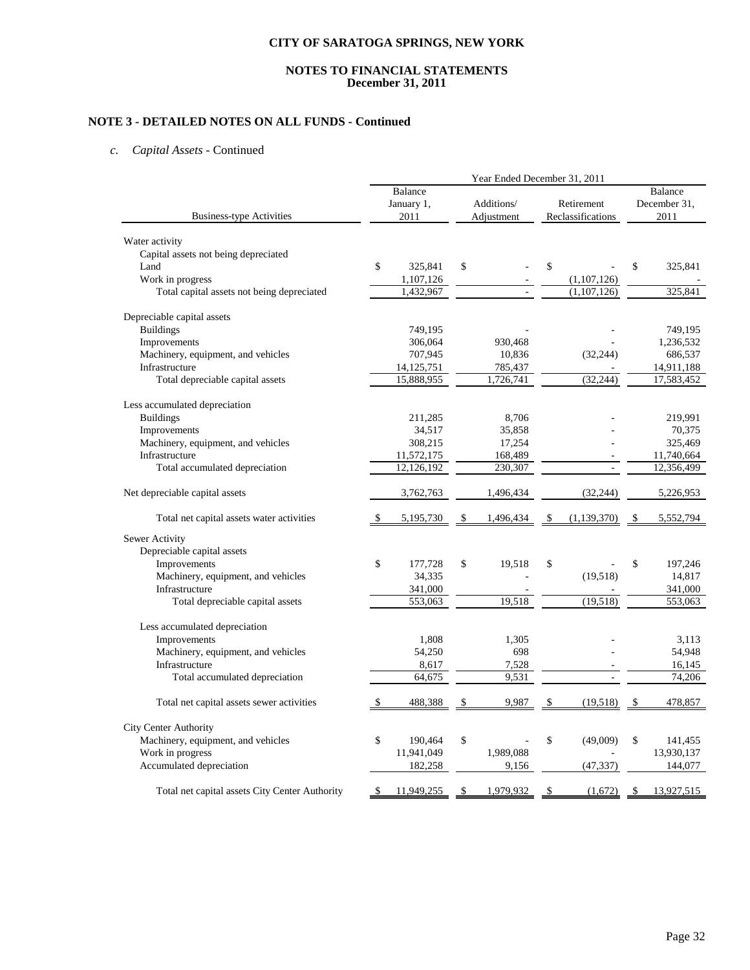#### **NOTES TO FINANCIAL STATEMENTS December 31, 2011**

# **NOTE 3 - DETAILED NOTES ON ALL FUNDS - Continued**

## *c. Capital Assets* - Continued

|                                                | Year Ended December 31, 2011 |              |    |            |    |                   |                |            |  |  |  |  |  |
|------------------------------------------------|------------------------------|--------------|----|------------|----|-------------------|----------------|------------|--|--|--|--|--|
|                                                |                              | Balance      |    |            |    |                   | <b>Balance</b> |            |  |  |  |  |  |
|                                                |                              | January 1,   |    | Additions/ |    | Retirement        | December 31,   |            |  |  |  |  |  |
| <b>Business-type Activities</b>                |                              | 2011         |    | Adjustment |    | Reclassifications |                | 2011       |  |  |  |  |  |
| Water activity                                 |                              |              |    |            |    |                   |                |            |  |  |  |  |  |
| Capital assets not being depreciated           |                              |              |    |            |    |                   |                |            |  |  |  |  |  |
| Land                                           | $\mathsf{\$}$                | 325,841      | \$ |            | \$ |                   | \$             | 325,841    |  |  |  |  |  |
| Work in progress                               |                              | 1,107,126    |    |            |    | (1,107,126)       |                |            |  |  |  |  |  |
| Total capital assets not being depreciated     |                              | 1,432,967    |    |            |    | (1,107,126)       |                | 325,841    |  |  |  |  |  |
| Depreciable capital assets                     |                              |              |    |            |    |                   |                |            |  |  |  |  |  |
| <b>Buildings</b>                               |                              | 749,195      |    |            |    |                   |                | 749,195    |  |  |  |  |  |
| Improvements                                   |                              | 306,064      |    | 930,468    |    |                   |                | 1,236,532  |  |  |  |  |  |
| Machinery, equipment, and vehicles             |                              | 707,945      |    | 10,836     |    | (32, 244)         |                | 686,537    |  |  |  |  |  |
| Infrastructure                                 |                              | 14, 125, 751 |    | 785,437    |    |                   |                | 14,911,188 |  |  |  |  |  |
| Total depreciable capital assets               |                              | 15,888,955   |    | 1,726,741  |    | (32, 244)         |                | 17,583,452 |  |  |  |  |  |
| Less accumulated depreciation                  |                              |              |    |            |    |                   |                |            |  |  |  |  |  |
| <b>Buildings</b>                               |                              | 211,285      |    | 8,706      |    |                   |                | 219,991    |  |  |  |  |  |
| Improvements                                   |                              | 34,517       |    | 35,858     |    |                   |                | 70,375     |  |  |  |  |  |
| Machinery, equipment, and vehicles             |                              | 308,215      |    | 17,254     |    |                   |                | 325,469    |  |  |  |  |  |
| Infrastructure                                 |                              | 11,572,175   |    | 168,489    |    |                   |                | 11,740,664 |  |  |  |  |  |
| Total accumulated depreciation                 |                              | 12,126,192   |    | 230,307    |    |                   |                | 12,356,499 |  |  |  |  |  |
| Net depreciable capital assets                 |                              | 3,762,763    |    | 1,496,434  |    | (32, 244)         |                | 5,226,953  |  |  |  |  |  |
| Total net capital assets water activities      |                              | 5,195,730    | \$ | 1,496,434  | \$ | (1,139,370)       | - \$           | 5,552,794  |  |  |  |  |  |
| Sewer Activity                                 |                              |              |    |            |    |                   |                |            |  |  |  |  |  |
| Depreciable capital assets                     |                              |              |    |            |    |                   |                |            |  |  |  |  |  |
| Improvements                                   | \$                           | 177,728      | \$ | 19,518     | \$ |                   | \$             | 197,246    |  |  |  |  |  |
| Machinery, equipment, and vehicles             |                              | 34,335       |    |            |    | (19,518)          |                | 14,817     |  |  |  |  |  |
| Infrastructure                                 |                              | 341,000      |    |            |    |                   |                | 341,000    |  |  |  |  |  |
| Total depreciable capital assets               |                              | 553,063      |    | 19,518     |    | (19,518)          |                | 553,063    |  |  |  |  |  |
|                                                |                              |              |    |            |    |                   |                |            |  |  |  |  |  |
| Less accumulated depreciation                  |                              |              |    |            |    |                   |                |            |  |  |  |  |  |
| Improvements                                   |                              | 1,808        |    | 1,305      |    |                   |                | 3.113      |  |  |  |  |  |
| Machinery, equipment, and vehicles             |                              | 54,250       |    | 698        |    |                   |                | 54,948     |  |  |  |  |  |
| Infrastructure                                 |                              | 8,617        |    | 7,528      |    |                   |                | 16,145     |  |  |  |  |  |
| Total accumulated depreciation                 |                              | 64,675       |    | 9,531      |    |                   |                | 74,206     |  |  |  |  |  |
| Total net capital assets sewer activities      |                              | 488,388      |    | 9,987      |    | (19,518)          | \$             | 478,857    |  |  |  |  |  |
| <b>City Center Authority</b>                   |                              |              |    |            |    |                   |                |            |  |  |  |  |  |
| Machinery, equipment, and vehicles             | \$                           | 190.464      | \$ |            | \$ | (49,009)          | \$             | 141,455    |  |  |  |  |  |
| Work in progress                               |                              | 11,941,049   |    | 1,989,088  |    |                   |                | 13,930,137 |  |  |  |  |  |
| Accumulated depreciation                       |                              | 182,258      |    | 9,156      |    | (47, 337)         |                | 144,077    |  |  |  |  |  |
| Total net capital assets City Center Authority | \$                           | 11,949,255   | \$ | 1,979,932  | \$ | (1,672)           | S              | 13,927,515 |  |  |  |  |  |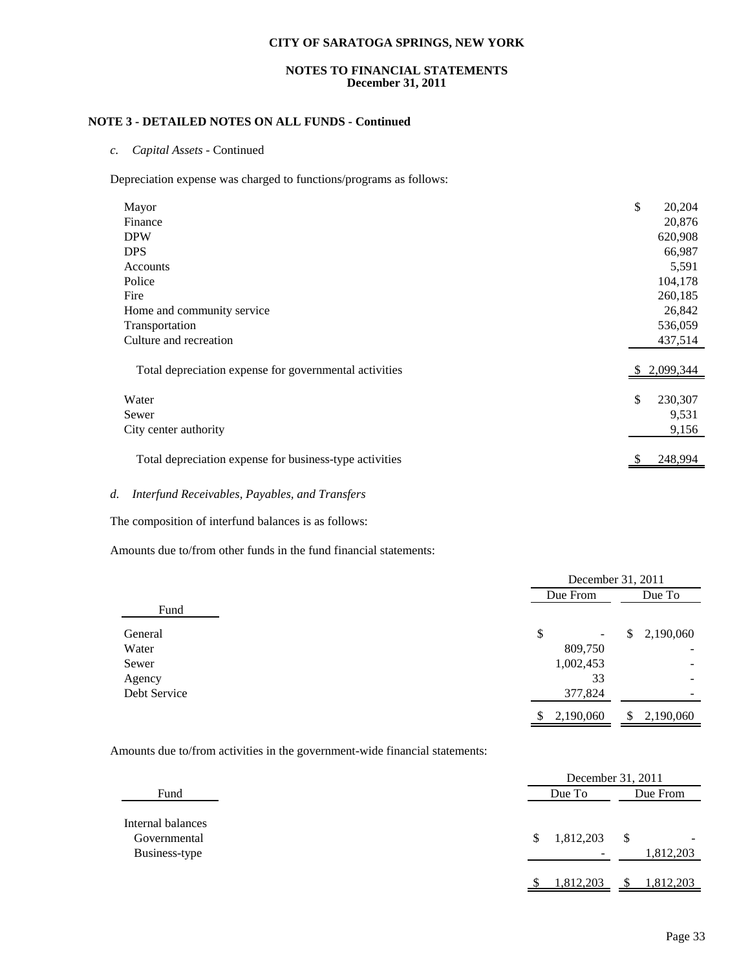#### **NOTES TO FINANCIAL STATEMENTS December 31, 2011**

## **NOTE 3 - DETAILED NOTES ON ALL FUNDS - Continued**

*c. Capital Assets* - Continued

Depreciation expense was charged to functions/programs as follows:

| Mayor                                                   | \$<br>20,204  |
|---------------------------------------------------------|---------------|
| Finance                                                 | 20,876        |
| <b>DPW</b>                                              | 620,908       |
| <b>DPS</b>                                              | 66,987        |
| Accounts                                                | 5,591         |
| Police                                                  | 104,178       |
| Fire                                                    | 260,185       |
| Home and community service                              | 26,842        |
| Transportation                                          | 536,059       |
| Culture and recreation                                  | 437,514       |
| Total depreciation expense for governmental activities  | 2,099,344     |
| Water                                                   | \$<br>230,307 |
| Sewer                                                   | 9,531         |
|                                                         |               |
| City center authority                                   | 9,156         |
| Total depreciation expense for business-type activities | 248,994       |

## *d. Interfund Receivables, Payables, and Transfers*

The composition of interfund balances is as follows:

Amounts due to/from other funds in the fund financial statements:

|              |                 | December 31, 2011        |  |  |
|--------------|-----------------|--------------------------|--|--|
|              | Due From        | Due To                   |  |  |
| Fund         |                 |                          |  |  |
| General      | \$<br>۰         | 2,190,060<br>\$          |  |  |
| Water        | 809,750         |                          |  |  |
| Sewer        | 1,002,453       | -                        |  |  |
| Agency       | 33              | $\overline{\phantom{a}}$ |  |  |
| Debt Service | 377,824         |                          |  |  |
|              | \$<br>2,190,060 | 2,190,060<br>S           |  |  |

Amounts due to/from activities in the government-wide financial statements:

|                                                    |                                            | December 31, 2011 |  |  |
|----------------------------------------------------|--------------------------------------------|-------------------|--|--|
| Fund                                               | Due To                                     | Due From          |  |  |
| Internal balances<br>Governmental<br>Business-type | 1,812,203<br>S<br>$\overline{\phantom{a}}$ | \$<br>1,812,203   |  |  |
|                                                    | 1,812,203                                  | 1,812,203         |  |  |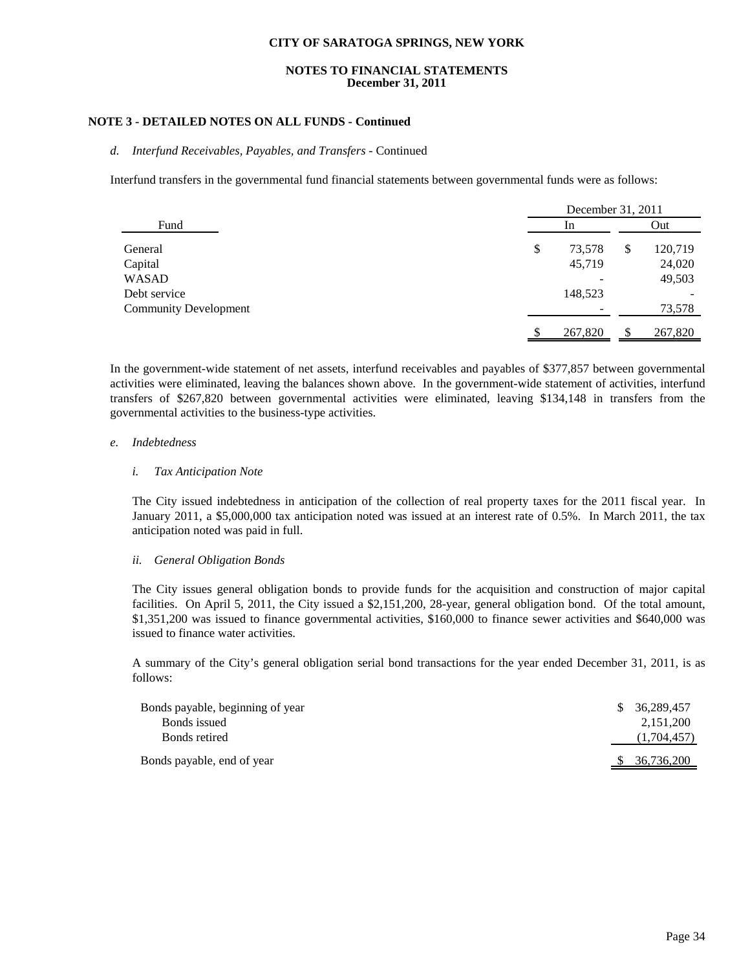#### **NOTES TO FINANCIAL STATEMENTS December 31, 2011**

## **NOTE 3 - DETAILED NOTES ON ALL FUNDS - Continued**

#### *d. Interfund Receivables, Payables, and Transfers* - Continued

Interfund transfers in the governmental fund financial statements between governmental funds were as follows:

|                              | December 31, 2011 |         |     |         |
|------------------------------|-------------------|---------|-----|---------|
| Fund                         | 1n                |         | Out |         |
| General                      | \$                | 73,578  | S   | 120,719 |
| Capital                      |                   | 45,719  |     | 24,020  |
| <b>WASAD</b>                 |                   |         |     | 49,503  |
| Debt service                 |                   | 148,523 |     |         |
| <b>Community Development</b> |                   |         |     | 73,578  |
|                              |                   | 267,820 |     | 267,820 |

In the government-wide statement of net assets, interfund receivables and payables of \$377,857 between governmental activities were eliminated, leaving the balances shown above. In the government-wide statement of activities, interfund transfers of \$267,820 between governmental activities were eliminated, leaving \$134,148 in transfers from the governmental activities to the business-type activities.

#### *e. Indebtedness*

#### *i. Tax Anticipation Note*

The City issued indebtedness in anticipation of the collection of real property taxes for the 2011 fiscal year. In January 2011, a \$5,000,000 tax anticipation noted was issued at an interest rate of 0.5%. In March 2011, the tax anticipation noted was paid in full.

#### *ii. General Obligation Bonds*

The City issues general obligation bonds to provide funds for the acquisition and construction of major capital facilities. On April 5, 2011, the City issued a \$2,151,200, 28-year, general obligation bond. Of the total amount, \$1,351,200 was issued to finance governmental activities, \$160,000 to finance sewer activities and \$640,000 was issued to finance water activities.

A summary of the City's general obligation serial bond transactions for the year ended December 31, 2011, is as follows:

| Bonds payable, beginning of year | S. | 36.289.457  |
|----------------------------------|----|-------------|
| Bonds issued                     |    | 2,151,200   |
| Bonds retired                    |    | (1,704,457) |
| Bonds payable, end of year       |    | 36,736,200  |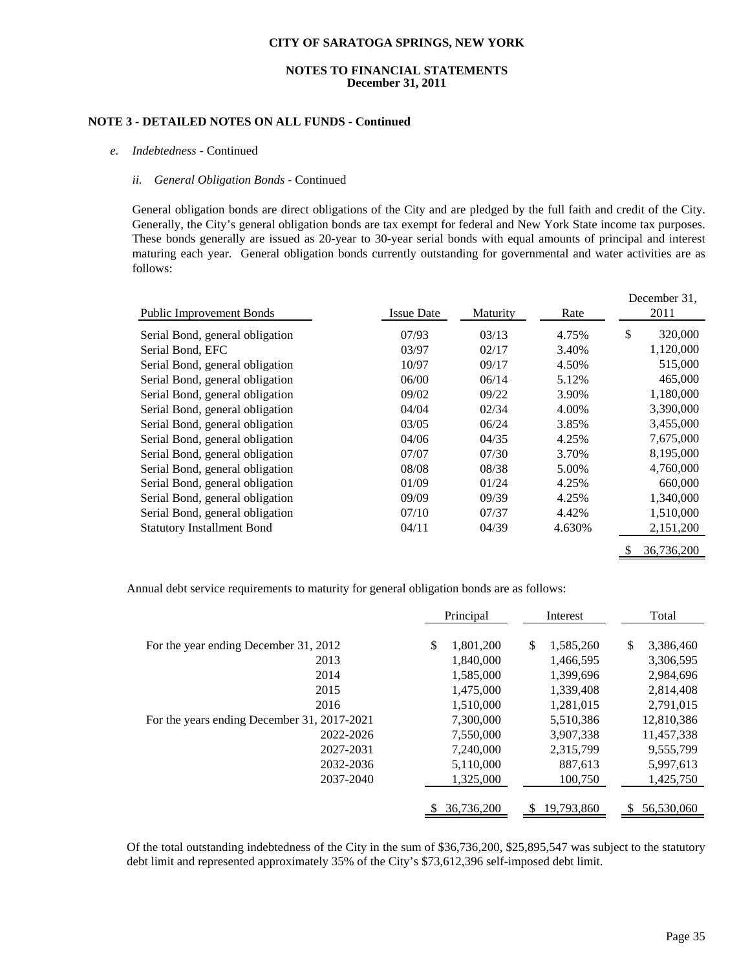#### **NOTES TO FINANCIAL STATEMENTS December 31, 2011**

## **NOTE 3 - DETAILED NOTES ON ALL FUNDS - Continued**

#### *e. Indebtedness* - Continued

#### *ii. General Obligation Bonds* - Continued

General obligation bonds are direct obligations of the City and are pledged by the full faith and credit of the City. Generally, the City's general obligation bonds are tax exempt for federal and New York State income tax purposes. These bonds generally are issued as 20-year to 30-year serial bonds with equal amounts of principal and interest maturing each year. General obligation bonds currently outstanding for governmental and water activities are as follows:

| <b>Public Improvement Bonds</b>   | <b>Issue Date</b> | Maturity | Rate   |    | December 31,<br>2011 |
|-----------------------------------|-------------------|----------|--------|----|----------------------|
| Serial Bond, general obligation   | 07/93             | 03/13    | 4.75%  | \$ | 320,000              |
| Serial Bond, EFC                  | 03/97             | 02/17    | 3.40%  |    | 1,120,000            |
| Serial Bond, general obligation   | 10/97             | 09/17    | 4.50%  |    | 515,000              |
| Serial Bond, general obligation   | 06/00             | 06/14    | 5.12%  |    | 465,000              |
| Serial Bond, general obligation   | 09/02             | 09/22    | 3.90%  |    | 1,180,000            |
| Serial Bond, general obligation   | 04/04             | 02/34    | 4.00%  |    | 3,390,000            |
| Serial Bond, general obligation   | 03/05             | 06/24    | 3.85%  |    | 3,455,000            |
| Serial Bond, general obligation   | 04/06             | 04/35    | 4.25%  |    | 7,675,000            |
| Serial Bond, general obligation   | 07/07             | 07/30    | 3.70%  |    | 8,195,000            |
| Serial Bond, general obligation   | 08/08             | 08/38    | 5.00%  |    | 4,760,000            |
| Serial Bond, general obligation   | 01/09             | 01/24    | 4.25%  |    | 660,000              |
| Serial Bond, general obligation   | 09/09             | 09/39    | 4.25%  |    | 1,340,000            |
| Serial Bond, general obligation   | 07/10             | 07/37    | 4.42%  |    | 1,510,000            |
| <b>Statutory Installment Bond</b> | 04/11             | 04/39    | 4.630% |    | 2,151,200            |
|                                   |                   |          |        | S  | 36,736,200           |

Annual debt service requirements to maturity for general obligation bonds are as follows:

|                                             | Principal       | Interest        | Total           |
|---------------------------------------------|-----------------|-----------------|-----------------|
| For the year ending December 31, 2012       | \$<br>1,801,200 | \$<br>1,585,260 | \$<br>3,386,460 |
| 2013                                        | 1.840.000       | 1,466,595       | 3,306,595       |
| 2014                                        | 1,585,000       | 1,399,696       | 2,984,696       |
| 2015                                        | 1,475,000       | 1,339,408       | 2,814,408       |
| 2016                                        | 1.510.000       | 1,281,015       | 2,791,015       |
| For the years ending December 31, 2017-2021 | 7,300,000       | 5,510,386       | 12,810,386      |
| 2022-2026                                   | 7,550,000       | 3,907,338       | 11,457,338      |
| 2027-2031                                   | 7,240,000       | 2,315,799       | 9,555,799       |
| 2032-2036                                   | 5,110,000       | 887,613         | 5,997,613       |
| 2037-2040                                   | 1,325,000       | 100,750         | 1,425,750       |
|                                             |                 |                 |                 |
|                                             | 36,736,200      | 19,793,860      | 56,530,060      |

Of the total outstanding indebtedness of the City in the sum of \$36,736,200, \$25,895,547 was subject to the statutory debt limit and represented approximately 35% of the City's \$73,612,396 self-imposed debt limit.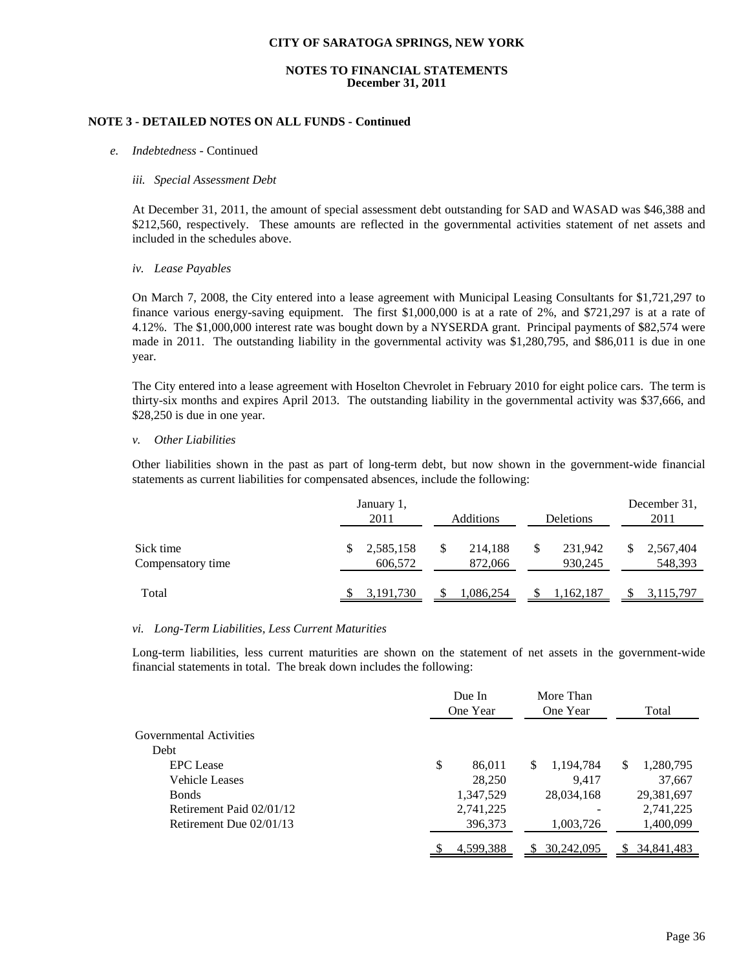#### **NOTES TO FINANCIAL STATEMENTS December 31, 2011**

#### **NOTE 3 - DETAILED NOTES ON ALL FUNDS - Continued**

#### *e. Indebtedness* - Continued

#### *iii. Special Assessment Debt*

At December 31, 2011, the amount of special assessment debt outstanding for SAD and WASAD was \$46,388 and \$212,560, respectively. These amounts are reflected in the governmental activities statement of net assets and included in the schedules above.

#### *iv. Lease Payables*

On March 7, 2008, the City entered into a lease agreement with Municipal Leasing Consultants for \$1,721,297 to finance various energy-saving equipment. The first \$1,000,000 is at a rate of 2%, and \$721,297 is at a rate of 4.12%. The \$1,000,000 interest rate was bought down by a NYSERDA grant. Principal payments of \$82,574 were made in 2011. The outstanding liability in the governmental activity was \$1,280,795, and \$86,011 is due in one year.

The City entered into a lease agreement with Hoselton Chevrolet in February 2010 for eight police cars. The term is thirty-six months and expires April 2013. The outstanding liability in the governmental activity was \$37,666, and \$28,250 is due in one year.

#### *v. Other Liabilities*

Other liabilities shown in the past as part of long-term debt, but now shown in the government-wide financial statements as current liabilities for compensated absences, include the following:

|                                | January 1,<br>2011        | Additions          | Deletions          | December 31.<br>2011        |
|--------------------------------|---------------------------|--------------------|--------------------|-----------------------------|
| Sick time<br>Compensatory time | 2,585,158<br>S<br>606,572 | 214,188<br>872,066 | 231.942<br>930,245 | 2,567,404<br>JЭ.<br>548,393 |
| Total                          | 3, 191, 730               | 1,086,254          | 1,162,187          | 3,115,797                   |

#### *vi. Long-Term Liabilities, Less Current Maturities*

Long-term liabilities, less current maturities are shown on the statement of net assets in the government-wide financial statements in total. The break down includes the following:

|                          | Due In<br>One Year | More Than<br>One Year     | Total          |
|--------------------------|--------------------|---------------------------|----------------|
| Governmental Activities  |                    |                           |                |
| Debt                     |                    |                           |                |
| <b>EPC</b> Lease         | \$                 | 86,011<br>1,194,784<br>\$ | 1,280,795<br>S |
| <b>Vehicle Leases</b>    |                    | 28,250<br>9.417           | 37,667         |
| <b>B</b> onds            | 1,347,529          | 28,034,168                | 29,381,697     |
| Retirement Paid 02/01/12 | 2,741,225          |                           | 2,741,225      |
| Retirement Due 02/01/13  | 396,373            | 1,003,726                 | 1,400,099      |
|                          | 4,599,388          | 30,242,095                | 34,841,483     |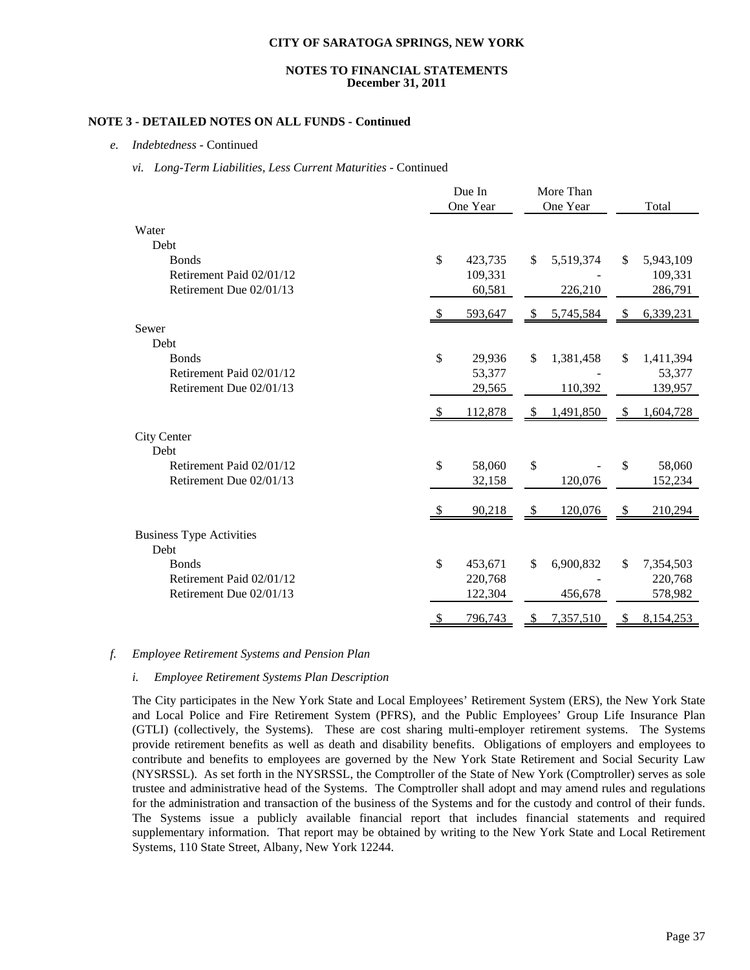#### **NOTES TO FINANCIAL STATEMENTS December 31, 2011**

## **NOTE 3 - DETAILED NOTES ON ALL FUNDS - Continued**

*e. Indebtedness* - Continued

#### *vi. Long-Term Liabilities, Less Current Maturities* - Continued

|                                         |     | Due In   |      | More Than |    |           |
|-----------------------------------------|-----|----------|------|-----------|----|-----------|
|                                         |     | One Year |      | One Year  |    | Total     |
| Water                                   |     |          |      |           |    |           |
| Debt                                    |     |          |      |           |    |           |
| <b>Bonds</b>                            | \$  | 423,735  | \$   | 5,519,374 | \$ | 5,943,109 |
| Retirement Paid 02/01/12                |     | 109,331  |      |           |    | 109,331   |
| Retirement Due 02/01/13                 |     | 60,581   |      | 226,210   |    | 286,791   |
|                                         |     | 593,647  | -S   | 5,745,584 | \$ | 6,339,231 |
| Sewer                                   |     |          |      |           |    |           |
| Debt                                    |     |          |      |           |    |           |
| <b>Bonds</b>                            | \$  | 29,936   | \$   | 1,381,458 | \$ | 1,411,394 |
| Retirement Paid 02/01/12                |     | 53,377   |      |           |    | 53,377    |
| Retirement Due 02/01/13                 |     | 29,565   |      | 110,392   |    | 139,957   |
|                                         |     | 112,878  | - \$ | 1,491,850 | -S | 1,604,728 |
| <b>City Center</b>                      |     |          |      |           |    |           |
| Debt                                    |     |          |      |           |    |           |
| Retirement Paid 02/01/12                | \$  | 58,060   | \$   |           | \$ | 58,060    |
| Retirement Due 02/01/13                 |     | 32,158   |      | 120,076   |    | 152,234   |
|                                         | \$. | 90,218   | -\$  | 120,076   | \$ | 210,294   |
|                                         |     |          |      |           |    |           |
| <b>Business Type Activities</b><br>Debt |     |          |      |           |    |           |
| <b>Bonds</b>                            | \$  | 453,671  | \$   | 6,900,832 | \$ | 7,354,503 |
| Retirement Paid 02/01/12                |     | 220,768  |      |           |    | 220,768   |
| Retirement Due 02/01/13                 |     | 122,304  |      | 456,678   |    | 578,982   |
|                                         | \$  | 796,743  | \$   | 7,357,510 | \$ | 8,154,253 |

## *f. Employee Retirement Systems and Pension Plan*

#### *i. Employee Retirement Systems Plan Description*

The City participates in the New York State and Local Employees' Retirement System (ERS), the New York State and Local Police and Fire Retirement System (PFRS), and the Public Employees' Group Life Insurance Plan (GTLI) (collectively, the Systems). These are cost sharing multi-employer retirement systems. The Systems provide retirement benefits as well as death and disability benefits. Obligations of employers and employees to contribute and benefits to employees are governed by the New York State Retirement and Social Security Law (NYSRSSL). As set forth in the NYSRSSL, the Comptroller of the State of New York (Comptroller) serves as sole trustee and administrative head of the Systems. The Comptroller shall adopt and may amend rules and regulations for the administration and transaction of the business of the Systems and for the custody and control of their funds. The Systems issue a publicly available financial report that includes financial statements and required supplementary information. That report may be obtained by writing to the New York State and Local Retirement Systems, 110 State Street, Albany, New York 12244.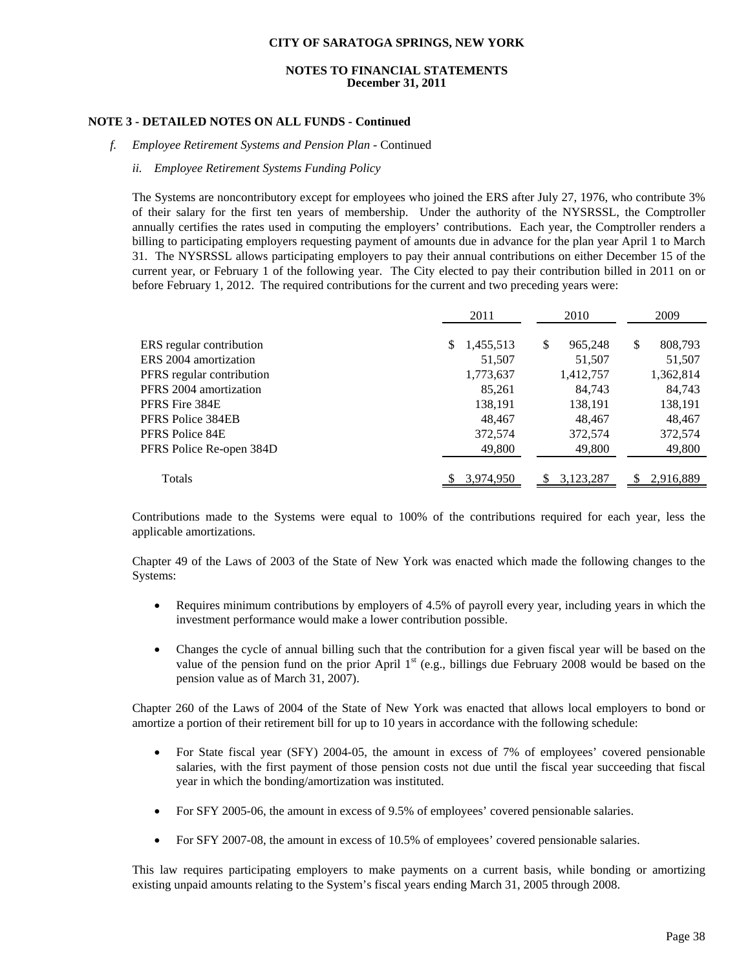## **NOTES TO FINANCIAL STATEMENTS December 31, 2011**

## **NOTE 3 - DETAILED NOTES ON ALL FUNDS - Continued**

#### *f. Employee Retirement Systems and Pension Plan* - Continued

#### *ii. Employee Retirement Systems Funding Policy*

The Systems are noncontributory except for employees who joined the ERS after July 27, 1976, who contribute 3% of their salary for the first ten years of membership. Under the authority of the NYSRSSL, the Comptroller annually certifies the rates used in computing the employers' contributions. Each year, the Comptroller renders a billing to participating employers requesting payment of amounts due in advance for the plan year April 1 to March 31. The NYSRSSL allows participating employers to pay their annual contributions on either December 15 of the current year, or February 1 of the following year. The City elected to pay their contribution billed in 2011 on or before February 1, 2012. The required contributions for the current and two preceding years were:

|                           | 2011            | 2010          | 2009          |
|---------------------------|-----------------|---------------|---------------|
| ERS regular contribution  | 1,455,513<br>S. | \$<br>965,248 | \$<br>808,793 |
| ERS 2004 amortization     | 51,507          | 51,507        | 51,507        |
| PFRS regular contribution | 1,773,637       | 1,412,757     | 1,362,814     |
| PFRS 2004 amortization    | 85,261          | 84,743        | 84,743        |
| PFRS Fire 384E            | 138,191         | 138,191       | 138,191       |
| PFRS Police 384EB         | 48.467          | 48,467        | 48,467        |
| PFRS Police 84E           | 372,574         | 372,574       | 372,574       |
| PFRS Police Re-open 384D  | 49,800          | 49,800        | 49,800        |
| Totals                    | 3,974,950       | 3,123,287     | 2,916,889     |

Contributions made to the Systems were equal to 100% of the contributions required for each year, less the applicable amortizations.

Chapter 49 of the Laws of 2003 of the State of New York was enacted which made the following changes to the Systems:

- Requires minimum contributions by employers of 4.5% of payroll every year, including years in which the investment performance would make a lower contribution possible.
- Changes the cycle of annual billing such that the contribution for a given fiscal year will be based on the value of the pension fund on the prior April  $1<sup>st</sup>$  (e.g., billings due February 2008 would be based on the pension value as of March 31, 2007).

Chapter 260 of the Laws of 2004 of the State of New York was enacted that allows local employers to bond or amortize a portion of their retirement bill for up to 10 years in accordance with the following schedule:

- For State fiscal year (SFY) 2004-05, the amount in excess of 7% of employees' covered pensionable salaries, with the first payment of those pension costs not due until the fiscal year succeeding that fiscal year in which the bonding/amortization was instituted.
- For SFY 2005-06, the amount in excess of 9.5% of employees' covered pensionable salaries.
- For SFY 2007-08, the amount in excess of 10.5% of employees' covered pensionable salaries.

This law requires participating employers to make payments on a current basis, while bonding or amortizing existing unpaid amounts relating to the System's fiscal years ending March 31, 2005 through 2008.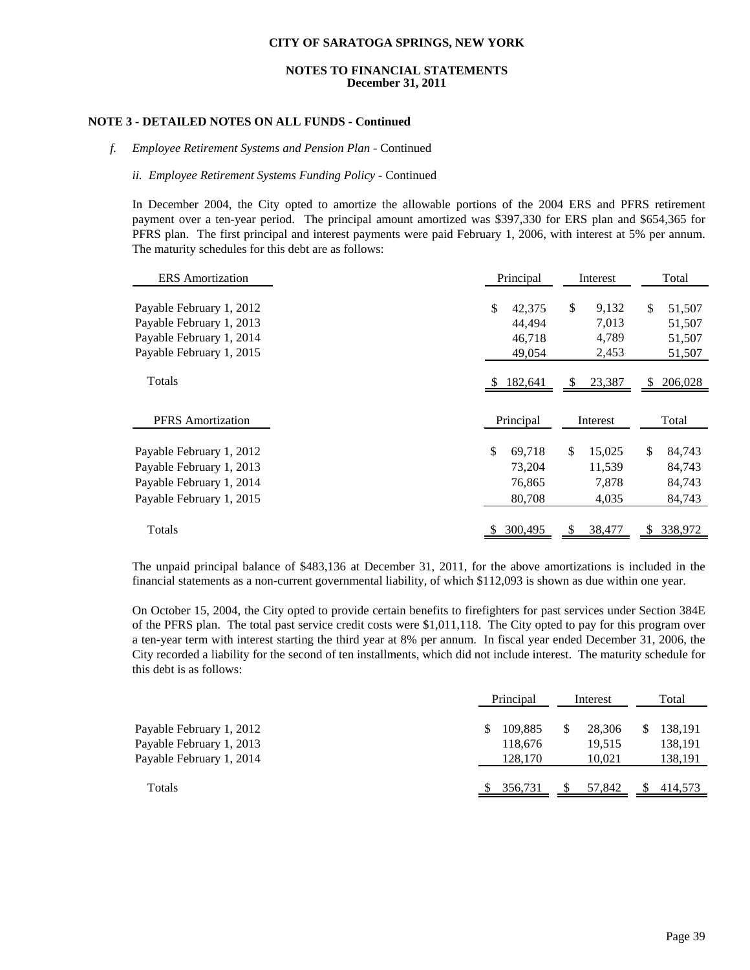#### **NOTES TO FINANCIAL STATEMENTS December 31, 2011**

#### **NOTE 3 - DETAILED NOTES ON ALL FUNDS - Continued**

#### *f. Employee Retirement Systems and Pension Plan* - Continued

#### *ii. Employee Retirement Systems Funding Policy* - Continued

In December 2004, the City opted to amortize the allowable portions of the 2004 ERS and PFRS retirement payment over a ten-year period. The principal amount amortized was \$397,330 for ERS plan and \$654,365 for PFRS plan. The first principal and interest payments were paid February 1, 2006, with interest at 5% per annum. The maturity schedules for this debt are as follows:

| <b>ERS</b> Amortization                                                                                      | Principal                                  | Interest                                         | Total                                      |
|--------------------------------------------------------------------------------------------------------------|--------------------------------------------|--------------------------------------------------|--------------------------------------------|
| Payable February 1, 2012<br>Payable February 1, 2013<br>Payable February 1, 2014<br>Payable February 1, 2015 | \$<br>42,375<br>44,494<br>46,718<br>49,054 | $\mathbb{S}$<br>9,132<br>7,013<br>4,789<br>2,453 | \$<br>51,507<br>51,507<br>51,507<br>51,507 |
| Totals                                                                                                       | 182,641                                    | 23,387<br>S                                      | 206,028<br>S                               |
| <b>PFRS</b> Amortization                                                                                     | Principal                                  | Interest                                         | Total                                      |
| Payable February 1, 2012<br>Payable February 1, 2013<br>Payable February 1, 2014<br>Payable February 1, 2015 | \$<br>69,718<br>73,204<br>76,865<br>80,708 | \$<br>15,025<br>11,539<br>7,878<br>4,035         | \$<br>84,743<br>84,743<br>84,743<br>84,743 |
| Totals                                                                                                       | 300,495                                    | 38,477<br>S.                                     | 338,972<br>\$.                             |

The unpaid principal balance of \$483,136 at December 31, 2011, for the above amortizations is included in the financial statements as a non-current governmental liability, of which \$112,093 is shown as due within one year.

On October 15, 2004, the City opted to provide certain benefits to firefighters for past services under Section 384E of the PFRS plan. The total past service credit costs were \$1,011,118. The City opted to pay for this program over a ten-year term with interest starting the third year at 8% per annum. In fiscal year ended December 31, 2006, the City recorded a liability for the second of ten installments, which did not include interest. The maturity schedule for this debt is as follows:

|                                                                                  | Principal                           | Interest                         | Total                         |  |
|----------------------------------------------------------------------------------|-------------------------------------|----------------------------------|-------------------------------|--|
| Payable February 1, 2012<br>Payable February 1, 2013<br>Payable February 1, 2014 | 109.885<br>S.<br>118,676<br>128.170 | \$<br>28.306<br>19.515<br>10.021 | 138,191<br>138,191<br>138,191 |  |
| Totals                                                                           | 356,731                             | 57,842                           | 414,573                       |  |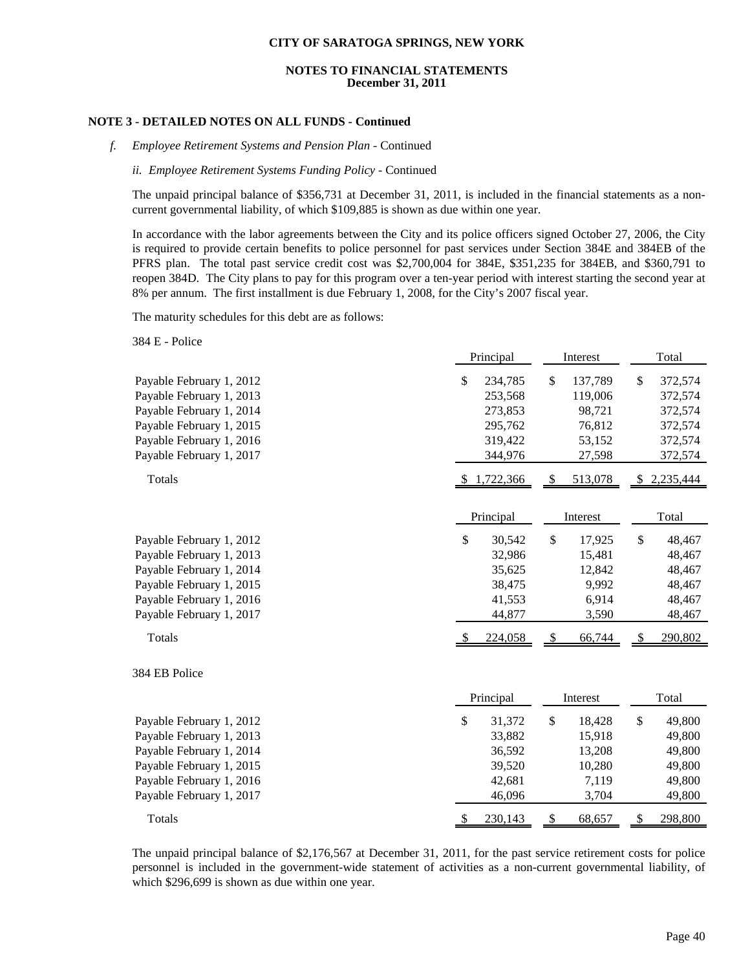#### **NOTES TO FINANCIAL STATEMENTS December 31, 2011**

### **NOTE 3 - DETAILED NOTES ON ALL FUNDS - Continued**

*f. Employee Retirement Systems and Pension Plan* - Continued

#### *ii. Employee Retirement Systems Funding Policy* - Continued

The unpaid principal balance of \$356,731 at December 31, 2011, is included in the financial statements as a noncurrent governmental liability, of which \$109,885 is shown as due within one year.

In accordance with the labor agreements between the City and its police officers signed October 27, 2006, the City is required to provide certain benefits to police personnel for past services under Section 384E and 384EB of the PFRS plan. The total past service credit cost was \$2,700,004 for 384E, \$351,235 for 384EB, and \$360,791 to reopen 384D. The City plans to pay for this program over a ten-year period with interest starting the second year at 8% per annum. The first installment is due February 1, 2008, for the City's 2007 fiscal year.

The maturity schedules for this debt are as follows:

384 E - Police

|                                                                                                                                                                      | Principal                                                            | Interest                                                              | Total                                                                |
|----------------------------------------------------------------------------------------------------------------------------------------------------------------------|----------------------------------------------------------------------|-----------------------------------------------------------------------|----------------------------------------------------------------------|
| Payable February 1, 2012<br>Payable February 1, 2013<br>Payable February 1, 2014<br>Payable February 1, 2015<br>Payable February 1, 2016<br>Payable February 1, 2017 | \$<br>234,785<br>253,568<br>273,853<br>295,762<br>319,422<br>344,976 | \$<br>137,789<br>119,006<br>98,721<br>76,812<br>53,152<br>27,598      | \$<br>372,574<br>372,574<br>372,574<br>372,574<br>372,574<br>372,574 |
| Totals                                                                                                                                                               | \$1,722,366                                                          | 513,078<br><sup>\$</sup>                                              | 2,235,444<br><sup>S</sup>                                            |
|                                                                                                                                                                      | Principal                                                            | Interest                                                              | Total                                                                |
| Payable February 1, 2012<br>Payable February 1, 2013<br>Payable February 1, 2014<br>Payable February 1, 2015<br>Payable February 1, 2016<br>Payable February 1, 2017 | \$<br>30,542<br>32,986<br>35,625<br>38,475<br>41,553<br>44,877       | $\mathbb{S}$<br>17,925<br>15,481<br>12,842<br>9,992<br>6,914<br>3,590 | \$<br>48,467<br>48,467<br>48,467<br>48,467<br>48,467<br>48,467       |
| Totals                                                                                                                                                               | 224,058                                                              | 66,744<br>$\frac{1}{2}$                                               | 290,802<br>\$                                                        |
| 384 EB Police                                                                                                                                                        | Principal                                                            | Interest                                                              | Total                                                                |
| Payable February 1, 2012<br>Payable February 1, 2013<br>Payable February 1, 2014<br>Payable February 1, 2015<br>Payable February 1, 2016<br>Payable February 1, 2017 | \$<br>31,372<br>33,882<br>36,592<br>39,520<br>42,681<br>46,096       | \$<br>18,428<br>15,918<br>13,208<br>10,280<br>7,119<br>3,704          | \$<br>49,800<br>49,800<br>49,800<br>49,800<br>49,800<br>49,800       |
| Totals                                                                                                                                                               | 230,143<br>$\sqrt[6]{\frac{1}{2}}$                                   | 68,657<br>$\frac{1}{2}$                                               | 298,800<br>\$                                                        |

The unpaid principal balance of \$2,176,567 at December 31, 2011, for the past service retirement costs for police personnel is included in the government-wide statement of activities as a non-current governmental liability, of which \$296,699 is shown as due within one year.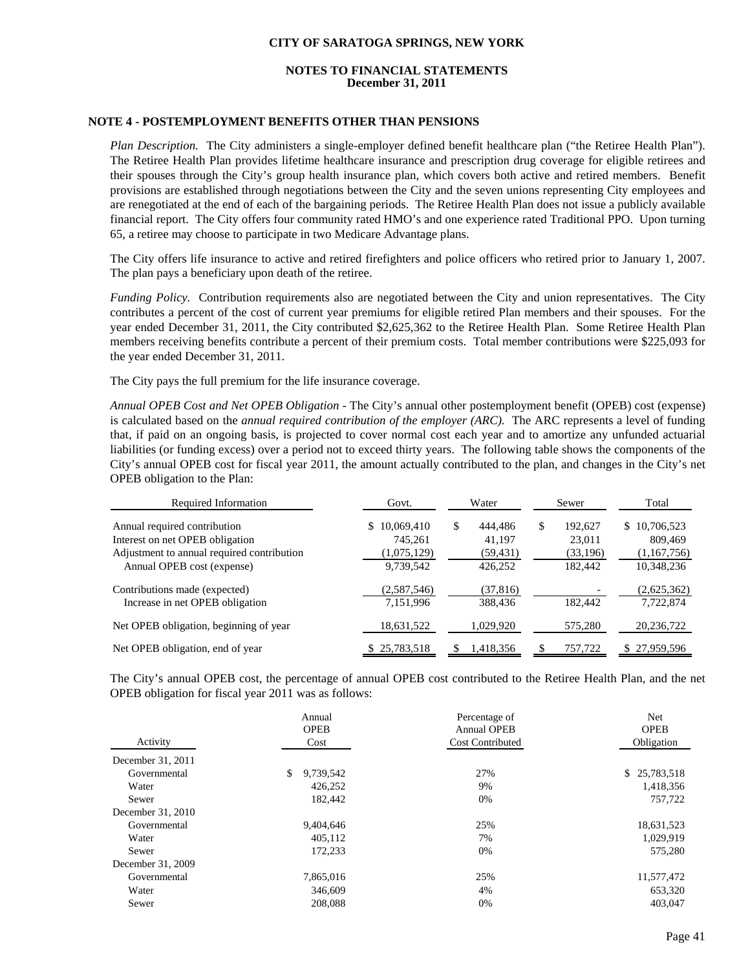## **NOTES TO FINANCIAL STATEMENTS December 31, 2011**

## **NOTE 4 - POSTEMPLOYMENT BENEFITS OTHER THAN PENSIONS**

*Plan Description.* The City administers a single-employer defined benefit healthcare plan ("the Retiree Health Plan"). The Retiree Health Plan provides lifetime healthcare insurance and prescription drug coverage for eligible retirees and their spouses through the City's group health insurance plan, which covers both active and retired members. Benefit provisions are established through negotiations between the City and the seven unions representing City employees and are renegotiated at the end of each of the bargaining periods. The Retiree Health Plan does not issue a publicly available financial report. The City offers four community rated HMO's and one experience rated Traditional PPO. Upon turning 65, a retiree may choose to participate in two Medicare Advantage plans.

The City offers life insurance to active and retired firefighters and police officers who retired prior to January 1, 2007. The plan pays a beneficiary upon death of the retiree.

*Funding Policy.* Contribution requirements also are negotiated between the City and union representatives. The City contributes a percent of the cost of current year premiums for eligible retired Plan members and their spouses. For the year ended December 31, 2011, the City contributed \$2,625,362 to the Retiree Health Plan. Some Retiree Health Plan members receiving benefits contribute a percent of their premium costs. Total member contributions were \$225,093 for the year ended December 31, 2011.

The City pays the full premium for the life insurance coverage.

*Annual OPEB Cost and Net OPEB Obligation -* The City's annual other postemployment benefit (OPEB) cost (expense) is calculated based on the *annual required contribution of the employer (ARC).* The ARC represents a level of funding that, if paid on an ongoing basis, is projected to cover normal cost each year and to amortize any unfunded actuarial liabilities (or funding excess) over a period not to exceed thirty years. The following table shows the components of the City's annual OPEB cost for fiscal year 2011, the amount actually contributed to the plan, and changes in the City's net OPEB obligation to the Plan:

| Required Information                       | Govt.            | Water         | Sewer        | Total        |
|--------------------------------------------|------------------|---------------|--------------|--------------|
| Annual required contribution               | 10.069.410<br>S. | \$<br>444.486 | 192,627<br>S | \$10,706,523 |
| Interest on net OPEB obligation            | 745,261          | 41.197        | 23,011       | 809,469      |
| Adjustment to annual required contribution | (1,075,129)      | (59, 431)     | (33, 196)    | (1,167,756)  |
| Annual OPEB cost (expense)                 | 9,739,542        | 426,252       | 182,442      | 10,348,236   |
| Contributions made (expected)              | (2,587,546)      | (37, 816)     |              | (2,625,362)  |
| Increase in net OPEB obligation            | 7,151,996        | 388,436       | 182.442      | 7,722,874    |
| Net OPEB obligation, beginning of year     | 18,631,522       | 1,029,920     | 575,280      | 20, 236, 722 |
| Net OPEB obligation, end of year           | 25,783,518       | 1,418,356     | 757,722      | 27,959,596   |

The City's annual OPEB cost, the percentage of annual OPEB cost contributed to the Retiree Health Plan, and the net OPEB obligation for fiscal year 2011 was as follows:

| Activity          | Annual<br><b>OPEB</b><br>Cost | Percentage of<br><b>Annual OPEB</b><br><b>Cost Contributed</b> | Net<br><b>OPEB</b><br>Obligation |
|-------------------|-------------------------------|----------------------------------------------------------------|----------------------------------|
| December 31, 2011 |                               |                                                                |                                  |
| Governmental      | \$<br>9,739,542               | 27%                                                            | \$25,783,518                     |
| Water             | 426,252                       | 9%                                                             | 1,418,356                        |
| Sewer             | 182,442                       | 0%                                                             | 757,722                          |
| December 31, 2010 |                               |                                                                |                                  |
| Governmental      | 9,404,646                     | 25%                                                            | 18,631,523                       |
| Water             | 405.112                       | 7%                                                             | 1,029,919                        |
| Sewer             | 172,233                       | 0%                                                             | 575,280                          |
| December 31, 2009 |                               |                                                                |                                  |
| Governmental      | 7,865,016                     | 25%                                                            | 11,577,472                       |
| Water             | 346,609                       | 4%                                                             | 653,320                          |
| Sewer             | 208,088                       | 0%                                                             | 403,047                          |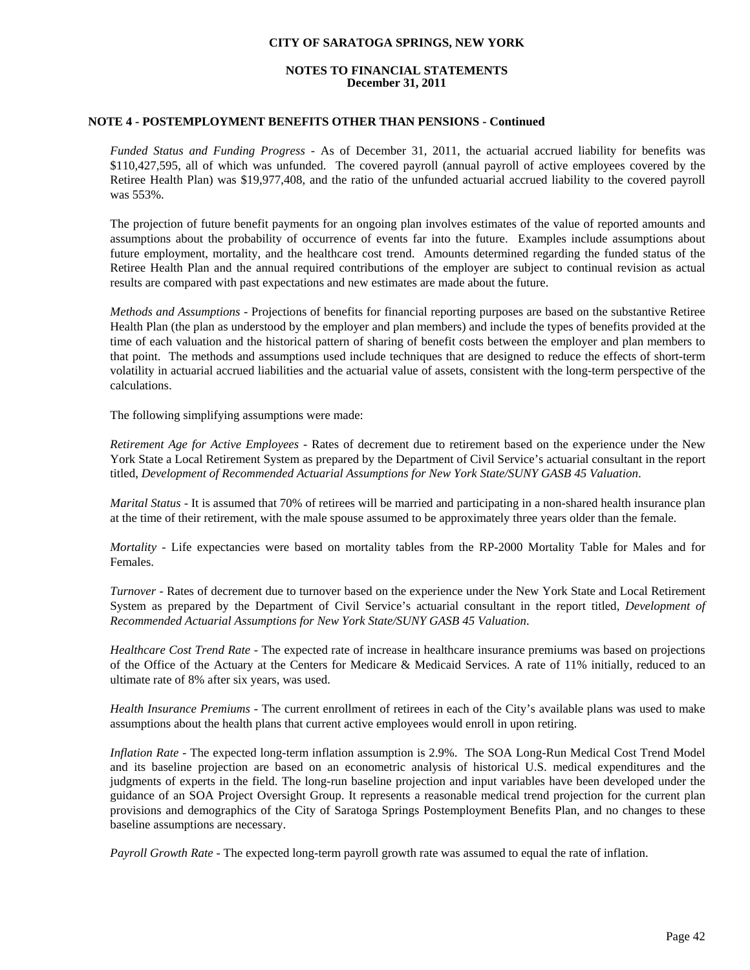## **NOTES TO FINANCIAL STATEMENTS December 31, 2011**

## **NOTE 4 - POSTEMPLOYMENT BENEFITS OTHER THAN PENSIONS - Continued**

*Funded Status and Funding Progress -* As of December 31, 2011, the actuarial accrued liability for benefits was \$110,427,595, all of which was unfunded. The covered payroll (annual payroll of active employees covered by the Retiree Health Plan) was \$19,977,408, and the ratio of the unfunded actuarial accrued liability to the covered payroll was 553%.

The projection of future benefit payments for an ongoing plan involves estimates of the value of reported amounts and assumptions about the probability of occurrence of events far into the future. Examples include assumptions about future employment, mortality, and the healthcare cost trend. Amounts determined regarding the funded status of the Retiree Health Plan and the annual required contributions of the employer are subject to continual revision as actual results are compared with past expectations and new estimates are made about the future.

*Methods and Assumptions -* Projections of benefits for financial reporting purposes are based on the substantive Retiree Health Plan (the plan as understood by the employer and plan members) and include the types of benefits provided at the time of each valuation and the historical pattern of sharing of benefit costs between the employer and plan members to that point. The methods and assumptions used include techniques that are designed to reduce the effects of short-term volatility in actuarial accrued liabilities and the actuarial value of assets, consistent with the long-term perspective of the calculations.

The following simplifying assumptions were made:

*Retirement Age for Active Employees -* Rates of decrement due to retirement based on the experience under the New York State a Local Retirement System as prepared by the Department of Civil Service's actuarial consultant in the report titled, *Development of Recommended Actuarial Assumptions for New York State/SUNY GASB 45 Valuation*.

*Marital Status -* It is assumed that 70% of retirees will be married and participating in a non-shared health insurance plan at the time of their retirement, with the male spouse assumed to be approximately three years older than the female.

*Mortality -* Life expectancies were based on mortality tables from the RP-2000 Mortality Table for Males and for Females.

*Turnover -* Rates of decrement due to turnover based on the experience under the New York State and Local Retirement System as prepared by the Department of Civil Service's actuarial consultant in the report titled, *Development of Recommended Actuarial Assumptions for New York State/SUNY GASB 45 Valuation*.

*Healthcare Cost Trend Rate -* The expected rate of increase in healthcare insurance premiums was based on projections of the Office of the Actuary at the Centers for Medicare & Medicaid Services. A rate of 11% initially, reduced to an ultimate rate of 8% after six years, was used.

*Health Insurance Premiums -* The current enrollment of retirees in each of the City's available plans was used to make assumptions about the health plans that current active employees would enroll in upon retiring.

*Inflation Rate -* The expected long-term inflation assumption is 2.9%. The SOA Long-Run Medical Cost Trend Model and its baseline projection are based on an econometric analysis of historical U.S. medical expenditures and the judgments of experts in the field. The long-run baseline projection and input variables have been developed under the guidance of an SOA Project Oversight Group. It represents a reasonable medical trend projection for the current plan provisions and demographics of the City of Saratoga Springs Postemployment Benefits Plan, and no changes to these baseline assumptions are necessary.

*Payroll Growth Rate -* The expected long-term payroll growth rate was assumed to equal the rate of inflation.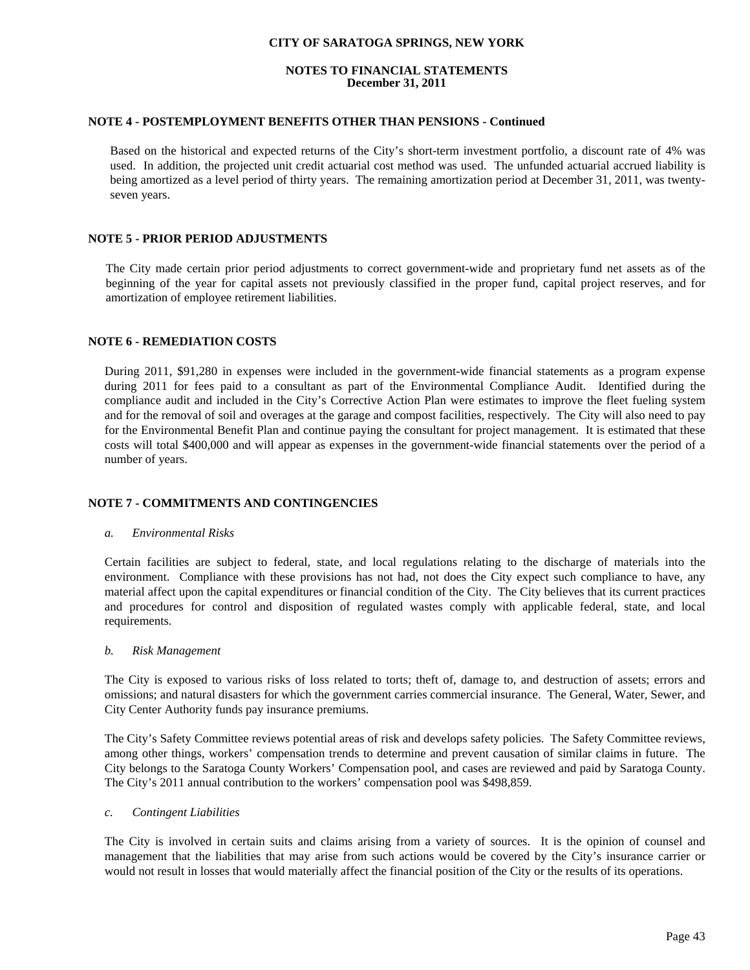## **NOTES TO FINANCIAL STATEMENTS December 31, 2011**

## **NOTE 4 - POSTEMPLOYMENT BENEFITS OTHER THAN PENSIONS - Continued**

Based on the historical and expected returns of the City's short-term investment portfolio, a discount rate of 4% was used. In addition, the projected unit credit actuarial cost method was used. The unfunded actuarial accrued liability is being amortized as a level period of thirty years. The remaining amortization period at December 31, 2011, was twentyseven years.

## **NOTE 5 - PRIOR PERIOD ADJUSTMENTS**

 The City made certain prior period adjustments to correct government-wide and proprietary fund net assets as of the beginning of the year for capital assets not previously classified in the proper fund, capital project reserves, and for amortization of employee retirement liabilities.

## **NOTE 6 - REMEDIATION COSTS**

During 2011, \$91,280 in expenses were included in the government-wide financial statements as a program expense during 2011 for fees paid to a consultant as part of the Environmental Compliance Audit. Identified during the compliance audit and included in the City's Corrective Action Plan were estimates to improve the fleet fueling system and for the removal of soil and overages at the garage and compost facilities, respectively. The City will also need to pay for the Environmental Benefit Plan and continue paying the consultant for project management. It is estimated that these costs will total \$400,000 and will appear as expenses in the government-wide financial statements over the period of a number of years.

## **NOTE 7 - COMMITMENTS AND CONTINGENCIES**

#### *a. Environmental Risks*

Certain facilities are subject to federal, state, and local regulations relating to the discharge of materials into the environment. Compliance with these provisions has not had, not does the City expect such compliance to have, any material affect upon the capital expenditures or financial condition of the City. The City believes that its current practices and procedures for control and disposition of regulated wastes comply with applicable federal, state, and local requirements.

#### *b. Risk Management*

The City is exposed to various risks of loss related to torts; theft of, damage to, and destruction of assets; errors and omissions; and natural disasters for which the government carries commercial insurance. The General, Water, Sewer, and City Center Authority funds pay insurance premiums.

The City's Safety Committee reviews potential areas of risk and develops safety policies. The Safety Committee reviews, among other things, workers' compensation trends to determine and prevent causation of similar claims in future. The City belongs to the Saratoga County Workers' Compensation pool, and cases are reviewed and paid by Saratoga County. The City's 2011 annual contribution to the workers' compensation pool was \$498,859.

#### *c. Contingent Liabilities*

The City is involved in certain suits and claims arising from a variety of sources. It is the opinion of counsel and management that the liabilities that may arise from such actions would be covered by the City's insurance carrier or would not result in losses that would materially affect the financial position of the City or the results of its operations.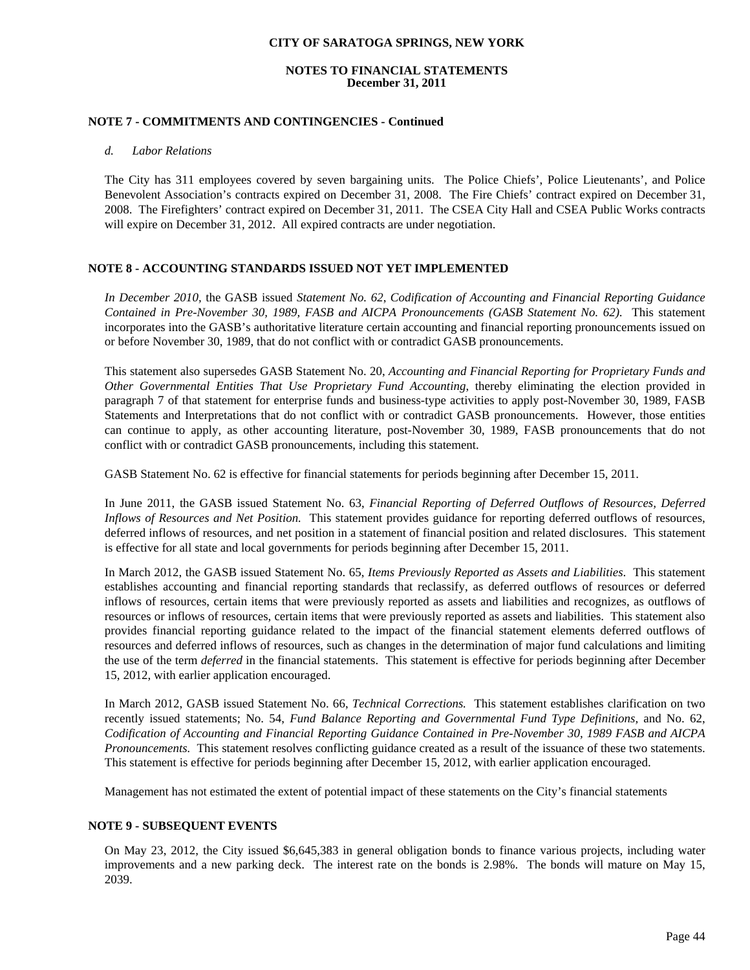## **NOTES TO FINANCIAL STATEMENTS December 31, 2011**

## **NOTE 7 - COMMITMENTS AND CONTINGENCIES - Continued**

#### *d. Labor Relations*

The City has 311 employees covered by seven bargaining units. The Police Chiefs', Police Lieutenants', and Police Benevolent Association's contracts expired on December 31, 2008. The Fire Chiefs' contract expired on December 31, 2008. The Firefighters' contract expired on December 31, 2011. The CSEA City Hall and CSEA Public Works contracts will expire on December 31, 2012. All expired contracts are under negotiation.

## **NOTE 8 - ACCOUNTING STANDARDS ISSUED NOT YET IMPLEMENTED**

*In December 2010,* the GASB issued *Statement No. 62*, *Codification of Accounting and Financial Reporting Guidance Contained in Pre-November 30, 1989, FASB and AICPA Pronouncements (GASB Statement No. 62)*. This statement incorporates into the GASB's authoritative literature certain accounting and financial reporting pronouncements issued on or before November 30, 1989, that do not conflict with or contradict GASB pronouncements.

This statement also supersedes GASB Statement No. 20, *Accounting and Financial Reporting for Proprietary Funds and Other Governmental Entities That Use Proprietary Fund Accounting*, thereby eliminating the election provided in paragraph 7 of that statement for enterprise funds and business-type activities to apply post-November 30, 1989, FASB Statements and Interpretations that do not conflict with or contradict GASB pronouncements. However, those entities can continue to apply, as other accounting literature, post-November 30, 1989, FASB pronouncements that do not conflict with or contradict GASB pronouncements, including this statement.

GASB Statement No. 62 is effective for financial statements for periods beginning after December 15, 2011.

In June 2011, the GASB issued Statement No. 63, *Financial Reporting of Deferred Outflows of Resources, Deferred Inflows of Resources and Net Position.* This statement provides guidance for reporting deferred outflows of resources, deferred inflows of resources, and net position in a statement of financial position and related disclosures. This statement is effective for all state and local governments for periods beginning after December 15, 2011.

In March 2012, the GASB issued Statement No. 65, *Items Previously Reported as Assets and Liabilities*. This statement establishes accounting and financial reporting standards that reclassify, as deferred outflows of resources or deferred inflows of resources, certain items that were previously reported as assets and liabilities and recognizes, as outflows of resources or inflows of resources, certain items that were previously reported as assets and liabilities. This statement also provides financial reporting guidance related to the impact of the financial statement elements deferred outflows of resources and deferred inflows of resources, such as changes in the determination of major fund calculations and limiting the use of the term *deferred* in the financial statements. This statement is effective for periods beginning after December 15, 2012, with earlier application encouraged.

In March 2012, GASB issued Statement No. 66, *Technical Corrections.* This statement establishes clarification on two recently issued statements; No. 54, *Fund Balance Reporting and Governmental Fund Type Definitions,* and No. 62, *Codification of Accounting and Financial Reporting Guidance Contained in Pre-November 30, 1989 FASB and AICPA Pronouncements.* This statement resolves conflicting guidance created as a result of the issuance of these two statements. This statement is effective for periods beginning after December 15, 2012, with earlier application encouraged.

Management has not estimated the extent of potential impact of these statements on the City's financial statements

## **NOTE 9 - SUBSEQUENT EVENTS**

On May 23, 2012, the City issued \$6,645,383 in general obligation bonds to finance various projects, including water improvements and a new parking deck. The interest rate on the bonds is 2.98%. The bonds will mature on May 15, 2039.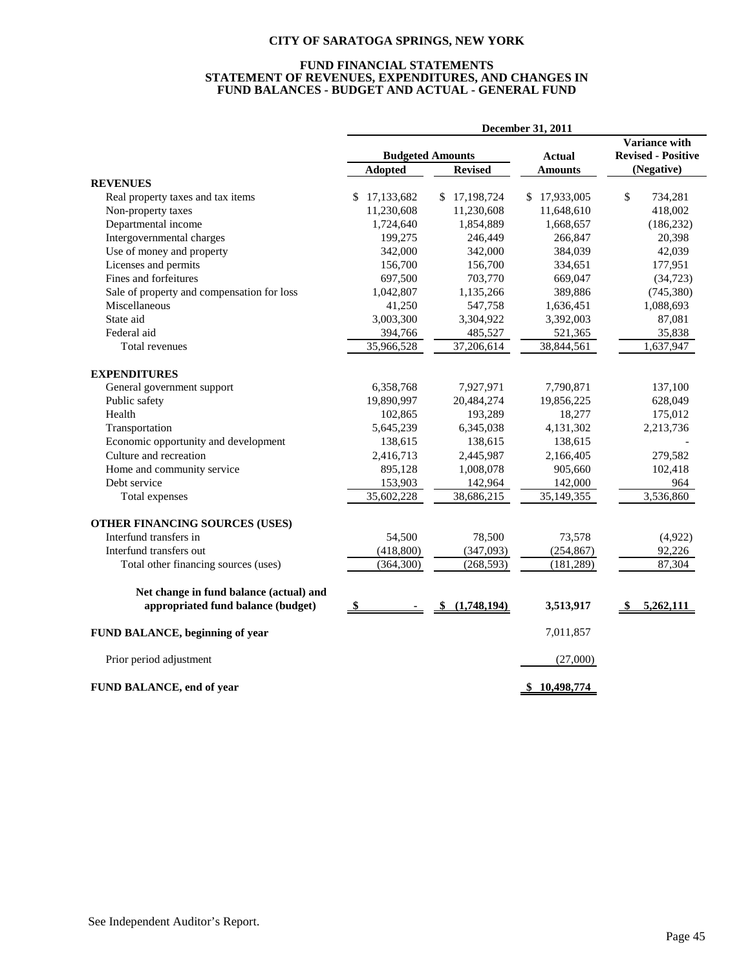#### **FUND FINANCIAL STATEMENTS STATEMENT OF REVENUES, EXPENDITURES, AND CHANGES IN FUND BALANCES - BUDGET AND ACTUAL - GENERAL FUND**

|                                            | December 31, 2011 |                         |                  |                           |  |
|--------------------------------------------|-------------------|-------------------------|------------------|---------------------------|--|
|                                            |                   |                         |                  | <b>Variance with</b>      |  |
|                                            |                   | <b>Budgeted Amounts</b> | <b>Actual</b>    | <b>Revised - Positive</b> |  |
|                                            | <b>Adopted</b>    | <b>Revised</b>          | <b>Amounts</b>   | (Negative)                |  |
| <b>REVENUES</b>                            |                   |                         |                  |                           |  |
| Real property taxes and tax items          | 17,133,682<br>\$. | 17,198,724<br>S.        | 17,933,005<br>\$ | \$<br>734,281             |  |
| Non-property taxes                         | 11,230,608        | 11,230,608              | 11,648,610       | 418,002                   |  |
| Departmental income                        | 1,724,640         | 1,854,889               | 1,668,657        | (186, 232)                |  |
| Intergovernmental charges                  | 199,275           | 246,449                 | 266,847          | 20,398                    |  |
| Use of money and property                  | 342,000           | 342,000                 | 384,039          | 42,039                    |  |
| Licenses and permits                       | 156,700           | 156,700                 | 334,651          | 177,951                   |  |
| Fines and forfeitures                      | 697,500           | 703,770                 | 669,047          | (34, 723)                 |  |
| Sale of property and compensation for loss | 1,042,807         | 1,135,266               | 389,886          | (745, 380)                |  |
| Miscellaneous                              | 41,250            | 547,758                 | 1,636,451        | 1,088,693                 |  |
| State aid                                  | 3,003,300         | 3,304,922               | 3,392,003        | 87,081                    |  |
| Federal aid                                | 394,766           | 485,527                 | 521,365          | 35,838                    |  |
| Total revenues                             | 35,966,528        | 37,206,614              | 38,844,561       | 1,637,947                 |  |
| <b>EXPENDITURES</b>                        |                   |                         |                  |                           |  |
| General government support                 | 6,358,768         | 7,927,971               | 7,790,871        | 137,100                   |  |
| Public safety                              | 19,890,997        | 20,484,274              | 19,856,225       | 628,049                   |  |
| Health                                     | 102,865           | 193,289                 | 18,277           | 175,012                   |  |
| Transportation                             | 5,645,239         | 6,345,038               | 4,131,302        | 2,213,736                 |  |
| Economic opportunity and development       | 138,615           | 138,615                 | 138,615          |                           |  |
| Culture and recreation                     | 2,416,713         | 2,445,987               | 2,166,405        | 279,582                   |  |
| Home and community service                 | 895,128           | 1,008,078               | 905,660          | 102,418                   |  |
| Debt service                               | 153,903           | 142,964                 | 142,000          | 964                       |  |
| Total expenses                             | 35,602,228        | 38,686,215              | 35, 149, 355     | 3,536,860                 |  |
| OTHER FINANCING SOURCES (USES)             |                   |                         |                  |                           |  |
| Interfund transfers in                     | 54,500            | 78,500                  | 73,578           | (4,922)                   |  |
| Interfund transfers out                    | (418, 800)        | (347,093)               | (254, 867)       | 92,226                    |  |
| Total other financing sources (uses)       | (364, 300)        | (268, 593)              | (181, 289)       | 87,304                    |  |
| Net change in fund balance (actual) and    |                   |                         |                  |                           |  |
| appropriated fund balance (budget)         | - \$              | (1,748,194)<br>\$       | 3,513,917        | 5,262,111                 |  |
| FUND BALANCE, beginning of year            |                   |                         | 7,011,857        |                           |  |
| Prior period adjustment                    |                   |                         | (27,000)         |                           |  |
| FUND BALANCE, end of year                  |                   |                         | \$10,498,774     |                           |  |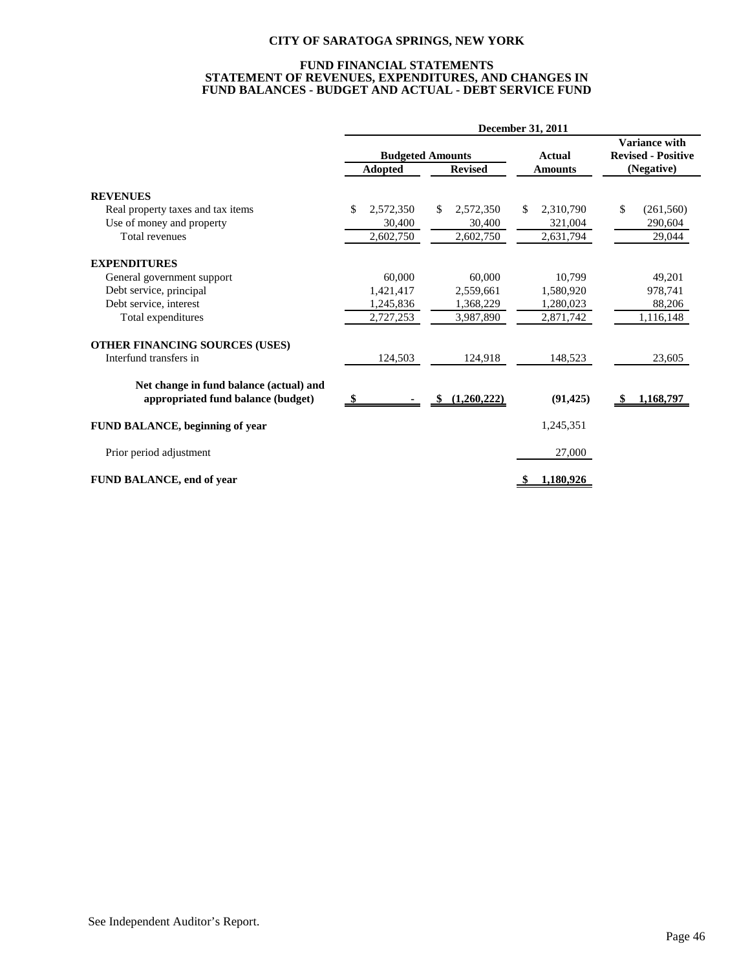#### **FUND FINANCIAL STATEMENTS STATEMENT OF REVENUES, EXPENDITURES, AND CHANGES IN FUND BALANCES - BUDGET AND ACTUAL - DEBT SERVICE FUND**

|                                                                               | December 31, 2011       |                  |                  |                                            |  |
|-------------------------------------------------------------------------------|-------------------------|------------------|------------------|--------------------------------------------|--|
|                                                                               | <b>Budgeted Amounts</b> |                  | <b>Actual</b>    | Variance with<br><b>Revised - Positive</b> |  |
|                                                                               | <b>Adopted</b>          | <b>Revised</b>   | <b>Amounts</b>   | (Negative)                                 |  |
| <b>REVENUES</b>                                                               |                         |                  |                  |                                            |  |
| Real property taxes and tax items                                             | \$<br>2,572,350         | \$.<br>2,572,350 | 2,310,790<br>\$. | \$<br>(261, 560)                           |  |
| Use of money and property                                                     | 30,400                  | 30,400           | 321,004          | 290,604                                    |  |
| Total revenues                                                                | 2,602,750               | 2,602,750        | 2,631,794        | 29,044                                     |  |
| <b>EXPENDITURES</b>                                                           |                         |                  |                  |                                            |  |
| General government support                                                    | 60,000                  | 60,000           | 10,799           | 49,201                                     |  |
| Debt service, principal                                                       | 1,421,417               | 2,559,661        | 1,580,920        | 978,741                                    |  |
| Debt service, interest                                                        | 1,245,836               | 1,368,229        | 1,280,023        | 88,206                                     |  |
| Total expenditures                                                            | 2,727,253               | 3,987,890        | 2,871,742        | 1,116,148                                  |  |
| OTHER FINANCING SOURCES (USES)                                                |                         |                  |                  |                                            |  |
| Interfund transfers in                                                        | 124,503                 | 124,918          | 148,523          | 23,605                                     |  |
| Net change in fund balance (actual) and<br>appropriated fund balance (budget) |                         | (1,260,222)<br>S | (91, 425)        | 1,168,797<br>- 86                          |  |
|                                                                               |                         |                  |                  |                                            |  |
| <b>FUND BALANCE, beginning of year</b>                                        |                         |                  | 1,245,351        |                                            |  |
| Prior period adjustment                                                       |                         |                  | 27,000           |                                            |  |
| <b>FUND BALANCE, end of year</b>                                              |                         |                  | 1,180,926        |                                            |  |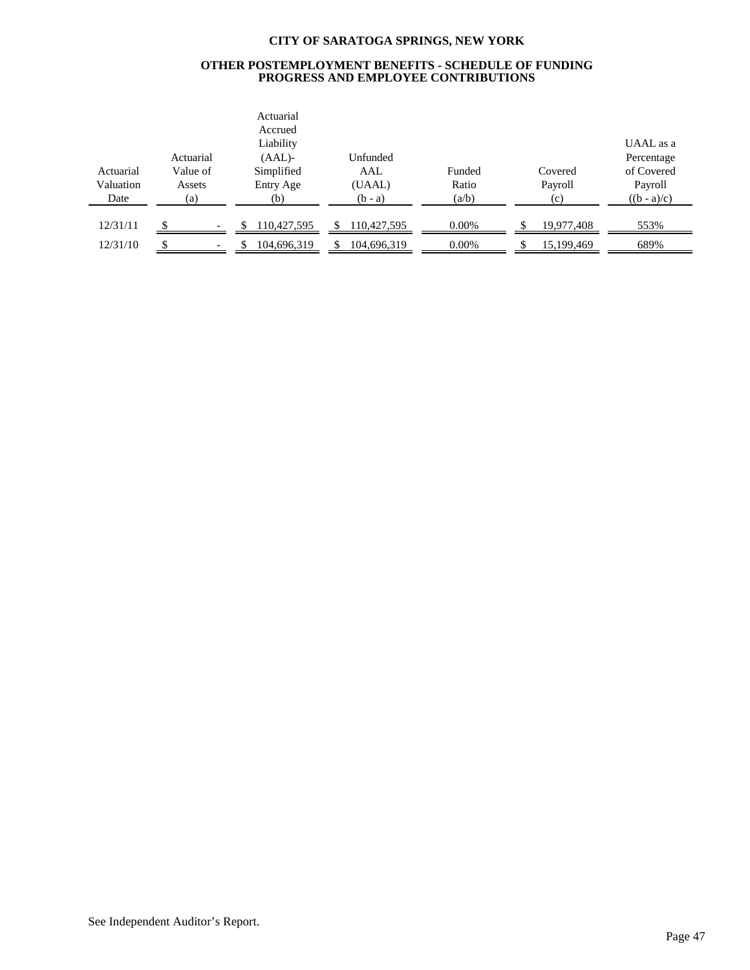#### **OTHER POSTEMPLOYMENT BENEFITS - SCHEDULE OF FUNDING PROGRESS AND EMPLOYEE CONTRIBUTIONS**

|           |           | Actuarial<br>Accrued |             |          |            |               |
|-----------|-----------|----------------------|-------------|----------|------------|---------------|
|           |           | Liability            |             |          |            | UAAL as a     |
|           | Actuarial | $(AAL)$ -            | Unfunded    |          |            | Percentage    |
| Actuarial | Value of  | Simplified           | AAL         | Funded   | Covered    | of Covered    |
| Valuation | Assets    | Entry Age            | (UAAL)      | Ratio    | Payroll    | Payroll       |
| Date      | (a)       | (b)                  | $(b - a)$   | (a/b)    | (c)        | $((b - a)/c)$ |
|           |           |                      |             |          |            |               |
| 12/31/11  |           | 110,427,595          | 110,427,595 | $0.00\%$ | 19,977,408 | 553%          |
| 12/31/10  |           | 104,696,319          | 104,696,319 | 0.00%    | 15,199,469 | 689%          |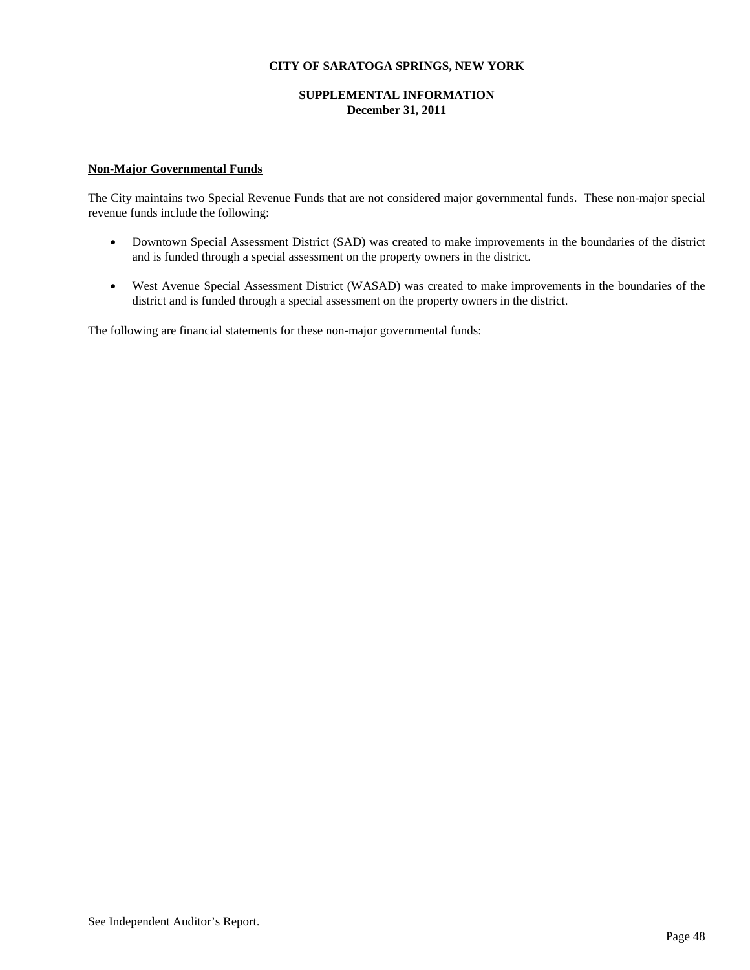## **SUPPLEMENTAL INFORMATION December 31, 2011**

## **Non-Major Governmental Funds**

The City maintains two Special Revenue Funds that are not considered major governmental funds. These non-major special revenue funds include the following:

- Downtown Special Assessment District (SAD) was created to make improvements in the boundaries of the district and is funded through a special assessment on the property owners in the district.
- West Avenue Special Assessment District (WASAD) was created to make improvements in the boundaries of the district and is funded through a special assessment on the property owners in the district.

The following are financial statements for these non-major governmental funds: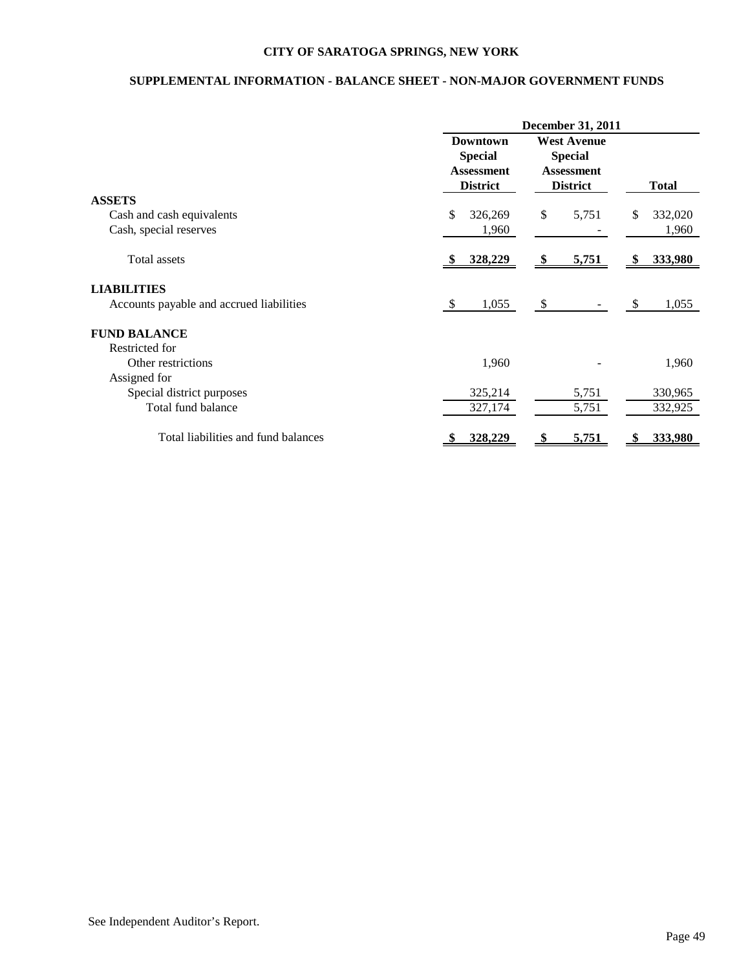# **SUPPLEMENTAL INFORMATION - BALANCE SHEET - NON-MAJOR GOVERNMENT FUNDS**

|                                          | <b>December 31, 2011</b>                                                  |                                                                              |                |
|------------------------------------------|---------------------------------------------------------------------------|------------------------------------------------------------------------------|----------------|
|                                          | <b>Downtown</b><br><b>Special</b><br><b>Assessment</b><br><b>District</b> | <b>West Avenue</b><br><b>Special</b><br><b>Assessment</b><br><b>District</b> | <b>Total</b>   |
| <b>ASSETS</b>                            |                                                                           |                                                                              |                |
| Cash and cash equivalents                | \$<br>326,269                                                             | \$<br>5,751                                                                  | 332,020<br>\$  |
| Cash, special reserves                   | 1,960                                                                     |                                                                              | 1,960          |
| <b>Total assets</b>                      | 328,229                                                                   | 5,751                                                                        | 333,980<br>-SS |
| <b>LIABILITIES</b>                       |                                                                           |                                                                              |                |
| Accounts payable and accrued liabilities | 1,055<br><sup>\$</sup>                                                    | <sup>\$</sup>                                                                | 1,055<br>\$.   |
| <b>FUND BALANCE</b>                      |                                                                           |                                                                              |                |
| Restricted for                           |                                                                           |                                                                              |                |
| Other restrictions                       | 1,960                                                                     |                                                                              | 1,960          |
| Assigned for                             |                                                                           |                                                                              |                |
| Special district purposes                | 325,214                                                                   | 5,751                                                                        | 330,965        |
| Total fund balance                       | 327,174                                                                   | 5,751                                                                        | 332,925        |
| Total liabilities and fund balances      | 328,229                                                                   | 5,751                                                                        | 333,980        |